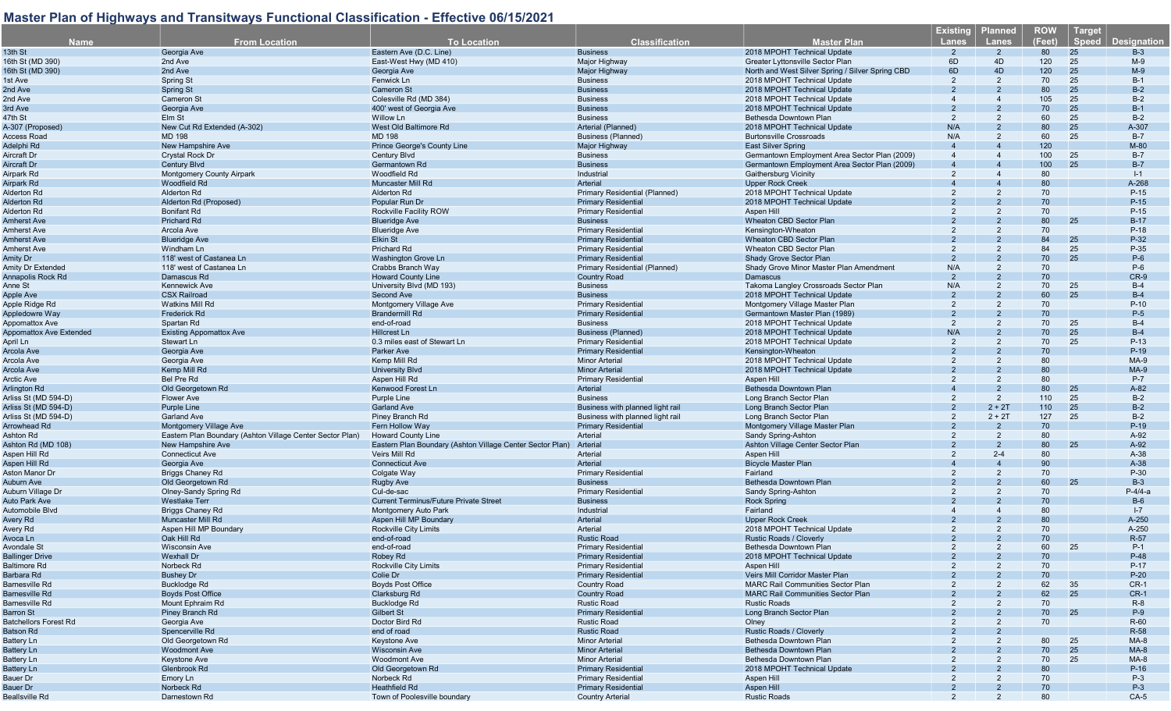| <b>Name</b>                    | <b>From Location</b>                                      | <b>To Location</b>                                       | <b>Classification</b>            | Master Plan                                      | <b>Existing</b><br>Lanes | <b>Planned</b><br><b>Lanes</b> | <b>ROW</b><br>(Feet) | <b>Target</b><br><b>Speed</b> | <b>Designation</b> |
|--------------------------------|-----------------------------------------------------------|----------------------------------------------------------|----------------------------------|--------------------------------------------------|--------------------------|--------------------------------|----------------------|-------------------------------|--------------------|
| 13th St                        | Georgia Ave                                               | Eastern Ave (D.C. Line)                                  | <b>Business</b>                  | 2018 MPOHT Technical Update                      | $\overline{2}$           | $\overline{2}$                 | 80                   | 25                            | $B-3$              |
|                                |                                                           | East-West Hwy (MD 410)                                   |                                  |                                                  | 6D                       |                                |                      |                               | $M-9$              |
| 16th St (MD 390)               | 2nd Ave                                                   |                                                          | Major Highway                    | Greater Lyttonsville Sector Plan                 |                          | 4D                             | 120                  | 25                            |                    |
| 16th St (MD 390)               | 2nd Ave                                                   | Georgia Ave                                              | <b>Major Highway</b>             | North and West Silver Spring / Silver Spring CBD | 6D                       | 4D                             | 120                  | 25                            | $M-9$              |
| 1st Ave                        | <b>Spring St</b>                                          | Fenwick Ln                                               | <b>Business</b>                  | 2018 MPOHT Technical Update                      | $\overline{2}$           | $\overline{2}$                 | 70                   | 25                            | $B-1$              |
| 2nd Ave                        | <b>Spring St</b>                                          | <b>Cameron St</b>                                        | <b>Business</b>                  | 2018 MPOHT Technical Update                      | $\mathcal{P}$            |                                | 80                   | 25                            | $B-2$              |
| 2nd Ave                        | <b>Cameron St</b>                                         | Colesville Rd (MD 384)                                   | <b>Business</b>                  | 2018 MPOHT Technical Update                      |                          |                                | 105                  | 25                            | $B-2$              |
| 3rd Ave                        | Georgia Ave                                               | 400' west of Georgia Ave                                 | <b>Business</b>                  | 2018 MPOHT Technical Update                      |                          |                                | 70                   | 25                            | $B-1$              |
| 47th St                        | Elm St                                                    | Willow Ln                                                | <b>Business</b>                  | Bethesda Downtown Plan                           | $\overline{2}$           |                                | 60                   | 25                            | $B-2$              |
| A-307 (Proposed)               | New Cut Rd Extended (A-302)                               | West Old Baltimore Rd                                    | Arterial (Planned)               | 2018 MPOHT Technical Update                      | N/A                      |                                | 80                   | 25                            | A-307              |
| Access Road                    | <b>MD 198</b>                                             | <b>MD 198</b>                                            | <b>Business (Planned)</b>        | <b>Burtonsville Crossroads</b>                   | N/A                      | $\overline{2}$                 | 60                   | 25                            | $B-7$              |
| Adelphi Rd                     | New Hampshire Ave                                         | Prince George's County Line                              | <b>Major Highway</b>             | <b>East Silver Spring</b>                        |                          |                                | 120                  |                               | $M-80$             |
| Aircraft Dr                    | Crystal Rock Dr                                           | <b>Century Blvd</b>                                      | <b>Business</b>                  | Germantown Employment Area Sector Plan (2009)    |                          |                                | 100                  | 25                            | $B-7$              |
|                                |                                                           |                                                          |                                  |                                                  |                          |                                |                      |                               |                    |
| Aircraft Dr                    | <b>Century Blvd</b>                                       | Germantown Rd                                            | <b>Business</b>                  | Germantown Employment Area Sector Plan (2009)    |                          |                                | 100                  | 25                            | $B-7$              |
| Airpark Rd                     | <b>Montgomery County Airpark</b>                          | Woodfield Rd                                             | Industrial                       | Gaithersburg Vicinity                            |                          |                                | 80                   |                               | $I-1$              |
| Airpark Rd                     | Woodfield Rd                                              | Muncaster Mill Rd                                        | Arterial                         | <b>Upper Rock Creek</b>                          |                          |                                | 80                   |                               | A-268              |
| Alderton Rd                    | Alderton Rd                                               | Alderton Rd                                              | Primary Residential (Planned)    | 2018 MPOHT Technical Update                      | $\overline{2}$           |                                | 70                   |                               | $P-15$             |
| Alderton Rd                    | Alderton Rd (Proposed)                                    | Popular Run Dr                                           | <b>Primary Residential</b>       | 2018 MPOHT Technical Update                      |                          |                                | 70                   |                               | $P-15$             |
| Alderton Rd                    | <b>Bonifant Rd</b>                                        | Rockville Facility ROW                                   | <b>Primary Residential</b>       | Aspen Hill                                       |                          |                                | 70                   |                               | $P-15$             |
| Amherst Ave                    | <b>Prichard Rd</b>                                        | <b>Blueridge Ave</b>                                     | <b>Business</b>                  | Wheaton CBD Sector Plan                          |                          |                                | 80                   | 25                            | $B-17$             |
| Amherst Ave                    | Arcola Ave                                                | <b>Blueridge Ave</b>                                     | <b>Primary Residential</b>       | Kensington-Wheator                               |                          |                                | 70                   |                               | $P-18$             |
| <b>Amherst Ave</b>             | <b>Blueridge Ave</b>                                      | Elkin St                                                 | <b>Primary Residential</b>       | Wheaton CBD Sector Plan                          |                          |                                | 84                   | 25                            | P-32               |
|                                |                                                           |                                                          |                                  |                                                  |                          |                                |                      |                               |                    |
| <b>Amherst Ave</b>             | Windham Ln                                                | Prichard Rd                                              | <b>Primary Residential</b>       | Wheaton CBD Sector Plan                          | $\overline{2}$           | 2                              | 84                   | 25                            | $P-35$             |
| Amity Dr                       | 118' west of Castanea Ln                                  | <b>Washington Grove Ln</b>                               | <b>Primary Residential</b>       | Shady Grove Sector Plan                          |                          |                                | 70                   | 25                            | $P-6$              |
| <b>Amity Dr Extended</b>       | 118' west of Castanea Ln                                  | Crabbs Branch Way                                        | Primary Residential (Planned)    | Shady Grove Minor Master Plan Amendment          | N/A                      | $\overline{2}$                 | 70                   |                               | $P-6$              |
| Annapolis Rock Rd              | Damascus Rd                                               | <b>Howard County Line</b>                                | <b>Country Road</b>              | Damascus                                         | $\overline{2}$           | $\overline{2}$                 | 70                   |                               | $CR-9$             |
| Anne St                        | <b>Kennewick Ave</b>                                      | University Blvd (MD 193)                                 | <b>Business</b>                  | Takoma Langley Crossroads Sector Plan            | N/A                      | 2                              | 70                   | 25                            | $B-4$              |
| <b>Apple Ave</b>               | <b>CSX Railroad</b>                                       | Second Ave                                               | <b>Business</b>                  | 2018 MPOHT Technical Update                      |                          | $\mathcal{P}$                  | 60                   | 25                            | $B-4$              |
| Apple Ridge Rd                 | <b>Watkins Mill Rd</b>                                    | Montgomery Village Ave                                   | <b>Primary Residential</b>       | Montgomery Village Master Plan                   | 2                        | 2                              | 70                   |                               | $P-10$             |
| Appledowre Way                 | <b>Frederick Rd</b>                                       | <b>Brandermill Rd</b>                                    | <b>Primary Residential</b>       | Germantown Master Plan (1989)                    |                          |                                | 70                   |                               | $P-5$              |
|                                | Spartan Rd                                                | end-of-road                                              | <b>Business</b>                  | 2018 MPOHT Technical Update                      | 2                        | $\overline{2}$                 | 70                   | 25                            | $B-4$              |
| <b>Appomattox Ave</b>          |                                                           |                                                          |                                  |                                                  |                          |                                |                      |                               |                    |
| <b>Appomattox Ave Extended</b> | <b>Existing Appomattox Ave</b>                            | <b>Hillcrest Ln</b>                                      | <b>Business (Planned)</b>        | 2018 MPOHT Technical Update                      | N/A                      |                                | 70                   | 25                            | $B-4$              |
| April Ln                       | Stewart Ln                                                | 0.3 miles east of Stewart Ln                             | <b>Primary Residential</b>       | 2018 MPOHT Technical Update                      | $\overline{2}$           |                                | 70                   | 25                            | $P-13$             |
| Arcola Ave                     | Georgia Ave                                               | Parker Ave                                               | <b>Primary Residential</b>       | Kensington-Wheaton                               |                          |                                | 70                   |                               | $P-19$             |
| Arcola Ave                     | Georgia Ave                                               | Kemp Mill Rd                                             | <b>Minor Arterial</b>            | 2018 MPOHT Technical Update                      |                          |                                | 80                   |                               | $MA-9$             |
| Arcola Ave                     | Kemp Mill Rd                                              | <b>University Blvd</b>                                   | <b>Minor Arterial</b>            | 2018 MPOHT Technical Update                      |                          |                                | 80                   |                               | <b>MA-9</b>        |
| <b>Arctic Ave</b>              | Bel Pre Rd                                                | Aspen Hill Rd                                            | <b>Primary Residential</b>       | Aspen Hill                                       |                          |                                | 80                   |                               | P-7                |
| Arlington Rd                   | Old Georgetown Rd                                         | Kenwood Forest Ln                                        | Arterial                         | Bethesda Downtown Plan                           |                          |                                | 80                   | 25                            | $A-82$             |
| Arliss St (MD 594-D)           | Flower Ave                                                | Purple Line                                              | <b>Business</b>                  | Long Branch Sector Plan                          |                          | 2                              | 110                  | 25                            | $B-2$              |
| Arliss St (MD 594-D)           | <b>Purple Line</b>                                        | <b>Garland Ave</b>                                       | Business with planned light rail | Long Branch Sector Plan                          |                          | $2 + 2T$                       | 110                  | 25                            | $B-2$              |
|                                |                                                           |                                                          |                                  |                                                  |                          |                                |                      |                               |                    |
| Arliss St (MD 594-D)           | <b>Garland Ave</b>                                        | Piney Branch Rd                                          | Business with planned light rail | Long Branch Sector Plan                          | 2                        | $2 + 2T$                       | 127                  | 25                            | $B-2$              |
| Arrowhead Rd                   | <b>Montgomery Village Ave</b>                             | Fern Hollow Way                                          | <b>Primary Residential</b>       | Montgomery Village Master Plan                   |                          |                                | 70                   |                               | $P-19$             |
| <b>Ashton Rd</b>               | Eastern Plan Boundary (Ashton Village Center Sector Plan) | <b>Howard County Line</b>                                | Arterial                         | Sandy Spring-Ashton                              |                          | 2                              | 80                   |                               | A-92               |
| Ashton Rd (MD 108)             | New Hampshire Ave                                         | Eastern Plan Boundary (Ashton Village Center Sector Plan | Arterial                         | Ashton Village Center Sector Plan                |                          | $\mathcal{P}$                  | 80                   | 25                            | A-92               |
| Aspen Hill Rd                  | <b>Connecticut Ave</b>                                    | Veirs Mill Rd                                            | Arterial                         | Aspen Hill                                       |                          | $2 - 4$                        | 80                   |                               | A-38               |
| Aspen Hill Rd                  | Georgia Ave                                               | <b>Connecticut Ave</b>                                   | Arterial                         | <b>Bicycle Master Plan</b>                       |                          |                                | 90                   |                               | $A-38$             |
| Aston Manor Dr                 | <b>Briggs Chaney Rd</b>                                   | Colgate Way                                              | <b>Primary Residential</b>       | Fairland                                         |                          |                                | 70                   |                               | P-30               |
| Auburn Ave                     | Old Georgetown Rd                                         | Rugby Ave                                                | <b>Business</b>                  | Bethesda Downtown Plan                           |                          |                                | 60                   | 25                            | $B-3$              |
| Auburn Village Dr              | Olney-Sandy Spring Rd                                     | Cul-de-sac                                               | <b>Primary Residential</b>       | Sandy Spring-Ashton                              |                          |                                | 70                   |                               | $P-4/4-a$          |
| <b>Auto Park Ave</b>           | <b>Westlake Terr</b>                                      | <b>Current Terminus/Future Private Street</b>            | <b>Business</b>                  |                                                  |                          |                                | 70                   |                               | $B-6$              |
|                                |                                                           |                                                          |                                  | <b>Rock Spring</b>                               |                          |                                |                      |                               |                    |
| Automobile Blvd                | <b>Briggs Chaney Rd</b>                                   | Montgomery Auto Park                                     | Industrial                       | Fairland                                         |                          |                                | 80                   |                               | $I - 7$            |
| Avery Rd                       | <b>Muncaster Mill Rd</b>                                  | Aspen Hill MP Boundary                                   | Arterial                         | <b>Upper Rock Creek</b>                          |                          |                                | 80                   |                               | A-250              |
| Avery Rd                       | Aspen Hill MP Boundary                                    | Rockville City Limits                                    | Arterial                         | 2018 MPOHT Technical Update                      |                          |                                | 70                   |                               | A-250              |
| Avoca Ln                       | Oak Hill Rd                                               | end-of-road                                              | <b>Rustic Road</b>               | Rustic Roads / Cloverly                          |                          |                                | 70                   |                               | R-57               |
| Avondale St                    | <b>Wisconsin Ave</b>                                      | end-of-road                                              | <b>Primary Residential</b>       | Bethesda Downtown Plan                           |                          |                                | 60                   | 25                            | $P-1$              |
| <b>Ballinger Drive</b>         | Wexhall Dr                                                | Robey Rd                                                 | <b>Primary Residential</b>       | 2018 MPOHT Technical Update                      |                          |                                | 70                   |                               | $P-48$             |
| <b>Baltimore Rd</b>            | Norbeck Rd                                                | <b>Rockville City Limits</b>                             | <b>Primary Residential</b>       | Aspen Hill                                       |                          |                                | 70                   |                               | $P-17$             |
| Barbara Rd                     | <b>Bushey Dr</b>                                          | Colie Dr                                                 | <b>Primary Residential</b>       | Veirs Mill Corridor Master Plan                  |                          |                                | 70                   |                               | $P-20$             |
|                                |                                                           | <b>Boyds Post Office</b>                                 |                                  | <b>MARC Rail Communities Sector Plan</b>         |                          |                                |                      |                               |                    |
| Barnesville Rd                 | <b>Bucklodge Rd</b>                                       |                                                          | Country Road                     |                                                  |                          |                                | 62                   | 35                            | $CR-1$             |
| <b>Barnesville Rd</b>          | <b>Bovds Post Office</b>                                  | Clarksburg Rd                                            | <b>Country Road</b>              | <b>MARC Rail Communities Sector Plan</b>         |                          |                                | 62                   | 25                            | $CR-1$             |
| Barnesville Rd                 | Mount Ephraim Rd                                          | <b>Bucklodge Rd</b>                                      | <b>Rustic Road</b>               | <b>Rustic Roads</b>                              |                          |                                | 70                   |                               | $R-8$              |
| Barron St                      | Piney Branch Rd                                           | Gilbert St                                               | <b>Primary Residential</b>       | Long Branch Sector Plan                          |                          |                                | 70                   | 25                            | $P-9$              |
| <b>Batchellors Forest Rd</b>   | Georgia Ave                                               | Doctor Bird Rd                                           | <b>Rustic Road</b>               | Olney                                            |                          |                                | 70                   |                               | R-60               |
| Batson Rd                      | Spencerville Rd                                           | end of road                                              | <b>Rustic Road</b>               | Rustic Roads / Cloverly                          |                          |                                |                      |                               | R-58               |
| <b>Battery Ln</b>              | Old Georgetown Rd                                         | Keystone Ave                                             | <b>Minor Arterial</b>            | Bethesda Downtown Plan                           |                          |                                | 80                   | 25                            | $MA-8$             |
| <b>Battery Ln</b>              | <b>Woodmont Ave</b>                                       | <b>Wisconsin Ave</b>                                     | <b>Minor Arterial</b>            | Bethesda Downtown Plan                           |                          |                                | 70                   | 25                            | $MA-8$             |
| <b>Battery Ln</b>              | Keystone Ave                                              | <b>Woodmont Ave</b>                                      | <b>Minor Arterial</b>            | Bethesda Downtown Plan                           |                          |                                | 70                   | 25                            | $MA-8$             |
|                                | Glenbrook Rd                                              |                                                          |                                  |                                                  |                          |                                |                      |                               |                    |
| <b>Battery Ln</b>              |                                                           | Old Georgetown Rd                                        | <b>Primary Residential</b>       | 2018 MPOHT Technical Update                      |                          |                                | 80                   |                               | $P-16$             |
| Bauer Dr                       | Emory Ln                                                  | Norbeck Rd                                               | <b>Primary Residential</b>       | Aspen Hill                                       |                          |                                | 70                   |                               | $P-3$              |
| Bauer Dr                       | Norbeck Rd                                                | Heathfield Rd                                            | <b>Primary Residential</b>       | Aspen Hill                                       |                          |                                | 70                   |                               | $P-3$              |
| <b>Beallsville Rd</b>          | Darnestown Rd                                             | Town of Poolesville boundary                             | <b>Country Arterial</b>          | <b>Rustic Roads</b>                              |                          |                                | 80                   |                               | $CA-5$             |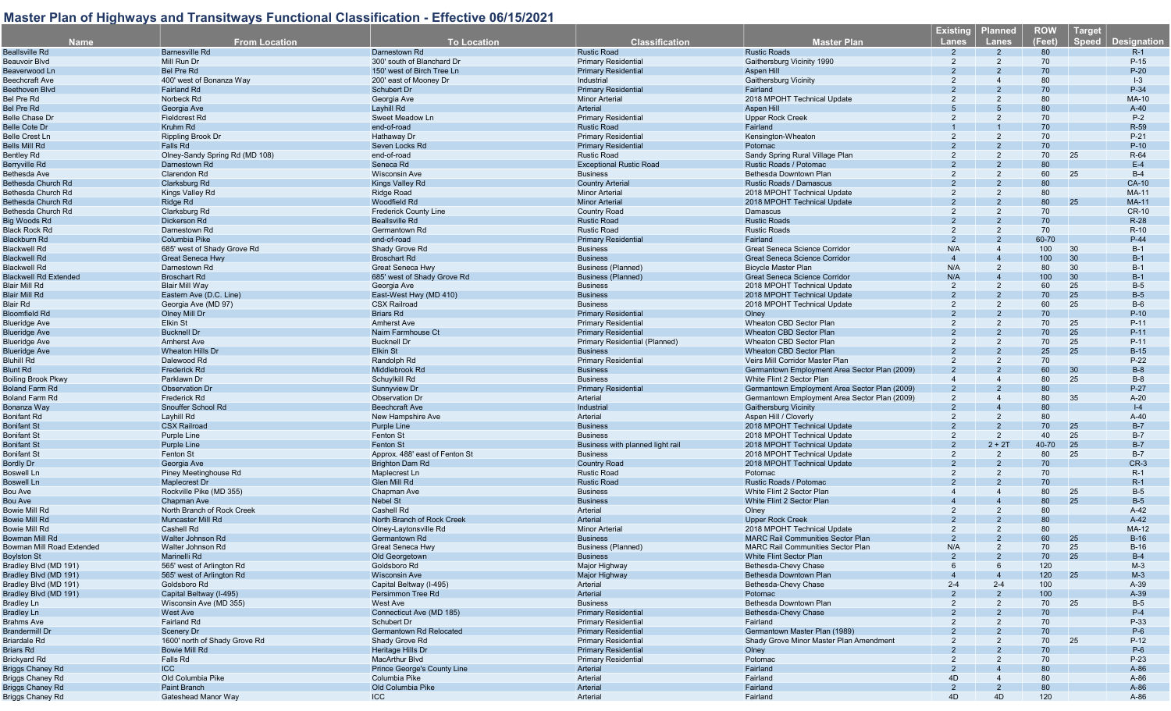| <b>Name</b>                                 | <b>From Location</b>                         | <b>To Location</b>                                       | <b>Classification</b>                         | <b>Master Plan</b>                                         | <b>Existing</b><br><b>Lanes</b> | <b>Planned</b><br><b>Lanes</b> | <b>ROW</b><br>(Feet) | <b>Target</b><br><b>Speed</b> | <b>Designation</b> |
|---------------------------------------------|----------------------------------------------|----------------------------------------------------------|-----------------------------------------------|------------------------------------------------------------|---------------------------------|--------------------------------|----------------------|-------------------------------|--------------------|
| <b>Beallsville Rd</b>                       | <b>Barnesville Rd</b>                        | Darnestown Rd                                            | <b>Rustic Road</b>                            | <b>Rustic Roads</b>                                        |                                 |                                | 80                   |                               | $R-1$              |
| Beauvoir Blvd                               | Mill Run Dr                                  | 300' south of Blanchard Dr                               | <b>Primary Residential</b>                    | Gaithersburg Vicinity 1990                                 | 2                               | $\mathcal{P}$                  | 70                   |                               | $P-15$             |
| Beaverwood Ln                               | <b>Bel Pre Rd</b>                            | 150' west of Birch Tree Ln                               | <b>Primary Residential</b>                    | Aspen Hill                                                 |                                 |                                | 70                   |                               | $P-20$             |
| <b>Beechcraft Ave</b>                       | 400' west of Bonanza Way                     | 200' east of Mooney Dr                                   | Industrial                                    | <b>Gaithersburg Vicinity</b>                               |                                 |                                | 80                   |                               | $ -3$              |
| Beethoven Blvd                              | <b>Fairland Rd</b>                           | <b>Schubert Dr</b>                                       | <b>Primary Residential</b>                    | Fairland                                                   |                                 |                                | 70                   |                               | P-34               |
| Bel Pre Rd                                  | Norbeck Rd                                   | Georgia Ave                                              | <b>Minor Arterial</b>                         | 2018 MPOHT Technical Update                                |                                 |                                | 80                   |                               | MA-10              |
| Bel Pre Rd                                  | Georgia Ave                                  | Layhill Rd                                               | Arterial                                      | Aspen Hill                                                 |                                 |                                | 80                   |                               | $A-40$             |
| Belle Chase Dr                              | <b>Fieldcrest Rd</b>                         | Sweet Meadow Ln                                          | <b>Primary Residential</b>                    | <b>Upper Rock Creek</b>                                    |                                 |                                | 70                   |                               | $P-2$              |
| <b>Belle Cote Dr</b>                        | Kruhm Rd                                     | end-of-road                                              | <b>Rustic Road</b>                            | Fairland                                                   |                                 |                                | 70                   |                               | R-59               |
| Belle Crest Ln                              | <b>Rippling Brook Dr</b>                     | Hathaway Dr                                              | <b>Primary Residential</b>                    | Kensington-Wheaton                                         |                                 |                                | 70                   |                               | $P-21$             |
| Bells Mill Rd                               | Falls Rd                                     | Seven Locks Rd                                           | <b>Primary Residential</b>                    | Potomac                                                    |                                 |                                | 70                   |                               | $P-10$             |
| Bentley Rd                                  | Olney-Sandy Spring Rd (MD 108)               | end-of-road                                              | <b>Rustic Road</b>                            | Sandy Spring Rural Village Plan                            |                                 |                                | 70                   | 25                            | R-64               |
| Berryville Rd                               | Darnestown Rd                                | Seneca Rd                                                | <b>Exceptional Rustic Road</b>                | Rustic Roads / Potomac                                     |                                 |                                | 80                   |                               | $E-4$              |
| Bethesda Ave                                | Clarendon Rd                                 | <b>Wisconsin Ave</b>                                     | <b>Business</b>                               | Bethesda Downtown Plan                                     |                                 | 2                              | 60                   | 25                            | $B-4$              |
| Bethesda Church Rd                          | Clarksburg Rd                                | Kings Valley Rd                                          | <b>Country Arterial</b>                       | Rustic Roads / Damascus                                    |                                 |                                | 80                   |                               | CA-10              |
| Bethesda Church Rd                          | Kings Valley Rd                              | <b>Ridge Road</b>                                        | <b>Minor Arterial</b>                         | 2018 MPOHT Technical Update                                | 2                               | 2                              | 80                   |                               | <b>MA-11</b>       |
| Bethesda Church Rd                          | Ridge Rd                                     | <b>Woodfield Rd</b>                                      | <b>Minor Arterial</b>                         | 2018 MPOHT Technical Update                                |                                 |                                | 80                   | 25                            | <b>MA-11</b>       |
| Bethesda Church Rd                          | Clarksburg Rd                                | Frederick County Line                                    | <b>Country Road</b>                           | Damascus                                                   |                                 |                                | 70                   |                               | <b>CR-10</b>       |
| Big Woods Rd                                | Dickerson Rd                                 | <b>Beallsville Rd</b>                                    | <b>Rustic Road</b>                            | <b>Rustic Roads</b>                                        |                                 | 2                              | 70<br>70             |                               | $R-28$<br>$R-10$   |
| Black Rock Rd<br>Blackburn Rd               | Darnestown Rd                                | Germantown Rd                                            | <b>Rustic Road</b>                            | <b>Rustic Roads</b><br>Fairland                            |                                 |                                | 60-70                |                               | $P-44$             |
| Blackwell Rd                                | Columbia Pike<br>685' west of Shady Grove Rd | end-of-road<br>Shady Grove Rd                            | <b>Primary Residential</b><br><b>Business</b> | Great Seneca Science Corridor                              | N/A                             | $\overline{4}$                 | 100                  | 30                            | $B-1$              |
| <b>Blackwell Rd</b>                         | <b>Great Seneca Hwy</b>                      | <b>Broschart Rd</b>                                      | <b>Business</b>                               | Great Seneca Science Corridor                              |                                 |                                | 100                  | 30                            | $B-1$              |
| Blackwell Rd                                | Darnestown Rd                                | Great Seneca Hwy                                         | Business (Planned)                            | <b>Bicycle Master Plan</b>                                 | N/A                             | 2                              | 80                   | 30                            | $B-1$              |
| <b>Blackwell Rd Extended</b>                | <b>Broschart Rd</b>                          | 685' west of Shady Grove Rd                              | <b>Business (Planned)</b>                     | <b>Great Seneca Science Corridor</b>                       | N/A                             | $\overline{4}$                 | 100                  | 30                            | $B-1$              |
| Blair Mill Rd                               | Blair Mill Way                               | Georgia Ave                                              | <b>Business</b>                               | 2018 MPOHT Technical Update                                | 2                               | $\overline{2}$                 | 60                   | 25                            | $B-5$              |
| Blair Mill Rd                               | Eastern Ave (D.C. Line)                      | East-West Hwy (MD 410)                                   | <b>Business</b>                               | 2018 MPOHT Technical Update                                |                                 |                                | 70                   | 25                            | $B-5$              |
| Blair Rd                                    | Georgia Ave (MD 97)                          | <b>CSX Railroad</b>                                      | <b>Business</b>                               | 2018 MPOHT Technical Update                                | 2                               | 2                              | 60                   | 25                            | $B-6$              |
| Bloomfield Rd                               | <b>Olney Mill Dr</b>                         | <b>Briars Rd</b>                                         | <b>Primary Residential</b>                    | Olney                                                      |                                 |                                | 70                   |                               | $P-10$             |
| Blueridge Ave                               | Elkin St                                     | <b>Amherst Ave</b>                                       | <b>Primary Residential</b>                    | Wheaton CBD Sector Plan                                    |                                 |                                | 70                   | 25                            | $P-11$             |
| <b>Blueridge Ave</b>                        | <b>Bucknell Dr</b>                           | Nairn Farmhouse Ct                                       | <b>Primary Residential</b>                    | <b>Wheaton CBD Sector Plan</b>                             |                                 |                                | 70                   | 25                            | $P-11$             |
| Blueridge Ave                               | <b>Amherst Ave</b>                           | <b>Bucknell Dr</b>                                       | Primary Residential (Planned)                 | Wheaton CBD Sector Plan                                    |                                 | 2                              | 70                   | 25                            | $P-11$             |
| Blueridge Ave                               | <b>Wheaton Hills Dr</b>                      | <b>Elkin St</b>                                          | <b>Business</b>                               | Wheaton CBD Sector Plan                                    |                                 |                                | 25                   | 25                            | $B-15$             |
| Bluhill Rd                                  | Dalewood Rd                                  | Randolph Rd                                              | <b>Primary Residential</b>                    | Veirs Mill Corridor Master Plan                            |                                 |                                | 70                   |                               | $P-22$             |
| Blunt Rd                                    | Frederick Rd                                 | Middlebrook Rd                                           | <b>Business</b>                               | Germantown Employment Area Sector Plan (2009)              |                                 |                                | 60                   | 30                            | $B-8$              |
| <b>Boiling Brook Pkwy</b>                   | Parklawn Dr                                  | Schuylkill Rd                                            | <b>Business</b>                               | White Flint 2 Sector Plan                                  |                                 |                                | 80                   | 25                            | $B-8$              |
| <b>Boland Farm Rd</b>                       | <b>Observation Dr</b>                        | Sunnyview Dr                                             | <b>Primary Residential</b>                    | Germantown Employment Area Sector Plan (2009)              |                                 |                                | 80                   |                               | $P-27$             |
| Boland Farm Rd                              | Frederick Rd                                 | <b>Observation Dr</b>                                    | Arterial                                      | Germantown Employment Area Sector Plan (2009)              |                                 |                                | 80                   | 35                            | $A-20$             |
| Bonanza Way                                 | Snouffer School Rd                           | <b>Beechcraft Ave</b>                                    | Industria                                     | <b>Gaithersburg Vicinity</b>                               |                                 |                                | 80                   |                               | $ -4$              |
| Bonifant Rd                                 | Layhill Rd                                   | New Hampshire Ave                                        | Arterial                                      | Aspen Hill / Cloverly                                      |                                 | 2                              | 80                   |                               | $A-40$             |
| Bonifant St                                 | <b>CSX Railroad</b>                          | <b>Purple Line</b>                                       | <b>Business</b>                               | 2018 MPOHT Technical Update                                |                                 |                                | 70                   | 25                            | $B-7$              |
| Bonifant St                                 | <b>Purple Line</b>                           | <b>Fenton St</b>                                         | <b>Business</b>                               | 2018 MPOHT Technical Update                                | 2                               | $\overline{2}$                 | 40                   | 25                            | $B-7$              |
| Bonifant St                                 | <b>Purple Line</b>                           | <b>Fenton St</b>                                         | Business with planned light rail              | 2018 MPOHT Technical Update                                |                                 | $2 + 2T$                       | 40-70                | 25                            | $B-7$              |
| Bonifant St                                 | Fenton St<br>Georgia Ave                     | Approx. 488' east of Fenton St<br><b>Brighton Dam Rd</b> | <b>Business</b><br><b>Country Road</b>        | 2018 MPOHT Technical Update<br>2018 MPOHT Technical Update | 2                               | 2                              | 80<br>70             | 25                            | $B-7$<br>$CR-3$    |
| Bordly Dr<br>Boswell Ln                     | Piney Meetinghouse Rd                        | Maplecrest Ln                                            | <b>Rustic Road</b>                            | Potomac                                                    |                                 |                                | 70                   |                               | $R-1$              |
| Boswell Ln                                  | Maplecrest Dr                                | Glen Mill Rd                                             | <b>Rustic Road</b>                            | Rustic Roads / Potomac                                     |                                 |                                | 70                   |                               | $R-1$              |
| Bou Ave                                     | Rockville Pike (MD 355)                      | Chapman Ave                                              | <b>Business</b>                               | White Flint 2 Sector Plan                                  |                                 |                                | 80                   | 25                            | $B-5$              |
| Bou Ave                                     | Chapman Ave                                  | <b>Nebel St</b>                                          | <b>Business</b>                               | White Flint 2 Sector Plan                                  |                                 |                                | 80                   | 25                            | $B-5$              |
| <b>Bowie Mill Rd</b>                        | North Branch of Rock Creek                   | Cashell Rd                                               | Arterial                                      | Olney                                                      |                                 |                                | 80                   |                               | $A-42$             |
| <b>Bowie Mill Rd</b>                        | <b>Muncaster Mill Rd</b>                     | North Branch of Rock Creek                               | Arterial                                      | <b>Upper Rock Creek</b>                                    |                                 |                                | 80                   |                               | $A-42$             |
| Bowie Mill Rd                               | Cashell Rd                                   | Olney-Laytonsville Rd                                    | <b>Minor Arteria</b>                          | 2018 MPOHT Technical Update                                |                                 | 2                              | 80                   |                               | MA-12              |
| Bowman Mill Rd                              | Walter Johnson Rd                            | Germantown Rd                                            | <b>Business</b>                               | <b>MARC Rail Communities Sector Plan</b>                   |                                 |                                | 60                   | 25                            | $B-16$             |
| Bowman Mill Road Extended                   | Walter Johnson Rd                            | Great Seneca Hwy                                         | <b>Business (Planned)</b>                     | <b>MARC Rail Communities Sector Plan</b>                   | N/A                             |                                | 70                   | 25                            | $B-16$             |
| <b>Boylston St</b>                          | Marinelli Rd                                 | Old Georgetown                                           | <b>Business</b>                               | White Flint Sector Plan                                    |                                 |                                | 70                   | 25                            | $B-4$              |
| Bradley Blvd (MD 191)                       | 565' west of Arlington Rd                    | Goldsboro Rd                                             | Major Highway                                 | Bethesda-Chevy Chase                                       |                                 |                                | 120                  |                               | $M-3$              |
| Bradley Blvd (MD 191)                       | 565' west of Arlington Rd                    | <b>Wisconsin Ave</b>                                     | Major Highway                                 | Bethesda Downtown Plan                                     |                                 |                                | 120                  | 25                            | $M-3$              |
| Bradley Blvd (MD 191)                       | Goldsboro Rd                                 | Capital Beltway (I-495)                                  | Arterial                                      | Bethesda-Chevy Chase                                       | $2 - 4$                         | $2 - 4$                        | 100                  |                               | $A-39$             |
| Bradley Blvd (MD 191)                       | Capital Beltway (I-495)                      | Persimmon Tree Rd                                        | Arterial                                      | Potomac                                                    |                                 |                                | 100                  |                               | $A-39$             |
| Bradley Ln                                  | Wisconsin Ave (MD 355)                       | West Ave                                                 | <b>Business</b>                               | Bethesda Downtown Plan                                     | 2                               | 2                              | 70                   | 25                            | $B-5$              |
| <b>Bradley Ln</b>                           | West Ave                                     | Connecticut Ave (MD 185)                                 | <b>Primary Residential</b>                    | Bethesda-Chevy Chase                                       |                                 |                                | 70                   |                               | $P-4$              |
| Brahms Ave                                  | Fairland Rd                                  | Schubert Dr                                              | <b>Primary Residential</b>                    | Fairland                                                   |                                 |                                | 70                   |                               | P-33               |
| <b>Brandermill Dr</b>                       | Scenery Dr                                   | <b>Germantown Rd Relocated</b>                           | <b>Primary Residential</b>                    | Germantown Master Plan (1989)                              |                                 |                                | 70                   |                               | $P-6$              |
| <b>Briardale Rd</b>                         | 1600' north of Shady Grove Rd                | Shady Grove Rd                                           | <b>Primary Residential</b>                    | Shady Grove Minor Master Plan Amendment                    |                                 |                                | 70                   | 25                            | $P-12$             |
| Briars Rd                                   | <b>Bowie Mill Rd</b>                         | Heritage Hills Dr                                        | <b>Primary Residential</b>                    | Olney                                                      |                                 |                                | 70                   |                               | $P-6$              |
| Brickyard Rd                                | Falls Rd                                     | MacArthur Blvd                                           | <b>Primary Residential</b>                    | Potomac                                                    | 2                               |                                | 70<br>80             |                               | $P-23$             |
| Briggs Chaney Rd                            | <b>ICC</b>                                   | Prince George's County Line                              | Arterial                                      | Fairland                                                   |                                 |                                |                      |                               | $A-86$             |
| Briggs Chaney Rd<br><b>Briggs Chaney Rd</b> | Old Columbia Pike<br>Paint Branch            | Columbia Pike<br>Old Columbia Pike                       | Arterial                                      | Fairland<br>Fairland                                       | 4D<br>2                         |                                | 80                   |                               | $A-86$             |
| Briggs Chaney Rd                            | Gateshead Manor Wav                          | <b>ICC</b>                                               | Arterial<br>Arterial                          | Fairland                                                   | 4D                              | 4D                             | 80<br>120            |                               | $A-86$<br>$A-86$   |
|                                             |                                              |                                                          |                                               |                                                            |                                 |                                |                      |                               |                    |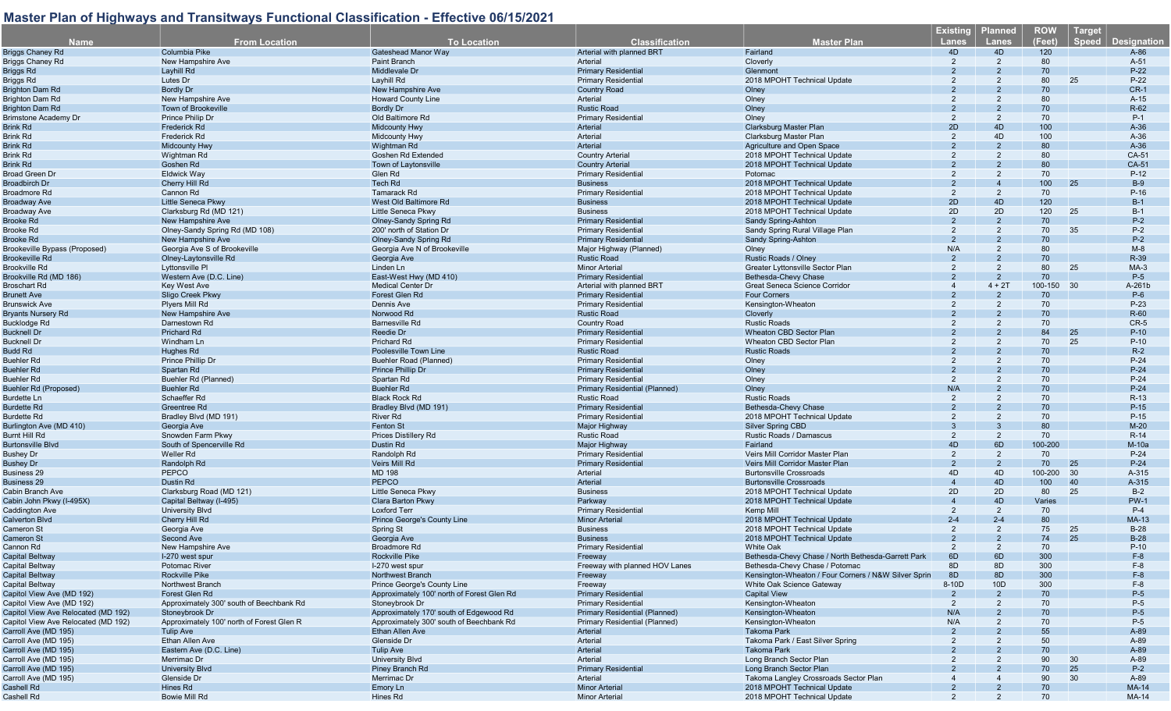| <b>Name</b>                                                      | <b>From Location</b>                      | <b>To Location</b>                         | <b>Classification</b>                                    | <b>Master Plan</b>                                   | <b>Existing</b><br><b>Lanes</b> | Planned<br>Lanes | <b>ROW</b><br>(Feet) | <b>Target</b><br><b>Speed</b> | <b>Designation</b> |
|------------------------------------------------------------------|-------------------------------------------|--------------------------------------------|----------------------------------------------------------|------------------------------------------------------|---------------------------------|------------------|----------------------|-------------------------------|--------------------|
|                                                                  | Columbia Pike                             | <b>Gateshead Manor Way</b>                 | Arterial with planned BRT                                | Fairland                                             | 4D                              | 4D               | 120                  |                               | $A-86$             |
| Briggs Chaney Rd                                                 | New Hampshire Ave                         | Paint Branch                               | Arterial                                                 |                                                      | 2                               | $\overline{2}$   | 80                   |                               |                    |
| Briggs Chaney Rd                                                 | Layhill Rd                                | Middlevale Dr                              |                                                          | Cloverly                                             |                                 |                  | 70                   |                               | $A-51$<br>$P-22$   |
| Briggs Rd                                                        | Lutes Dr                                  | Layhill Rd                                 | <b>Primary Residential</b><br><b>Primary Residential</b> | Glenmont<br>2018 MPOHT Technical Update              | 2                               | 2                | 80                   | 25                            | $P-22$             |
| Briggs Rd                                                        |                                           |                                            |                                                          |                                                      |                                 |                  | 70                   |                               | $CR-1$             |
| <b>Brighton Dam Rd</b>                                           | <b>Bordly Dr</b>                          | New Hampshire Ave                          | <b>Country Road</b><br>Arterial                          | Olney                                                |                                 | 2                |                      |                               |                    |
| Brighton Dam Rd                                                  | New Hampshire Ave                         | <b>Howard County Line</b>                  |                                                          | Olney                                                | 2                               |                  | 80                   |                               | $A-15$             |
| <b>Brighton Dam Rd</b>                                           | <b>Town of Brookeville</b>                | <b>Bordly Dr</b>                           | <b>Rustic Road</b>                                       | Olney                                                |                                 |                  | 70                   |                               | $R-62$             |
| Brimstone Academy Dr                                             | Prince Philip Dr                          | Old Baltimore Rd                           | <b>Primary Residential</b>                               | Olney                                                | 2                               | 2                | 70                   |                               | $P-1$              |
| Brink Rd                                                         | Frederick Rd                              | <b>Midcounty Hwy</b>                       | Arterial                                                 | <b>Clarksburg Master Plan</b>                        | 2D                              | 4D               | 100                  |                               | $A-36$             |
| Brink Rd                                                         | Frederick Rd                              | <b>Midcounty Hwy</b>                       | Arterial                                                 | Clarksburg Master Plan                               | 2                               | 4D               | 100                  |                               | $A-36$             |
| Brink Rd                                                         | Midcounty Hwy                             | Wightman Rd                                | Arterial                                                 | Agriculture and Open Space                           |                                 |                  | 80                   |                               | $A-36$             |
| Brink Rd                                                         | Wightman Rd                               | Goshen Rd Extended                         | <b>Country Arterial</b>                                  | 2018 MPOHT Technical Update                          |                                 | 2                | 80                   |                               | CA-51              |
| Brink Rd                                                         | Goshen Rd                                 | Town of Laytonsville                       | <b>Country Arterial</b>                                  | 2018 MPOHT Technical Update                          |                                 |                  | 80                   |                               | CA-51              |
| Broad Green Dr                                                   | <b>Eldwick Way</b>                        | Glen Rd                                    | <b>Primary Residential</b>                               | Potomac                                              |                                 | 2                | 70                   |                               | $P-12$             |
| Broadbirch Dr                                                    | Cherry Hill Rd                            | <b>Tech Rd</b>                             | <b>Business</b>                                          | 2018 MPOHT Technical Update                          |                                 |                  | 100                  | 25                            | $B-9$              |
| Broadmore Rd                                                     | Cannon Rd                                 | Tamarack Rd                                | <b>Primary Residential</b>                               | 2018 MPOHT Technical Update                          | 2                               | $\overline{2}$   | 70                   |                               | $P-16$             |
| Broadway Ave                                                     | Little Seneca Pkwy                        | West Old Baltimore Rd                      | <b>Business</b>                                          | 2018 MPOHT Technical Update                          | 2D                              | 4D               | 120                  |                               | $B-1$              |
| Broadway Ave                                                     | Clarksburg Rd (MD 121)                    | Little Seneca Pkwy                         | <b>Business</b>                                          | 2018 MPOHT Technical Update                          | 2D                              | 2D               | 120                  | 25                            | $B-1$              |
| Brooke Rd                                                        | New Hampshire Ave                         | <b>Olney-Sandy Spring Rd</b>               | <b>Primary Residential</b>                               | Sandy Spring-Ashton                                  | 2                               | 2                | 70                   |                               | $P-2$              |
| Brooke Rd                                                        | Olney-Sandy Spring Rd (MD 108)            | 200' north of Station Dr                   | <b>Primary Residential</b>                               | Sandy Spring Rural Village Plan                      | 2                               | 2                | 70                   | 35                            | $P-2$              |
| Brooke Rd                                                        | New Hampshire Ave                         | <b>Olney-Sandy Spring Rd</b>               | <b>Primary Residential</b>                               | Sandy Spring-Ashton                                  | $\overline{2}$                  | $\mathcal{P}$    | 70                   |                               | $P-2$              |
| Brookeville Bypass (Proposed)                                    | Georgia Ave S of Brookeville              | Georgia Ave N of Brookeville               | Major Highway (Planned)                                  | Olney                                                | N/A                             | $\overline{2}$   | 80                   |                               | $M-8$              |
| <b>Brookeville Rd</b>                                            | Olney-Laytonsville Rd                     | Georgia Ave                                | <b>Rustic Road</b>                                       | Rustic Roads / Olney                                 |                                 |                  | 70                   |                               | R-39               |
| Brookville Rd                                                    | Lyttonsville PI                           | Linden Ln                                  | <b>Minor Arterial</b>                                    | Greater Lyttonsville Sector Plan                     | 2                               | 2                | 80                   | 25                            | $MA-3$             |
| Brookville Rd (MD 186)                                           | Western Ave (D.C. Line)                   | East-West Hwy (MD 410)                     | <b>Primary Residential</b>                               | Bethesda-Chevy Chase                                 |                                 | $\overline{2}$   | 70                   |                               | $P-5$              |
| Broschart Rd                                                     | <b>Key West Ave</b>                       | <b>Medical Center Dr</b>                   | Arterial with planned BRT                                | Great Seneca Science Corridor                        |                                 | $4 + 2T$         | 100-150 30           |                               | A-261b             |
| Brunett Ave                                                      | Sligo Creek Pkwy                          | Forest Glen Rd                             | <b>Primary Residential</b>                               | <b>Four Corners</b>                                  |                                 |                  | 70                   |                               | $P-6$              |
| <b>Brunswick Ave</b>                                             | Plyers Mill Rd                            | Dennis Ave                                 | <b>Primary Residential</b>                               | Kensington-Wheaton                                   |                                 |                  | 70                   |                               | $P-23$             |
| <b>Bryants Nursery Rd</b>                                        | <b>New Hampshire Ave</b>                  | Norwood Rd                                 | <b>Rustic Road</b>                                       | Cloverly                                             |                                 |                  | 70                   |                               | R-60               |
| Bucklodge Rd                                                     | Darnestown Rd                             | <b>Barnesville Rd</b>                      | <b>Country Road</b>                                      | <b>Rustic Roads</b>                                  |                                 |                  | 70                   |                               | $CR-5$             |
| <b>Bucknell Dr</b>                                               | Prichard Rd                               | Reedie Dr                                  | <b>Primary Residential</b>                               | <b>Wheaton CBD Sector Plan</b>                       |                                 |                  | 84                   | 25                            | $P-10$             |
| <b>Bucknell Dr</b>                                               | Windham Ln                                | <b>Prichard Rd</b>                         | <b>Primary Residential</b>                               | <b>Wheaton CBD Sector Plan</b>                       |                                 |                  | 70                   | 25                            | $P-10$             |
| Budd Rd                                                          | Hughes Rd                                 | Poolesville Town Line                      | <b>Rustic Road</b>                                       | <b>Rustic Roads</b>                                  |                                 |                  | 70                   |                               | $R-2$              |
| <b>Buehler Rd</b>                                                | Prince Phillip Dr                         | Buehler Road (Planned)                     | <b>Primary Residential</b>                               | Olney                                                | 2                               | $\overline{2}$   | 70                   |                               | $P-24$             |
| Buehler Rd                                                       | Spartan Rd                                |                                            | <b>Primary Residential</b>                               | Olney                                                |                                 |                  | 70                   |                               | $P-24$             |
|                                                                  |                                           | Prince Phillip Dr                          |                                                          |                                                      |                                 | 2                |                      |                               |                    |
| Buehler Rd                                                       | Buehler Rd (Planned)                      | Spartan Rd                                 | <b>Primary Residential</b>                               | Olney                                                | 2                               |                  | 70                   |                               | $P-24$             |
| <b>Buehler Rd (Proposed)</b>                                     | <b>Buehler Rd</b>                         | <b>Buehler Rd</b>                          | Primary Residential (Planned)                            | Olney                                                | N/A                             |                  | 70                   |                               | $P-24$             |
| <b>Burdette Ln</b>                                               | Schaeffer Rd                              | <b>Black Rock Rd</b>                       | <b>Rustic Road</b>                                       | <b>Rustic Roads</b>                                  | 2                               | 2                | 70                   |                               | $R-13$             |
| <b>Burdette Rd</b>                                               | <b>Greentree Rd</b>                       | Bradley Blvd (MD 191)                      | <b>Primary Residential</b>                               | Bethesda-Chevy Chase                                 |                                 |                  | 70                   |                               | $P-15$             |
| Burdette Rd                                                      | Bradley Blvd (MD 191)                     | <b>River Rd</b>                            | <b>Primary Residential</b>                               | 2018 MPOHT Technical Update                          | 2                               |                  | 70                   |                               | $P-15$             |
| Burlington Ave (MD 410)                                          | Georgia Ave                               | <b>Fenton St</b>                           | <b>Major Highway</b>                                     | <b>Silver Spring CBD</b>                             |                                 |                  | 80                   |                               | $M-20$             |
| Burnt Hill Rd                                                    | Snowden Farm Pkwy                         | <b>Prices Distillery Rd</b>                | <b>Rustic Road</b>                                       | Rustic Roads / Damascus                              | 2                               | $\overline{2}$   | 70                   |                               | $R-14$             |
| <b>Burtonsville Blvd</b>                                         | South of Spencerville Rd                  | Dustin Rd                                  | Major Highway                                            | Fairland                                             | 4D                              | 6D               | 100-200              |                               | $M-10a$            |
| <b>Bushey Dr</b>                                                 | Weller Rd                                 | Randolph Rd                                | <b>Primary Residential</b>                               | Veirs Mill Corridor Master Plan                      | 2                               | $\overline{2}$   | 70                   |                               | $P-24$             |
| <b>Bushey Dr</b>                                                 | Randolph Rd                               | <b>Veirs Mill Rd</b>                       | <b>Primary Residential</b>                               | Veirs Mill Corridor Master Plan                      | $\overline{2}$                  | $\overline{2}$   | 70                   | 25                            | $P-24$             |
| <b>Business 29</b>                                               | PEPCO                                     | <b>MD 198</b>                              | Arterial                                                 | <b>Burtonsville Crossroads</b>                       | 4D                              | 4D               | 100-200              | 30                            | A-315              |
| <b>Business 29</b>                                               | Dustin Rd                                 | <b>PEPCO</b>                               | Arterial                                                 | <b>Burtonsville Crossroads</b>                       | $\Delta$                        | 4D               | 100                  | 40                            | A-315              |
| Cabin Branch Ave                                                 | Clarksburg Road (MD 121)                  | Little Seneca Pkwy                         | <b>Business</b>                                          | 2018 MPOHT Technical Update                          | 2D                              | 2D               | 80                   | 25                            | $B-2$              |
| Cabin John Pkwy (I-495X)                                         | Capital Beltway (I-495)                   | <b>Clara Barton Pkwy</b>                   | Parkway                                                  | 2018 MPOHT Technical Update                          |                                 | 4D               | Varies               |                               | <b>PW-1</b>        |
| Caddington Ave                                                   | <b>University Blvd</b>                    | <b>Loxford Terr</b>                        | <b>Primary Residential</b>                               | Kemp Mill                                            | 2                               | $\overline{2}$   | 70                   |                               | $P-4$              |
| <b>Calverton Blvd</b>                                            | Cherry Hill Rd                            | Prince George's County Line                | <b>Minor Arteria</b>                                     | 2018 MPOHT Technical Update                          | $2 - 4$                         | $2 - 4$          | 80                   |                               | MA-13              |
| Cameron St                                                       | Georgia Ave                               | Spring St                                  | <b>Business</b>                                          | 2018 MPOHT Technical Update                          | $\overline{2}$                  | $\overline{2}$   | 75                   | 25                            | $B-28$             |
| <b>Cameron St</b>                                                | <b>Second Ave</b>                         | Georgia Ave                                | <b>Business</b>                                          | 2018 MPOHT Technical Update                          |                                 | $\overline{2}$   | 74                   | 25                            | $B-28$             |
| Cannon Rd                                                        | New Hampshire Ave                         | <b>Broadmore Rd</b>                        | <b>Primary Residential</b>                               | <b>White Oak</b>                                     | $\mathcal{P}$                   | $\mathcal{P}$    | 70                   |                               | $P-10$             |
| Capital Beltway                                                  | I-270 west spur                           | <b>Rockville Pike</b>                      | Freeway                                                  | Bethesda-Chevy Chase / North Bethesda-Garrett Park   | 6D                              | 6D               | 300                  |                               | $F-8$              |
| Capital Beltway                                                  | Potomac River                             | I-270 west spur                            | Freeway with planned HOV Lanes                           | Bethesda-Chevy Chase / Potomac                       | 8D                              | 8D               | 300                  |                               | $F-8$              |
| Capital Beltway                                                  | <b>Rockville Pike</b>                     | <b>Northwest Branch</b>                    | Freeway                                                  | Kensington-Wheaton / Four Corners / N&W Silver Sprin | 8D                              | 8D               | 300                  |                               | $F-8$              |
| Capital Beltway                                                  | <b>Northwest Branch</b>                   | Prince George's County Line                | Freeway                                                  | White Oak Science Gateway                            | 8-10D                           | 10D              | 300                  |                               | $F-8$              |
| Capitol View Ave (MD 192)                                        | Forest Glen Rd                            | Approximately 100' north of Forest Glen Rd | <b>Primary Residential</b>                               | <b>Capital View</b>                                  |                                 |                  | 70                   |                               | $P-5$              |
|                                                                  | Approximately 300' south of Beechbank Rd  | Stoneybrook Dr                             | <b>Primary Residential</b>                               |                                                      | $\overline{2}$                  | 2                | 70                   |                               | $P-5$              |
| Capitol View Ave (MD 192)<br>Capitol View Ave Relocated (MD 192) | Stoneybrook Dr                            | Approximately 170' south of Edgewood Rd    | Primary Residential (Planned)                            | Kensington-Wheaton<br>Kensington-Wheaton             | N/A                             |                  | 70                   |                               | $P-5$              |
|                                                                  |                                           |                                            | Primary Residential (Planned)                            |                                                      |                                 |                  |                      |                               |                    |
| Capitol View Ave Relocated (MD 192)                              | Approximately 100' north of Forest Glen R | Approximately 300' south of Beechbank Rd   |                                                          | Kensington-Wheaton                                   | N/A                             |                  | 70                   |                               | $P-5$              |
| Carroll Ave (MD 195)                                             | <b>Tulip Ave</b>                          | Ethan Allen Ave                            | Arterial                                                 | <b>Takoma Park</b>                                   |                                 |                  | 55                   |                               | A-89               |
| Carroll Ave (MD 195)                                             | Ethan Allen Ave                           | Glenside Dr                                | Arterial                                                 | Takoma Park / East Silver Spring                     |                                 |                  | 50                   |                               | A-89               |
| Carroll Ave (MD 195)                                             | Eastern Ave (D.C. Line)                   | <b>Tulip Ave</b>                           | Arterial                                                 | <b>Takoma Park</b>                                   |                                 |                  | 70                   |                               | A-89               |
| Carroll Ave (MD 195)                                             | Merrimac Dr                               | University Blvd                            | Arterial                                                 | Long Branch Sector Plan                              |                                 |                  | 90                   | 30                            | A-89               |
| Carroll Ave (MD 195)                                             | University Blvd                           | Piney Branch Rd                            | <b>Primary Residential</b>                               | Long Branch Sector Plan                              |                                 |                  | 70                   | 25                            | $P-2$              |
| Carroll Ave (MD 195)                                             | Glenside Dr                               | Merrimac Dr                                | Arterial                                                 | Takoma Langley Crossroads Sector Plan                |                                 |                  | 90                   | 30                            | A-89               |
| Cashell Rd                                                       | Hines Rd                                  | Emory Ln                                   | <b>Minor Arterial</b>                                    | 2018 MPOHT Technical Update                          |                                 |                  | 70                   |                               | <b>MA-14</b>       |
| Cashell Rd                                                       | <b>Bowie Mill Rd</b>                      | Hines Rd                                   | <b>Minor Arterial</b>                                    | 2018 MPOHT Technical Update                          |                                 |                  | 70                   |                               | <b>MA-14</b>       |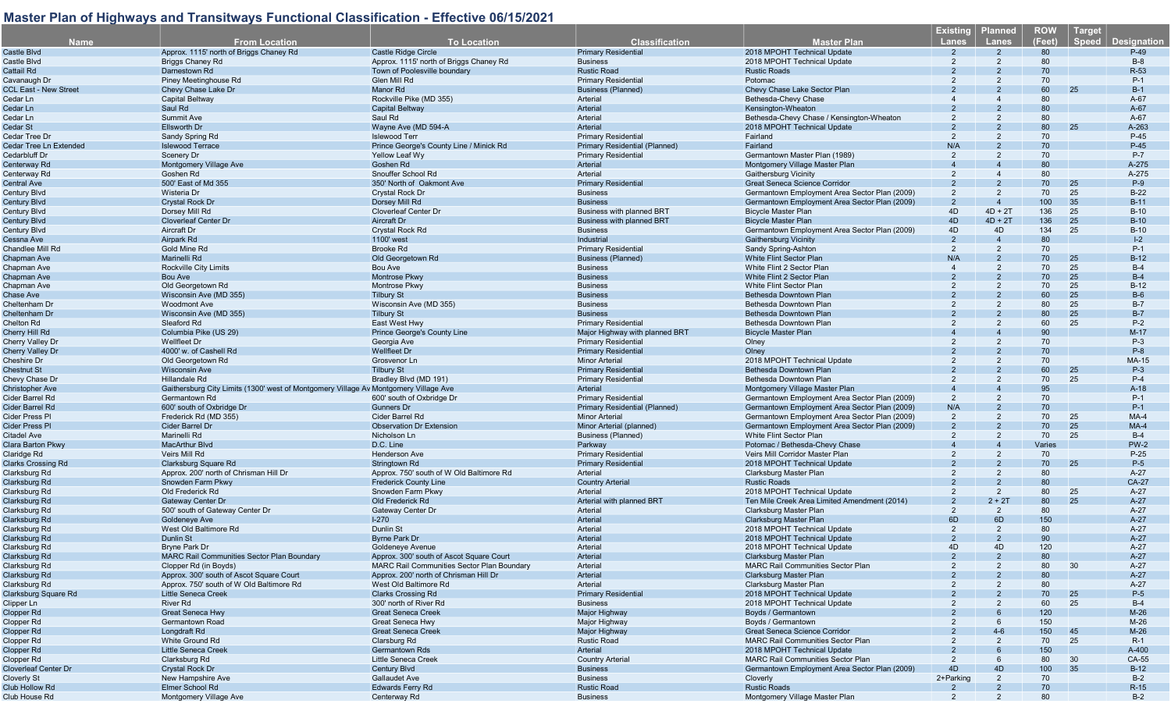| <b>Name</b>                    | <b>From Location</b>                                                                 | <b>To Location</b>                                              | <b>Classification</b>                | <b>Master Plan</b>                                            | <u>Existing</u><br><b>Lanes</b> | <b>Planned</b><br><b>Lanes</b> | <b>ROW</b><br>(Feet) | <b>Target</b><br><b>Speed</b> | <b>Designation</b> |
|--------------------------------|--------------------------------------------------------------------------------------|-----------------------------------------------------------------|--------------------------------------|---------------------------------------------------------------|---------------------------------|--------------------------------|----------------------|-------------------------------|--------------------|
| Castle Blvd                    | Approx. 1115' north of Briggs Chaney Rd                                              | Castle Ridge Circle                                             | <b>Primary Residential</b>           | 2018 MPOHT Technical Update                                   |                                 |                                | 80                   |                               | $P-49$             |
| Castle Blvd                    | <b>Briggs Chaney Rd</b>                                                              | Approx. 1115' north of Briggs Chaney Rd                         | <b>Business</b>                      | 2018 MPOHT Technical Update                                   | 2                               |                                | 80                   |                               | $B-8$              |
| Cattail Rd                     | Darnestown Rd                                                                        | Town of Poolesville boundary                                    | <b>Rustic Road</b>                   | <b>Rustic Roads</b>                                           |                                 |                                | 70                   |                               | R-53               |
| Cavanaugh Dr                   | Piney Meetinghouse Rd                                                                | Glen Mill Rd                                                    | <b>Primary Residential</b>           | Potomac                                                       |                                 |                                | 70                   |                               | $P-1$              |
| <b>CCL East - New Street</b>   | Chevy Chase Lake Dr                                                                  | Manor Rd                                                        | <b>Business (Planned)</b>            | Chevy Chase Lake Sector Plan                                  |                                 |                                | 60                   | 25                            | $B-1$              |
| Cedar Ln                       | Capital Beltway                                                                      | Rockville Pike (MD 355)                                         | Arterial                             | Bethesda-Chevy Chase                                          |                                 |                                | 80                   |                               | $A-67$             |
|                                |                                                                                      |                                                                 | Arterial                             |                                                               |                                 |                                | 80                   |                               |                    |
| Cedar Ln<br>Cedar Ln           | Saul Rd<br><b>Summit Ave</b>                                                         | <b>Capital Beltway</b><br>Saul Rd                               | Arterial                             | Kensington-Wheaton                                            |                                 |                                | 80                   |                               | $A-67$<br>$A-67$   |
|                                | <b>Ellsworth Dr</b>                                                                  |                                                                 | Arterial                             | Bethesda-Chevy Chase / Kensington-Wheaton                     |                                 |                                | 80                   | 25                            | A-263              |
| Cedar St                       |                                                                                      | Wayne Ave (MD 594-A                                             | <b>Primary Residential</b>           | 2018 MPOHT Technical Update<br>Fairland                       | 2                               | 2                              | 70                   |                               | $P-45$             |
| Cedar Tree Dr                  | Sandy Spring Rd                                                                      | <b>Islewood Terr</b><br>Prince George's County Line / Minick Rd | <b>Primary Residential (Planned)</b> |                                                               | N/A                             |                                | 70                   |                               | $P-45$             |
| Cedar Tree Ln Extended         | <b>Islewood Terrace</b>                                                              |                                                                 |                                      | Fairland                                                      |                                 |                                |                      |                               |                    |
| Cedarbluff Dr                  | <b>Scenery Dr</b>                                                                    | Yellow Leaf Wy                                                  | <b>Primary Residential</b>           | Germantown Master Plan (1989)                                 | 2                               | $\mathcal{P}$                  | 70                   |                               | P-7                |
| Centerway Rd                   | Montgomery Village Ave                                                               | Goshen Rd<br>Snouffer School Rd                                 | Arterial                             | Montgomery Village Master Plan                                |                                 |                                | 80<br>80             |                               | A-275              |
| Centerway Rd                   | Goshen Rd                                                                            |                                                                 | Arterial                             | <b>Gaithersburg Vicinity</b><br>Great Seneca Science Corridor |                                 |                                | 70                   | 25                            | A-275              |
| Central Ave                    | 500' East of Md 355                                                                  | 350' North of Oakmont Ave                                       | <b>Primary Residential</b>           |                                                               |                                 |                                |                      |                               | $P-9$              |
| Century Blvd                   | Wisteria Dr                                                                          | <b>Crystal Rock Dr</b>                                          | <b>Business</b>                      | Germantown Employment Area Sector Plan (2009)                 | 2                               | 2                              | 70                   | 25                            | $B-22$             |
| Century Blvd                   | <b>Crystal Rock Dr</b>                                                               | Dorsey Mill Rd                                                  | <b>Business</b>                      | Germantown Employment Area Sector Plan (2009)                 |                                 | $\overline{4}$                 | 100                  | 35                            | $B-11$             |
| Century Blvd                   | Dorsey Mill Rd                                                                       | <b>Cloverleaf Center Dr</b>                                     | <b>Business with planned BRT</b>     | <b>Bicycle Master Plan</b>                                    | 4D                              | $4D + 2T$                      | 136                  | 25                            | $B-10$             |
| Century Blvd                   | <b>Cloverleaf Center Dr</b>                                                          | Aircraft Dr                                                     | <b>Business with planned BRT</b>     | <b>Bicycle Master Plan</b>                                    | 4D                              | $4D + 2T$                      | 136                  | 25                            | $B-10$             |
| Century Blvd                   | Aircraft Dr                                                                          | <b>Crystal Rock Rd</b>                                          | <b>Business</b>                      | Germantown Employment Area Sector Plan (2009)                 | 4D                              | 4D                             | 134                  | 25                            | $B-10$             |
| Cessna Ave                     | Airpark Rd                                                                           | 1100' west                                                      | Industrial                           | Gaithersburg Vicinity                                         |                                 |                                | 80                   |                               | $ -2$              |
| Chandlee Mill Rd               | Gold Mine Rd                                                                         | <b>Brooke Rd</b>                                                | <b>Primary Residential</b>           | Sandy Spring-Ashton                                           | 2                               | 2                              | 70                   |                               | $P-1$              |
| Chapman Ave                    | Marinelli Rd                                                                         | Old Georgetown Rd                                               | <b>Business (Planned)</b>            | <b>White Flint Sector Plan</b>                                | N/A                             |                                | 70                   | 25                            | $B-12$             |
| Chapman Ave                    | Rockville City Limits                                                                | Bou Ave                                                         | <b>Business</b>                      | White Flint 2 Sector Plan                                     |                                 | 2                              | 70                   | 25                            | $B-4$              |
| Chapman Ave                    | <b>Bou Ave</b>                                                                       | <b>Montrose Pkwy</b>                                            | <b>Business</b>                      | White Flint 2 Sector Plan                                     |                                 |                                | 70                   | 25                            | $B-4$              |
| <b>Chapman Ave</b>             | Old Georgetown Rd                                                                    | <b>Montrose Pkwy</b>                                            | <b>Business</b>                      | <b>White Flint Sector Plan</b>                                |                                 |                                | 70                   | 25                            | $B-12$             |
| Chase Ave                      | Wisconsin Ave (MD 355)                                                               | <b>Tilbury St</b>                                               | <b>Business</b>                      | Bethesda Downtown Plan                                        |                                 |                                | 60                   | 25                            | $B-6$              |
| Cheltenham Dr                  | <b>Woodmont Ave</b>                                                                  | Wisconsin Ave (MD 355)                                          | <b>Business</b>                      | Bethesda Downtown Plan                                        | 2                               | $\overline{2}$                 | 80                   | 25                            | $B-7$              |
| Cheltenham Dr                  | Wisconsin Ave (MD 355)                                                               | <b>Tilbury St</b>                                               | <b>Business</b>                      | Bethesda Downtown Plan                                        |                                 |                                | 80                   | 25                            | $B-7$              |
| Chelton Rd                     | Sleaford Rd                                                                          | East West Hwy                                                   | <b>Primary Residential</b>           | Bethesda Downtown Plan                                        |                                 |                                | 60                   | 25                            | $P-2$              |
| Cherry Hill Rd                 | Columbia Pike (US 29)                                                                | Prince George's County Line                                     | Major Highway with planned BRT       | <b>Bicycle Master Plan</b>                                    |                                 |                                | 90                   |                               | $M-17$             |
| Cherry Valley Dr               | <b>Wellfleet Dr</b>                                                                  | Georgia Ave                                                     | <b>Primary Residential</b>           | Olney                                                         |                                 |                                | 70                   |                               | $P-3$              |
| Cherry Valley Dr               | 4000' w. of Cashell Rd                                                               | <b>Wellfleet Dr</b>                                             | <b>Primary Residential</b>           | Olney                                                         |                                 |                                | 70                   |                               | $P-8$              |
| Cheshire Dr                    | Old Georgetown Rd                                                                    | Grosvenor Ln                                                    | <b>Minor Arterial</b>                | 2018 MPOHT Technical Update                                   |                                 |                                | 70                   |                               | <b>MA-15</b>       |
| Chestnut St                    | <b>Wisconsin Ave</b>                                                                 | <b>Tilbury St</b>                                               | <b>Primary Residential</b>           | Bethesda Downtown Plan                                        |                                 |                                | 60                   | 25                            | $P-3$              |
| Chevy Chase Dr                 | <b>Hillandale Rd</b>                                                                 | Bradley Blvd (MD 191)                                           | <b>Primary Residential</b>           | Bethesda Downtown Plan                                        |                                 |                                | 70                   | 25                            | $P-4$              |
| Christopher Ave                | Gaithersburg City Limits (1300' west of Montgomery Village Ay Montgomery Village Ave |                                                                 | Arterial                             | Montgomery Village Master Plan                                |                                 |                                | 95                   |                               | $A-18$             |
| Cider Barrel Rd                | Germantown Rd                                                                        | 600' south of Oxbridge Dr                                       | <b>Primary Residential</b>           | Germantown Employment Area Sector Plan (2009)                 | 2                               |                                | 70                   |                               | $P-1$              |
| Cider Barrel Rd                | 600' south of Oxbridge Dr                                                            | <b>Gunners Dr</b>                                               | Primary Residential (Planned)        | Germantown Employment Area Sector Plan (2009)                 | N/A                             |                                | 70                   |                               | $P-1$              |
| Cider Press Pl                 | Frederick Rd (MD 355)                                                                | <b>Cider Barrel Rd</b>                                          | <b>Minor Arterial</b>                | Germantown Employment Area Sector Plan (2009)                 | $\overline{2}$                  | 2                              | 70                   | 25                            | $MA-4$             |
| Cider Press Pl                 | Cider Barrel Dr                                                                      | <b>Observation Dr Extension</b>                                 | Minor Arterial (planned)             | Germantown Employment Area Sector Plan (2009)                 |                                 |                                | 70                   | 25                            | $MA-4$             |
| Citadel Ave                    | Marinelli Rd                                                                         | Nicholson Ln                                                    | <b>Business (Planned)</b>            | White Flint Sector Plan                                       |                                 | 2                              | 70                   | 25                            | $B-4$              |
| Clara Barton Pkwy              | <b>MacArthur Blvd</b>                                                                | D.C. Line                                                       | Parkway                              | Potomac / Bethesda-Chevy Chase                                |                                 |                                | Varies               |                               | <b>PW-2</b>        |
| Claridge Rd                    | Veirs Mill Rd                                                                        | <b>Henderson Ave</b>                                            | <b>Primary Residential</b>           | Veirs Mill Corridor Master Plan                               |                                 | 2                              | 70                   |                               | $P-25$             |
| <b>Clarks Crossing Rd</b>      | Clarksburg Square Rd                                                                 | <b>Stringtown Rd</b>                                            | <b>Primary Residential</b>           | 2018 MPOHT Technical Update                                   |                                 |                                | 70                   | 25                            | $P-5$              |
| Clarksburg Rd                  | Approx. 200' north of Chrisman Hill Dr                                               | Approx. 750' south of W Old Baltimore Rd                        | Arterial                             | Clarksburg Master Plan                                        |                                 |                                | 80                   |                               | $A-27$             |
| Clarksburg Rd                  | Snowden Farm Pkwy                                                                    | <b>Frederick County Line</b>                                    | <b>Country Arterial</b>              | <b>Rustic Roads</b>                                           |                                 |                                | 80                   |                               | <b>CA-27</b>       |
| Clarksburg Rd                  | Old Frederick Rd                                                                     | Snowden Farm Pkwy                                               | Arterial                             | 2018 MPOHT Technical Update                                   | 2                               | $\overline{2}$                 | 80                   | 25                            | $A-27$             |
| Clarksburg Rd                  | <b>Gateway Center Dr</b>                                                             | Old Frederick Rd                                                | Arterial with planned BRT            | Ten Mile Creek Area Limited Amendment (2014)                  |                                 | $2 + 2T$                       | 80                   | 25                            | $A-27$             |
|                                | 500' south of Gateway Center Dr                                                      | <b>Gateway Center Dr</b>                                        | Arterial                             |                                                               | $\overline{2}$                  | 2                              | 80                   |                               | $A-27$             |
| Clarksburg Rd<br>Clarksburg Rd | Goldeneye Ave                                                                        | $1 - 270$                                                       | Arterial                             | Clarksburg Master Plan<br><b>Clarksburg Master Plan</b>       | 6D                              | 6D                             | 150                  |                               | $A-27$             |
| Clarksburg Rd                  | West Old Baltimore Rd                                                                | Dunlin St                                                       | Arterial                             | 2018 MPOHT Technical Update                                   | 2                               | 2                              | 80                   |                               | $A-27$             |
|                                |                                                                                      |                                                                 |                                      | 2018 MPOHT Technical Update                                   |                                 | $\overline{2}$                 | 90                   |                               | $A-27$             |
| Clarksburg Rd                  | Dunlin St                                                                            | <b>Byrne Park Dr</b>                                            | Arterial                             |                                                               | 4D                              | 4D                             |                      |                               | $A-27$             |
| Clarksburg Rd                  | Bryne Park Dr                                                                        | Goldeneye Avenue                                                | Arterial                             | 2018 MPOHT Technical Update                                   |                                 |                                | 120                  |                               |                    |
| Clarksburg Rd                  | <b>MARC Rail Communities Sector Plan Boundary</b>                                    | Approx. 300' south of Ascot Square Court                        | Arterial                             | Clarksburg Master Plan                                        |                                 |                                | 80                   |                               | $A-27$             |
| Clarksburg Rd                  | Clopper Rd (in Boyds)                                                                | <b>MARC Rail Communities Sector Plan Boundary</b>               | Arterial                             | <b>MARC Rail Communities Sector Plan</b>                      |                                 |                                | 80                   | 30                            | $A-27$             |
| Clarksburg Rd                  | Approx. 300' south of Ascot Square Court                                             | Approx. 200' north of Chrisman Hill Dr                          | Arterial                             | <b>Clarksburg Master Plan</b>                                 |                                 |                                | 80                   |                               | $A-27$             |
| Clarksburg Rd                  | Approx. 750' south of W Old Baltimore Rd                                             | West Old Baltimore Rd                                           | Arterial                             | Clarksburg Master Plan                                        |                                 |                                | 80                   |                               | $A-27$             |
| Clarksburg Square Rd           | Little Seneca Creek                                                                  | <b>Clarks Crossing Rd</b>                                       | <b>Primary Residential</b>           | 2018 MPOHT Technical Update                                   |                                 |                                | 70                   | 25                            | $P-5$              |
| Clipper Ln                     | River Rd                                                                             | 300' north of River Rd                                          | <b>Business</b>                      | 2018 MPOHT Technical Update                                   |                                 |                                | 60                   | 25                            | $B-4$              |
| Clopper Rd                     | <b>Great Seneca Hwy</b>                                                              | <b>Great Seneca Creek</b>                                       | Major Highway                        | Boyds / Germantown                                            |                                 |                                | 120                  |                               | $M-26$             |
| Clopper Rd                     | Germantown Road                                                                      | Great Seneca Hwy                                                | Major Highway                        | Bovds / Germantown                                            |                                 |                                | 150                  |                               | $M-26$             |
| Clopper Rd                     | Longdraft Rd                                                                         | <b>Great Seneca Creek</b>                                       | Major Highway                        | <b>Great Seneca Science Corridor</b>                          |                                 | $4-6$                          | 150                  | 45                            | $M-26$             |
| Clopper Rd                     | White Ground Rd                                                                      | Clarsburg Rd                                                    | <b>Rustic Road</b>                   | <b>MARC Rail Communities Sector Plan</b>                      |                                 |                                | 70                   | 25                            | $R-1$              |
| Clopper Rd                     | <b>Little Seneca Creek</b>                                                           | <b>Germantown Rds</b>                                           | Arterial                             | 2018 MPOHT Technical Update                                   |                                 |                                | 150                  |                               | A-400              |
| Clopper Rd                     | Clarksburg Rd                                                                        | Little Seneca Creek                                             | <b>Country Arterial</b>              | <b>MARC Rail Communities Sector Plan</b>                      | 2                               |                                | 80                   | 30                            | CA-55              |
| Cloverleaf Center Dr           | <b>Crystal Rock Dr</b>                                                               | <b>Century Blvd</b>                                             | <b>Business</b>                      | Germantown Employment Area Sector Plan (2009)                 | 4D                              | 4D                             | 100                  | 35                            | $B-12$             |
| Cloverly St                    | New Hampshire Ave                                                                    | <b>Gallaudet Ave</b>                                            | <b>Business</b>                      | Cloverly                                                      | 2+Parking                       | $\overline{2}$                 | 70                   |                               | $B-2$              |
|                                |                                                                                      |                                                                 |                                      |                                                               |                                 |                                |                      |                               |                    |
| Club Hollow Rd                 | Elmer School Rd                                                                      | <b>Edwards Ferry Rd</b>                                         | <b>Rustic Road</b>                   | <b>Rustic Roads</b><br>Montgomery Village Master Plan         |                                 | $\overline{2}$                 | 70                   |                               | $R-15$             |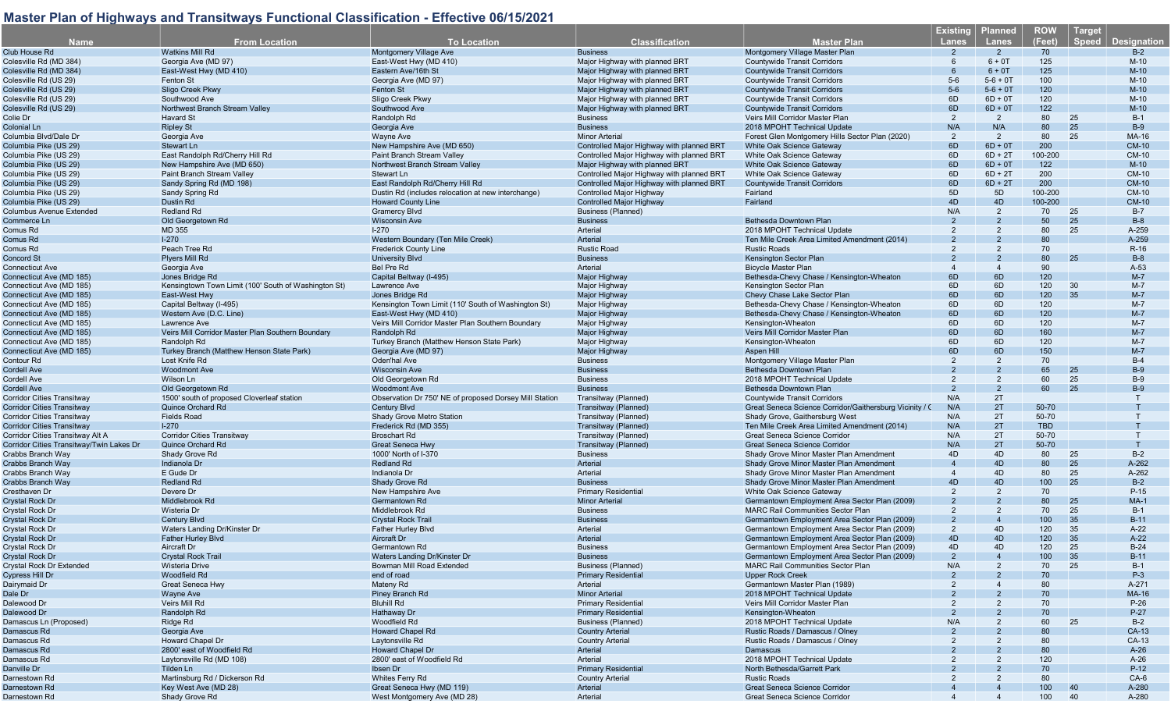|                                          |                                                      |                                                        |                                           |                                                         | <b>Existing</b> | <b>Planned</b> | <b>ROW</b> | <b>Target</b> |                    |
|------------------------------------------|------------------------------------------------------|--------------------------------------------------------|-------------------------------------------|---------------------------------------------------------|-----------------|----------------|------------|---------------|--------------------|
| <b>Name</b>                              | <b>From Location</b>                                 | <b>To Location</b>                                     | <b>Classification</b>                     | <b>Master Plan</b>                                      | Lanes           | Lanes          | (Feet)     | <b>Speed</b>  | <b>Designation</b> |
|                                          |                                                      |                                                        |                                           |                                                         |                 |                |            |               |                    |
| Club House Rd                            | <b>Watkins Mill Rd</b>                               | Montgomery Village Ave                                 | <b>Business</b>                           | Montgomery Village Master Plar                          | $\mathcal{P}$   | $\overline{2}$ | 70         |               | $B-2$              |
| Colesville Rd (MD 384)                   | Georgia Ave (MD 97)                                  | East-West Hwy (MD 410)                                 | Major Highway with planned BRT            | <b>Countywide Transit Corridors</b>                     |                 | $6 + 0T$       | 125        |               | $M-10$             |
| Colesville Rd (MD 384)                   | East-West Hwy (MD 410)                               | Eastern Ave/16th St                                    | Maior Highway with planned BRT            | <b>Countywide Transit Corridors</b>                     |                 | $6 + 0T$       | 125        |               | $M-10$             |
| Colesville Rd (US 29)                    | <b>Fenton St</b>                                     | Georgia Ave (MD 97)                                    | Major Highway with planned BRT            | Countywide Transit Corridors                            | $5-6$           | $5 - 6 + 0$ T  | 100        |               | $M-10$             |
|                                          |                                                      |                                                        |                                           |                                                         |                 |                |            |               |                    |
| Colesville Rd (US 29)                    | Sligo Creek Pkwy                                     | <b>Fenton St</b>                                       | Major Highway with planned BRT            | <b>Countywide Transit Corridors</b>                     | $5-6$           | $5 - 6 + 0T$   | 120        |               | $M-10$             |
| Colesville Rd (US 29)                    | Southwood Ave                                        | Sligo Creek Pkwy                                       | Major Highway with planned BRT            | <b>Countywide Transit Corridors</b>                     | 6D              | $6D + 0T$      | 120        |               | $M-10$             |
| Colesville Rd (US 29)                    | Northwest Branch Stream Valley                       | Southwood Ave                                          | Major Highway with planned BRT            | <b>Countywide Transit Corridors</b>                     | 6D              | $6D + 0T$      | 122        |               | $M-10$             |
| Colie Dr                                 | <b>Havard St</b>                                     | Randolph Rd                                            | <b>Business</b>                           | Veirs Mill Corridor Master Plan                         | 2               | $\overline{2}$ | 80         | 25            | $B-1$              |
| Colonial Ln                              | <b>Ripley St</b>                                     | Georgia Ave                                            | <b>Business</b>                           | 2018 MPOHT Technical Update                             | N/A             | N/A            | 80         | 25            | $B-9$              |
| Columbia Blvd/Dale Dr                    | Georgia Ave                                          | Wayne Ave                                              | <b>Minor Arterial</b>                     | Forest Glen Montgomery Hills Sector Plan (2020)         | 2               | $\overline{2}$ | 80         | 25            | MA-16              |
|                                          |                                                      |                                                        |                                           |                                                         |                 |                |            |               |                    |
| Columbia Pike (US 29)                    | <b>Stewart Ln</b>                                    | New Hampshire Ave (MD 650)                             | Controlled Major Highway with planned BRT | <b>White Oak Science Gateway</b>                        | 6D              | $6D + 0T$      | 200        |               | <b>CM-10</b>       |
| Columbia Pike (US 29)                    | East Randolph Rd/Cherry Hill Rd                      | Paint Branch Stream Valley                             | Controlled Major Highway with planned BRT | White Oak Science Gateway                               | 6D              | $6D + 2T$      | 100-200    |               | <b>CM-10</b>       |
| Columbia Pike (US 29)                    | New Hampshire Ave (MD 650)                           | Northwest Branch Stream Valley                         | Major Highway with planned BRT            | White Oak Science Gateway                               | 6D              | $6D + 0T$      | 122        |               | $M-10$             |
| Columbia Pike (US 29)                    | Paint Branch Stream Valley                           | Stewart Ln                                             | Controlled Major Highway with planned BRT | White Oak Science Gateway                               | 6D              | $6D + 2T$      | 200        |               | <b>CM-10</b>       |
| Columbia Pike (US 29)                    | Sandy Spring Rd (MD 198)                             | East Randolph Rd/Cherry Hill Rd                        | Controlled Major Highway with planned BRT | <b>Countywide Transit Corridors</b>                     | 6D              | $6D + 2T$      | 200        |               | <b>CM-10</b>       |
|                                          |                                                      |                                                        |                                           |                                                         |                 |                |            |               |                    |
| Columbia Pike (US 29)                    | Sandy Spring Rd                                      | Dustin Rd (includes relocation at new interchange)     | <b>Controlled Maior Highway</b>           | Fairland                                                | 5D              | 5D             | 100-200    |               | <b>CM-10</b>       |
| Columbia Pike (US 29)                    | Dustin Rd                                            | <b>Howard County Line</b>                              | <b>Controlled Major Highway</b>           | Fairland                                                | 4D              | 4D             | 100-200    |               | <b>CM-10</b>       |
| Columbus Avenue Extended                 | <b>Redland Rd</b>                                    | <b>Gramercy Blvd</b>                                   | <b>Business (Planned)</b>                 |                                                         | N/A             | 2              | 70         | 25            | $B-7$              |
| Commerce Ln                              | Old Georgetown Rd                                    | <b>Wisconsin Ave</b>                                   | <b>Business</b>                           | Bethesda Downtown Plan                                  | 2               | $\overline{2}$ | 50         | 25            | $B-8$              |
| Comus Rd                                 | MD 355                                               | $1 - 270$                                              | Arterial                                  | 2018 MPOHT Technical Update                             | 2               | 2              | 80         | 25            | A-259              |
|                                          |                                                      |                                                        |                                           |                                                         |                 |                |            |               |                    |
| Comus Rd                                 | $1-270$                                              | Western Boundary (Ten Mile Creek)                      | Arterial                                  | Ten Mile Creek Area Limited Amendment (2014)            |                 |                | 80         |               | A-259              |
| Comus Rd                                 | Peach Tree Rd                                        | <b>Frederick County Line</b>                           | <b>Rustic Road</b>                        | <b>Rustic Roads</b>                                     | 2               | 2              | 70         |               | $R-16$             |
| Concord St                               | <b>Plyers Mill Rd</b>                                | <b>University Blvd</b>                                 | <b>Business</b>                           | Kensington Sector Plan                                  |                 |                | 80         | 25            | $B-8$              |
| Connecticut Ave                          | Georgia Ave                                          | <b>Bel Pre Rd</b>                                      | Arterial                                  | <b>Bicycle Master Plan</b>                              |                 | $\overline{4}$ | 90         |               | $A-53$             |
| Connecticut Ave (MD 185)                 | Jones Bridge Rd                                      | Capital Beltway (I-495)                                | Major Highway                             | Bethesda-Chevy Chase / Kensington-Wheaton               | 6D              | 6D             | 120        |               | $M-7$              |
|                                          |                                                      |                                                        |                                           |                                                         |                 |                |            |               |                    |
| Connecticut Ave (MD 185)                 | Kensingtown Town Limit (100' South of Washington St) | Lawrence Ave                                           | Major Highway                             | <b>Kensington Sector Plan</b>                           | 6D              | 6D             | 120        | 30            | $M-7$              |
| Connecticut Ave (MD 185)                 | East-West Hwy                                        | Jones Bridge Rd                                        | Major Highway                             | Chevy Chase Lake Sector Plan                            | 6D              | 6D             | 120        | 35            | $M - 7$            |
| Connecticut Ave (MD 185)                 | Capital Beltway (I-495)                              | Kensington Town Limit (110' South of Washington St)    | Major Highway                             | Bethesda-Chevy Chase / Kensington-Wheaton               | 6D              | 6D             | 120        |               | $M-7$              |
| Connecticut Ave (MD 185)                 | Western Ave (D.C. Line)                              | East-West Hwy (MD 410)                                 | Major Highway                             | Bethesda-Chevy Chase / Kensington-Wheaton               | 6D              | 6D             | 120        |               | $M-7$              |
| Connecticut Ave (MD 185)                 | Lawrence Ave                                         | Veirs Mill Corridor Master Plan Southern Boundary      | Major Highway                             | Kensington-Wheaton                                      | 6D              | 6D             | 120        |               | $M-7$              |
|                                          |                                                      |                                                        |                                           |                                                         |                 |                |            |               |                    |
| Connecticut Ave (MD 185)                 | Veirs Mill Corridor Master Plan Southern Boundary    | Randolph Rd                                            | <b>Major Highway</b>                      | Veirs Mill Corridor Master Plan                         | 6D              | 6D             | 160        |               | $M-7$              |
| Connecticut Ave (MD 185)                 | Randolph Rd                                          | Turkey Branch (Matthew Henson State Park)              | Major Highway                             | Kensington-Wheaton                                      | 6D              | 6D             | 120        |               | $M-7$              |
| Connecticut Ave (MD 185)                 | Turkey Branch (Matthew Henson State Park)            | Georgia Ave (MD 97)                                    | Major Highway                             | Aspen Hill                                              | 6D              | 6D             | 150        |               | $M-7$              |
| Contour Rd                               | Lost Knife Rd                                        | Oden'hal Ave                                           | <b>Business</b>                           | Montgomery Village Master Plan                          | 2               | $\overline{2}$ | 70         |               | $B-4$              |
| Cordell Ave                              | <b>Woodmont Ave</b>                                  | <b>Wisconsin Ave</b>                                   | <b>Business</b>                           | Bethesda Downtown Plan                                  |                 |                | 65         | 25            | $B-9$              |
| Cordell Ave                              | Wilson Ln                                            | Old Georgetown Rd                                      | <b>Business</b>                           | 2018 MPOHT Technical Update                             | 2               | 2              | 60         | 25            | $B-9$              |
|                                          |                                                      |                                                        |                                           |                                                         |                 |                |            |               |                    |
| Cordell Ave                              | Old Georgetown Rd                                    | <b>Woodmont Ave</b>                                    | <b>Business</b>                           | Bethesda Downtown Plan                                  | 2               | 2              | 60         | 25            | $B-9$              |
| Corridor Cities Transitway               | 1500' south of proposed Cloverleaf station           | Observation Dr 750' NE of proposed Dorsey Mill Station | Transitway (Planned)                      | Countywide Transit Corridors                            | N/A             | 2T             |            |               |                    |
| Corridor Cities Transitway               | Quince Orchard Rd                                    | <b>Century Blvd</b>                                    | Transitway (Planned)                      | Great Seneca Science Corridor/Gaithersburg Vicinity / C | N/A             | 2T             | 50-70      |               |                    |
| Corridor Cities Transitway               | <b>Fields Road</b>                                   | Shady Grove Metro Station                              | Transitway (Planned)                      | Shady Grove, Gaithersburg West                          | N/A             | 2T             | 50-70      |               |                    |
| <b>Corridor Cities Transitway</b>        | $I-270$                                              | Frederick Rd (MD 355)                                  | Transitway (Planned)                      | Ten Mile Creek Area Limited Amendment (2014)            | N/A             | 2T             | <b>TBD</b> |               |                    |
|                                          |                                                      |                                                        |                                           |                                                         |                 |                |            |               |                    |
| Corridor Cities Transitway Alt A         | <b>Corridor Cities Transitway</b>                    | <b>Broschart Rd</b>                                    | Transitway (Planned)                      | Great Seneca Science Corridor                           | N/A             | 2T             | $50 - 70$  |               |                    |
| Corridor Cities Transitway/Twin Lakes Dr | <b>Quince Orchard Rd</b>                             | <b>Great Seneca Hwy</b>                                | Transitway (Planned)                      | <b>Great Seneca Science Corridor</b>                    | N/A             | 2T             | 50-70      |               |                    |
| Crabbs Branch Way                        | Shady Grove Rd                                       | 1000' North of I-370                                   | <b>Business</b>                           | Shady Grove Minor Master Plan Amendment                 | 4D              | 4D             | 80         | 25            | $B-2$              |
| <b>Crabbs Branch Way</b>                 | Indianola Dr                                         | <b>Redland Rd</b>                                      | Arterial                                  | Shady Grove Minor Master Plan Amendment                 |                 | 4D             | 80         | 25            | A-262              |
| Crabbs Branch Way                        | E Gude Dr                                            | Indianola Dr                                           | Arterial                                  | Shady Grove Minor Master Plan Amendment                 |                 | 4D             | 80         | 25            | A-262              |
| Crabbs Branch Way                        | <b>Redland Rd</b>                                    |                                                        | <b>Business</b>                           |                                                         | 4D              | 4D             | 100        | 25            | $B-2$              |
|                                          |                                                      | Shady Grove Rd                                         |                                           | Shady Grove Minor Master Plan Amendment                 |                 |                |            |               |                    |
| Cresthaven Dr                            | Devere Dr                                            | New Hampshire Ave                                      | <b>Primary Residential</b>                | White Oak Science Gateway                               | 2               | $\overline{2}$ | 70         |               | $P-15$             |
| Crystal Rock Dr                          | Middlebrook Rd                                       | Germantown Rd                                          | <b>Minor Arterial</b>                     | Germantown Employment Area Sector Plan (2009)           |                 |                | 80         | 25            | $MA-1$             |
| Crystal Rock Dr                          | Wisteria Dr                                          | Middlebrook Rd                                         | <b>Business</b>                           | <b>MARC Rail Communities Sector Plan</b>                |                 | 2              | 70         | 25            | $B-1$              |
| <b>Crystal Rock Dr</b>                   | <b>Century Blvd</b>                                  | <b>Crystal Rock Trail</b>                              | <b>Business</b>                           | Germantown Employment Area Sector Plan (2009)           | $\overline{2}$  |                | 100        | 35            | $B-11$             |
| Crystal Rock Dr                          | Waters Landing Dr/Kinster Dr                         | <b>Father Hurley Blvd</b>                              | Arterial                                  | Germantown Employment Area Sector Plan (2009)           | $\overline{2}$  | 4D             | 120        | 35            | $A-22$             |
|                                          |                                                      |                                                        |                                           |                                                         |                 |                |            |               |                    |
| <b>Crystal Rock Dr</b>                   | <b>Father Hurley Blvd</b>                            | Aircraft Dr                                            | Arterial                                  | Germantown Employment Area Sector Plan (2009)           | 4D              | 4D             | 120        | 35            | $A-22$             |
| Crystal Rock Dr                          | Aircraft Dr                                          | Germantown Rd                                          | <b>Business</b>                           | Germantown Employment Area Sector Plan (2009)           | 4D              | 4D             | 120        | 25            | $B-24$             |
| Crystal Rock Dr                          | <b>Crystal Rock Trail</b>                            | Waters Landing Dr/Kinster Dr                           | <b>Business</b>                           | Germantown Employment Area Sector Plan (2009)           |                 |                | 100        | 35            | $B-11$             |
| Crystal Rock Dr Extended                 | <b>Wisteria Drive</b>                                | Bowman Mill Road Extended                              | <b>Business (Planned)</b>                 | <b>MARC Rail Communities Sector Plan</b>                | N/A             |                | 70         | 25            | B-1                |
| <b>Cypress Hill Dr</b>                   | Woodfield Rd                                         | end of road                                            | <b>Primary Residential</b>                | <b>Upper Rock Creek</b>                                 |                 |                | 70         |               | $P-3$              |
| Dairymaid Dr                             | Great Seneca Hwy                                     | Mateny Rd                                              | Arterial                                  | Germantown Master Plan (1989)                           |                 |                | 80         |               | A-271              |
|                                          |                                                      |                                                        |                                           |                                                         |                 |                |            |               |                    |
| Dale Dr                                  | Wayne Ave                                            | Piney Branch Rd                                        | <b>Minor Arterial</b>                     | 2018 MPOHT Technical Update                             |                 |                | 70         |               | <b>MA-16</b>       |
| Dalewood Dr                              | Veirs Mill Rd                                        | <b>Bluhill Rd</b>                                      | <b>Primary Residential</b>                | Veirs Mill Corridor Master Plan                         |                 |                | 70         |               | $P-26$             |
| Dalewood Dr                              | Randolph Rd                                          | Hathaway Dr                                            | <b>Primary Residential</b>                | Kensington-Wheaton                                      |                 |                | 70         |               | $P-27$             |
| Damascus Ln (Proposed)                   | Ridge Rd                                             | Woodfield Rd                                           | <b>Business (Planned)</b>                 | 2018 MPOHT Technical Update                             | N/A             |                | 60         | 25            | $B-2$              |
| Damascus Rd                              | Georgia Ave                                          | <b>Howard Chapel Rd</b>                                | <b>Country Arterial</b>                   | Rustic Roads / Damascus / Olney                         |                 |                | 80         |               | CA-13              |
|                                          |                                                      |                                                        |                                           |                                                         |                 |                |            |               |                    |
| Damascus Rd                              | <b>Howard Chapel Dr</b>                              | Laytonsville Rd                                        | <b>Country Arterial</b>                   | Rustic Roads / Damascus / Olney                         |                 |                | 80         |               | CA-13              |
| Damascus Rd                              | 2800' east of Woodfield Rd                           | <b>Howard Chapel Dr</b>                                | Arterial                                  | Damascus                                                |                 |                | 80         |               | $A-26$             |
| Damascus Rd                              | Laytonsville Rd (MD 108)                             | 2800' east of Woodfield Rd                             | Arterial                                  | 2018 MPOHT Technical Update                             |                 |                | 120        |               | $A-26$             |
| Danville Dr                              | Tilden Ln                                            | Ibsen Dr                                               | <b>Primary Residential</b>                | North Bethesda/Garrett Park                             |                 |                | 70         |               | $P-12$             |
| Darnestown Rd                            | Martinsburg Rd / Dickerson Rd                        | Whites Ferry Rd                                        | <b>Country Arterial</b>                   | <b>Rustic Roads</b>                                     |                 |                | 80         |               | $CA-6$             |
| Darnestown Rd                            | Key West Ave (MD 28)                                 | Great Seneca Hwy (MD 119)                              | Arterial                                  | <b>Great Seneca Science Corridor</b>                    |                 |                | 100        | 40            | A-280              |
|                                          |                                                      |                                                        |                                           |                                                         |                 |                |            |               |                    |
| Darnestown Rd                            | Shady Grove Rd                                       | West Montgomery Ave (MD 28)                            | Arterial                                  | Great Seneca Science Corridor                           |                 |                | 100        | 40            | A-280              |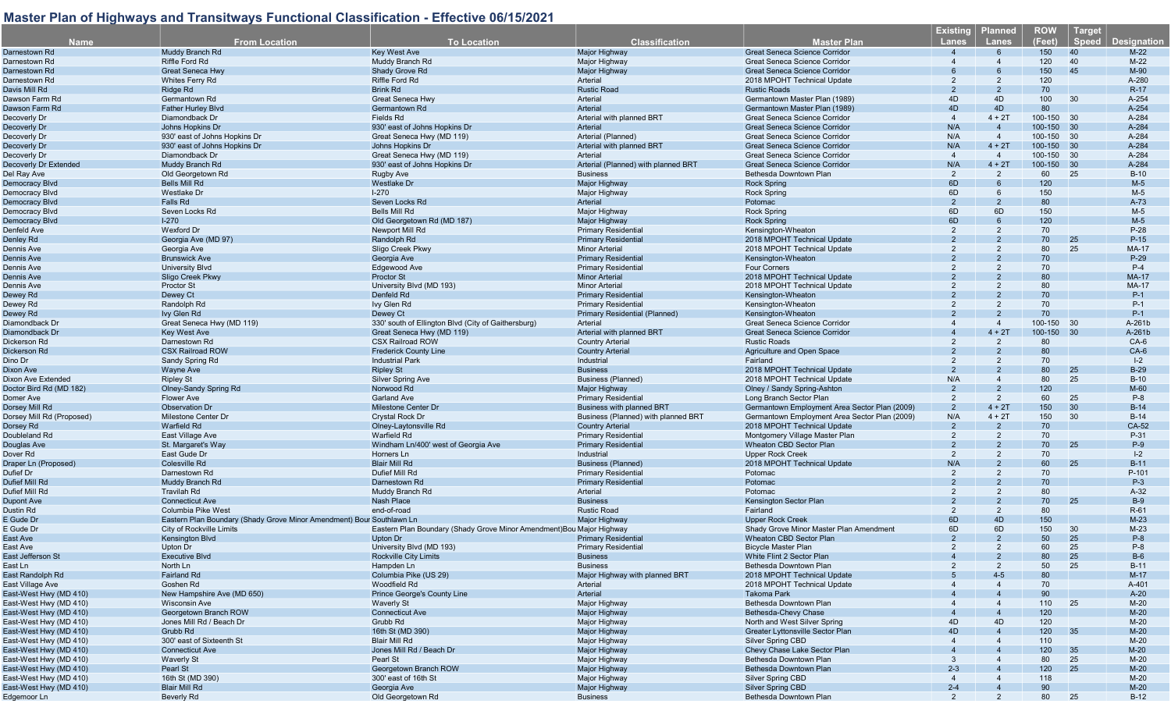| <b>Name</b>                                      | <b>From Location</b>                                                  | <b>To Location</b>                                                    | <b>Classification</b>                                    | Master Plan                                            | <b>Existing</b><br>Lanes | <b>Planned</b><br><b>Lanes</b> | <b>ROW</b><br>(Feet) | <b>Target</b><br>Speed | <b>Designation</b> |
|--------------------------------------------------|-----------------------------------------------------------------------|-----------------------------------------------------------------------|----------------------------------------------------------|--------------------------------------------------------|--------------------------|--------------------------------|----------------------|------------------------|--------------------|
| Darnestown Rd                                    | Muddy Branch Rd                                                       | <b>Key West Ave</b>                                                   | <b>Major Highway</b>                                     | <b>Great Seneca Science Corridor</b>                   |                          |                                | 150                  | 40                     | $M-22$             |
| Darnestown Rd                                    | Riffle Ford Rd                                                        | Muddy Branch Rd                                                       | Major Highway                                            | Great Seneca Science Corridor                          |                          |                                | 120                  | 40                     | $M-22$             |
| Darnestown Rd                                    | <b>Great Seneca Hwy</b>                                               | <b>Shady Grove Rd</b>                                                 | Major Highway                                            | <b>Great Seneca Science Corridor</b>                   |                          |                                | 150                  | 45                     | M-90               |
| Darnestown Rd                                    | Whites Ferry Rd                                                       | Riffle Ford Rd                                                        | Arterial                                                 | 2018 MPOHT Technical Update                            | 2                        | 2                              | 120                  |                        | A-280              |
| Davis Mill Rd                                    | Ridge Rd                                                              | <b>Brink Rd</b>                                                       | <b>Rustic Road</b>                                       | <b>Rustic Roads</b>                                    | $\mathcal{P}$            | $\overline{2}$                 | 70                   |                        | $R-17$             |
| Dawson Farm Rd                                   | Germantown Rd                                                         | <b>Great Seneca Hwy</b>                                               | Arterial                                                 | Germantown Master Plan (1989)                          | 4D                       | 4D                             | 100                  | 30                     | A-254              |
| Dawson Farm Rd                                   | <b>Father Hurley Blvd</b>                                             | Germantown Rd                                                         | Arterial                                                 | Germantown Master Plan (1989)                          | 4D                       | 4D                             | 80                   |                        | A-254              |
| Decoverly Dr                                     | Diamondback Dr                                                        | Fields Rd                                                             | Arterial with planned BRT                                | Great Seneca Science Corridor                          | $\overline{4}$           | $4 + 2T$                       | 100-150 30           |                        | A-284              |
| Decoverly Dr                                     | Johns Hopkins Dr                                                      | 930' east of Johns Hopkins Dr                                         | Arterial                                                 | <b>Great Seneca Science Corridor</b>                   | N/A                      | $\overline{4}$                 | 100-150 30           |                        | A-284              |
| Decoverly Dr                                     | 930' east of Johns Hopkins Dr                                         | Great Seneca Hwy (MD 119)                                             | Arterial (Planned)                                       | Great Seneca Science Corridor                          | N/A                      | $\overline{4}$                 | 100-150              | 30                     | A-284              |
| Decoverly Dr                                     | 930' east of Johns Hopkins Dr                                         | Johns Hopkins Dr                                                      | Arterial with planned BRT                                | <b>Great Seneca Science Corridor</b>                   | N/A                      | $4 + 2T$                       | 100-150 30           |                        | A-284              |
| Decoverly Dr                                     | Diamondback Dr                                                        | Great Seneca Hwy (MD 119)                                             | Arterial                                                 | Great Seneca Science Corridor                          | $\overline{4}$           | $\overline{4}$                 | 100-150 30           |                        | A-284              |
| Decoverly Dr Extended                            | Muddy Branch Rd                                                       | 930' east of Johns Hopkins Dr                                         | Arterial (Planned) with planned BRT                      | <b>Great Seneca Science Corridor</b>                   | N/A                      | $4 + 2T$                       | 100-150 30           |                        | A-284              |
| Del Ray Ave                                      | Old Georgetown Rd                                                     | Rugby Ave                                                             | <b>Business</b>                                          | Bethesda Downtown Plan                                 | 2                        | 2                              | 60                   | 25                     | $B-10$             |
| Democracy Blvd                                   | <b>Bells Mill Rd</b>                                                  | <b>Westlake Dr</b>                                                    | Major Highway                                            | <b>Rock Spring</b>                                     | 6D                       |                                | 120                  |                        | $M-5$              |
| Democracy Blyd                                   | <b>Westlake Dr</b>                                                    | $1 - 270$                                                             | <b>Maior Highway</b>                                     | <b>Rock Spring</b>                                     | 6D                       | 6                              | 150                  |                        | $M-5$              |
| Democracy Blvd                                   | Falls Rd                                                              | Seven Locks Rd                                                        | Arterial                                                 | Potomac                                                | $\overline{2}$           |                                | 80                   |                        | $A-73$             |
| Democracy Blvd                                   | Seven Locks Rd                                                        | Bells Mill Rd                                                         | Major Highway                                            | <b>Rock Spring</b>                                     | 6D                       | 6D                             | 150                  |                        | $M-5$              |
| Democracy Blvd                                   | $1-270$                                                               | Old Georgetown Rd (MD 187)                                            | Major Highway                                            | <b>Rock Spring</b>                                     | 6D                       | 6                              | 120                  |                        | $M-5$              |
| Denfeld Ave                                      | <b>Wexford Dr</b>                                                     | Newport Mill Rd                                                       | <b>Primary Residential</b>                               | Kensington-Wheaton                                     | $\mathfrak{p}$           | 2                              | 70                   |                        | $P-28$             |
| Denley Rd                                        | Georgia Ave (MD 97)                                                   | Randolph Rd                                                           | <b>Primary Residential</b>                               | 2018 MPOHT Technical Update                            |                          |                                | 70                   | 25                     | $P-15$             |
| Dennis Ave                                       | Georgia Ave                                                           | Sligo Creek Pkwy                                                      | <b>Minor Arterial</b>                                    | 2018 MPOHT Technical Update                            | 2                        | 2                              | 80                   | 25                     | MA-17              |
| Dennis Ave                                       | <b>Brunswick Ave</b>                                                  | Georgia Ave                                                           | <b>Primary Residential</b>                               | Kensington-Wheaton                                     |                          |                                | 70                   |                        | $P-29$             |
| Dennis Ave                                       | University Blvd                                                       | Edgewood Ave                                                          | <b>Primary Residential</b>                               | <b>Four Corners</b>                                    |                          |                                | 70                   |                        | $P-4$              |
| Dennis Ave                                       | Sligo Creek Pkwy                                                      | Proctor St                                                            | <b>Minor Arterial</b>                                    | 2018 MPOHT Technical Update                            |                          |                                | 80                   |                        | <b>MA-17</b>       |
| Dennis Ave                                       | <b>Proctor St</b>                                                     | University Blvd (MD 193)                                              | <b>Minor Arterial</b>                                    | 2018 MPOHT Technical Update                            |                          |                                | 80                   |                        | MA-17              |
| Dewey Rd                                         | Dewey Ct                                                              | Denfeld Rd                                                            | <b>Primary Residential</b><br><b>Primary Residential</b> | Kensington-Wheaton                                     | $\overline{2}$           |                                | 70                   |                        | $P-1$              |
| Dewey Rd                                         | Randolph Rd                                                           | Ivy Glen Rd                                                           | <b>Primary Residential (Planned)</b>                     | Kensington-Wheaton                                     |                          | 2                              | 70<br>70             |                        | $P-1$<br>$P-1$     |
| Dewey Rd<br>Diamondback Dr                       | Ivy Glen Rd                                                           | Dewey Ct<br>330' south of Ellington Blvd (City of Gaithersburg)       | Arterial                                                 | Kensington-Wheaton<br>Great Seneca Science Corridor    |                          | $\overline{4}$                 | 100-150 30           |                        | A-261b             |
| Diamondback Dr                                   | Great Seneca Hwy (MD 119)<br><b>Key West Ave</b>                      | Great Seneca Hwy (MD 119)                                             | Arterial with planned BRT                                | <b>Great Seneca Science Corridor</b>                   |                          | $4 + 2T$                       | 100-150              | 30                     | A-261b             |
| Dickerson Rd                                     | Darnestown Rd                                                         | <b>CSX Railroad ROW</b>                                               | <b>Country Arterial</b>                                  | <b>Rustic Roads</b>                                    |                          | $\overline{2}$                 | 80                   |                        | $CA-6$             |
| Dickerson Rd                                     | <b>CSX Railroad ROW</b>                                               | <b>Frederick County Line</b>                                          | <b>Country Arterial</b>                                  | Agriculture and Open Space                             |                          |                                | 80                   |                        | $CA-6$             |
| Dino Dr                                          | Sandy Spring Rd                                                       | <b>Industrial Park</b>                                                | Industrial                                               | Fairland                                               | $\overline{2}$           |                                | 70                   |                        | $I - 2$            |
| Dixon Ave                                        | Wayne Ave                                                             | <b>Ripley St</b>                                                      | <b>Business</b>                                          | 2018 MPOHT Technical Update                            |                          |                                | 80                   | 25                     | $B-29$             |
| Dixon Ave Extended                               | <b>Ripley St</b>                                                      | Silver Spring Ave                                                     | Business (Planned)                                       | 2018 MPOHT Technical Update                            | N/A                      | $\overline{4}$                 | 80                   | 25                     | $B-10$             |
| Doctor Bird Rd (MD 182)                          | <b>Olney-Sandy Spring Rd</b>                                          | Norwood Rd                                                            | <b>Major Highway</b>                                     | Olney / Sandy Spring-Ashton                            | $\overline{2}$           | $\overline{2}$                 | 120                  |                        | $M-60$             |
| Domer Ave                                        | Flower Ave                                                            | <b>Garland Ave</b>                                                    | <b>Primary Residential</b>                               | Long Branch Sector Plan                                | 2                        | $\overline{2}$                 | 60                   | 25                     | $P-8$              |
| Dorsey Mill Rd                                   | <b>Observation Dr</b>                                                 | <b>Milestone Center Dr</b>                                            | Business with planned BRT                                | Germantown Employment Area Sector Plan (2009)          | 2                        | $4 + 2T$                       | 150                  | 30                     | $B-14$             |
| Dorsey Mill Rd (Proposed)                        | Milestone Center Dr                                                   | <b>Crystal Rock Dr</b>                                                | Business (Planned) with planned BRT                      | Germantown Employment Area Sector Plan (2009)          | N/A                      | $4 + 2T$                       | 150                  | 30                     | $B-14$             |
| Dorsey Rd                                        | <b>Warfield Rd</b>                                                    | Olney-Laytonsville Rd                                                 | <b>Country Arterial</b>                                  | 2018 MPOHT Technical Update                            | $\mathcal{P}$            |                                | 70                   |                        | CA-52              |
| Doubleland Rd                                    | East Village Ave                                                      | <b>Warfield Rd</b>                                                    | <b>Primary Residential</b>                               | Montgomery Village Master Plan                         | 2                        | 2                              | 70                   |                        | P-31               |
| Douglas Ave                                      | St. Margaret's Way                                                    | Windham Ln/400' west of Georgia Ave                                   | <b>Primary Residential</b>                               | Wheaton CBD Sector Plan                                |                          |                                | 70                   | 25                     | $P-9$              |
| Dover Rd                                         | East Gude Dr                                                          | Horners Ln                                                            | Industrial                                               | <b>Upper Rock Creek</b>                                | 2                        | 2                              | 70                   |                        | $I - 2$            |
| Draper Ln (Proposed)                             | <b>Colesville Rd</b>                                                  | <b>Blair Mill Rd</b>                                                  | Business (Planned)                                       | 2018 MPOHT Technical Update                            | N/A                      | $\overline{2}$                 | 60                   | <b>25</b>              | $B-11$             |
| Dufief Dr                                        | Darnestown Rd                                                         | Dufief Mill Rd                                                        | <b>Primary Residential</b>                               | Potomac                                                |                          |                                | 70                   |                        | P-101              |
| Dufief Mill Rd                                   | Muddy Branch Rd                                                       | Darnestown Rd                                                         | <b>Primary Residential</b>                               | Potomac                                                |                          |                                | 70                   |                        | $P-3$              |
| Dufief Mill Rd                                   | <b>Travilah Rd</b>                                                    | Muddy Branch Rd                                                       | Arterial                                                 | Potomac                                                | $\mathcal{P}$            | 2                              | 80                   |                        | $A-32$             |
| Dupont Ave                                       | <b>Connecticut Ave</b>                                                | <b>Nash Place</b>                                                     | <b>Business</b>                                          | Kensington Sector Plan                                 |                          |                                | 70                   | 25                     | $B-9$              |
| Dustin Rd                                        | Columbia Pike West                                                    | end-of-road                                                           | <b>Rustic Road</b>                                       | Fairland                                               | 2                        | 2                              | 80                   |                        | $R-61$             |
| E Gude Dr                                        | Eastern Plan Boundary (Shady Grove Minor Amendment) Bour Southlawn Lr |                                                                       | Major Highway                                            | <b>Upper Rock Creek</b>                                | 6D                       | 4D                             | 150                  |                        | $M-23$             |
| E Gude Dr                                        | City of Rockville Limits                                              | Eastern Plan Boundary (Shady Grove Minor Amendment) Bou Major Highway |                                                          | Shady Grove Minor Master Plan Amendment                | 6D                       | 6D                             | 150                  | 30                     | $M-23$             |
| East Ave                                         | <b>Kensington Blvd</b>                                                | Upton Dr                                                              | <b>Primary Residential</b>                               | Wheaton CBD Sector Plan                                | $\overline{2}$           | $\overline{2}$                 | 50                   | 25                     | $P-8$              |
| East Ave                                         | Upton Dr                                                              | University Blvd (MD 193)                                              | <b>Primary Residential</b>                               | <b>Bicycle Master Plan</b>                             | $\mathcal{P}$            | 2                              | 60                   | 25                     | $P-8$              |
| East Jefferson St                                | Executive Blvd                                                        | Rockville City Limits                                                 | <b>Business</b>                                          | White Flint 2 Sector Plan                              |                          |                                | 80                   | 25                     | $B-6$              |
| East Ln                                          | North Ln                                                              | Hampden Ln                                                            | <b>Business</b>                                          | Bethesda Downtown Plan                                 |                          | 2                              | 50                   | 25                     | $B-11$             |
| East Randolph Rd                                 | Fairland Rd                                                           | Columbia Pike (US 29)                                                 | Major Highway with planned BRT                           | 2018 MPOHT Technical Update                            |                          | $4 - 5$                        | 80                   |                        | $M-17$             |
| East Village Ave                                 | Goshen Rd                                                             | Woodfield Rd                                                          | Arterial                                                 | 2018 MPOHT Technical Update                            |                          |                                | 70                   |                        | A-401              |
| East-West Hwy (MD 410)                           | New Hampshire Ave (MD 650)                                            | Prince George's County Line                                           | Arterial                                                 | <b>Takoma Park</b>                                     |                          |                                | 90                   |                        | $A-20$             |
| East-West Hwy (MD 410)                           | <b>Wisconsin Ave</b>                                                  | <b>Waverly St</b>                                                     | Major Highway                                            | Bethesda Downtown Plan                                 |                          |                                | 110                  | 25                     | $M-20$             |
| East-West Hwy (MD 410)                           | Georgetown Branch ROW                                                 | <b>Connecticut Ave</b>                                                | Major Highway                                            | Bethesda-Chevy Chase                                   |                          |                                | 120                  |                        | $M-20$             |
| East-West Hwy (MD 410)                           | Jones Mill Rd / Beach Dr                                              | Grubb Rd                                                              | Major Highway                                            | North and West Silver Spring                           | 4D                       | 4D                             | 120                  |                        | $M-20$             |
| East-West Hwy (MD 410)                           | Grubb Rd                                                              | 16th St (MD 390)                                                      | Major Highway                                            | Greater Lyttonsville Sector Plan                       | 4D                       |                                | 120                  | 35                     | $M-20$             |
| East-West Hwy (MD 410)                           | 300' east of Sixteenth St                                             | <b>Blair Mill Rd</b>                                                  | Major Highway                                            | Silver Spring CBD                                      |                          |                                | 110                  |                        | $M-20$             |
| East-West Hwy (MD 410)                           | <b>Connecticut Ave</b>                                                | Jones Mill Rd / Beach Dr                                              | Major Highway                                            | Chevy Chase Lake Sector Plan<br>Bethesda Downtown Plan |                          |                                | 120                  | 35                     | $M-20$             |
| East-West Hwy (MD 410)<br>East-West Hwy (MD 410) | <b>Waverly St</b><br>Pearl St                                         | Pearl St<br>Georgetown Branch ROW                                     | Major Highway<br><b>Maior Highway</b>                    | Bethesda Downtown Plan                                 | 3<br>$2 - 3$             |                                | 80<br>120            | 25<br>25               | $M-20$<br>$M-20$   |
| East-West Hwy (MD 410)                           | 16th St (MD 390)                                                      | 300' east of 16th St                                                  | Major Highway                                            | Silver Spring CBD                                      | 4                        |                                | 118                  |                        | $M-20$             |
| East-West Hwy (MD 410)                           | <b>Blair Mill Rd</b>                                                  | Georgia Ave                                                           | Major Highway                                            | Silver Spring CBD                                      | $2 - 4$                  |                                | 90                   |                        | $M-20$             |
| Edgemoor Ln                                      | Beverly Rd                                                            | Old Georgetown Rd                                                     | <b>Business</b>                                          | Bethesda Downtown Plan                                 | 2                        | $\overline{2}$                 | 80                   | 25                     | $B-12$             |
|                                                  |                                                                       |                                                                       |                                                          |                                                        |                          |                                |                      |                        |                    |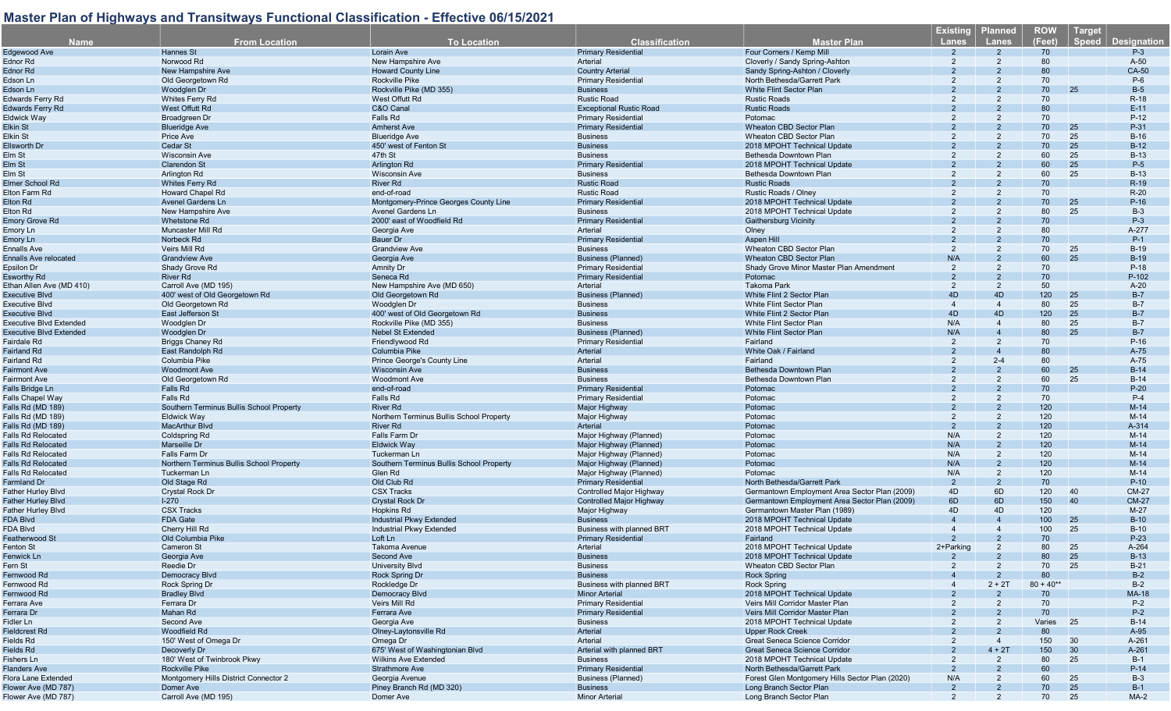| <b>Name</b>                    | <b>From Location</b>                     | <b>To Location</b>                                          | <b>Classification</b>                               | <b>Master Plan</b>                                         | <b>Existing</b><br>Lanes | <b>Planned</b><br><b>Lanes</b> | <b>ROW</b><br>(Feet) | <b>Target</b><br><b>Speed</b> | <b>Designation</b> |
|--------------------------------|------------------------------------------|-------------------------------------------------------------|-----------------------------------------------------|------------------------------------------------------------|--------------------------|--------------------------------|----------------------|-------------------------------|--------------------|
| Edgewood Ave                   | Hannes St                                | <b>Lorain Ave</b>                                           | <b>Primary Residential</b>                          | Four Corners / Kemp Mil                                    |                          |                                | 70                   |                               | $P-3$              |
| Ednor Rd                       | Norwood Rd                               | New Hampshire Ave                                           | Arterial                                            | Cloverly / Sandy Spring-Ashton                             | 2                        |                                | 80                   |                               | $A-50$             |
| Ednor Rd                       | New Hampshire Ave                        | <b>Howard County Line</b>                                   | <b>Country Arterial</b>                             | Sandy Spring-Ashton / Cloverly                             |                          |                                | 80                   |                               | CA-50              |
| Edson Ln                       | Old Georgetown Rd                        | <b>Rockville Pike</b>                                       | <b>Primary Residential</b>                          | North Bethesda/Garrett Park                                |                          |                                | 70                   |                               | $P-6$              |
| Edson Ln                       | Woodglen Dr                              | Rockville Pike (MD 355)                                     | <b>Business</b>                                     | White Flint Sector Plan                                    |                          |                                | 70                   | 25                            | $B-5$              |
| Edwards Ferry Rd               | Whites Ferry Rd                          | West Offutt Rd                                              | <b>Rustic Road</b>                                  | <b>Rustic Roads</b>                                        | 2                        |                                | 70                   |                               | $R-18$             |
| <b>Edwards Ferry Rd</b>        | West Offutt Rd                           | C&O Canal                                                   | <b>Exceptional Rustic Road</b>                      | <b>Rustic Roads</b>                                        |                          |                                | 80                   |                               | $E-11$             |
| Eldwick Way                    | Broadgreen Dr                            | Falls Rd                                                    | <b>Primary Residential</b>                          | Potomac                                                    |                          |                                | 70                   |                               | $P-12$             |
| Elkin St                       | <b>Blueridge Ave</b>                     | <b>Amherst Ave</b>                                          | <b>Primary Residential</b>                          | <b>Wheaton CBD Sector Plan</b>                             |                          |                                | 70                   | 25                            | P-31               |
| Elkin St                       | Price Ave                                | <b>Blueridge Ave</b>                                        | <b>Business</b>                                     | Wheaton CBD Sector Plan                                    |                          | 2                              | 70                   | 25                            | $B-16$             |
| <b>Ellsworth Dr</b>            | Cedar St                                 | 450' west of Fenton St                                      | <b>Business</b>                                     | 2018 MPOHT Technical Update                                |                          |                                | 70                   | 25                            | $B-12$             |
| Elm St                         | <b>Wisconsin Ave</b>                     | 47th St                                                     | <b>Business</b>                                     | Bethesda Downtown Plan                                     |                          |                                | 60<br>60             | 25<br>25                      | $B-13$             |
| Elm St<br>Elm St               | <b>Clarendon St</b><br>Arlington Rd      | <b>Arlington Rd</b><br><b>Wisconsin Ave</b>                 | <b>Primary Residential</b><br><b>Business</b>       | 2018 MPOHT Technical Update<br>Bethesda Downtown Plan      |                          |                                | 60                   | 25                            | $P-5$<br>$B-13$    |
| Elmer School Rd                | <b>Whites Ferry Rd</b>                   | <b>River Rd</b>                                             | <b>Rustic Road</b>                                  | <b>Rustic Roads</b>                                        |                          |                                | 70                   |                               | $R-19$             |
| Elton Farm Rd                  | <b>Howard Chapel Rd</b>                  | end-of-road                                                 | <b>Rustic Road</b>                                  | Rustic Roads / Olney                                       | 2                        | 2                              | 70                   |                               | $R-20$             |
| Elton Rd                       | <b>Avenel Gardens Ln</b>                 | Montgomery-Prince Georges County Line                       | <b>Primary Residential</b>                          | 2018 MPOHT Technical Update                                |                          |                                | 70                   | 25                            | $P-16$             |
| Elton Rd                       | New Hampshire Ave                        | Avenel Gardens Ln                                           | <b>Business</b>                                     | 2018 MPOHT Technical Update                                |                          |                                | 80                   | 25                            | $B-3$              |
| <b>Emory Grove Rd</b>          | Whetstone Rd                             | 2000' east of Woodfield Rd                                  | <b>Primary Residential</b>                          | <b>Gaithersburg Vicinity</b>                               |                          |                                | 70                   |                               | $P-3$              |
| Emory Ln                       | Muncaster Mill Rd                        | Georgia Ave                                                 | Arterial                                            | Olney                                                      |                          | 2                              | 80                   |                               | A-277              |
| Emory Ln                       | Norbeck Rd                               | <b>Bauer Dr</b>                                             | <b>Primary Residential</b>                          | Aspen Hill                                                 |                          |                                | 70                   |                               | $P-1$              |
| <b>Ennalls Ave</b>             | Veirs Mill Rd                            | <b>Grandview Ave</b>                                        | <b>Business</b>                                     | Wheaton CBD Sector Plan                                    | $\overline{2}$           | 2                              | 70                   | 25                            | $B-19$             |
| Ennalls Ave relocated          | <b>Grandview Ave</b>                     | Georgia Ave                                                 | <b>Business (Planned)</b>                           | <b>Wheaton CBD Sector Plan</b>                             | N/A                      |                                | 60                   | 25                            | $B-19$             |
| Epsilon Dr                     | Shady Grove Rd                           | Amnity Dr                                                   | <b>Primary Residential</b>                          | Shady Grove Minor Master Plan Amendment                    | 2                        | 2                              | 70                   |                               | $P-18$             |
| Esworthy Rd                    | <b>River Rd</b>                          | Seneca Rd                                                   | <b>Primary Residential</b>                          | Potomac                                                    | $\mathcal{P}$            | $\mathcal{P}$                  | 70                   |                               | P-102              |
| Ethan Allen Ave (MD 410)       | Carroll Ave (MD 195)                     | New Hampshire Ave (MD 650)                                  | Arterial                                            | <b>Takoma Park</b>                                         | $\overline{2}$           | 2                              | 50                   |                               | $A-20$             |
| Executive Blvd                 | 400' west of Old Georgetown Rd           | Old Georgetown Rd                                           | <b>Business (Planned)</b>                           | White Flint 2 Sector Plan                                  | 4D                       | 4D                             | 120                  | 25                            | $B-7$              |
| Executive Blvd                 | Old Georgetown Rd                        | Woodglen Dr                                                 | <b>Business</b>                                     | White Flint Sector Plan                                    | $\overline{4}$           | $\overline{4}$                 | 80                   | 25                            | $B-7$              |
| Executive Blvd                 | East Jefferson St                        | 400' west of Old Georgetown Rd                              | <b>Business</b>                                     | White Flint 2 Sector Plar                                  | 4D                       | 4D                             | 120                  | 25                            | $B-7$              |
| Executive Blvd Extended        | Woodglen Dr                              | Rockville Pike (MD 355)                                     | <b>Business</b>                                     | White Flint Sector Plan                                    | N/A                      | $\overline{4}$                 | 80                   | 25                            | $B-7$              |
| <b>Executive Blvd Extended</b> | Woodglen Dr                              | <b>Nebel St Extended</b>                                    | <b>Business (Planned)</b>                           | <b>White Flint Sector Plan</b>                             | N/A                      | $\overline{4}$                 | 80                   | 25                            | $B-7$              |
| Fairdale Rd                    | <b>Briggs Chaney Rd</b>                  | Friendlywood Rd                                             | <b>Primary Residential</b>                          | Fairland                                                   | 2<br>$\mathcal{P}$       | 2                              | 70                   |                               | $P-16$             |
| Fairland Rd                    | East Randolph Rd<br>Columbia Pike        | Columbia Pike                                               | Arterial<br>Arterial                                | White Oak / Fairland                                       | $\overline{2}$           | $2 - 4$                        | 80<br>80             |                               | A-75<br>$A-75$     |
| Fairland Rd<br>Fairmont Ave    | <b>Woodmont Ave</b>                      | Prince George's County Line<br><b>Wisconsin Ave</b>         | <b>Business</b>                                     | Fairland<br>Bethesda Downtown Plan                         |                          |                                | 60                   | 25                            | $B-14$             |
| Fairmont Ave                   | Old Georgetown Rd                        | <b>Woodmont Ave</b>                                         | <b>Business</b>                                     | Bethesda Downtown Plan                                     |                          | 2                              | 60                   | 25                            | $B-14$             |
| <b>Falls Bridge Ln</b>         | Falls Rd                                 | end-of-road                                                 | <b>Primary Residential</b>                          | Potomac                                                    |                          |                                | 70                   |                               | $P-20$             |
| Falls Chapel Way               | Falls Rd                                 | Falls Rd                                                    | <b>Primary Residential</b>                          | Potomac                                                    |                          | 2                              | 70                   |                               | $P-4$              |
| Falls Rd (MD 189)              | Southern Terminus Bullis School Property | <b>River Rd</b>                                             | Major Highway                                       | Potomac                                                    |                          |                                | 120                  |                               | $M-14$             |
| Falls Rd (MD 189)              | <b>Eldwick Way</b>                       | Northern Terminus Bullis School Property                    | Major Highway                                       | Potomac                                                    | 2                        | 2                              | 120                  |                               | $M-14$             |
| Falls Rd (MD 189)              | <b>MacArthur Blvd</b>                    | River Rd                                                    | Arterial                                            | Potomac                                                    | $\overline{2}$           |                                | 120                  |                               | A-314              |
| Falls Rd Relocated             | <b>Coldspring Rd</b>                     | Falls Farm Dr                                               | Major Highway (Planned)                             | Potomac                                                    | N/A                      | $\overline{2}$                 | 120                  |                               | $M-14$             |
| <b>Falls Rd Relocated</b>      | <b>Marseille Dr</b>                      | <b>Eldwick Way</b>                                          | Major Highway (Planned)                             | Potomac                                                    | N/A                      | $\overline{2}$                 | 120                  |                               | $M-14$             |
| Falls Rd Relocated             | Falls Farm Dr                            | Tuckerman Ln                                                | Major Highway (Planned)                             | Potomac                                                    | N/A                      | 2                              | 120                  |                               | $M-14$             |
| <b>Falls Rd Relocated</b>      | Northern Terminus Bullis School Property | Southern Terminus Bullis School Property                    | Major Highway (Planned)                             | Potomac                                                    | N/A                      | $\overline{2}$                 | 120                  |                               | $M-14$             |
| Falls Rd Relocated             | Tuckerman Ln                             | Glen Rd                                                     | Major Highway (Planned)                             | Potomac                                                    | N/A                      | $\overline{2}$                 | 120                  |                               | $M-14$             |
| Farmland Dr                    | Old Stage Rd                             | Old Club Rd                                                 | <b>Primary Residential</b>                          | North Bethesda/Garrett Park                                | $\overline{2}$           | $\overline{2}$                 | 70                   |                               | $P-10$             |
| <b>Father Hurley Blvd</b>      | <b>Crystal Rock Dr</b>                   | <b>CSX Tracks</b>                                           | Controlled Major Highway                            | Germantown Employment Area Sector Plan (2009)              | 4D                       | 6D                             | 120                  | 40                            | <b>CM-27</b>       |
| Father Hurley Blvd             | $1-270$                                  | <b>Crystal Rock Dr</b>                                      | <b>Controlled Major Highway</b>                     | Germantown Employment Area Sector Plan (2009)              | 6D                       | 6D                             | 150                  | 40                            | <b>CM-27</b>       |
| Father Hurley Blvd             | <b>CSX Tracks</b>                        | Hopkins Rd                                                  | Major Highway                                       | Germantown Master Plan (1989)                              | 4D<br>$\overline{4}$     | 4D                             | 120                  |                               | $M-27$             |
| FDA Blvd<br>FDA Blvd           | <b>FDA Gate</b><br>Cherry Hill Rd        | <b>Industrial Pkwy Extended</b><br>Industrial Pkwy Extended | <b>Business</b><br><b>Business with planned BRT</b> | 2018 MPOHT Technical Update<br>2018 MPOHT Technical Update |                          |                                | 100<br>100           | 25<br>25                      | $B-10$<br>$B-10$   |
| Featherwood St                 | Old Columbia Pike                        | Loft Ln                                                     | <b>Primary Residential</b>                          | Fairland                                                   |                          | $\mathcal{P}$                  | 70                   |                               | $P-23$             |
| Fenton St                      | <b>Cameron St</b>                        | Takoma Avenue                                               | Arterial                                            | 2018 MPOHT Technical Update                                | 2+Parking                | $\overline{2}$                 | 80                   | 25                            | A-264              |
| Fenwick Ln                     | Georgia Ave                              | Second Ave                                                  | <b>Business</b>                                     | 2018 MPOHT Technical Update                                |                          |                                | 80                   | 25                            | $B-13$             |
| Fern St                        | Reedie Dr                                | <b>University Blvd</b>                                      | <b>Business</b>                                     | Wheaton CBD Sector Plan                                    |                          |                                | 70                   | 25                            | $B-21$             |
| Fernwood Rd                    | Democracy Blvd                           | <b>Rock Spring Dr</b>                                       | <b>Business</b>                                     | Rock Spring                                                |                          |                                | 80                   |                               | $B-2$              |
| Fernwood Rd                    | Rock Spring Dr                           | Rockledge Dr                                                | Business with planned BRT                           | Rock Spring                                                |                          | $2 + 2T$                       | $80 + 40**$          |                               | $B-2$              |
| Fernwood Rd                    | <b>Bradley Blvd</b>                      | <b>Democracy Blvd</b>                                       | <b>Minor Arterial</b>                               | 2018 MPOHT Technical Update                                |                          |                                | 70                   |                               | <b>MA-18</b>       |
| Ferrara Ave                    | Ferrara Dr                               | Veirs Mill Rd                                               | <b>Primary Residential</b>                          | Veirs Mill Corridor Master Plan                            |                          | 2                              | 70                   |                               | $P-2$              |
| Ferrara Dr                     | Mahan Rd                                 | Ferrara Ave                                                 | <b>Primary Residential</b>                          | <b>Veirs Mill Corridor Master Plan</b>                     |                          |                                | 70                   |                               | $P-2$              |
| Fidler Ln                      | Second Ave                               | Georgia Ave                                                 | <b>Business</b>                                     | 2018 MPOHT Technical Update                                |                          |                                | Varies 25            |                               | $B-14$             |
| Fieldcrest Rd                  | Woodfield Rd                             | Olney-Laytonsville Rd                                       | Arterial                                            | <b>Upper Rock Creek</b>                                    |                          |                                | 80                   |                               | $A-95$             |
| Fields Rd                      | 150' West of Omega Dr                    | Omega Dr                                                    | Arterial                                            | Great Seneca Science Corridor                              |                          | $\overline{4}$                 | 150                  | 30                            | A-261              |
| Fields Rd                      | Decoverly Dr                             | 675' West of Washingtonian Blvd                             | Arterial with planned BRT                           | <b>Great Seneca Science Corridor</b>                       |                          | $4 + 2T$                       | 150                  | 30                            | A-261              |
| Fishers Ln                     | 180' West of Twinbrook Pkwy              | <b>Wilkins Ave Extended</b>                                 | <b>Business</b>                                     | 2018 MPOHT Technical Update                                | 2                        | $\overline{2}$                 | 80                   | 25                            | $B-1$              |
| <b>Flanders Ave</b>            | Rockville Pike                           | <b>Strathmore Ave</b>                                       | <b>Primary Residential</b>                          | North Bethesda/Garrett Park                                |                          |                                | 60                   |                               | $P-14$             |
| Flora Lane Extended            | Montgomery Hills District Connector 2    | Georgia Avenue                                              | Business (Planned)                                  | Forest Glen Montgomery Hills Sector Plan (2020)            | N/A                      | 2                              | 60                   | 25                            | B-3                |
| Flower Ave (MD 787)            | Domer Ave                                | Piney Branch Rd (MD 320)                                    | <b>Business</b>                                     | Long Branch Sector Plan                                    | $\overline{2}$           | 2                              | 70                   | 25                            | $B-1$              |
| Flower Ave (MD 787)            | Carroll Ave (MD 195)                     | Domer Ave                                                   | <b>Minor Arterial</b>                               | Long Branch Sector Plan                                    | $\overline{2}$           | 2                              | 70                   | 25                            | $MA-2$             |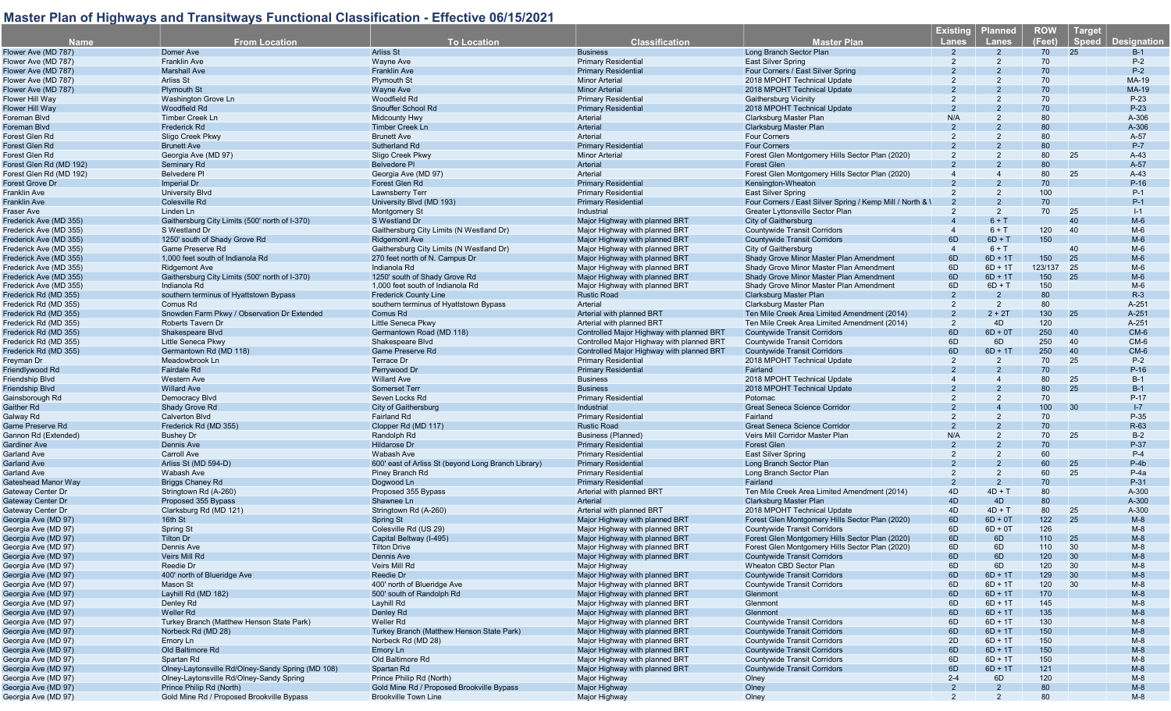|                         |                                                   |                                                     |                                           |                                                           | <b>Existing</b> | <b>Planned</b>         | <b>ROW</b> | Target |                    |
|-------------------------|---------------------------------------------------|-----------------------------------------------------|-------------------------------------------|-----------------------------------------------------------|-----------------|------------------------|------------|--------|--------------------|
| Name.                   | <b>From Location</b>                              | <b>To Location</b>                                  | <b>Classification</b>                     | <b>Master Plan</b>                                        | <b>Lanes</b>    | <b>Lanes</b>           | (Feet)     | Speed  | <b>Designation</b> |
| Flower Ave (MD 787)     | Domer Ave                                         | Arliss St                                           | <b>Business</b>                           | Long Branch Sector Plan                                   |                 |                        | 70         | 25     | $B-1$              |
| Flower Ave (MD 787)     | <b>Franklin Ave</b>                               | Wayne Ave                                           | <b>Primary Residential</b>                | <b>East Silver Spring</b>                                 | 2               | 2                      | 70         |        | $P-2$              |
| Flower Ave (MD 787)     | <b>Marshall Ave</b>                               | <b>Franklin Ave</b>                                 | <b>Primary Residential</b>                | Four Corners / East Silver Spring                         |                 |                        | 70         |        | $P-2$              |
| Flower Ave (MD 787)     | <b>Arliss St</b>                                  | <b>Plymouth St</b>                                  | <b>Minor Arterial</b>                     | 2018 MPOHT Technical Update                               |                 |                        | 70         |        | <b>MA-19</b>       |
|                         |                                                   |                                                     |                                           |                                                           |                 |                        | 70         |        |                    |
| Flower Ave (MD 787)     | <b>Plymouth St</b>                                | Wayne Ave                                           | <b>Minor Arterial</b>                     | 2018 MPOHT Technical Update                               |                 |                        |            |        | MA-19              |
| Flower Hill Way         | Washington Grove Ln                               | Woodfield Rd                                        | <b>Primary Residential</b>                | <b>Gaithersburg Vicinity</b>                              |                 |                        | 70         |        | $P-23$             |
| Flower Hill Wav         | Woodfield Rd                                      | Snouffer School Rd                                  | <b>Primary Residential</b>                | 2018 MPOHT Technical Update                               |                 |                        | 70         |        | $P-23$             |
| Foreman Blvd            | <b>Timber Creek Ln</b>                            | <b>Midcounty Hwy</b>                                | Arterial                                  | Clarksburg Master Plan                                    | N/A             |                        | 80         |        | A-306              |
| Foreman Blvd            | Frederick Rd                                      | <b>Timber Creek Ln</b>                              | Arterial                                  | Clarksburg Master Plan                                    |                 |                        | 80         |        | A-306              |
| Forest Glen Rd          | Sligo Creek Pkwy                                  | <b>Brunett Ave</b>                                  | Arterial                                  | <b>Four Corners</b>                                       | 2               |                        | 80         |        | A-57               |
| Forest Glen Rd          | <b>Brunett Ave</b>                                | Sutherland Rd                                       | <b>Primary Residential</b>                | <b>Four Corners</b>                                       |                 |                        | 80         |        | $P-7$              |
| Forest Glen Rd          | Georgia Ave (MD 97)                               | Sligo Creek Pkwy                                    | <b>Minor Arterial</b>                     | Forest Glen Montgomery Hills Sector Plan (2020)           |                 |                        | 80         | 25     | $A-43$             |
| Forest Glen Rd (MD 192) | Seminary Rd                                       | <b>Belvedere PI</b>                                 | Arterial                                  | <b>Forest Glen</b>                                        |                 |                        | 80         |        | A-57               |
| Forest Glen Rd (MD 192) | <b>Belvedere PI</b>                               | Georgia Ave (MD 97)                                 | Arterial                                  | Forest Glen Montgomery Hills Sector Plan (2020)           |                 |                        | 80         | 25     | $A-43$             |
| Forest Grove Dr         | Imperial Dr                                       | Forest Glen Rd                                      | <b>Primary Residential</b>                | Kensington-Wheaton                                        |                 |                        | 70         |        | $P-16$             |
| Franklin Ave            | <b>University Blvd</b>                            | Lawnsberry Terr                                     | <b>Primary Residential</b>                | <b>East Silver Spring</b>                                 | 2               | $\overline{2}$         | 100        |        | $P-1$              |
|                         |                                                   |                                                     |                                           |                                                           |                 | $\mathcal{P}$          | 70         |        | $P-1$              |
| Franklin Ave            | Colesville Rd                                     | University Blvd (MD 193)                            | <b>Primary Residential</b>                | Four Corners / East Silver Spring / Kemp Mill / North & \ |                 |                        |            |        |                    |
| Fraser Ave              | Linden Ln                                         | Montgomery St                                       | Industrial                                | Greater Lyttonsville Sector Plan                          |                 | $\overline{2}$         | 70         | 25     | $I-1$              |
| Frederick Ave (MD 355)  | Gaithersburg City Limits (500' north of I-370)    | S Westland Dr                                       | Major Highway with planned BRT            | City of Gaithersburg                                      |                 | $6 + T$                |            | 40     | $M-6$              |
| Frederick Ave (MD 355)  | S Westland Dr                                     | Gaithersburg City Limits (N Westland Dr)            | Major Highway with planned BRT            | <b>Countywide Transit Corridors</b>                       |                 | $6 + T$                | 120        | 40     | $M-6$              |
| Frederick Ave (MD 355)  | 1250' south of Shady Grove Rd                     | <b>Ridgemont Ave</b>                                | Major Highway with planned BRT            | <b>Countywide Transit Corridors</b>                       | 6D              | $6D + T$               | 150        |        | $M-6$              |
| Frederick Ave (MD 355)  | Game Preserve Rd                                  | Gaithersburg City Limits (N Westland Dr)            | Major Highway with planned BRT            | City of Gaithersburg                                      |                 | $6 + T$                |            | 40     | $M-6$              |
| Frederick Ave (MD 355)  | 1,000 feet south of Indianola Rd                  | 270 feet north of N. Campus Dr                      | Major Highway with planned BRT            | Shady Grove Minor Master Plan Amendment                   | 6D              | $6D + 1T$              | 150        | 25     | $M-6$              |
| Frederick Ave (MD 355)  | <b>Ridgemont Ave</b>                              | Indianola Rd                                        | Major Highway with planned BRT            | Shady Grove Minor Master Plan Amendment                   | 6D              | $6D + 1T$              | 123/137    | 25     | $M-6$              |
| Frederick Ave (MD 355)  | Gaithersburg City Limits (500' north of I-370)    | 1250' south of Shady Grove Rd                       | Major Highway with planned BRT            | Shady Grove Minor Master Plan Amendment                   | 6D              | $6D + 1T$              | 150        | 25     | $M-6$              |
| Frederick Ave (MD 355)  | Indianola Rd                                      | 1,000 feet south of Indianola Rd                    | Major Highway with planned BRT            | Shady Grove Minor Master Plan Amendment                   | 6D              | $6D + T$               | 150        |        | $M-6$              |
| Frederick Rd (MD 355)   | southern terminus of Hyattstown Bypass            | <b>Frederick County Line</b>                        | <b>Rustic Road</b>                        | Clarksburg Master Plan                                    | $\overline{2}$  | $\overline{2}$         | 80         |        | $R-3$              |
| Frederick Rd (MD 355)   |                                                   |                                                     |                                           |                                                           | 2               | $\overline{2}$         | 80         |        | A-251              |
|                         | Comus Rd                                          | southern terminus of Hyattstown Bypass              | Arterial                                  | Clarksburg Master Plan                                    | $\overline{2}$  | $2 + 2T$               | 130        |        | A-251              |
| Frederick Rd (MD 355)   | Snowden Farm Pkwy / Observation Dr Extended       | Comus Rd                                            | Arterial with planned BRT                 | Ten Mile Creek Area Limited Amendment (2014)              |                 |                        |            | 25     |                    |
| Frederick Rd (MD 355)   | Roberts Tavern Dr                                 | <b>Little Seneca Pkwv</b>                           | Arterial with planned BRT                 | Ten Mile Creek Area Limited Amendment (2014)              | $\overline{2}$  | 4D                     | 120        |        | A-251              |
| Frederick Rd (MD 355)   | Shakespeare Blvd                                  | Germantown Road (MD 118)                            | Controlled Major Highway with planned BRT | <b>Countywide Transit Corridors</b>                       | 6D              | $6D + 0T$              | 250        | 40     | $CM-6$             |
| Frederick Rd (MD 355)   | <b>Little Seneca Pkwv</b>                         | Shakespeare Blvd                                    | Controlled Maior Highway with planned BRT | <b>Countywide Transit Corridors</b>                       | 6D              | 6D                     | 250        | 40     | $CM-6$             |
| Frederick Rd (MD 355)   | Germantown Rd (MD 118)                            | <b>Game Preserve Rd</b>                             | Controlled Major Highway with planned BRT | <b>Countywide Transit Corridors</b>                       | 6D              | $6D + 1T$              | 250        | 40     | $CM-6$             |
| Freyman Dr              | Meadowbrook Ln                                    | Terrace Dr                                          | <b>Primary Residential</b>                | 2018 MPOHT Technical Update                               | $\overline{2}$  | $\overline{2}$         | 70         | 25     | $P-2$              |
| Friendlywood Rd         | Fairdale Rd                                       | Perrywood Dr                                        | <b>Primary Residential</b>                | Fairland                                                  |                 |                        | 70         |        | $P-16$             |
| Friendship Blvd         | <b>Western Ave</b>                                | <b>Willard Ave</b>                                  | <b>Business</b>                           | 2018 MPOHT Technical Update                               |                 |                        | 80         | 25     | $B-1$              |
| Friendship Blvd         | <b>Willard Ave</b>                                | <b>Somerset Terr</b>                                | <b>Business</b>                           | 2018 MPOHT Technical Update                               |                 |                        | 80         | 25     | $B-1$              |
| Gainsborough Rd         | Democracy Blvd                                    | Seven Locks Rd                                      | <b>Primary Residential</b>                | Potomac                                                   |                 |                        | 70         |        | P-17               |
| Gaither Rd              | Shady Grove Rd                                    | City of Gaithersburg                                | Industrial                                | <b>Great Seneca Science Corridor</b>                      |                 |                        | 100        | 30     | $I - 7$            |
|                         | <b>Calverton Blvd</b>                             | Fairland Rd                                         | <b>Primary Residential</b>                | Fairland                                                  |                 | 2                      | 70         |        | P-35               |
| Galway Rd               |                                                   |                                                     |                                           |                                                           |                 |                        |            |        |                    |
| Game Preserve Rd        | Frederick Rd (MD 355)                             | Clopper Rd (MD 117)                                 | <b>Rustic Road</b>                        | Great Seneca Science Corridor                             |                 |                        | 70         |        | R-63               |
| Gannon Rd (Extended)    | <b>Bushey Dr</b>                                  | Randolph Rd                                         | <b>Business (Planned)</b>                 | Veirs Mill Corridor Master Plan                           | N/A             | 2                      | 70         | 25     | $B-2$              |
| Gardiner Ave            | <b>Dennis Ave</b>                                 | <b>Hildarose Dr</b>                                 | <b>Primary Residential</b>                | <b>Forest Glen</b>                                        |                 | $\overline{2}$         | 70         |        | P-37               |
| Garland Ave             | Carroll Ave                                       | <b>Wabash Ave</b>                                   | <b>Primary Residential</b>                | <b>East Silver Spring</b>                                 | 2               | $\overline{2}$         | 60         |        | $P-4$              |
| Garland Ave             | Arliss St (MD 594-D)                              | 600' east of Arliss St (beyond Long Branch Library) | <b>Primary Residential</b>                | Long Branch Sector Plan                                   |                 | $\overline{2}$         | 60         | 25     | $P-4b$             |
| Garland Ave             | Wabash Ave                                        | Piney Branch Rd                                     | <b>Primary Residential</b>                | Long Branch Sector Plan                                   | $\overline{2}$  | $\overline{2}$         | 60         | 25     | $P-4a$             |
| Gateshead Manor Way     | <b>Briggs Chaney Rd</b>                           | Dogwood Ln                                          | <b>Primary Residential</b>                | Fairland                                                  |                 | $\overline{2}$         | 70         |        | P-31               |
| Gateway Center Dr       | Stringtown Rd (A-260)                             | Proposed 355 Bypass                                 | Arterial with planned BRT                 | Ten Mile Creek Area Limited Amendment (2014)              | 4D              | $4D + T$               | 80         |        | A-300              |
| Gateway Center Dr       | Proposed 355 Bypass                               | Shawnee Ln                                          | Arterial                                  | <b>Clarksburg Master Plan</b>                             | 4D              | 4D                     | 80         |        | A-300              |
| Gateway Center Dr       | Clarksburg Rd (MD 121)                            | Stringtown Rd (A-260)                               | Arterial with planned BRT                 | 2018 MPOHT Technical Update                               | 4D              | $4D + T$               | 80         | 25     | A-300              |
|                         |                                                   |                                                     |                                           | Forest Glen Montgomery Hills Sector Plan (2020)           | 6D              |                        | 122        | 25     | $M-8$              |
| Georgia Ave (MD 97      | 16th St                                           | Spring St                                           | Major Highway with planned BRT            |                                                           | 6D              | $6D + 0T$<br>$6D + 0T$ | 126        |        | $M-8$              |
| Georgia Ave (MD 97)     | <b>Spring St</b>                                  | Colesville Rd (US 29)                               | Major Highway with planned BRT            | <b>Countywide Transit Corridors</b>                       |                 |                        |            |        |                    |
| Georgia Ave (MD 97)     | <b>Tilton Dr</b>                                  | Capital Beltway (I-495)                             | Major Highway with planned BRT            | Forest Glen Montgomery Hills Sector Plan (2020)           | 6D              | 6D                     | 110        | 25     | $M-8$              |
| Georgia Ave (MD 97)     | Dennis Ave                                        | <b>Tilton Drive</b>                                 | Major Highway with planned BRT            | Forest Glen Montgomery Hills Sector Plan (2020)           | 6D              | 6D                     | 110        | 30     | $M-8$              |
| Georgia Ave (MD 97)     | Veirs Mill Rd                                     | Dennis Ave                                          | Major Highway with planned BRT            | <b>Countywide Transit Corridors</b>                       | 6D              | 6D                     | 120        | 30     | $M-8$              |
| Georgia Ave (MD 97)     | Reedie Dr                                         | Veirs Mill Rd                                       | Major Highway                             | Wheaton CBD Sector Plan                                   | 6D              | 6D                     | 120        | 30     | $M-8$              |
| Georgia Ave (MD 97)     | 400' north of Blueridge Ave                       | Reedie Dr                                           | Major Highway with planned BRT            | <b>Countywide Transit Corridors</b>                       | 6D              | $6D + 1T$              | 129        | 30     | $M-8$              |
| Georgia Ave (MD 97)     | Mason St                                          | 400' north of Blueridge Ave                         | Major Highway with planned BRT            | <b>Countywide Transit Corridors</b>                       | 6D              | $6D + 1T$              | 120        | - 30   | $M-8$              |
| Georgia Ave (MD 97)     | Layhill Rd (MD 182)                               | 500' south of Randolph Rd                           | Major Highway with planned BRT            | Glenmont                                                  | 6D              | $6D + 1T$              | 170        |        | $M-8$              |
| Georgia Ave (MD 97)     | Denley Rd                                         | Layhill Rd                                          | Major Highway with planned BRT            | Glenmont                                                  | 6D              | $6D + 1T$              | 145        |        | $M-8$              |
| Georgia Ave (MD 97)     | <b>Weller Rd</b>                                  | Denley Rd                                           | Major Highway with planned BRT            | Glenmont                                                  | 6D              | $6D + 1T$              | 135        |        | $M-8$              |
|                         |                                                   | Weller Rd                                           | Major Highway with planned BRT            |                                                           | 6D              |                        |            |        | $M-8$              |
| Georgia Ave (MD 97)     | Turkey Branch (Matthew Henson State Park)         |                                                     |                                           | <b>Countywide Transit Corridors</b>                       |                 | $6D + 1T$              | 130        |        |                    |
| Georgia Ave (MD 97)     | Norbeck Rd (MD 28)                                | Turkey Branch (Matthew Henson State Park)           | Major Highway with planned BRT            | <b>Countywide Transit Corridors</b>                       | 6D              | $6D + 1T$              | 150        |        | $M-8$              |
| Georgia Ave (MD 97)     | Emory Ln                                          | Norbeck Rd (MD 28)                                  | Major Highway with planned BRT            | <b>Countywide Transit Corridors</b>                       | 2D              | $6D + 1T$              | 150        |        | $M-8$              |
| Georgia Ave (MD 97)     | Old Baltimore Rd                                  | Emory Ln                                            | Major Highway with planned BRT            | <b>Countywide Transit Corridors</b>                       | 6D              | $6D + 1T$              | 150        |        | $M-8$              |
| Georgia Ave (MD 97)     | Spartan Rd                                        | Old Baltimore Rd                                    | Major Highway with planned BRT            | <b>Countywide Transit Corridors</b>                       | 6D              | $6D + 1T$              | 150        |        | $M-8$              |
| Georgia Ave (MD 97)     | Olney-Laytonsville Rd/Olney-Sandy Spring (MD 108) | Spartan Rd                                          | Major Highway with planned BRT            | <b>Countywide Transit Corridors</b>                       | 6D              | $6D + 1T$              | 121        |        | $M-8$              |
| Georgia Ave (MD 97)     | Olney-Laytonsville Rd/Olney-Sandy Spring          | Prince Philip Rd (North)                            | Major Highway                             | Olney                                                     | $2 - 4$         | 6D                     | 120        |        | $M-8$              |
| Georgia Ave (MD 97)     | Prince Philip Rd (North)                          | Gold Mine Rd / Proposed Brookville Bypass           | Major Highway                             | Olney                                                     | $\overline{2}$  | $\overline{2}$         | 80         |        | $M-8$              |
| Georgia Ave (MD 97)     | Gold Mine Rd / Proposed Brookville Bypass         | <b>Brookville Town Line</b>                         | Major Highway                             | Olney                                                     | 2               | $\overline{2}$         | 80         |        | $M-8$              |
|                         |                                                   |                                                     |                                           |                                                           |                 |                        |            |        |                    |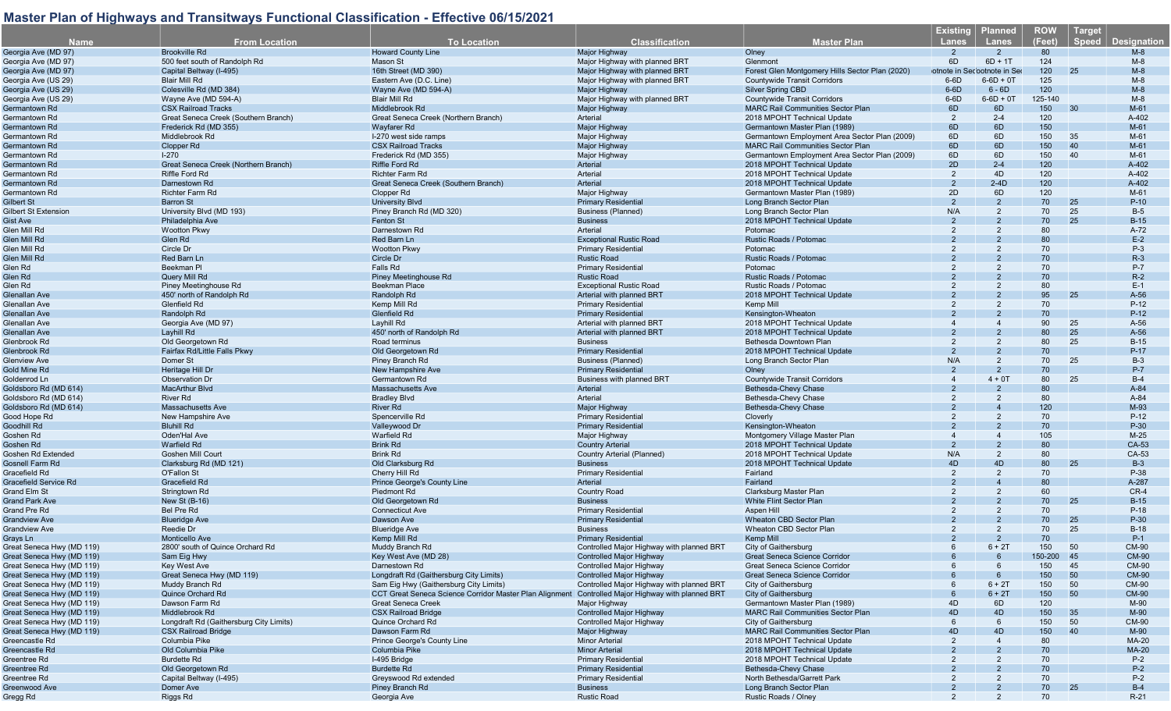|                              |                                         |                                                        |                                           |                                                 | <u>Existing</u> | <b>Planned</b>              | <b>ROW</b> | Target       |                    |
|------------------------------|-----------------------------------------|--------------------------------------------------------|-------------------------------------------|-------------------------------------------------|-----------------|-----------------------------|------------|--------------|--------------------|
| <b>Name</b>                  | <b>From Location</b>                    | <b>To Location</b>                                     | <b>Classification</b>                     | <b>Master Plan</b>                              | Lanes           | <b>Lanes</b>                | (Feet)     | <b>Speed</b> | <b>Designation</b> |
| Georgia Ave (MD 97)          | <b>Brookville Rd</b>                    | <b>Howard County Line</b>                              | <b>Major Highway</b>                      | Olney                                           | $2^{\circ}$     | $\overline{2}$              | 80         |              | $M-8$              |
| Georgia Ave (MD 97)          | 500 feet south of Randolph Rd           | Mason St                                               | Major Highway with planned BRT            | Glenmont                                        | 6D              | $6D + 1T$                   | 124        |              | $M-8$              |
| Georgia Ave (MD 97)          | Capital Beltway (I-495)                 | 16th Street (MD 390)                                   | Major Highway with planned BRT            | Forest Glen Montgomery Hills Sector Plan (2020) |                 | otnote in Secootnote in Ser | 120        | 25           | $M-8$              |
| Georgia Ave (US 29)          | <b>Blair Mill Rd</b>                    | Eastern Ave (D.C. Line)                                | Major Highway with planned BRT            | <b>Countywide Transit Corridors</b>             | $6-6D$          | $6 - 6D + 0T$               | 125        |              | $M-8$              |
| Georgia Ave (US 29)          | Colesville Rd (MD 384)                  | Wayne Ave (MD 594-A)                                   | Major Highway                             | <b>Silver Spring CBD</b>                        | $6-6D$          | $6 - 6D$                    | 120        |              | $M-8$              |
| Georgia Ave (US 29)          | Wayne Ave (MD 594-A)                    | Blair Mill Rd                                          | Major Highway with planned BRT            | <b>Countywide Transit Corridors</b>             | $6-6D$          | $6 - 6D + 0T$               | 125-140    |              | $M-8$              |
|                              |                                         |                                                        |                                           |                                                 |                 |                             |            |              |                    |
| Germantown Rd                | <b>CSX Railroad Tracks</b>              | Middlebrook Rd                                         | Major Highway                             | <b>MARC Rail Communities Sector Plan</b>        | 6D              | 6D                          | 150        | 30           | $M-61$             |
| Germantown Rd                | Great Seneca Creek (Southern Branch)    | Great Seneca Creek (Northern Branch)                   | Arterial                                  | 2018 MPOHT Technical Update                     | 2               | $2 - 4$                     | 120        |              | A-402              |
| Germantown Rd                | Frederick Rd (MD 355)                   | <b>Wayfarer Rd</b>                                     | Major Highway                             | Germantown Master Plan (1989)                   | 6D              | 6D                          | 150        |              | $M-61$             |
| Germantown Rd                | Middlebrook Rd                          | I-270 west side ramps                                  | Major Highway                             | Germantown Employment Area Sector Plan (2009)   | 6D              | 6D                          | 150        | 35           | $M-61$             |
| Germantown Rd                | Clopper Rd                              | <b>CSX Railroad Tracks</b>                             | Major Highway                             | <b>MARC Rail Communities Sector Plan</b>        | 6D              | 6D                          | 150        | 40           | $M-61$             |
| Germantown Rd                | $I-270$                                 | Frederick Rd (MD 355)                                  | Major Highway                             | Germantown Employment Area Sector Plan (2009)   | 6D              | 6D                          | 150        | 40           | M-61               |
| Germantown Rd                | Great Seneca Creek (Northern Branch)    | Riffle Ford Rd                                         | Arterial                                  | 2018 MPOHT Technical Update                     | 2D              | $2 - 4$                     | 120        |              | A-402              |
| Germantown Rd                | Riffle Ford Rd                          | <b>Richter Farm Rd</b>                                 | Arterial                                  | 2018 MPOHT Technical Update                     | $\overline{2}$  | 4D                          | 120        |              | A-402              |
| Germantown Rd                | Darnestown Rd                           | Great Seneca Creek (Southern Branch)                   | Arterial                                  | 2018 MPOHT Technical Update                     | 2               | $2-4D$                      | 120        |              | A-402              |
| Germantown Rd                | <b>Richter Farm Rd</b>                  | Clopper Rd                                             | Maior Highway                             | Germantown Master Plan (1989)                   | 2D              | 6D                          | 120        |              | $M-61$             |
| Gilbert St                   | <b>Barron St</b>                        | <b>University Blvd</b>                                 | <b>Primary Residential</b>                | Long Branch Sector Plan                         | $\mathcal{P}$   | $\overline{2}$              | 70         | 25           | $P-10$             |
| <b>Gilbert St Extension</b>  | University Blvd (MD 193)                | Piney Branch Rd (MD 320)                               | Business (Planned)                        | Long Branch Sector Plan                         | N/A             | 2                           | 70         | 25           | $B-5$              |
| Gist Ave                     | Philadelphia Ave                        | Fenton St                                              | <b>Business</b>                           | 2018 MPOHT Technical Update                     | $\overline{2}$  | 2                           | 70         | 25           | $B-15$             |
| Glen Mill Rd                 | Wootton Pkwy                            | Darnestown Rd                                          | Arterial                                  | Potomac                                         |                 |                             | 80         |              | A-72               |
|                              |                                         |                                                        |                                           |                                                 |                 |                             | 80         |              |                    |
| Glen Mill Rd                 | Glen Rd                                 | Red Barn Ln                                            | <b>Exceptional Rustic Road</b>            | Rustic Roads / Potomac                          |                 |                             |            |              | $E-2$              |
| Glen Mill Rd                 | Circle Dr                               | <b>Wootton Pkwy</b>                                    | <b>Primary Residential</b>                | Potomac                                         | 2               |                             | 70         |              | $P-3$              |
| Glen Mill Rd                 | Red Barn Ln                             | Circle Dr                                              | <b>Rustic Road</b>                        | Rustic Roads / Potomac                          |                 |                             | 70         |              | $R-3$              |
| Glen Rd                      | Beekman PI                              | <b>Falls Rd</b>                                        | <b>Primary Residential</b>                | Potomac                                         |                 |                             | 70         |              | $P-7$              |
| Glen Rd                      | Query Mill Rd                           | Piney Meetinghouse Rd                                  | <b>Rustic Road</b>                        | Rustic Roads / Potomac                          |                 |                             | 70         |              | $R-2$              |
| Glen Rd                      | Piney Meetinghouse Rd                   | <b>Beekman Place</b>                                   | <b>Exceptional Rustic Road</b>            | Rustic Roads / Potomac                          |                 |                             | 80         |              | $E-1$              |
| <b>Glenallan Ave</b>         | 450' north of Randolph Rd               | Randolph Rd                                            | Arterial with planned BRT                 | 2018 MPOHT Technical Update                     |                 |                             | 95         | 25           | $A-56$             |
| Glenallan Ave                | Glenfield Rd                            | Kemp Mill Rd                                           | <b>Primary Residential</b>                | Kemp Mill                                       |                 |                             | 70         |              | $P-12$             |
| Glenallan Ave                | Randolph Rd                             | Glenfield Rd                                           | <b>Primary Residential</b>                | Kensington-Wheaton                              |                 |                             | 70         |              | $P-12$             |
| Glenallan Ave                | Georgia Ave (MD 97)                     | Layhill Rd                                             | Arterial with planned BRT                 | 2018 MPOHT Technical Update                     |                 |                             | 90         | 25           | $A-56$             |
| <b>Glenallan Ave</b>         | Layhill Rd                              | 450' north of Randolph Rd                              | Arterial with planned BRT                 | 2018 MPOHT Technical Update                     |                 |                             | 80         | 25           | $A-56$             |
| Glenbrook Rd                 | Old Georgetown Rd                       | Road terminus                                          | <b>Business</b>                           | Bethesda Downtown Plan                          |                 | 2                           | 80         | 25           | $B-15$             |
|                              |                                         |                                                        |                                           |                                                 | $\mathcal{P}$   |                             |            |              |                    |
| Glenbrook Rd                 | Fairfax Rd/Little Falls Pkwy            | Old Georgetown Rd                                      | <b>Primary Residential</b>                | 2018 MPOHT Technical Update                     |                 |                             | 70         |              | $P-17$             |
| <b>Glenview Ave</b>          | Domer St                                | Piney Branch Rd                                        | <b>Business (Planned)</b>                 | Long Branch Sector Plan                         | N/A             | 2                           | 70         | 25           | $B-3$              |
| Gold Mine Rd                 | Heritage Hill Dr                        | <b>New Hampshire Ave</b>                               | <b>Primary Residential</b>                | Olney                                           | $\mathcal{P}$   |                             | 70         |              | $P-7$              |
| Goldenrod Ln                 | <b>Observation Dr</b>                   | Germantown Rd                                          | Business with planned BRT                 | <b>Countywide Transit Corridors</b>             | $\Delta$        | $4 + 0T$                    | 80         | 25           | $B-4$              |
| Goldsboro Rd (MD 614)        | <b>MacArthur Blvd</b>                   | <b>Massachusetts Ave</b>                               | Arterial                                  | Bethesda-Chevy Chase                            | $\mathcal{P}$   |                             | 80         |              | A-84               |
| Goldsboro Rd (MD 614)        | <b>River Rd</b>                         | <b>Bradley Blvd</b>                                    | Arterial                                  | Bethesda-Chevy Chase                            |                 |                             | 80         |              | A-84               |
| Goldsboro Rd (MD 614)        | <b>Massachusetts Ave</b>                | <b>River Rd</b>                                        | Major Highway                             | Bethesda-Chevy Chase                            |                 |                             | 120        |              | M-93               |
| Good Hope Rd                 | New Hampshire Ave                       | Spencerville Rd                                        | <b>Primary Residential</b>                | Cloverly                                        |                 |                             | 70         |              | $P-12$             |
| Goodhill Rd                  | <b>Bluhill Rd</b>                       | Valleywood Dr                                          | <b>Primary Residential</b>                | Kensington-Wheaton                              |                 |                             | 70         |              | $P-30$             |
| Goshen Rd                    | Oden'Hal Ave                            | Warfield Rd                                            | Major Highway                             | Montgomery Village Master Plan                  |                 |                             | 105        |              | $M-25$             |
| Goshen Rd                    | <b>Warfield Rd</b>                      | <b>Brink Rd</b>                                        | <b>Country Arterial</b>                   | 2018 MPOHT Technical Update                     | $\overline{2}$  |                             | 80         |              | CA-53              |
| Goshen Rd Extended           | Goshen Mill Court                       | <b>Brink Rd</b>                                        | Country Arterial (Planned)                | 2018 MPOHT Technical Update                     | N/A             | 2                           | 80         |              | CA-53              |
| Gosnell Farm Rd              | Clarksburg Rd (MD 121)                  | Old Clarksburg Rd                                      | <b>Business</b>                           | 2018 MPOHT Technical Update                     | 4 <sub>D</sub>  | 4D                          | 80         | 25           | $B-3$              |
| Gracefield Rd                | O'Fallon St                             |                                                        | <b>Primary Residential</b>                | Fairland                                        | 2               | $\overline{2}$              | 70         |              | P-38               |
|                              |                                         | Cherry Hill Rd                                         |                                           |                                                 |                 |                             |            |              |                    |
| <b>Gracefield Service Rd</b> | Gracefield Rd                           | Prince George's County Line                            | Arterial                                  | Fairland                                        |                 |                             | 80         |              | A-287              |
| Grand Elm St                 | Stringtown Rd                           | Piedmont Rd                                            | Country Road                              | Clarksburg Master Plan                          | 2               |                             | 60         |              | $CR-4$             |
| <b>Grand Park Ave</b>        | New St (B-16)                           | Old Georgetown Rd                                      | <b>Business</b>                           | White Flint Sector Plan                         |                 |                             | 70         | 25           | $B-15$             |
| Grand Pre Rd                 | Bel Pre Rd                              | <b>Connecticut Ave</b>                                 | <b>Primary Residential</b>                | Aspen Hill                                      |                 | 2                           | 70         |              | $P-18$             |
| <b>Grandview Ave</b>         | <b>Blueridge Ave</b>                    | Dawson Ave                                             | <b>Primary Residentia</b>                 | <b>Wheaton CBD Sector Plan</b>                  |                 |                             | 70         | 25           | $P-30$             |
| <b>Grandview Ave</b>         | Reedie Dr                               | <b>Blueridge Ave</b>                                   | <b>Business</b>                           | Wheaton CBD Sector Plan                         | 2               | $\overline{2}$              | 70         | 25           | $B-18$             |
| Grays Ln                     | Monticello Ave                          | Kemp Mill Rd                                           | <b>Primary Residential</b>                | Kemp Mill                                       |                 | $\overline{2}$              | 70         |              | $P-1$              |
| Great Seneca Hwy (MD 119)    | 2800' south of Quince Orchard Rd        | Muddy Branch Rd                                        | Controlled Major Highway with planned BRT | City of Gaithersburg                            | $6^{\circ}$     | $6 + 2T$                    | 150        | 50           | CM-90              |
| Great Seneca Hwy (MD 119)    | Sam Eig Hwy                             | Key West Ave (MD 28)                                   | <b>Controlled Major Highway</b>           | Great Seneca Science Corridor                   |                 |                             | 150-200 45 |              | <b>CM-90</b>       |
| Great Seneca Hwy (MD 119)    | Key West Ave                            | Darnestown Rd                                          | Controlled Major Highway                  | Great Seneca Science Corridor                   |                 |                             | 150        | 45           | <b>CM-90</b>       |
| Great Seneca Hwy (MD 119)    | Great Seneca Hwy (MD 119)               | Longdraft Rd (Gaithersburg City Limits)                | <b>Controlled Maior Highway</b>           | Great Seneca Science Corridor                   |                 |                             | 150        | 50           | <b>CM-90</b>       |
| Great Seneca Hwy (MD 119)    | Muddy Branch Rd                         | Sam Eig Hwy (Gaithersburg City Limits)                 | Controlled Major Highway with planned BRT | City of Gaithersburg                            |                 | $6 + 2T$                    | 150        | 50           | CM-90              |
|                              | Quince Orchard Rd                       | CCT Great Seneca Science Corridor Master Plan Alignmer | Controlled Major Highway with planned BRT |                                                 |                 | $6 + 2T$                    |            | 50           | <b>CM-90</b>       |
| Great Seneca Hwy (MD 119)    |                                         |                                                        |                                           | <b>City of Gaithersburg</b>                     |                 |                             | 150        |              |                    |
| Great Seneca Hwy (MD 119)    | Dawson Farm Rd                          | <b>Great Seneca Creek</b>                              | Major Highway                             | Germantown Master Plan (1989)                   | 4D              | 6D                          | 120        |              | M-90               |
| Great Seneca Hwy (MD 119)    | Middlebrook Rd                          | <b>CSX Railroad Bridge</b>                             | <b>Controlled Major Highway</b>           | <b>MARC Rail Communities Sector Plan</b>        | 4D              | 4D                          | 150        | 35           | M-90               |
| Great Seneca Hwy (MD 119)    | Longdraft Rd (Gaithersburg City Limits) | Quince Orchard Rd                                      | Controlled Major Highway                  | City of Gaithersburg                            |                 |                             | 150        | 50           | <b>CM-90</b>       |
| Great Seneca Hwy (MD 119)    | <b>CSX Railroad Bridge</b>              | Dawson Farm Rd                                         | Major Highway                             | <b>MARC Rail Communities Sector Plan</b>        | 4D              | 4D                          | 150        | 40           | $M-90$             |
| Greencastle Rd               | Columbia Pike                           | Prince George's County Line                            | <b>Minor Arterial</b>                     | 2018 MPOHT Technical Update                     | $\overline{2}$  |                             | 80         |              | <b>MA-20</b>       |
| Greencastle Rd               | Old Columbia Pike                       | Columbia Pike                                          | <b>Minor Arterial</b>                     | 2018 MPOHT Technical Update                     |                 |                             | 70         |              | <b>MA-20</b>       |
| Greentree Rd                 | <b>Burdette Rd</b>                      | I-495 Bridge                                           | <b>Primary Residential</b>                | 2018 MPOHT Technical Update                     |                 |                             | 70         |              | $P-2$              |
| Greentree Rd                 | Old Georgetown Rd                       | <b>Burdette Rd</b>                                     | <b>Primary Residential</b>                | Bethesda-Chevy Chase                            |                 |                             | 70         |              | $P-2$              |
| Greentree Rd                 | Capital Beltway (I-495)                 | Greyswood Rd extended                                  | <b>Primary Residential</b>                | North Bethesda/Garrett Park                     |                 |                             | 70         |              | $P-2$              |
| Greenwood Ave                | Domer Ave                               | Piney Branch Rd                                        | <b>Business</b>                           | Long Branch Sector Plan                         |                 |                             | 70         | 25           | $B-4$              |
| Gregg Rd                     | Riggs Rd                                | Georgia Ave                                            | <b>Rustic Road</b>                        | Rustic Roads / Olney                            |                 |                             | 70         |              | $R-21$             |
|                              |                                         |                                                        |                                           |                                                 |                 |                             |            |              |                    |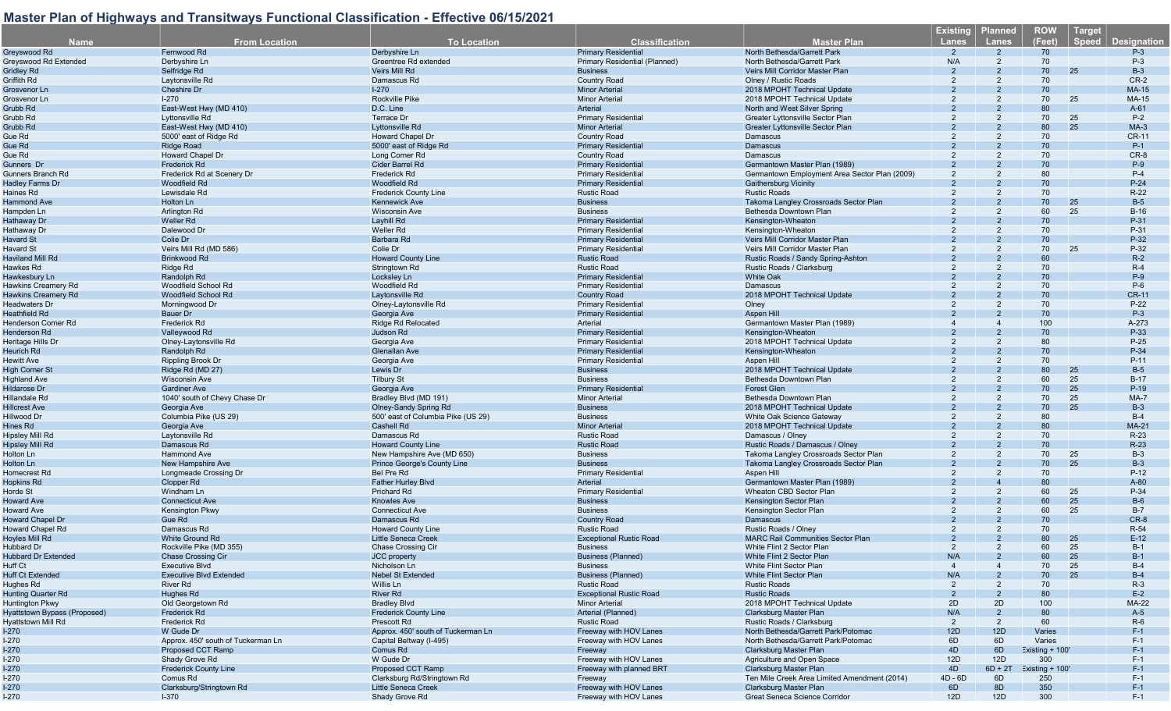| <b>Name</b>                                | <b>From Location</b>                             | <b>To Location</b>                           | <b>Classification</b>                                    | <b>Master Plan</b>                                                     | <b>Existing</b><br><b>Lanes</b> | <b>Planned</b><br><b>Lanes</b> | <b>ROW</b><br>(Feet) | <b>Target</b><br><b>Speed</b> | <b>Designation</b> |
|--------------------------------------------|--------------------------------------------------|----------------------------------------------|----------------------------------------------------------|------------------------------------------------------------------------|---------------------------------|--------------------------------|----------------------|-------------------------------|--------------------|
| Greyswood Rd                               | Fernwood Rd                                      | Derbyshire Ln                                | <b>Primary Residential</b>                               | North Bethesda/Garrett Park                                            | $\overline{2}$                  | $\mathcal{P}$                  | 70                   |                               | $P-3$              |
| Greyswood Rd Extended                      | Derbyshire Ln                                    | Greentree Rd extended                        | Primary Residential (Planned)                            | North Bethesda/Garrett Park                                            | N/A                             | $\overline{2}$                 | 70                   |                               | $P-3$              |
| Gridley Rd                                 | Selfridge Rd                                     | Veirs Mill Rd                                | <b>Business</b>                                          | Veirs Mill Corridor Master Plan                                        |                                 |                                | 70                   | 25                            | $B-3$              |
| Griffith Rd                                | Laytonsville Rd                                  | Damascus Rd                                  | Country Road                                             | Olney / Rustic Roads                                                   | 2                               | 2                              | 70                   |                               | $CR-2$             |
| Grosvenor Ln                               | Cheshire Dr                                      | $I-270$                                      | <b>Minor Arterial</b>                                    | 2018 MPOHT Technical Update                                            |                                 |                                | 70                   |                               | MA-15              |
| Grosvenor Ln                               | $1-270$                                          | <b>Rockville Pike</b>                        | <b>Minor Arterial</b>                                    | 2018 MPOHT Technical Update                                            | 2                               | 2                              | 70                   | 25                            | MA-15              |
| Grubb Rd                                   | East-West Hwy (MD 410)                           | D.C. Line                                    | Arterial                                                 | North and West Silver Spring                                           |                                 |                                | 80                   |                               | $A-61$             |
| Grubb Rd                                   | Lyttonsville Rd                                  | <b>Terrace Dr</b>                            | <b>Primary Residential</b>                               | Greater Lyttonsville Sector Plan                                       |                                 |                                | 70                   | 25                            | $P-2$              |
| Grubb Rd                                   | East-West Hwy (MD 410)                           | Lyttonsville Rd                              | <b>Minor Arterial</b>                                    | <b>Greater Lyttonsville Sector Plan</b>                                |                                 |                                | 80                   | 25                            | $MA-3$             |
| Gue Rd                                     | 5000' east of Ridge Rd                           | Howard Chapel Dr                             | <b>Country Road</b>                                      | Damascus                                                               |                                 | 2                              | 70                   |                               | CR-11              |
| Gue Rd                                     | Ridge Road                                       | 5000' east of Ridge Rd                       | <b>Primary Residential</b>                               | Damascus                                                               |                                 |                                | 70                   |                               | $P-1$              |
| Gue Rd                                     | <b>Howard Chapel Dr</b>                          | Long Corner Rd                               | <b>Country Road</b>                                      | Damascus                                                               |                                 |                                | 70                   |                               | CR-8               |
| Gunners Dr                                 | Frederick Rd<br>Frederick Rd at Scenery Dr       | <b>Cider Barrel Rd</b>                       | <b>Primary Residential</b>                               | Germantown Master Plan (1989)                                          |                                 |                                | 70                   |                               | $P-9$<br>$P-4$     |
| Gunners Branch Rd<br>Hadley Farms Dr       | Woodfield Rd                                     | <b>Frederick Rd</b><br><b>Woodfield Rd</b>   | <b>Primary Residential</b><br><b>Primary Residential</b> | Germantown Employment Area Sector Plan (2009)<br>Gaithersburg Vicinity |                                 |                                | 80<br>70             |                               | $P-24$             |
| Haines Rd                                  | Lewisdale Rd                                     | <b>Frederick County Line</b>                 | <b>Rustic Road</b>                                       | <b>Rustic Roads</b>                                                    |                                 | 2                              | 70                   |                               | $R-22$             |
| Hammond Ave                                | Holton Ln                                        | <b>Kennewick Ave</b>                         | <b>Business</b>                                          | Takoma Langley Crossroads Sector Plan                                  |                                 |                                | 70                   | 25                            | $B-5$              |
| Hampden Ln                                 | Arlington Rd                                     | <b>Wisconsin Ave</b>                         | <b>Business</b>                                          | Bethesda Downtown Plan                                                 |                                 |                                | 60                   | 25                            | $B-16$             |
| Hathaway Dr                                | Weller Rd                                        | Layhill Rd                                   | <b>Primary Residential</b>                               | Kensington-Wheaton                                                     |                                 |                                | 70                   |                               | P-31               |
| Hathaway Dr                                | Dalewood Dr                                      | Weller Rd                                    | <b>Primary Residential</b>                               | Kensington-Wheaton                                                     |                                 |                                | 70                   |                               | P-31               |
| Havard St                                  | Colie Dr                                         | Barbara Rd                                   | <b>Primary Residential</b>                               | Veirs Mill Corridor Master Plan                                        |                                 |                                | 70                   |                               | P-32               |
| Havard St                                  | Veirs Mill Rd (MD 586)                           | Colie Dr                                     | <b>Primary Residential</b>                               | Veirs Mill Corridor Master Plan                                        |                                 | 2                              | 70                   | 25                            | P-32               |
| Haviland Mill Rd                           | Brinkwood Rd                                     | <b>Howard County Line</b>                    | <b>Rustic Road</b>                                       | Rustic Roads / Sandy Spring-Ashton                                     |                                 |                                | 60                   |                               | $R-2$              |
| Hawkes Rd                                  | Ridge Rd                                         | Stringtown Rd                                | <b>Rustic Road</b>                                       | Rustic Roads / Clarksburg                                              |                                 |                                | 70                   |                               | $R-4$              |
| Hawkesbury Ln                              | Randolph Rd                                      | Locksley Ln                                  | <b>Primary Residential</b>                               | <b>White Oak</b>                                                       |                                 |                                | 70                   |                               | $P-9$              |
| Hawkins Creamery Rd                        | Woodfield School Rd                              | Woodfield Rd                                 | <b>Primary Residential</b>                               | Damascus                                                               |                                 |                                | 70                   |                               | $P-6$              |
| <b>Hawkins Creamery Rd</b>                 | <b>Woodfield School Rd</b>                       | Laytonsville Rd                              | <b>Country Road</b>                                      | 2018 MPOHT Technical Update                                            |                                 |                                | 70                   |                               | <b>CR-11</b>       |
| Headwaters Dr                              | Morningwood Dr                                   | Olney-Laytonsville Rd                        | <b>Primary Residential</b>                               | Olney                                                                  |                                 |                                | 70                   |                               | $P-22$             |
| Heathfield Rd                              | Bauer Dr                                         | Georgia Ave                                  | <b>Primary Residential</b>                               | Aspen Hill                                                             |                                 |                                | 70                   |                               | $P-3$              |
| <b>Henderson Corner Rd</b><br>Henderson Rd | Frederick Rd                                     | <b>Ridge Rd Relocated</b>                    | Arterial                                                 | Germantown Master Plan (1989)                                          |                                 |                                | 100                  |                               | A-273<br>P-33      |
| Heritage Hills Dr                          | Valleywood Rd<br>Olney-Laytonsville Rd           | Judson Rd                                    | <b>Primary Residential</b><br><b>Primary Residential</b> | Kensington-Wheaton<br>2018 MPOHT Technical Update                      |                                 |                                | 70<br>80             |                               | $P-25$             |
| Heurich Rd                                 | Randolph Rd                                      | Georgia Ave<br><b>Glenallan Ave</b>          | <b>Primary Residential</b>                               | Kensington-Wheaton                                                     |                                 |                                | 70                   |                               | P-34               |
| Hewitt Ave                                 | <b>Rippling Brook Dr</b>                         | Georgia Ave                                  | <b>Primary Residential</b>                               | Aspen Hill                                                             |                                 |                                | 70                   |                               | $P-11$             |
| <b>High Corner St</b>                      | Ridge Rd (MD 27)                                 | Lewis Dr                                     | <b>Business</b>                                          | 2018 MPOHT Technical Update                                            |                                 |                                | 80                   | 25                            | $B-5$              |
| Highland Ave                               | <b>Wisconsin Ave</b>                             | <b>Tilbury St</b>                            | <b>Business</b>                                          | Bethesda Downtown Plan                                                 |                                 |                                | 60                   | 25                            | $B-17$             |
| Hildarose Dr                               | <b>Gardiner Ave</b>                              | Georgia Ave                                  | <b>Primary Residential</b>                               | <b>Forest Glen</b>                                                     |                                 |                                | 70                   | 25                            | $P-19$             |
| Hillandale Rd                              | 1040' south of Chevy Chase Dr                    | Bradley Blvd (MD 191)                        | <b>Minor Arterial</b>                                    | Bethesda Downtown Plan                                                 |                                 |                                | 70                   | 25                            | MA-7               |
| Hillcrest Ave                              | Georgia Ave                                      | Olney-Sandy Spring Rd                        | <b>Business</b>                                          | 2018 MPOHT Technical Update                                            |                                 |                                | 70                   | 25                            | $B-3$              |
| Hillwood Dr                                | Columbia Pike (US 29)                            | 500' east of Columbia Pike (US 29)           | <b>Business</b>                                          | White Oak Science Gateway                                              |                                 |                                | 80                   |                               | $B-4$              |
| Hines Rd                                   | Georgia Ave                                      | Cashell Rd                                   | <b>Minor Arteria</b>                                     | 2018 MPOHT Technical Update                                            |                                 |                                | 80                   |                               | <b>MA-21</b>       |
| Hipsley Mill Rd                            | Laytonsville Rd                                  | Damascus Rd                                  | <b>Rustic Road</b>                                       | Damascus / Olney                                                       |                                 |                                | 70                   |                               | $R-23$             |
| <b>Hipsley Mill Rd</b>                     | Damascus Rd                                      | <b>Howard County Line</b>                    | <b>Rustic Road</b>                                       | Rustic Roads / Damascus / Olney                                        |                                 |                                | 70                   |                               | $R-23$             |
| Holton Ln                                  | Hammond Ave                                      | New Hampshire Ave (MD 650)                   | <b>Business</b>                                          | Takoma Langley Crossroads Sector Plan                                  |                                 | 2                              | 70                   | 25                            | $B-3$              |
| Holton Ln                                  | <b>New Hampshire Ave</b>                         | Prince George's County Line                  | <b>Business</b>                                          | Takoma Langley Crossroads Sector Plan                                  |                                 |                                | 70                   | 25                            | $B-3$              |
| Homecrest Rd                               | Longmeade Crossing Dr                            | <b>Bel Pre Rd</b>                            | <b>Primary Residential</b>                               | Aspen Hill                                                             |                                 |                                | 70                   |                               | $P-12$             |
| <b>Hopkins Rd</b>                          | Clopper Rd                                       | <b>Father Hurley Blvd</b>                    | Arterial                                                 | Germantown Master Plan (1989)                                          |                                 |                                | 80                   |                               | $A-80$             |
| Horde St                                   | Windham Ln                                       | <b>Prichard Rd</b>                           | <b>Primary Residential</b>                               | Wheaton CBD Sector Plan                                                |                                 |                                | 60<br>60             | 25<br>25                      | P-34<br>$B-6$      |
| Howard Ave<br><b>Howard Ave</b>            | <b>Connecticut Ave</b><br><b>Kensington Pkwy</b> | <b>Knowles Ave</b><br><b>Connecticut Ave</b> | <b>Business</b><br><b>Business</b>                       | Kensington Sector Plan<br>Kensington Sector Plan                       |                                 | 2                              | 60                   | 25                            | $B-7$              |
| <b>Howard Chapel Dr</b>                    | Gue Rd                                           | Damascus Rd                                  | <b>Country Road</b>                                      | Damascus                                                               |                                 |                                | 70                   |                               | CR-8               |
| <b>Howard Chapel Rd</b>                    | Damascus Rd                                      | <b>Howard County Line</b>                    | <b>Rustic Road</b>                                       | Rustic Roads / Olney                                                   |                                 | 2                              | 70                   |                               | R-54               |
| Hoyles Mill Rd                             | White Ground Rd                                  | <b>Little Seneca Creek</b>                   | <b>Exceptional Rustic Road</b>                           | <b>MARC Rail Communities Sector Plan</b>                               |                                 |                                | 80                   | 25                            | $E-12$             |
| Hubbard Dr                                 | Rockville Pike (MD 355)                          | Chase Crossing Cir                           | <b>Business</b>                                          | White Flint 2 Sector Plan                                              |                                 |                                | 60                   | 25                            | $B-1$              |
| <b>Hubbard Dr Extended</b>                 | <b>Chase Crossing Cir</b>                        | <b>JCC</b> property                          | <b>Business (Planned)</b>                                | White Flint 2 Sector Plan                                              | N/A                             |                                | 60                   | 25                            | $B-1$              |
| Huff Ct                                    | <b>Executive Blvd</b>                            | Nicholson Ln                                 | <b>Business</b>                                          | White Flint Sector Plan                                                | $\boldsymbol{4}$                |                                | 70                   | 25                            | $B-4$              |
| Huff Ct Extended                           | <b>Executive Blvd Extended</b>                   | <b>Nebel St Extended</b>                     | <b>Business (Planned)</b>                                | <b>White Flint Sector Plan</b>                                         | N/A                             |                                | 70                   | 25                            | $B-4$              |
| Hughes Rd                                  | River Rd                                         | Willis Ln                                    | <b>Rustic Road</b>                                       | <b>Rustic Roads</b>                                                    | 2                               |                                | 70                   |                               | $R-3$              |
| <b>Hunting Quarter Rd</b>                  | Hughes Rd                                        | <b>River Rd</b>                              | <b>Exceptional Rustic Road</b>                           | <b>Rustic Roads</b>                                                    |                                 |                                | 80                   |                               | $E-2$              |
| Huntington Pkwy                            | Old Georgetown Rd                                | <b>Bradley Blvd</b>                          | <b>Minor Arterial</b>                                    | 2018 MPOHT Technical Update                                            | 2D                              | 2D                             | 100                  |                               | MA-22              |
| Hyattstown Bypass (Proposed)               | Frederick Rd                                     | <b>Frederick County Line</b>                 | Arterial (Planned)                                       | Clarksburg Master Plan                                                 | N/A                             | $\overline{2}$                 | 80                   |                               | $A-5$              |
| Hyattstown Mill Rd                         | Frederick Rd                                     | Prescott Rd                                  | <b>Rustic Road</b>                                       | Rustic Roads / Clarksburg                                              | $\overline{2}$                  | $\overline{2}$                 | 60                   |                               | $R-6$              |
| l-270                                      | W Gude Dr                                        | Approx. 450' south of Tuckerman Ln           | Freeway with HOV Lanes                                   | North Bethesda/Garrett Park/Potomac                                    | 12D                             | 12D                            | Varies               |                               | $F-1$              |
| I-270                                      | Approx. 450' south of Tuckerman Ln               | Capital Beltway (I-495)                      | Freeway with HOV Lanes                                   | North Bethesda/Garrett Park/Potomac                                    | 6D                              | 6D                             | Varies               |                               | $F-1$              |
| I-270                                      | Proposed CCT Ramp                                | Comus Rd                                     | Freeway                                                  | Clarksburg Master Plan                                                 | 4D                              | 6D                             | Existing + 100       |                               | $F-1$              |
| I-270                                      | Shady Grove Rd                                   | W Gude Dr                                    | Freeway with HOV Lanes                                   | Agriculture and Open Space                                             | 12D                             | 12D                            | 300                  |                               | $F-1$              |
| $1-270$                                    | <b>Frederick County Line</b>                     | Proposed CCT Ramp                            | Freeway with planned BRT                                 | Clarksburg Master Plan                                                 | 4D                              | $6D + 2T$                      | Existing + 100'      |                               | $F-1$              |
| I-270                                      | Comus Rd                                         | Clarksburg Rd/Stringtown Rd                  | Freeway                                                  | Ten Mile Creek Area Limited Amendment (2014)                           | $4D - 6D$                       | 6D                             | 250                  |                               | $F-1$              |
| $1-270$                                    | Clarksburg/Stringtown Rd                         | <b>Little Seneca Creek</b>                   | Freeway with HOV Lanes                                   | Clarksburg Master Plan                                                 | 6D                              | 8D                             | 350                  |                               | $F-1$              |
| I-270                                      | $1-370$                                          | Shady Grove Rd                               | Freeway with HOV Lanes                                   | Great Seneca Science Corridor                                          | 12D                             | 12D                            | 300                  |                               | $F-1$              |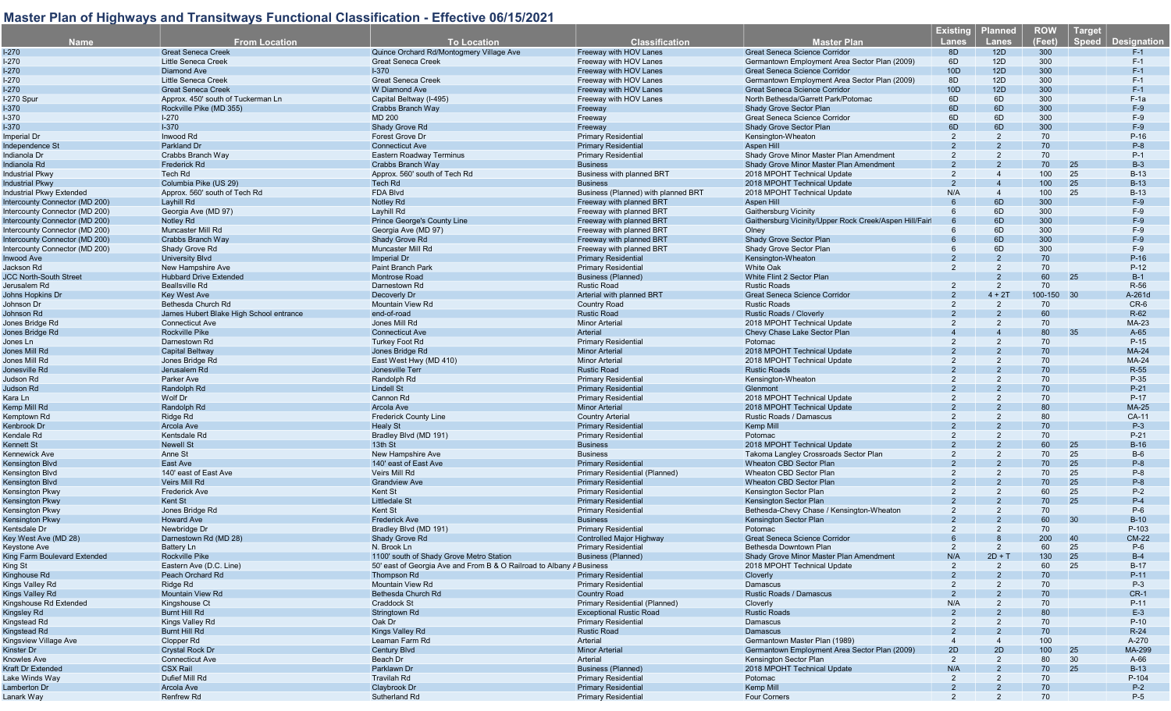| <b>Name</b>                                 | <b>From Location</b>                               | <b>To Location</b>                                                   | <b>Classification</b>                           | <b>Master Plan</b>                                     | <b>Existing</b><br><b>Lanes</b> | <b>Planned</b><br>Lanes | <b>ROW</b><br>(Feet) | <b>Target</b><br><b>Speed</b><br><b>Designation</b> |
|---------------------------------------------|----------------------------------------------------|----------------------------------------------------------------------|-------------------------------------------------|--------------------------------------------------------|---------------------------------|-------------------------|----------------------|-----------------------------------------------------|
| $1-270$                                     | <b>Great Seneca Creek</b>                          | Quince Orchard Rd/Montogmery Village Ave                             | Freeway with HOV Lanes                          | <b>Great Seneca Science Corridor</b>                   | 8D                              | 12D                     | 300                  | $F-1$                                               |
| I-270                                       | Little Seneca Creek                                | <b>Great Seneca Creek</b>                                            | Freeway with HOV Lanes                          | Germantown Employment Area Sector Plan (2009)          | 6D                              | 12D                     | 300                  | $F-1$                                               |
| I-270                                       | <b>Diamond Ave</b>                                 | $1-370$                                                              | Freeway with HOV Lanes                          | <b>Great Seneca Science Corridor</b>                   | 10D                             | 12D                     | 300                  | $F-1$                                               |
| $1-270$                                     | <b>Little Seneca Creek</b>                         | <b>Great Seneca Creek</b>                                            | Freeway with HOV Lanes                          | Germantown Employment Area Sector Plan (2009)          | 8D                              | 12D                     | 300                  | $F-1$                                               |
| <b>I-270</b>                                | <b>Great Seneca Creek</b>                          | <b>W</b> Diamond Ave                                                 | Freeway with HOV Lanes                          | Great Seneca Science Corridor                          | 10D                             | 12D                     | 300                  | $F-1$                                               |
| l-270 Spur                                  | Approx, 450' south of Tuckerman Ln                 | Capital Beltway (I-495)                                              | Freeway with HOV Lanes                          | North Bethesda/Garrett Park/Potomac                    | 6D                              | 6D                      | 300                  | $F-1a$                                              |
| I-370                                       | Rockville Pike (MD 355)                            | Crabbs Branch Way                                                    | Freeway                                         | <b>Shady Grove Sector Plan</b>                         | 6D                              | 6D                      | 300                  | $F-9$                                               |
| <b>I-370</b>                                | $I - 270$                                          | <b>MD 200</b>                                                        | Freeway                                         | Great Seneca Science Corridor                          | 6D                              | 6D                      | 300                  | $F-9$                                               |
| I-370                                       | $I-370$                                            | Shady Grove Rd                                                       | Freeway                                         | Shady Grove Sector Plan                                | 6D                              | 6D                      | 300                  | $F-9$                                               |
| Imperial Dr                                 | Inwood Rd                                          | <b>Forest Grove Dr</b>                                               | <b>Primary Residential</b>                      | Kensington-Wheaton                                     | 2                               | 2                       | 70                   | $P-16$                                              |
| Independence St                             | Parkland Dr                                        | <b>Connecticut Ave</b>                                               | <b>Primary Residential</b>                      | Aspen Hill                                             |                                 |                         | 70                   | $P-8$                                               |
| Indianola Dr                                | Crabbs Branch Way                                  | Eastern Roadway Terminus                                             | <b>Primary Residential</b>                      | Shady Grove Minor Master Plan Amendment                |                                 | $\mathcal{P}$           | 70                   | $P-1$                                               |
| Indianola Rd                                | Frederick Rd                                       | Crabbs Branch Way                                                    | <b>Business</b>                                 | Shady Grove Minor Master Plan Amendment                |                                 |                         | 70                   | $B-3$<br>25                                         |
| <b>Industrial Pkwy</b>                      | Tech Rd                                            | Approx. 560' south of Tech Rd                                        | <b>Business with planned BRT</b>                | 2018 MPOHT Technical Update                            | 2                               |                         | 100                  | 25<br>$B-13$                                        |
| Industrial Pkwy                             | Columbia Pike (US 29)                              | Tech Rd                                                              | <b>Business</b>                                 | 2018 MPOHT Technical Update                            | 2                               |                         | 100                  | 25<br>$B-13$                                        |
| Industrial Pkwy Extended                    | Approx. 560' south of Tech Rd                      | <b>FDA Blvd</b>                                                      | Business (Planned) with planned BRT             | 2018 MPOHT Technical Update                            | N/A                             | $\overline{4}$          | 100                  | 25<br>$B-13$                                        |
| Intercounty Connector (MD 200)              | Layhill Rd                                         | Notley Rd                                                            | Freeway with planned BRT                        | Aspen Hill                                             |                                 | 6D                      | 300                  | $F-9$                                               |
| Intercounty Connector (MD 200)              | Georgia Ave (MD 97)                                | Layhill Rd                                                           | Freeway with planned BRT                        | <b>Gaithersburg Vicinity</b>                           |                                 | 6D                      | 300                  | $F-9$                                               |
| Intercounty Connector (MD 200)              | Notley Rd                                          | Prince George's County Line                                          | Freeway with planned BRT                        | Gaithersburg Vicinity/Upper Rock Creek/Aspen Hill/Fair |                                 | 6D                      | 300                  | $F-9$                                               |
| Intercounty Connector (MD 200)              | Muncaster Mill Rd                                  | Georgia Ave (MD 97)                                                  | Freeway with planned BRT                        | Olney                                                  |                                 | 6D                      | 300                  | $F-9$                                               |
| Intercounty Connector (MD 200)              | Crabbs Branch Way                                  | Shady Grove Rd                                                       | Freeway with planned BRT                        | Shady Grove Sector Plan                                |                                 | 6D                      | 300                  | $F-9$                                               |
| Intercounty Connector (MD 200)              | Shady Grove Rd                                     | Muncaster Mill Rd                                                    | Freeway with planned BRT                        | Shady Grove Sector Plan                                | 6                               | 6D                      | 300                  | $F-9$                                               |
|                                             | <b>University Blvd</b>                             |                                                                      | <b>Primary Residential</b>                      | Kensington-Wheaton                                     |                                 |                         | 70                   | $P-16$                                              |
| Inwood Ave                                  |                                                    | Imperial Dr<br>Paint Branch Park                                     |                                                 | White Oak                                              | 2                               | 2                       | 70                   | $P-12$                                              |
| Jackson Rd<br><b>JCC North-South Street</b> | New Hampshire Ave<br><b>Hubbard Drive Extended</b> |                                                                      | <b>Primary Residential</b>                      | White Flint 2 Sector Plan                              |                                 | $\overline{2}$          | 60                   | 25<br>$B-1$                                         |
|                                             | <b>Beallsville Rd</b>                              | Montrose Road                                                        | <b>Business (Planned)</b><br><b>Rustic Road</b> | <b>Rustic Roads</b>                                    | 2                               | 2                       | 70                   | R-56                                                |
| Jerusalem Rd                                |                                                    | Darnestown Rd                                                        | Arterial with planned BRT                       |                                                        |                                 |                         |                      |                                                     |
| Johns Hopkins Dr                            | <b>Key West Ave</b>                                | Decoverly Dr                                                         |                                                 | <b>Great Seneca Science Corridor</b>                   | 2                               | $4 + 2T$<br>2           | 100-150 30           | A-261d                                              |
| Johnson Dr                                  | Bethesda Church Rd                                 | Mountain View Rd                                                     | Country Road                                    | <b>Rustic Roads</b>                                    |                                 |                         | 70<br>60             | $CR-6$<br>R-62                                      |
| Johnson Rd                                  | James Hubert Blake High School entrance            | end-of-road                                                          | <b>Rustic Road</b>                              | <b>Rustic Roads / Cloverly</b>                         |                                 |                         |                      |                                                     |
| Jones Bridge Rd                             | <b>Connecticut Ave</b>                             | Jones Mill Rd                                                        | <b>Minor Arterial</b>                           | 2018 MPOHT Technical Update                            |                                 |                         | 70                   | MA-23                                               |
| Jones Bridge Rd                             | <b>Rockville Pike</b>                              | <b>Connecticut Ave</b>                                               | Arterial                                        | Chevy Chase Lake Sector Plan                           |                                 |                         | 80                   | 35<br>$A-65$                                        |
| Jones Ln                                    | Darnestown Rd                                      | <b>Turkey Foot Rd</b>                                                | <b>Primary Residential</b>                      | Potomac                                                |                                 |                         | 70                   | P-15                                                |
| Jones Mill Rd                               | <b>Capital Beltway</b>                             | Jones Bridge Rd                                                      | <b>Minor Arterial</b>                           | 2018 MPOHT Technical Update                            |                                 |                         | 70                   | <b>MA-24</b>                                        |
| Jones Mill Rd                               | Jones Bridge Rd                                    | East West Hwy (MD 410)                                               | <b>Minor Arterial</b>                           | 2018 MPOHT Technical Update                            |                                 |                         | 70                   | MA-24                                               |
| Jonesville Rd                               | Jerusalem Rd                                       | Jonesville Terr                                                      | <b>Rustic Road</b>                              | <b>Rustic Roads</b>                                    |                                 |                         | 70                   | R-55                                                |
| Judson Rd                                   | Parker Ave                                         | Randolph Rd                                                          | <b>Primary Residential</b>                      | Kensington-Wheaton                                     |                                 |                         | 70                   | P-35                                                |
| Judson Rd                                   | Randolph Rd                                        | <b>Lindell St</b>                                                    | <b>Primary Residential</b>                      | Glenmont                                               |                                 |                         | 70                   | $P-21$                                              |
| Kara Ln                                     | Wolf Dr                                            | Cannon Rd                                                            | <b>Primary Residential</b>                      | 2018 MPOHT Technical Update                            |                                 |                         | 70                   | P-17                                                |
| Kemp Mill Rd                                | Randolph Rd                                        | Arcola Ave                                                           | <b>Minor Arterial</b>                           | 2018 MPOHT Technical Update                            |                                 |                         | 80                   | <b>MA-25</b>                                        |
| Kemptown Rd                                 | Ridge Rd                                           | <b>Frederick County Line</b>                                         | <b>Country Arterial</b>                         | Rustic Roads / Damascus                                |                                 |                         | 80                   | CA-11                                               |
| Kenbrook Dr                                 | <b>Arcola Ave</b>                                  | <b>Healy St</b>                                                      | <b>Primary Residential</b>                      | Kemp Mill                                              |                                 |                         | 70                   | $P-3$                                               |
| Kendale Rd                                  | Kentsdale Rd                                       | Bradley Blvd (MD 191)                                                | <b>Primary Residential</b>                      | Potomac                                                |                                 |                         | 70                   | $P-21$                                              |
| Kennett St                                  | <b>Newell St</b>                                   | 13th St                                                              | <b>Business</b>                                 | 2018 MPOHT Technical Update                            |                                 |                         | 60                   | 25<br>$B-16$                                        |
| Kennewick Ave                               | Anne St                                            | New Hampshire Ave                                                    | <b>Business</b>                                 | Takoma Langley Crossroads Sector Plan                  |                                 |                         | 70                   | 25<br>$B-6$                                         |
| Kensington Blvd                             | East Ave                                           | 140' east of East Ave                                                | <b>Primary Residential</b>                      | Wheaton CBD Sector Plan                                |                                 |                         | 70                   | 25<br>$P-8$                                         |
| Kensington Blvd                             | 140' east of East Ave                              | Veirs Mill Rd                                                        | Primary Residential (Planned)                   | Wheaton CBD Sector Plan                                |                                 |                         | 70                   | 25<br>$P-8$                                         |
| Kensington Blvd                             | Veirs Mill Rd                                      | <b>Grandview Ave</b>                                                 | <b>Primary Residential</b>                      | Wheaton CBD Sector Plan                                |                                 |                         | 70                   | 25<br>$P-8$                                         |
| Kensington Pkwy                             | <b>Frederick Ave</b>                               | Kent St                                                              | <b>Primary Residential</b>                      | Kensington Sector Plan                                 |                                 |                         | 60                   | 25<br>$P-2$                                         |
| Kensington Pkwy                             | Kent St                                            | <b>Littledale St</b>                                                 | <b>Primary Residential</b>                      | Kensington Sector Plan                                 |                                 |                         | 70                   | 25<br>$P-4$                                         |
| Kensington Pkwy                             | Jones Bridge Rd                                    | Kent St                                                              | <b>Primary Residential</b>                      | Bethesda-Chevy Chase / Kensington-Wheaton              |                                 |                         | 70                   | $P-6$                                               |
| Kensington Pkwy                             | <b>Howard Ave</b>                                  | <b>Frederick Ave</b>                                                 | <b>Business</b>                                 | Kensington Sector Plan                                 |                                 |                         | 60                   | 30<br>$B-10$                                        |
| Kentsdale Dr                                | Newbridge Dr                                       | Bradley Blvd (MD 191)                                                | Primary Residential                             | Potomac                                                |                                 | $\overline{2}$          | 70                   | P-103                                               |
| Key West Ave (MD 28)                        | Darnestown Rd (MD 28)                              | Shady Grove Rd                                                       | <b>Controlled Major Highway</b>                 | <b>Great Seneca Science Corridor</b>                   |                                 |                         | 200                  | 40<br><b>CM-22</b>                                  |
| Keystone Ave                                | Battery Ln                                         | N. Brook Ln                                                          | <b>Primary Residential</b>                      | Bethesda Downtown Plan                                 |                                 |                         | 60                   | 25<br>$P-6$                                         |
| King Farm Boulevard Extended                | Rockville Pike                                     | 1100' south of Shady Grove Metro Station                             | <b>Business (Planned)</b>                       | Shady Grove Minor Master Plan Amendment                | N/A                             | $2D + T$                | 130                  | 25<br>$B-4$                                         |
| King St                                     | Eastern Ave (D.C. Line)                            | 50' east of Georgia Ave and From B & O Railroad to Albany / Business |                                                 | 2018 MPOHT Technical Update                            | 2                               |                         | 60                   | 25<br>$B-17$                                        |
| Kinghouse Rd                                | Peach Orchard Rd                                   | Thompson Rd                                                          | <b>Primary Residential</b>                      | Cloverly                                               |                                 |                         | 70                   | $P-11$                                              |
| Kings Valley Rd                             | Ridge Rd                                           | Mountain View Rd                                                     | <b>Primary Residential</b>                      | Damascus                                               |                                 |                         | 70                   | $P-3$                                               |
| Kings Valley Rd                             | <b>Mountain View Rd</b>                            | Bethesda Church Rd                                                   | <b>Country Road</b>                             | Rustic Roads / Damascus                                |                                 |                         | 70                   | $CR-1$                                              |
| Kingshouse Rd Extended                      | Kingshouse Ct                                      | Craddock St                                                          | Primary Residential (Planned)                   | Cloverly                                               | N/A                             |                         | 70                   | $P-11$                                              |
| Kingsley Rd                                 | Burnt Hill Rd                                      | Stringtown Rd                                                        | <b>Exceptional Rustic Road</b>                  | <b>Rustic Roads</b>                                    |                                 |                         | 80                   | $E-3$                                               |
| Kingstead Rd                                | Kings Valley Rd                                    | Oak Dr                                                               | <b>Primary Residential</b>                      | Damascus                                               |                                 |                         | 70                   | $P-10$                                              |
| Kingstead Rd                                | Burnt Hill Rd                                      | Kings Valley Rd                                                      | <b>Rustic Road</b>                              | <b>Damascus</b>                                        |                                 |                         | 70                   | $R-24$                                              |
| Kingsview Village Ave                       | Clopper Rd                                         | Leaman Farm Rd                                                       | Arterial                                        | Germantown Master Plan (1989)                          |                                 |                         | 100                  | A-270                                               |
| Kinster Dr                                  | <b>Crystal Rock Dr</b>                             | <b>Century Blvd</b>                                                  | <b>Minor Arterial</b>                           | Germantown Employment Area Sector Plan (2009)          | 2D                              | 2D                      | 100                  | 25<br>MA-299                                        |
| Knowles Ave                                 | <b>Connecticut Ave</b>                             | Beach Dr                                                             | Arterial                                        | Kensington Sector Plan                                 | $\overline{2}$                  | 2                       | 80                   | 30<br>A-66                                          |
| Kraft Dr Extended                           | <b>CSX Rail</b>                                    | Parklawn Dr                                                          | <b>Business (Planned)</b>                       | 2018 MPOHT Technical Update                            | N/A                             |                         | 70                   | 25<br>$B-13$                                        |
| Lake Winds Way                              | Dufief Mill Rd                                     | Travilah Rd                                                          | <b>Primary Residential</b>                      | Potomac                                                | 2                               |                         | 70                   | P-104                                               |
| Lamberton Dr                                | Arcola Ave                                         | Claybrook Dr                                                         | <b>Primary Residential</b>                      | Kemp Mill                                              |                                 |                         | 70                   | $P-2$                                               |
| Lanark Way                                  | <b>Renfrew Rd</b>                                  | Sutherland Rd                                                        | <b>Primary Residential</b>                      | <b>Four Corners</b>                                    | $\mathcal{P}$                   |                         | 70                   | $P-5$                                               |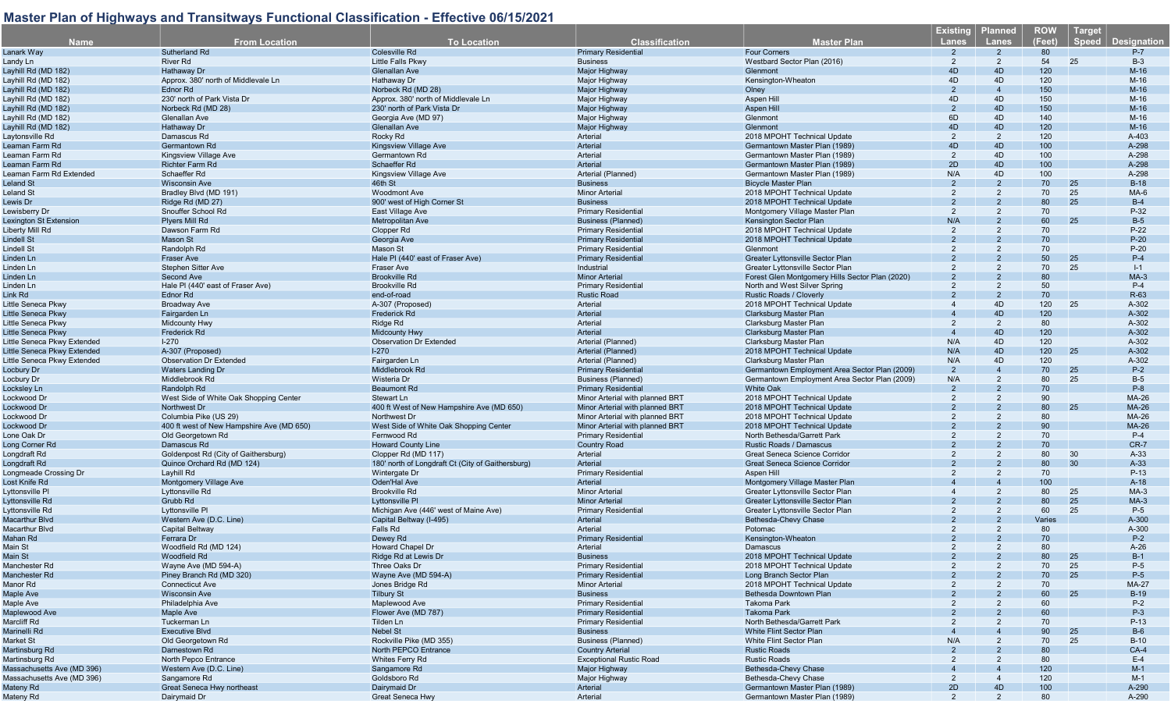| <b>Name</b>                 | <b>From Location</b>                      | <b>To Location</b>                                | <b>Classification</b>                                    | <b>Master Plan</b>                                    | <b>Existing</b><br><b>Lanes</b> | <b>Planned</b><br>Lanes | <b>ROW</b><br>(Feet) | <b>Target</b><br><b>Speed</b> | <b>Designation</b> |
|-----------------------------|-------------------------------------------|---------------------------------------------------|----------------------------------------------------------|-------------------------------------------------------|---------------------------------|-------------------------|----------------------|-------------------------------|--------------------|
| Lanark Way                  | Sutherland Rd                             | <b>Colesville Rd</b>                              | <b>Primary Residential</b>                               | <b>Four Corners</b>                                   | $\overline{2}$                  | 2                       | 80                   |                               | $P-7$              |
| Landy Ln                    | <b>River Rd</b>                           | Little Falls Pkwy                                 | <b>Business</b>                                          | Westbard Sector Plan (2016)                           | 2                               | $\overline{2}$          | 54                   | 25                            | $B-3$              |
| Lavhill Rd (MD 182)         | Hathaway Dr                               | <b>Glenallan Ave</b>                              | Major Highway                                            | Glenmont                                              | 4D                              | 4D                      | 120                  |                               | $M-16$             |
| Layhill Rd (MD 182)         | Approx. 380' north of Middlevale Ln       | Hathaway Dr                                       | Major Highway                                            | Kensington-Wheaton                                    | 4D                              | 4D                      | 120                  |                               | $M-16$             |
| Layhill Rd (MD 182)         | <b>Ednor Rd</b>                           | Norbeck Rd (MD 28)                                | Major Highway                                            | Olney                                                 | 2                               | $\overline{4}$          | 150                  |                               | $M-16$             |
| Layhill Rd (MD 182)         | 230' north of Park Vista Dr               | Approx. 380' north of Middlevale Ln               | Major Highway                                            | Aspen Hill                                            | 4D                              | 4D                      | 150                  |                               | $M-16$             |
| Layhill Rd (MD 182)         | Norbeck Rd (MD 28)                        | 230' north of Park Vista Dr                       | Major Highway                                            | Aspen Hill                                            | 2                               | 4D                      | 150                  |                               | $M-16$             |
| Layhill Rd (MD 182)         | Glenallan Ave                             | Georgia Ave (MD 97)                               | Major Highway                                            | Glenmont                                              | 6D                              | 4D                      | 140                  |                               | $M-16$             |
| Layhill Rd (MD 182)         | Hathaway Dr                               | <b>Glenallan Ave</b>                              | Major Highway                                            | Glenmont                                              | 4D                              | 4D                      | 120                  |                               | $M-16$             |
| Laytonsville Rd             | Damascus Rd                               | Rocky Rd                                          | Arterial                                                 | 2018 MPOHT Technical Update                           | 2                               | $\overline{2}$          | 120                  |                               | A-403              |
| Leaman Farm Rd              | Germantown Rd                             | Kingsview Village Ave                             | Arterial                                                 | Germantown Master Plan (1989)                         | 4D                              | 4D                      | 100                  |                               | A-298              |
| Leaman Farm Rd              | Kingsview Village Ave                     | Germantown Rd                                     | Arterial                                                 | Germantown Master Plan (1989)                         | $\overline{2}$                  | 4D                      | 100                  |                               | A-298              |
| Leaman Farm Rd              | <b>Richter Farm Rd</b>                    | Schaeffer Rd                                      | Arterial                                                 | Germantown Master Plan (1989)                         | 2D                              | 4D                      | 100                  |                               | A-298              |
| Leaman Farm Rd Extended     | Schaeffer Rd                              | Kingsview Village Ave                             | Arterial (Planned)                                       | Germantown Master Plan (1989)                         | N/A                             | 4D                      | 100                  |                               | A-298              |
| Leland St                   | <b>Wisconsin Ave</b>                      | 46th St                                           | <b>Business</b>                                          | <b>Bicycle Master Plan</b>                            |                                 | $\overline{2}$          | 70                   | 25                            | $B-18$             |
| Leland St                   | Bradley Blvd (MD 191)                     | <b>Woodmont Ave</b>                               | <b>Minor Arterial</b>                                    | 2018 MPOHT Technical Update                           | 2                               | $\overline{2}$          | 70                   | 25                            | MA-6               |
| Lewis Dr                    | Ridge Rd (MD 27)                          | 900' west of High Corner St                       | <b>Business</b>                                          | 2018 MPOHT Technical Update                           |                                 |                         | 80                   | 25                            | $B-4$              |
| Lewisberry Dr               | Snouffer School Rd                        | East Village Ave                                  | <b>Primary Residential</b>                               | Montgomery Village Master Plan                        | 2                               | $\overline{2}$          | 70                   |                               | P-32               |
| Lexington St Extension      | Plyers Mill Rd                            | <b>Metropolitan Ave</b>                           | <b>Business (Planned)</b>                                | Kensington Sector Plan                                | N/A                             | $\overline{2}$          | 60                   | 25                            | $B-5$              |
| Liberty Mill Rd             | Dawson Farm Rd                            | Clopper Rd                                        | Primary Residentia                                       | 2018 MPOHT Technical Update                           | 2                               | 2                       | 70                   |                               | $P-22$             |
| <b>Lindell St</b>           | <b>Mason St</b>                           | Georgia Ave                                       | <b>Primary Residential</b>                               | 2018 MPOHT Technical Update                           |                                 |                         | 70                   |                               | $P-20$             |
| Lindell St                  | Randolph Rd                               | Mason St                                          | <b>Primary Residential</b>                               | Glenmont                                              |                                 | 2                       | 70                   |                               | $P-20$             |
| Linden Ln                   | <b>Fraser Ave</b>                         | Hale PI (440' east of Fraser Ave)                 | <b>Primary Residential</b>                               | <b>Greater Lyttonsville Sector Plan</b>               |                                 |                         | 50                   | 25                            | $P-4$              |
| Linden Ln                   | Stephen Sitter Ave                        | <b>Fraser Ave</b>                                 | Industrial                                               | Greater Lyttonsville Sector Plan                      |                                 | 2                       | 70                   | 25                            | $I-1$              |
| Linden Ln                   | <b>Second Ave</b>                         | <b>Brookville Rd</b>                              | <b>Minor Arterial</b>                                    | Forest Glen Montgomery Hills Sector Plan (2020)       |                                 |                         | 80                   |                               | $MA-3$             |
| Linden Ln                   | Hale PI (440' east of Fraser Ave)         | <b>Brookville Rd</b>                              | <b>Primary Residential</b>                               | North and West Silver Spring                          |                                 | 2                       | 50                   |                               | $P-4$              |
| Link Rd                     | Ednor Rd                                  | end-of-road                                       | <b>Rustic Road</b>                                       | Rustic Roads / Cloverly                               |                                 |                         | 70                   |                               | R-63               |
| Little Seneca Pkwy          | <b>Broadway Ave</b>                       | A-307 (Proposed)                                  | Arterial                                                 | 2018 MPOHT Technical Update                           |                                 | 4D                      | 120                  | 25                            | A-302              |
| Little Seneca Pkwy          | Fairgarden Ln                             | <b>Frederick Rd</b>                               | Arterial                                                 | <b>Clarksburg Master Plan</b>                         |                                 | 4D                      | 120                  |                               | A-302              |
| Little Seneca Pkwy          | <b>Midcounty Hwy</b>                      | Ridge Rd                                          | Arterial                                                 | Clarksburg Master Plan                                | $\overline{2}$                  | $\overline{2}$          | 80                   |                               | A-302              |
| Little Seneca Pkwy          | Frederick Rd                              | <b>Midcounty Hwy</b>                              | Arterial                                                 | Clarksburg Master Plan                                | $\overline{4}$                  | 4D                      | 120                  |                               | A-302              |
| Little Seneca Pkwy Extended | $I - 270$                                 | <b>Observation Dr Extended</b>                    | Arterial (Planned)                                       | Clarksburg Master Plan                                | N/A                             | 4D                      | 120                  |                               | A-302              |
| Little Seneca Pkwy Extended | A-307 (Proposed)                          | $1-270$                                           | Arterial (Planned)                                       | 2018 MPOHT Technical Update                           | N/A                             | 4D                      | 120                  | 25                            | A-302              |
| Little Seneca Pkwy Extended | <b>Observation Dr Extended</b>            | Fairgarden Ln                                     | Arterial (Planned)                                       | Clarksburg Master Plan                                | N/A                             | 4D                      | 120                  |                               | A-302              |
| Locbury Dr                  | <b>Waters Landing Dr</b>                  | Middlebrook Rd                                    | <b>Primary Residential</b>                               | Germantown Employment Area Sector Plan (2009)         | $\overline{2}$                  |                         | 70                   | 25                            | $P-2$              |
| Locbury Dr                  | Middlebrook Rd                            | Wisteria Dr                                       | <b>Business (Planned)</b>                                | Germantown Employment Area Sector Plan (2009)         | N/A                             | $\overline{2}$          | 80                   | 25                            | $B-5$              |
| Locksley Ln                 | Randolph Rd                               | <b>Beaumont Ro</b>                                | <b>Primary Residential</b>                               | <b>White Oak</b>                                      | $\mathcal{P}$                   |                         | 70                   |                               | $P-8$              |
| Lockwood Dr                 | West Side of White Oak Shopping Center    | Stewart Ln                                        | Minor Arterial with planned BRT                          | 2018 MPOHT Technical Update                           | 2                               | 2                       | 90                   |                               | MA-26              |
| Lockwood Dr                 | <b>Northwest Dr</b>                       | 400 ft West of New Hampshire Ave (MD 650)         | Minor Arterial with planned BRT                          | 2018 MPOHT Technical Update                           |                                 |                         | 80                   | 25                            | <b>MA-26</b>       |
| Lockwood Dr                 | Columbia Pike (US 29)                     | Northwest Dr                                      | Minor Arterial with planned BRT                          | 2018 MPOHT Technical Update                           |                                 |                         | 80                   |                               | MA-26              |
| Lockwood Dr                 | 400 ft west of New Hampshire Ave (MD 650) | West Side of White Oak Shopping Center            | Minor Arterial with planned BRT                          | 2018 MPOHT Technical Update                           |                                 |                         | 90                   |                               | MA-26              |
| Lone Oak Dr                 | Old Georgetown Rd                         | Fernwood Rd                                       | <b>Primary Residential</b>                               | North Bethesda/Garrett Park                           |                                 |                         | 70                   |                               | $P-4$              |
| Long Corner Ro              | Damascus Rd                               | <b>Howard County Line</b>                         | <b>Country Road</b>                                      | Rustic Roads / Damascus                               |                                 |                         | 70                   |                               | $CR-7$             |
| Longdraft Rd                | Goldenpost Rd (City of Gaithersburg)      | Clopper Rd (MD 117)                               | Arterial                                                 | Great Seneca Science Corridor                         |                                 | 2                       | 80                   | 30                            | $A-33$             |
| Longdraft Rd                | Quince Orchard Rd (MD 124)                | 180' north of Longdraft Ct (City of Gaithersburg) | Arterial                                                 | <b>Great Seneca Science Corridor</b>                  |                                 |                         | 80                   | 30                            | $A-33$             |
| Longmeade Crossing Dr       | Layhill Rd                                | Wintergate Dr                                     | <b>Primary Residential</b>                               | Aspen Hill                                            |                                 |                         | 70                   |                               | $P-13$             |
| Lost Knife Rd               | Montgomery Village Ave                    | Oden'Hal Ave                                      | Arterial                                                 | Montgomery Village Master Plan                        |                                 |                         | 100                  |                               | $A-18$             |
| Lyttonsville Pl             | Lyttonsville Rd                           | <b>Brookville Rd</b>                              | <b>Minor Arterial</b>                                    | <b>Greater Lyttonsville Sector Plan</b>               |                                 | 2                       | 80                   | 25                            | $MA-3$             |
| Lyttonsville Rd             | Grubb Rd                                  | Lyttonsville PI                                   | <b>Minor Arterial</b>                                    | Greater Lyttonsville Sector Plan                      |                                 |                         | 80                   | 25                            | $MA-3$             |
| Lyttonsville Rd             | Lyttonsville PI                           | Michigan Ave (446' west of Maine Ave)             | <b>Primary Residential</b>                               | Greater Lyttonsville Sector Plan                      |                                 | 2                       | 60                   | 25                            | $P-5$              |
| <b>Macarthur Blvd</b>       | Western Ave (D.C. Line)                   | Capital Beltway (I-495)                           | Arterial                                                 | Bethesda-Chevy Chase                                  |                                 |                         | Varies               |                               | A-300              |
| Macarthur Blvd              | <b>Capital Beltway</b>                    | Falls Rd                                          | Arterial                                                 | Potomac                                               |                                 | 2                       | 80                   |                               | A-300              |
| Mahan Rd                    | Ferrara Dr                                | Dewey Rd                                          | <b>Primary Residential</b>                               | Kensington-Wheaton                                    |                                 |                         | 70                   |                               | $P-2$              |
| Main St                     | Woodfield Rd (MD 124)                     | Howard Chapel Dr                                  | Arterial                                                 | <b>Damascus</b>                                       | $\mathcal{P}$                   |                         | 80                   |                               | $A-26$             |
| Main St                     |                                           | Ridge Rd at Lewis Dr                              | <b>Business</b>                                          | 2018 MPOHT Technical Update                           |                                 |                         | 80                   | 25                            | $B-1$              |
| Manchester Rd               | Woodfield Rd<br>Wayne Ave (MD 594-A)      | Three Oaks Dr                                     | <b>Primary Residential</b>                               | 2018 MPOHT Technical Update                           |                                 |                         | 70                   | 25                            | $P-5$              |
|                             |                                           |                                                   | <b>Primary Residential</b>                               | Long Branch Sector Plan                               |                                 |                         | 70                   | 25                            |                    |
| Manchester Rd               | Piney Branch Rd (MD 320)                  | Wayne Ave (MD 594-A)<br>Jones Bridge Rd           |                                                          |                                                       |                                 |                         |                      |                               | $P-5$              |
| Manor Rd                    | <b>Connecticut Ave</b>                    |                                                   | <b>Minor Arterial</b><br><b>Business</b>                 | 2018 MPOHT Technical Update<br>Bethesda Downtown Plan |                                 |                         | 70                   |                               | <b>MA-27</b>       |
| Maple Ave                   | <b>Wisconsin Ave</b>                      | <b>Tilbury St</b>                                 |                                                          |                                                       |                                 |                         | 60                   | 25                            | $B-19$             |
| Maple Ave                   | Philadelphia Ave                          | Maplewood Ave                                     | <b>Primary Residential</b><br><b>Primary Residential</b> | Takoma Park<br><b>Takoma Park</b>                     |                                 |                         | 60                   |                               | $P-2$              |
| Maplewood Ave               | Maple Ave                                 | Flower Ave (MD 787)                               |                                                          | North Bethesda/Garrett Park                           |                                 |                         | 60                   |                               | $P-3$              |
| Marcliff Rd                 | Tuckerman Ln                              | Tilden Ln                                         | <b>Primary Residential</b>                               |                                                       |                                 |                         | 70                   |                               | $P-13$             |
| Marinelli Rd                | Executive Blvd                            | Nebel St                                          | <b>Business</b>                                          | White Flint Sector Plan                               |                                 |                         | 90                   | 25                            | $B-6$              |
| Market St                   | Old Georgetown Rd                         | Rockville Pike (MD 355)                           | <b>Business (Planned)</b>                                | White Flint Sector Plan                               | N/A                             |                         | 70                   | 25                            | $B-10$             |
| Martinsburg Rd              | Darnestown Rd                             | North PEPCO Entrance                              | <b>Country Arterial</b>                                  | <b>Rustic Roads</b>                                   |                                 |                         | 80                   |                               | $CA-4$             |
| Martinsburg Rd              | North Pepco Entrance                      | Whites Ferry Rd                                   | <b>Exceptional Rustic Road</b>                           | <b>Rustic Roads</b>                                   | 2                               |                         | 80                   |                               | $E-4$              |
| Massachusetts Ave (MD 396)  | Western Ave (D.C. Line)                   | Sangamore Rd                                      | Major Highway                                            | Bethesda-Chevy Chase                                  |                                 |                         | 120                  |                               | $M-1$              |
| Massachusetts Ave (MD 396)  | Sangamore Rd                              | Goldsboro Rd                                      | Major Highway                                            | Bethesda-Chevy Chase                                  | $\overline{2}$                  |                         | 120                  |                               | $M-1$              |
| Mateny Rd                   | Great Seneca Hwy northeast                | Dairymaid Dr                                      | Arterial                                                 | Germantown Master Plan (1989)                         | 2D                              | 4D                      | 100                  |                               | A-290              |
| Mateny Rd                   | Dairymaid Dr                              | Great Seneca Hwy                                  | Arterial                                                 | Germantown Master Plan (1989)                         | 2                               | $\overline{2}$          | 80                   |                               | A-290              |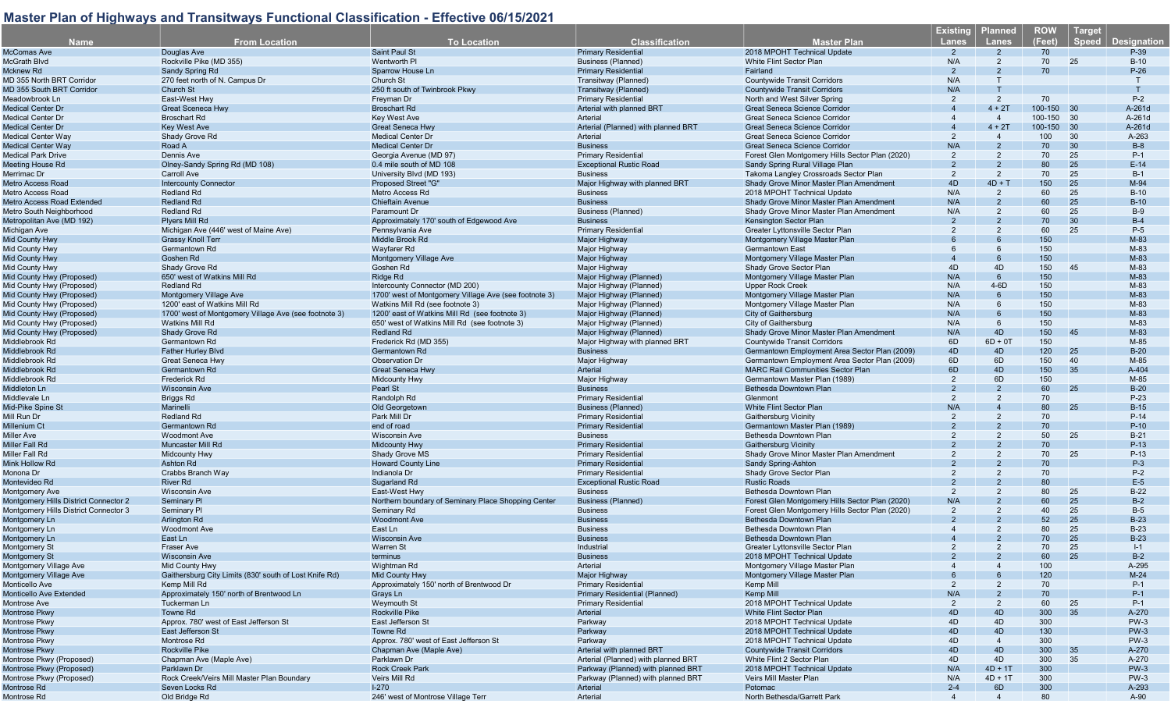| <b>Name</b>                                            | <b>From Location</b>                                   | <b>To Location</b>                                    | <b>Classification</b>                              | Master Plan                                               | <b>Existing</b><br><b>Lanes</b> | <b>Planned</b><br><b>Lanes</b> | <b>ROW</b><br>(Feet) | Target<br>Speed<br><b>Designation</b> |
|--------------------------------------------------------|--------------------------------------------------------|-------------------------------------------------------|----------------------------------------------------|-----------------------------------------------------------|---------------------------------|--------------------------------|----------------------|---------------------------------------|
| <b>McComas Ave</b>                                     | Douglas Ave                                            | Saint Paul St                                         | <b>Primary Residentia</b>                          | 2018 MPOHT Technical Update                               | $\overline{2}$                  | $\overline{2}$                 | 70                   | P-39                                  |
| McGrath Blvd                                           | Rockville Pike (MD 355)                                | <b>Wentworth PI</b>                                   | <b>Business (Planned)</b>                          | White Flint Sector Plan                                   | N/A                             | 2                              | 70                   | 25<br>$B-10$                          |
| Mcknew Rd                                              | Sandy Spring Rd                                        | Sparrow House Ln                                      | <b>Primary Residential</b>                         | Fairland                                                  | 2                               |                                | 70                   | $P-26$                                |
| MD 355 North BRT Corridor                              | 270 feet north of N. Campus Dr                         | Church St                                             | Transitway (Planned)                               | <b>Countywide Transit Corridors</b>                       | N/A                             | $\mathsf{T}$                   |                      |                                       |
| MD 355 South BRT Corridor                              | Church St                                              | 250 ft south of Twinbrook Pkwy                        | Transitway (Planned)                               | <b>Countywide Transit Corridors</b>                       | N/A                             | T                              |                      |                                       |
| Meadowbrook Ln                                         | East-West Hwy                                          | Freyman Dr                                            | <b>Primary Residential</b>                         | North and West Silver Spring                              | 2                               | $\overline{2}$                 | 70                   | $P-2$                                 |
| <b>Medical Center Dr</b>                               | <b>Great Sceneca Hwy</b>                               | <b>Broschart Rd</b>                                   | Arterial with planned BRT                          | <b>Great Seneca Science Corridor</b>                      | $\overline{4}$                  | $4 + 2T$                       | 100-150              | 30<br>A-261d                          |
| <b>Medical Center Dr</b>                               | <b>Broschart Rd</b>                                    | Key West Ave                                          | Arterial                                           | Great Seneca Science Corridor                             |                                 | $\overline{4}$                 | 100-150 30           | A-261d                                |
| <b>Medical Center Dr</b>                               | <b>Key West Ave</b>                                    | Great Seneca Hwy                                      | Arterial (Planned) with planned BRT                | <b>Great Seneca Science Corridor</b>                      |                                 | $4 + 2T$                       | 100-150 30           | A-261d                                |
| <b>Medical Center Way</b>                              | Shady Grove Rd                                         | <b>Medical Center Dr</b>                              | Arterial                                           | Great Seneca Science Corridor                             | 2                               |                                | 100                  | 30<br>A-263                           |
| <b>Medical Center Way</b>                              | Road A                                                 | <b>Medical Center Dr</b>                              | <b>Business</b>                                    | <b>Great Seneca Science Corridor</b>                      | N/A                             | $\mathcal{P}$                  | 70                   | 30<br>$B-8$                           |
| <b>Medical Park Drive</b>                              | Dennis Ave                                             | Georgia Avenue (MD 97)                                | <b>Primary Residential</b>                         | Forest Glen Montgomery Hills Sector Plan (2020)           | $\overline{2}$                  | $\overline{2}$                 | 70                   | 25<br>$P-1$                           |
| <b>Meeting House Rd</b>                                | Olney-Sandy Spring Rd (MD 108)                         | 0.4 mile south of MD 108                              | <b>Exceptional Rustic Road</b>                     | Sandy Spring Rural Village Plan                           | 2                               | $\overline{2}$                 | 80                   | 25<br>$E-14$                          |
| Merrimac Dr                                            | Carroll Ave                                            | University Blvd (MD 193)                              | <b>Business</b>                                    | Takoma Langley Crossroads Sector Plan                     | $\overline{2}$                  | $\overline{2}$                 | 70                   | 25<br>$B-1$                           |
| <b>Metro Access Road</b>                               | <b>Intercounty Connector</b>                           | Proposed Street "G"                                   | Major Highway with planned BRT                     | Shady Grove Minor Master Plan Amendment                   | 4 <sub>D</sub>                  | $4D + T$                       | 150                  | 25<br>M-94                            |
| <b>Metro Access Road</b>                               | <b>Redland Rd</b>                                      | Metro Access Rd                                       | <b>Business</b>                                    | 2018 MPOHT Technical Update                               | N/A                             | $\overline{2}$                 | 60                   | 25<br>$B-10$                          |
| <b>Metro Access Road Extended</b>                      | <b>Redland Rd</b>                                      | <b>Chieftain Avenue</b>                               | <b>Business</b>                                    | Shady Grove Minor Master Plan Amendment                   | N/A                             |                                | 60                   | 25<br>$B-10$                          |
| Metro South Neighborhood                               | <b>Redland Rd</b>                                      | Paramount Dr                                          | Business (Planned)                                 | Shady Grove Minor Master Plan Amendment                   | N/A                             | $\overline{2}$                 | 60                   | 25<br>$B-9$                           |
| Metropolitan Ave (MD 192)                              | <b>Plyers Mill Rd</b>                                  | Approximately 170' south of Edgewood Ave              | <b>Business</b>                                    | Kensington Sector Plan                                    | $\overline{2}$                  | $\overline{2}$                 | 70                   | 30<br>$B-4$                           |
| Michigan Ave                                           | Michigan Ave (446' west of Maine Ave)                  | Pennsylvania Ave                                      | <b>Primary Residential</b>                         | Greater Lyttonsville Sector Plan                          | $\mathcal{P}$                   | 2                              | 60                   | 25<br>$P-5$                           |
| Mid County Hwy                                         | <b>Grassy Knoll Terr</b>                               | Middle Brook Rd                                       | Major Highway                                      | Montgomery Village Master Plan                            |                                 |                                | 150                  | M-83                                  |
| Mid County Hwy                                         | Germantown Rd                                          | Wayfarer Rd                                           | Major Highway                                      | <b>Germantown East</b>                                    | 6                               | 6                              | 150                  | M-83                                  |
|                                                        | Goshen Rd                                              | <b>Montgomery Village Ave</b>                         | Major Highway                                      | Montgomery Village Master Plan                            |                                 |                                | 150                  | M-83                                  |
| Mid County Hwy<br>Mid County Hwy                       | Shady Grove Rd                                         | Goshen Rd                                             | Major Highway                                      | Shady Grove Sector Plan                                   | 4D                              | 4D                             | 150                  | 45<br>M-83                            |
| Mid County Hwy (Proposed)                              |                                                        |                                                       |                                                    |                                                           | N/A                             | $6\phantom{1}$                 | 150                  | M-83                                  |
|                                                        | 650' west of Watkins Mill Rd<br><b>Redland Rd</b>      | Ridge Rd                                              | Major Highway (Planned)                            | Montgomery Village Master Plan<br><b>Upper Rock Creek</b> | N/A                             | $4-6D$                         | 150                  | M-83                                  |
| Mid County Hwy (Proposed)<br>Mid County Hwy (Proposed) |                                                        | Intercounty Connector (MD 200)                        | Major Highway (Planned)                            |                                                           | N/A                             | $6\overline{6}$                | 150                  | M-83                                  |
|                                                        | Montgomery Village Ave                                 | 1700' west of Montgomery Village Ave (see footnote 3) | Major Highway (Planned)                            | Montgomery Village Master Plan                            |                                 | 6                              |                      |                                       |
| Mid County Hwy (Proposed)                              | 1200' east of Watkins Mill Rd                          | Watkins Mill Rd (see footnote 3)                      | Major Highway (Planned)<br>Major Highway (Planned) | Montgomery Village Master Plan                            | N/A<br>N/A                      |                                | 150<br>150           | M-83<br>M-83                          |
| Mid County Hwy (Proposed)                              | 1700' west of Montgomery Village Ave (see footnote 3)  | 1200' east of Watkins Mill Rd (see footnote 3)        |                                                    | City of Gaithersburg                                      |                                 |                                |                      |                                       |
| Mid County Hwy (Proposed)                              | <b>Watkins Mill Rd</b>                                 | 650' west of Watkins Mill Rd (see footnote 3)         | Major Highway (Planned)                            | City of Gaithersburg                                      | N/A                             | 6                              | 150                  | M-83                                  |
| Mid County Hwy (Proposed)                              | <b>Shady Grove Rd</b>                                  | <b>Redland Rd</b>                                     | Major Highway (Planned)                            | Shady Grove Minor Master Plan Amendment                   | N/A                             | 4D                             | 150                  | M-83<br>45                            |
| Middlebrook Rd                                         | Germantown Rd                                          | Frederick Rd (MD 355)                                 | Maior Highway with planned BRT                     | <b>Countywide Transit Corridors</b>                       | 6D                              | $6D + OT$                      | 150                  | M-85                                  |
| Middlebrook Rd                                         | <b>Father Hurley Blvd</b>                              | Germantown Rd                                         | <b>Business</b>                                    | Germantown Employment Area Sector Plan (2009)             | 4D                              | 4D                             | 120                  | 25<br>$B-20$                          |
| Middlebrook Rd                                         | <b>Great Seneca Hwy</b>                                | <b>Observation Dr</b>                                 | Major Highway                                      | Germantown Employment Area Sector Plan (2009)             | 6D                              | 6D                             | 150                  | 40<br>M-85                            |
| Middlebrook Rd                                         | Germantown Rd                                          | <b>Great Seneca Hwy</b>                               | Arterial                                           | <b>MARC Rail Communities Sector Plan</b>                  | 6D                              | 4D                             | 150                  | 35<br>A-404                           |
| Middlebrook Rd                                         | <b>Frederick Rd</b>                                    | <b>Midcounty Hwy</b>                                  | Major Highway                                      | Germantown Master Plan (1989)                             | 2                               | 6D                             | 150                  | M-85                                  |
| Middleton Ln                                           | <b>Wisconsin Ave</b>                                   | Pearl St                                              | <b>Business</b>                                    | Bethesda Downtown Plan                                    | $\mathfrak{p}$                  | $\mathcal{P}$                  | 60                   | 25<br>$B-20$                          |
| Middlevale Ln                                          | Briggs Rd                                              | Randolph Rd                                           | <b>Primary Residential</b>                         | Glenmont                                                  | 2                               | 2                              | 70                   | $P-23$                                |
| Mid-Pike Spine St                                      | Marinelli                                              | Old Georgetown                                        | <b>Business (Planned)</b>                          | White Flint Sector Plan                                   | N/A                             |                                | 80                   | $B-15$<br>25                          |
| Mill Run Dr                                            | <b>Redland Rd</b>                                      | Park Mill Dr                                          | <b>Primary Residential</b>                         | Gaithersburg Vicinity                                     | $\overline{2}$                  | $\overline{2}$                 | 70                   | $P-14$                                |
| Millenium Ct                                           | Germantown Rd                                          | end of road                                           | <b>Primary Residential</b>                         | Germantown Master Plan (1989)                             |                                 |                                | 70                   | $P-10$                                |
| <b>Miller Ave</b>                                      | <b>Woodmont Ave</b>                                    | <b>Wisconsin Ave</b>                                  | <b>Business</b>                                    | Bethesda Downtown Plan                                    |                                 | $\overline{2}$                 | 50                   | 25<br>$B-21$                          |
| Miller Fall Rd                                         | <b>Muncaster Mill Ro</b>                               | <b>Midcounty Hwy</b>                                  | <b>Primary Residential</b>                         | <b>Gaithersburg Vicinity</b>                              |                                 |                                | 70                   | $P-13$                                |
| Miller Fall Rd                                         | <b>Midcounty Hwy</b>                                   | Shady Grove MS                                        | <b>Primary Residential</b>                         | Shady Grove Minor Master Plan Amendment                   |                                 | 2                              | 70                   | 25<br>$P-13$                          |
| Mink Hollow Rd                                         | Ashton Rd                                              | <b>Howard County Line</b>                             | <b>Primary Residential</b>                         | <b>Sandy Spring-Ashton</b>                                |                                 |                                | 70                   | $P-3$                                 |
| Monona Dr                                              | Crabbs Branch Way                                      | Indianola Dr                                          | <b>Primary Residential</b>                         | Shady Grove Sector Plan                                   |                                 |                                | 70                   | $P-2$                                 |
| Montevideo Rd                                          | River Rd                                               | Sugarland Rd                                          | <b>Exceptional Rustic Road</b>                     | <b>Rustic Roads</b>                                       |                                 |                                | 80                   | $E-5$                                 |
| <b>Montgomery Ave</b>                                  | <b>Wisconsin Ave</b>                                   | East-West Hwy                                         | <b>Business</b>                                    | Bethesda Downtown Plan                                    | 2                               | 2                              | 80                   | 25<br>$B-22$                          |
| Montgomery Hills District Connector 2                  | <b>Seminary PI</b>                                     | Northern boundary of Seminary Place Shopping Center   | <b>Business (Planned)</b>                          | Forest Glen Montgomery Hills Sector Plan (2020)           | N/A                             |                                | 60                   | 25<br>$B-2$                           |
| Montgomery Hills District Connector 3                  | Seminary Pl                                            | Seminary Rd                                           | <b>Business</b>                                    | Forest Glen Montgomery Hills Sector Plan (2020)           | 2                               | 2                              | 40                   | 25<br>$B-5$                           |
| Montgomery Ln                                          | <b>Arlington Rd</b>                                    | <b>Woodmont Ave</b>                                   | <b>Business</b>                                    | Bethesda Downtown Plan                                    |                                 |                                | 52                   | 25<br>$B-23$                          |
| Montgomery Ln                                          | <b>Woodmont Ave</b>                                    | East Ln                                               | <b>Business</b>                                    | Bethesda Downtown Plan                                    |                                 | $\overline{2}$                 | 80                   | 25<br>$B-23$                          |
| Montgomery Ln                                          | East Ln                                                | <b>Wisconsin Ave</b>                                  | <b>Business</b>                                    | Bethesda Downtown Plan                                    |                                 |                                | 70                   | 25<br>$B-23$                          |
| Montgomery St                                          | <b>Fraser Ave</b>                                      | <b>Warren St</b>                                      | Industrial                                         | Greater Lyttonsville Sector Plan                          | $\mathcal{P}$                   | $\mathcal{P}$                  | 70                   | 25<br>$I-1$                           |
| <b>Montgomery St</b>                                   | <b>Wisconsin Ave</b>                                   | terminus                                              | <b>Business</b>                                    | 2018 MPOHT Technical Update                               |                                 |                                | 60                   | 25<br>$B-2$                           |
| Montgomery Village Ave                                 | Mid County Hwy                                         | Wightman Rd                                           | Arterial                                           | Montgomery Village Master Plan                            |                                 |                                | 100                  | A-295                                 |
| Montgomery Village Ave                                 | Gaithersburg City Limits (830' south of Lost Knife Rd) | <b>Mid County Hwy</b>                                 | Major Highway                                      | Montgomery Village Master Plan                            |                                 |                                | 120                  | $M-24$                                |
| Monticello Ave                                         | Kemp Mill Rd                                           | Approximately 150' north of Brentwood Dr              | <b>Primary Residential</b>                         | Kemp Mill                                                 |                                 |                                | 70                   | P-1                                   |
| Monticello Ave Extended                                | Approximately 150' north of Brentwood Ln               | Grays Ln                                              | Primary Residential (Planned)                      | Kemp Mill                                                 | N/A                             |                                | 70                   | $P-1$                                 |
| Montrose Ave                                           | Tuckerman Ln                                           | Weymouth St                                           | <b>Primary Residential</b>                         | 2018 MPOHT Technical Update                               | 2                               | 2                              | 60                   | 25<br>$P-1$                           |
| <b>Montrose Pkwy</b>                                   | Towne Rd                                               | <b>Rockville Pike</b>                                 | Arterial                                           | White Flint Sector Plan                                   | 4D                              | 4D                             | 300                  | 35<br>A-270                           |
| <b>Montrose Pkwy</b>                                   | Approx. 780' west of East Jefferson St                 | East Jefferson St                                     | Parkway                                            | 2018 MPOHT Technical Update                               | 4D                              | 4D                             | 300                  | $PW-3$                                |
| <b>Montrose Pkwy</b>                                   | East Jefferson St                                      | Towne Rd                                              | Parkway                                            | 2018 MPOHT Technical Update                               | 4D                              | 4D                             | 130                  | $PW-3$                                |
| Montrose Pkwy                                          | Montrose Rd                                            | Approx, 780' west of East Jefferson St                | Parkway                                            | 2018 MPOHT Technical Update                               | 4D                              | $\overline{4}$                 | 300                  | $PW-3$                                |
| <b>Montrose Pkwy</b>                                   | <b>Rockville Pike</b>                                  | Chapman Ave (Maple Ave)                               | Arterial with planned BRT                          | <b>Countywide Transit Corridors</b>                       | 4D                              | 4D                             | 300                  | 35<br>A-270                           |
| Montrose Pkwy (Proposed)                               | Chapman Ave (Maple Ave)                                | Parklawn Dr                                           | Arterial (Planned) with planned BRT                | White Flint 2 Sector Plan                                 | 4D                              | 4D                             | 300                  | 35<br>A-270                           |
| Montrose Pkwy (Proposed)                               | Parklawn Dr                                            | <b>Rock Creek Park</b>                                | Parkway (Planned) with planned BRT                 | 2018 MPOHT Technical Update                               | N/A                             | $4D + 1T$                      | 300                  | $PW-3$                                |
| Montrose Pkwy (Proposed)                               | Rock Creek/Veirs Mill Master Plan Boundary             | <b>Veirs Mill Rd</b>                                  | Parkway (Planned) with planned BRT                 | Veirs Mill Master Plan                                    | N/A                             | $4D + 1T$                      | 300                  | $PW-3$                                |
| Montrose Rd                                            | Seven Locks Rd                                         | $1-270$                                               | Arterial                                           | Potomac                                                   | $2 - 4$                         | 6D                             | 300                  | A-293                                 |
| Montrose Rd                                            | Old Bridge Rd                                          | 246' west of Montrose Village Terr                    | Arterial                                           | North Bethesda/Garrett Park                               | $\overline{\mathcal{A}}$        | $\overline{4}$                 | 80                   | A-90                                  |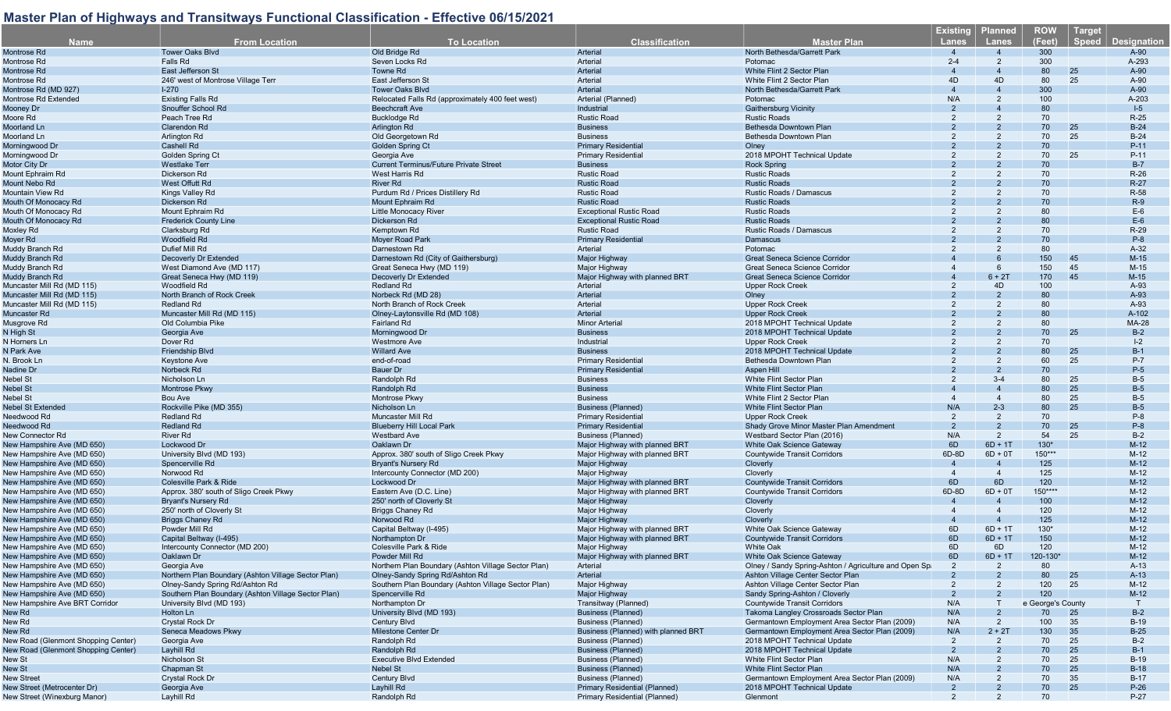| <b>Name</b>                                              | <b>From Location</b>                                | <b>To Location</b>                                  | <b>Classification</b>                           | <b>Master Plan</b>                                     | <u> Existing</u><br><b>Lanes</b> | <b>Planned</b><br>Lanes | <b>ROW</b><br>(Feet) | <b>Target</b><br><b>Speed</b> | <b>Designation</b> |
|----------------------------------------------------------|-----------------------------------------------------|-----------------------------------------------------|-------------------------------------------------|--------------------------------------------------------|----------------------------------|-------------------------|----------------------|-------------------------------|--------------------|
| Montrose Rd                                              | <b>Tower Oaks Blvd</b>                              | Old Bridge Rd                                       | Arterial                                        | North Bethesda/Garrett Park                            | $\overline{4}$                   |                         | 300                  |                               | $A-90$             |
| Montrose Rd                                              | Falls Rd                                            | Seven Locks Rd                                      | Arterial                                        | Potomac                                                | $2 - 4$                          | 2                       | 300                  |                               | A-293              |
| Montrose Rd                                              | East Jefferson St                                   | Towne Rd                                            | Arterial                                        | White Flint 2 Sector Plan                              |                                  |                         | 80                   | 25                            | A-90               |
| Montrose Rd                                              | 246' west of Montrose Village Terr                  | East Jefferson St                                   | Arterial                                        | White Flint 2 Sector Plan                              | 4D                               | 4D                      | 80                   | 25                            | A-90               |
| Montrose Rd (MD 927)                                     | $I - 270$                                           | <b>Tower Oaks Blvd</b>                              | Arterial                                        | North Bethesda/Garrett Park                            | $\mathbf{A}$                     |                         | 300                  |                               | A-90               |
| Montrose Rd Extended                                     | <b>Existing Falls Rd</b>                            | Relocated Falls Rd (approximately 400 feet west)    | Arterial (Planned)                              | Potomac                                                | N/A                              | 2                       | 100                  |                               | A-203              |
| Mooney Dr                                                | Snouffer School Rd                                  | <b>Beechcraft Ave</b>                               | Industrial                                      | <b>Gaithersburg Vicinity</b>                           |                                  |                         | 80                   |                               | $1-5$              |
| Moore Rd                                                 | Peach Tree Rd                                       | <b>Bucklodge Rd</b>                                 | <b>Rustic Road</b>                              | <b>Rustic Roads</b>                                    |                                  |                         | 70                   |                               | $R-25$             |
| Moorland Ln                                              | <b>Clarendon Rd</b>                                 | Arlington Rd                                        | <b>Business</b>                                 | Bethesda Downtown Plan                                 |                                  |                         | 70                   | 25                            | $B-24$             |
| Moorland Ln                                              | Arlington Rd                                        | Old Georgetown Rd                                   | <b>Business</b>                                 | Bethesda Downtown Plan                                 |                                  |                         | 70                   | 25                            | $B-24$             |
| Morningwood Dr                                           | Cashell Rd                                          | Golden Spring Ct                                    | <b>Primary Residential</b>                      | Olney                                                  |                                  |                         | 70                   |                               | $P-11$             |
| Morningwood Dr                                           | Golden Spring Ct                                    | Georgia Ave                                         | <b>Primary Residential</b>                      | 2018 MPOHT Technical Update                            |                                  |                         | 70                   | 25                            | P-11               |
| Motor City Dr                                            | <b>Westlake Terr</b>                                | <b>Current Terminus/Future Private Street</b>       | <b>Business</b>                                 | <b>Rock Spring</b>                                     |                                  |                         | 70                   |                               | $B-7$              |
| Mount Ephraim Rd                                         | Dickerson Rd                                        | West Harris Rd                                      | <b>Rustic Road</b>                              | <b>Rustic Roads</b>                                    |                                  |                         | 70                   |                               | $R-26$             |
| Mount Nebo Rd                                            | West Offutt Rd                                      | <b>River Rd</b>                                     | <b>Rustic Road</b>                              | <b>Rustic Roads</b>                                    |                                  |                         | 70                   |                               | $R-27$             |
| Mountain View Rd                                         | Kings Valley Rd                                     | Purdum Rd / Prices Distillery Rd                    | <b>Rustic Road</b>                              | Rustic Roads / Damascus                                |                                  |                         | 70                   |                               | R-58               |
| Mouth Of Monocacy Rd                                     | Dickerson Rd                                        | Mount Ephraim Rd                                    | <b>Rustic Road</b>                              | <b>Rustic Roads</b>                                    |                                  |                         | 70                   |                               | $R-9$              |
| Mouth Of Monocacy Rd                                     | Mount Ephraim Rd                                    | <b>Little Monocacy River</b>                        | <b>Exceptional Rustic Road</b>                  | <b>Rustic Roads</b>                                    |                                  |                         | 80                   |                               | $E-6$              |
| Mouth Of Monocacy Rd                                     | <b>Frederick County Line</b>                        | Dickerson Rd                                        | <b>Exceptional Rustic Road</b>                  | <b>Rustic Roads</b>                                    |                                  |                         | 80                   |                               | $E-6$              |
| Moxley Rd                                                | Clarksburg Rd                                       | Kemptown Rd                                         | <b>Rustic Road</b>                              | Rustic Roads / Damascus                                |                                  |                         | 70                   |                               | $R-29$             |
| Moyer Rd                                                 | Woodfield Rd                                        | Moyer Road Park                                     | <b>Primary Residential</b>                      | Damascus                                               |                                  |                         | 70                   |                               | $P-8$              |
| Muddy Branch Rd                                          | Dufief Mill Rd                                      | Darnestown Rd                                       | Arterial                                        | Potomac                                                |                                  |                         | 80                   |                               | $A-32$             |
| Muddy Branch Rd                                          | Decoverly Dr Extended                               | Darnestown Rd (City of Gaithersburg)                | <b>Major Highway</b>                            | Great Seneca Science Corridor                          |                                  |                         | 150                  | 45                            | $M-15$             |
| Muddy Branch Rd                                          | West Diamond Ave (MD 117)                           | Great Seneca Hwy (MD 119)                           | Major Highway                                   | Great Seneca Science Corridor                          |                                  | -6                      | 150                  | 45                            | $M-15$             |
| Muddy Branch Rd                                          | Great Seneca Hwy (MD 119)                           | Decoverly Dr Extended                               | Major Highway with planned BRT                  | <b>Great Seneca Science Corridor</b>                   |                                  | $6 + 2T$                | 170                  | 45                            | $M-15$             |
| Muncaster Mill Rd (MD 115)                               | Woodfield Rd                                        | <b>Redland Rd</b>                                   | Arterial                                        | <b>Upper Rock Creek</b>                                |                                  | 4D                      | 100                  |                               | A-93               |
| Muncaster Mill Rd (MD 115)                               | North Branch of Rock Creek                          | Norbeck Rd (MD 28)                                  | Arterial                                        | Olney                                                  |                                  |                         | 80                   |                               | A-93               |
| Muncaster Mill Rd (MD 115)                               | <b>Redland Rd</b>                                   | North Branch of Rock Creek                          | Arterial                                        | <b>Upper Rock Creek</b>                                | 2                                | $\overline{2}$          | 80                   |                               | A-93               |
| Muncaster Rd                                             | Muncaster Mill Rd (MD 115)                          | Olney-Laytonsville Rd (MD 108)                      | <b>Arterial</b>                                 | <b>Upper Rock Creek</b>                                |                                  |                         | 80                   |                               | A-102              |
| Musgrove Rd                                              | Old Columbia Pike                                   | Fairland Rd                                         | <b>Minor Arterial</b>                           | 2018 MPOHT Technical Update                            |                                  |                         | 80                   |                               | MA-28              |
| N High St                                                | Georgia Ave                                         | Morningwood Dr                                      | <b>Business</b>                                 | 2018 MPOHT Technical Update                            |                                  |                         | 70                   | 25                            | $B-2$              |
| N Horners Ln                                             | Dover Rd                                            | <b>Westmore Ave</b>                                 | Industrial                                      | <b>Upper Rock Creek</b>                                |                                  |                         | 70                   |                               | $I-2$              |
| N Park Ave                                               | <b>Friendship Blvd</b>                              | <b>Willard Ave</b>                                  | <b>Business</b>                                 | 2018 MPOHT Technical Update                            |                                  |                         | 80                   | 25                            | $B-1$              |
| N. Brook Ln                                              | <b>Keystone Ave</b>                                 | end-of-road                                         | <b>Primary Residential</b>                      | Bethesda Downtown Plan                                 |                                  | $\overline{2}$          | 60                   | 25                            | $P-7$              |
| Nadine Dr                                                | Norbeck Rd                                          | Bauer Dr                                            | <b>Primary Residential</b>                      | Aspen Hill                                             |                                  |                         | 70                   |                               | $P-5$              |
| Nebel St                                                 | Nicholson Ln                                        | Randolph Rd                                         | <b>Business</b>                                 | White Flint Sector Plan                                | 2                                | $3 - 4$                 | 80                   | 25                            | $B-5$              |
| <b>Nebel St</b>                                          | Montrose Pkwy                                       | Randolph Rd                                         | <b>Business</b>                                 | <b>White Flint Sector Plan</b>                         |                                  |                         | 80                   | 25                            | $B-5$              |
| Nebel St                                                 | Bou Ave                                             | Montrose Pkwy                                       | <b>Business</b>                                 | White Flint 2 Sector Plan                              | $\overline{4}$                   | $\overline{4}$          | 80                   | 25                            | $B-5$              |
| <b>Nebel St Extended</b>                                 | Rockville Pike (MD 355)                             | Nicholson Ln                                        | <b>Business (Planned)</b>                       | <b>White Flint Sector Plan</b>                         | N/A                              | $2 - 3$                 | 80                   | 25                            | $B-5$              |
| Needwood Rd                                              | <b>Redland Rd</b>                                   | <b>Muncaster Mill Rd</b>                            | <b>Primary Residential</b>                      | Upper Rock Creek                                       | $\overline{2}$                   | 2                       | 70                   |                               | $P-8$              |
| Needwood Rd                                              | <b>Redland Rd</b>                                   | <b>Blueberry Hill Local Park</b>                    | <b>Primary Residential</b>                      | Shady Grove Minor Master Plan Amendment                | $\overline{2}$                   | $\overline{2}$          | 70                   | 25                            | $P-8$              |
| New Connector Rd                                         | <b>River Rd</b>                                     | <b>Westbard Ave</b>                                 | <b>Business (Planned)</b>                       | Westbard Sector Plan (2016)                            | N/A                              | 2                       | 54                   | 25                            | $B-2$              |
| New Hampshire Ave (MD 650)                               | Lockwood Dr                                         | Oaklawn Dr                                          | Major Highway with planned BRT                  | White Oak Science Gateway                              | 6D                               | $6D + 1T$               | 130*                 |                               | $M-12$             |
| New Hampshire Ave (MD 650)                               | University Blvd (MD 193)                            | Approx. 380' south of Sligo Creek Pkwy              | Major Highway with planned BRT                  | <b>Countywide Transit Corridors</b>                    | 6D-8D                            | $6D + 0T$               | $150***$             |                               | $M-12$             |
| New Hampshire Ave (MD 650)                               | Spencerville Rd                                     | <b>Bryant's Nursery Rd</b>                          | Major Highway                                   | Cloverly                                               | $\overline{\mathcal{A}}$         | $\overline{\bf{4}}$     | 125                  |                               | $M-12$             |
| New Hampshire Ave (MD 650)                               | Norwood Rd<br>Colesville Park & Ride                | Intercounty Connector (MD 200)<br>Lockwood Dr       | Major Highway<br>Major Highway with planned BRT | Cloverly<br><b>Countywide Transit Corridors</b>        | 6D                               | 6D                      | 125<br>120           |                               | $M-12$<br>$M-12$   |
| New Hampshire Ave (MD 650)                               | Approx, 380' south of Sligo Creek Pkwy              | Eastern Ave (D.C. Line)                             | Major Highway with planned BRT                  | <b>Countywide Transit Corridors</b>                    | 6D-8D                            | $6D + 0T$               | $150***$             |                               | $M-12$             |
| New Hampshire Ave (MD 650)                               | <b>Bryant's Nursery Rd</b>                          | 250' north of Cloverly St                           |                                                 |                                                        |                                  |                         | 100                  |                               | $M-12$             |
| New Hampshire Ave (MD 650)<br>New Hampshire Ave (MD 650) | 250' north of Cloverly St                           | Briggs Chaney Rd                                    | Major Highway<br>Major Highway                  | Cloverly<br>Cloverly                                   | $\boldsymbol{4}$                 | $\overline{4}$          | 120                  |                               | $M-12$             |
| New Hampshire Ave (MD 650)                               | <b>Briggs Chaney Rd</b>                             | Norwood Rd                                          | <b>Major Highway</b>                            | Cloverly                                               |                                  |                         | 125                  |                               | $M-12$             |
| New Hampshire Ave (MD 650)                               | Powder Mill Rd                                      | Capital Beltway (I-495)                             | Major Highway with planned BRT                  | White Oak Science Gateway                              | 6D                               | $6D + 1T$               | 130*                 |                               | $M-12$             |
| New Hampshire Ave (MD 650)                               | Capital Beltway (I-495)                             | Northampton Dr                                      | Major Highway with planned BRT                  | <b>Countywide Transit Corridors</b>                    | 6D                               | $6D + 1T$               | 150                  |                               | $M-12$             |
| New Hampshire Ave (MD 650)                               | Intercounty Connector (MD 200)                      | Colesville Park & Ride                              | Major Highway                                   | White Oak                                              | 6D                               | 6D                      | 120                  |                               | $M-12$             |
| New Hampshire Ave (MD 650)                               | Oaklawn Dr                                          | Powder Mill Rd                                      | Major Highway with planned BRT                  | White Oak Science Gateway                              | 6D                               | $6D + 1T$               | 120-130*             |                               | $M-12$             |
| New Hampshire Ave (MD 650)                               | Georgia Ave                                         | Northern Plan Boundary (Ashton Village Sector Plan) | Arterial                                        | Olney / Sandy Spring-Ashton / Agriculture and Open Sp. |                                  |                         | 80                   |                               | $A-13$             |
| New Hampshire Ave (MD 650)                               | Northern Plan Boundary (Ashton Village Sector Plan) | Olney-Sandy Spring Rd/Ashton Rd                     | Arterial                                        | Ashton Village Center Sector Plan                      |                                  |                         | 80                   | 25                            | $A-13$             |
| New Hampshire Ave (MD 650)                               | Olney-Sandy Spring Rd/Ashton Rd                     | Southern Plan Boundary (Ashton Village Sector Plan) | Major Highway                                   | Ashton Village Center Sector Plan                      | 2                                |                         | 120                  | 25                            | $M-12$             |
| New Hampshire Ave (MD 650)                               | Southern Plan Boundary (Ashton Village Sector Plan) | Spencerville Rd                                     | <b>Major Highway</b>                            | Sandy Spring-Ashton / Cloverly                         |                                  |                         | 120                  |                               | $M-12$             |
| New Hampshire Ave BRT Corridor                           | University Blvd (MD 193)                            | Northampton Dr                                      | Transitway (Planned)                            | Countywide Transit Corridors                           | N/A                              |                         | e George's County    |                               | T                  |
| New Rd                                                   | Holton Ln                                           | University Blvd (MD 193)                            | <b>Business (Planned)</b>                       | Takoma Langley Crossroads Sector Plan                  | N/A                              |                         | 70                   | 25                            | $B-2$              |
| New Rd                                                   | <b>Crystal Rock Dr</b>                              | <b>Century Blvd</b>                                 | <b>Business (Planned)</b>                       | Germantown Employment Area Sector Plan (2009)          | N/A                              | $\overline{2}$          | 100                  | 35                            | $B-19$             |
| New Rd                                                   | Seneca Meadows Pkwy                                 | Milestone Center Dr                                 | Business (Planned) with planned BRT             | Germantown Employment Area Sector Plan (2009)          | N/A                              | $2 + 2T$                | 130                  | 35                            | $B-25$             |
| New Road (Glenmont Shopping Center)                      | Georgia Ave                                         | Randolph Rd                                         | <b>Business (Planned)</b>                       | 2018 MPOHT Technical Update                            | $\overline{2}$                   | 2                       | 70                   | 25                            | $B-2$              |
| New Road (Glenmont Shopping Center)                      | Layhill Rd                                          | Randolph Rd                                         | <b>Business (Planned)</b>                       | 2018 MPOHT Technical Update                            | $\overline{2}$                   |                         | 70                   | 25                            | $B-1$              |
| New St                                                   | Nicholson St                                        | <b>Executive Blvd Extended</b>                      | <b>Business (Planned)</b>                       | White Flint Sector Plan                                | N/A                              |                         | 70                   | 25                            | $B-19$             |
| New St                                                   | Chapman St                                          | <b>Nebel St</b>                                     | <b>Business (Planned)</b>                       | <b>White Flint Sector Plan</b>                         | N/A                              |                         | 70                   | 25                            | <b>B-18</b>        |
| New Street                                               | <b>Crystal Rock Dr</b>                              | <b>Century Blvd</b>                                 | <b>Business (Planned)</b>                       | Germantown Employment Area Sector Plan (2009)          | N/A                              |                         | 70                   | 35                            | $B-17$             |
| New Street (Metrocenter Dr)                              | Georgia Ave                                         | Layhill Rd                                          | Primary Residential (Planned)                   | 2018 MPOHT Technical Update                            | $\overline{2}$                   | $\overline{2}$          | 70                   | 25                            | $P-26$             |
| New Street (Winexburg Manor)                             | Layhill Rd                                          | Randolph Rd                                         | Primary Residential (Planned)                   | Glenmont                                               | 2                                |                         | 70                   |                               | $P-27$             |
|                                                          |                                                     |                                                     |                                                 |                                                        |                                  |                         |                      |                               |                    |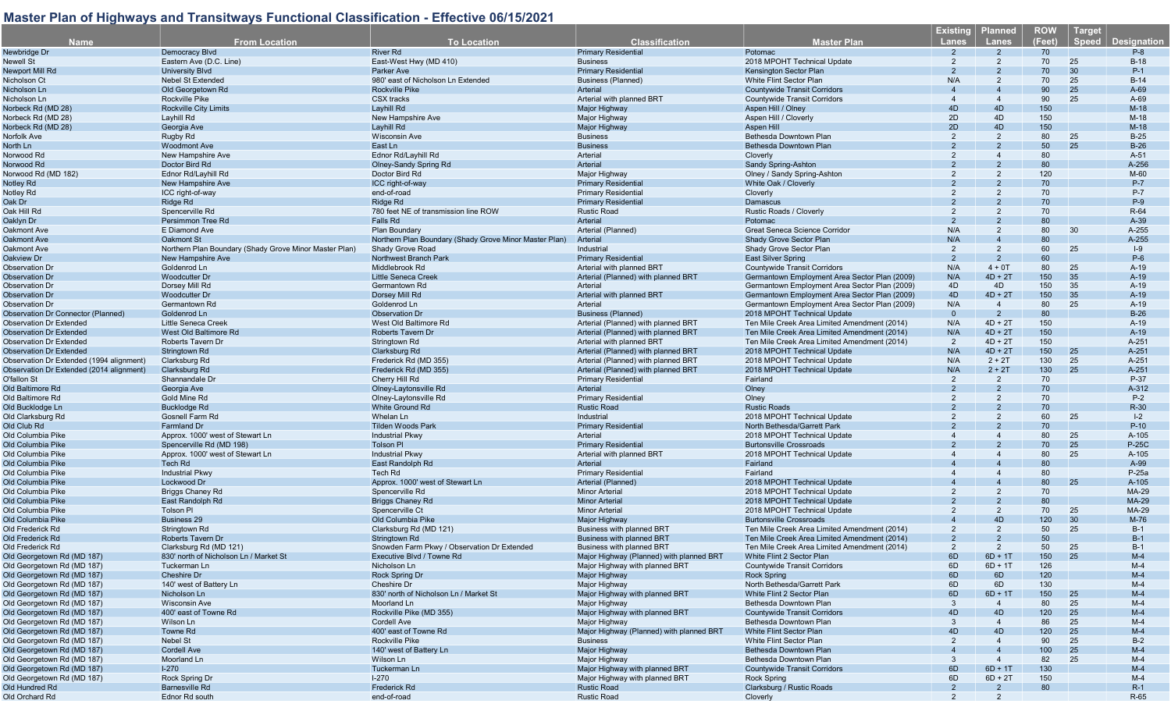|                                           |                                                        |                                                        |                                          |                                               | <u>Existing</u> | <b>Planned</b> | <b>ROW</b> | <b>Target</b> |                    |
|-------------------------------------------|--------------------------------------------------------|--------------------------------------------------------|------------------------------------------|-----------------------------------------------|-----------------|----------------|------------|---------------|--------------------|
| <b>Name</b>                               | <b>From Location</b>                                   | <b>To Location</b>                                     | <b>Classification</b>                    | <b>Master Plan</b>                            | <b>Lanes</b>    | Lanes          | (Feet)     | <b>Speed</b>  | <b>Designation</b> |
| Newbridge Dr                              | Democracy Blvd                                         | <b>River Rd</b>                                        | <b>Primary Residential</b>               | Potomac                                       |                 | $\overline{2}$ | 70         |               | $P-8$              |
| Newell St                                 | Eastern Ave (D.C. Line)                                | East-West Hwy (MD 410)                                 | <b>Business</b>                          | 2018 MPOHT Technical Update                   | $\overline{2}$  | $\overline{2}$ | 70         | 25            | $B-18$             |
| Newport Mill Rd                           | <b>University Blvd</b>                                 | Parker Ave                                             | <b>Primary Residential</b>               | Kensington Sector Plan                        |                 |                | 70         | 30            | $P-1$              |
| Nicholson Ct                              | <b>Nebel St Extended</b>                               | 980' east of Nicholson Ln Extended                     | <b>Business (Planned)</b>                | <b>White Flint Sector Plan</b>                | N/A             | 2              | 70         | 25            | $B-14$             |
| Nicholson Ln                              | Old Georgetown Rd                                      | <b>Rockville Pike</b>                                  | Arterial                                 | <b>Countywide Transit Corridors</b>           |                 |                | 90         | 25            | $A-69$             |
| Nicholson Ln                              | <b>Rockville Pike</b>                                  | <b>CSX</b> tracks                                      | Arterial with planned BRT                | <b>Countywide Transit Corridors</b>           | 4               | $\overline{4}$ | 90         | 25            | A-69               |
|                                           |                                                        |                                                        |                                          |                                               |                 |                |            |               |                    |
| Norbeck Rd (MD 28)                        | <b>Rockville City Limits</b>                           | Layhill Rd                                             | <b>Major Highway</b>                     | Aspen Hill / Olney                            | 4D              | 4D             | 150        |               | $M-18$             |
| Norbeck Rd (MD 28)                        | Layhill Rd                                             | New Hampshire Ave                                      | Major Highway                            | Aspen Hill / Cloverly                         | 2D              | 4D             | 150        |               | $M-18$             |
| Norbeck Rd (MD 28)                        | Georgia Ave                                            | Layhill Rd                                             | Major Highway                            | Aspen Hill                                    | 2D              | 4D             | 150        |               | $M-18$             |
| Norfolk Ave                               | Rugby Rd                                               | <b>Wisconsin Ave</b>                                   | <b>Business</b>                          | Bethesda Downtown Plan                        | 2               | $\overline{2}$ | 80         | 25            | $B-25$             |
| North Ln                                  | <b>Woodmont Ave</b>                                    | East Ln                                                | <b>Business</b>                          | Bethesda Downtown Plan                        |                 |                | 50         | 25            | $B-26$             |
| Norwood Rd                                | New Hampshire Ave                                      | Ednor Rd/Layhill Rd                                    | Arterial                                 | Cloverly                                      |                 |                | 80         |               | $A-51$             |
| Norwood Rd                                | Doctor Bird Rd                                         | Olney-Sandy Spring Rd                                  | Arterial                                 | Sandy Spring-Ashton                           |                 |                | 80         |               | A-256              |
| Norwood Rd (MD 182)                       | Ednor Rd/Layhill Rd                                    | Doctor Bird Rd                                         | Major Highway                            | Olney / Sandy Spring-Ashton                   |                 |                | 120        |               | M-60               |
| Notley Rd                                 | New Hampshire Ave                                      | ICC right-of-way                                       | <b>Primary Residential</b>               | White Oak / Cloverly                          |                 |                | 70         |               | $P-7$              |
| Notley Rd                                 | ICC right-of-way                                       | end-of-road                                            | <b>Primary Residential</b>               | Cloverly                                      | $\overline{2}$  |                | 70         |               | $P-7$              |
| Oak Dr                                    | Ridge Rd                                               | Ridge Rd                                               | <b>Primary Residential</b>               | Damascus                                      |                 |                | 70         |               | $P-9$              |
|                                           |                                                        |                                                        |                                          |                                               | $\overline{2}$  |                | 70         |               | R-64               |
| Oak Hill Rd                               | Spencerville Rd                                        | 780 feet NE of transmission line ROW                   | <b>Rustic Road</b>                       | Rustic Roads / Cloverly                       |                 |                |            |               |                    |
| Oaklyn Dr                                 | Persimmon Tree Rd                                      | Falls Rd                                               | Arterial                                 | Potomac                                       | $\overline{2}$  |                | 80         |               | $A-39$             |
| Oakmont Ave                               | E Diamond Ave                                          | Plan Boundary                                          | Arterial (Planned)                       | Great Seneca Science Corridor                 | N/A             | $\overline{2}$ | 80         | 30            | A-255              |
| <b>Oakmont Ave</b>                        | <b>Oakmont St</b>                                      | Northern Plan Boundary (Shady Grove Minor Master Plan) | Arterial                                 | Shady Grove Sector Plan                       | N/A             |                | 80         |               | A-255              |
| Oakmont Ave                               | Northern Plan Boundary (Shady Grove Minor Master Plan) | Shady Grove Road                                       | Industrial                               | Shady Grove Sector Plan                       | 2               | $\overline{2}$ | 60         | 25            | $ -9$              |
| Oakview Dr                                | New Hampshire Ave                                      | Northwest Branch Park                                  | <b>Primary Residential</b>               | <b>East Silver Spring</b>                     | $\mathcal{P}$   | $\overline{2}$ | 60         |               | $P-6$              |
| <b>Observation Dr</b>                     | Goldenrod Ln                                           | Middlebrook Rd                                         | Arterial with planned BRT                | <b>Countywide Transit Corridors</b>           | N/A             | $4 + 0T$       | 80         | 25            | $A-19$             |
| <b>Observation Dr</b>                     | <b>Woodcutter Dr</b>                                   | <b>Little Seneca Creek</b>                             | Arterial (Planned) with planned BRT      | Germantown Employment Area Sector Plan (2009) | N/A             | $4D + 2T$      | 150        | 35            | $A-19$             |
| <b>Observation Dr</b>                     | Dorsey Mill Rd                                         | Germantown Rd                                          | Arterial                                 | Germantown Employment Area Sector Plan (2009) | 4D              | 4D             | 150        | 35            | $A-19$             |
| <b>Observation Dr</b>                     | <b>Woodcutter Dr</b>                                   | Dorsey Mill Rd                                         | Arterial with planned BRT                | Germantown Employment Area Sector Plan (2009) | 4D              | $4D + 2T$      | 150        | 35            | $A-19$             |
| <b>Observation Dr</b>                     | Germantown Rd                                          | Goldenrod Ln                                           | Arterial                                 | Germantown Employment Area Sector Plan (2009) | N/A             | $\overline{4}$ | 80         | 25            | $A-19$             |
| <b>Observation Dr Connector (Planned)</b> | Goldenrod Ln                                           | <b>Observation Dr</b>                                  | <b>Business (Planned)</b>                | 2018 MPOHT Technical Update                   | $\Omega$        | $\overline{2}$ | 80         |               | $B-26$             |
|                                           |                                                        | West Old Baltimore Rd                                  |                                          |                                               |                 |                |            |               |                    |
| <b>Observation Dr Extended</b>            | <b>Little Seneca Creek</b>                             |                                                        | Arterial (Planned) with planned BRT      | Ten Mile Creek Area Limited Amendment (2014)  | N/A             | $4D + 2T$      | 150        |               | $A-19$             |
| <b>Observation Dr Extended</b>            | West Old Baltimore Rd                                  | <b>Roberts Tavern Dr</b>                               | Arterial (Planned) with planned BRT      | Ten Mile Creek Area Limited Amendment (2014)  | N/A             | $4D + 2T$      | 150        |               | $A-19$             |
| <b>Observation Dr Extended</b>            | Roberts Tavern Dr                                      | Stringtown Rd                                          | Arterial with planned BRT                | Ten Mile Creek Area Limited Amendment (2014)  | $\overline{2}$  | $4D + 2T$      | 150        |               | A-251              |
| <b>Observation Dr Extended</b>            | Stringtown Rd                                          | Clarksburg Rd                                          | Arterial (Planned) with planned BRT      | 2018 MPOHT Technical Update                   | N/A             | $4D + 2T$      | 150        | 25            | A-251              |
| Observation Dr Extended (1994 alignment)  | Clarksburg Rd                                          | Frederick Rd (MD 355)                                  | Arterial (Planned) with planned BRT      | 2018 MPOHT Technical Update                   | N/A             | $2 + 2T$       | 130        | 25            | A-251              |
| Observation Dr Extended (2014 alignment)  | Clarksburg Rd                                          | Frederick Rd (MD 355)                                  | Arterial (Planned) with planned BRT      | 2018 MPOHT Technical Update                   | N/A             | $2 + 2T$       | 130        | 25            | A-251              |
| O'fallon St                               | Shannandale Dr                                         | Cherry Hill Rd                                         | <b>Primary Residential</b>               | Fairland                                      | 2               | $\overline{2}$ | 70         |               | P-37               |
| Old Baltimore Rd                          | Georgia Ave                                            | Olney-Laytonsville Rd                                  | <b>Arterial</b>                          | Olney                                         |                 |                | 70         |               | A-312              |
| Old Baltimore Rd                          | Gold Mine Rd                                           | Olney-Laytonsville Rd                                  | <b>Primary Residential</b>               | Olney                                         |                 |                | 70         |               | $P-2$              |
| Old Bucklodge Ln                          | <b>Bucklodge Rd</b>                                    | White Ground Rd                                        | <b>Rustic Road</b>                       | <b>Rustic Roads</b>                           |                 |                | 70         |               | R-30               |
| Old Clarksburg Rd                         | Gosnell Farm Rd                                        | Whelan Ln                                              | Industrial                               | 2018 MPOHT Technical Update                   |                 |                | 60         | 25            | $I-2$              |
|                                           |                                                        |                                                        |                                          |                                               |                 |                | 70         |               |                    |
| Old Club Rd                               | Farmland Dr                                            | <b>Tilden Woods Park</b>                               | <b>Primary Residential</b>               | North Bethesda/Garrett Park                   |                 |                |            |               | $P-10$             |
| Old Columbia Pike                         | Approx. 1000' west of Stewart Ln                       | <b>Industrial Pkwy</b>                                 | Arterial                                 | 2018 MPOHT Technical Update                   |                 |                | 80         | 25            | A-105              |
| Old Columbia Pike                         | Spencerville Rd (MD 198)                               | <b>Tolson PI</b>                                       | <b>Primary Residential</b>               | <b>Burtonsville Crossroads</b>                |                 |                | 70         | 25            | <b>P-25C</b>       |
| Old Columbia Pike                         | Approx. 1000' west of Stewart Ln                       | <b>Industrial Pkwy</b>                                 | Arterial with planned BRT                | 2018 MPOHT Technical Update                   |                 |                | 80         | 25            | A-105              |
| Old Columbia Pike                         | <b>Tech Rd</b>                                         | East Randolph Rd                                       | Arterial                                 | Fairland                                      |                 |                | 80         |               | A-99               |
| Old Columbia Pike                         | <b>Industrial Pkwy</b>                                 | <b>Tech Rd</b>                                         | <b>Primary Residential</b>               | Fairland                                      |                 |                | 80         |               | P-25a              |
| Old Columbia Pike                         | Lockwood Dr                                            | Approx. 1000' west of Stewart Ln                       | Arterial (Planned)                       | 2018 MPOHT Technical Update                   |                 |                | 80         | 25            | A-105              |
| Old Columbia Pike                         | <b>Briggs Chaney Rd</b>                                | Spencerville Rd                                        | <b>Minor Arterial</b>                    | 2018 MPOHT Technical Update                   |                 |                | 70         |               | <b>MA-29</b>       |
| Old Columbia Pike                         | East Randolph Rd                                       | <b>Briggs Chaney Rd</b>                                | <b>Minor Arterial</b>                    | 2018 MPOHT Technical Update                   |                 |                | 80         |               | <b>MA-29</b>       |
| Old Columbia Pike                         | <b>Tolson Pl</b>                                       | Spencerville Ct                                        | <b>Minor Arterial</b>                    | 2018 MPOHT Technical Update                   | $\overline{2}$  | 2              | 70         | 25            | MA-29              |
| Old Columbia Pike                         | <b>Business 29</b>                                     | Old Columbia Pike                                      | Major Highway                            | <b>Burtonsville Crossroads</b>                |                 | 4D             | 120        | 30            | M-76               |
| Old Frederick Rd                          | Stringtown Rd                                          | Clarksburg Rd (MD 121)                                 | <b>Business with planned BRT</b>         | Ten Mile Creek Area Limited Amendment (2014)  | 2               | $\overline{2}$ | 50         | 25            | $B-1$              |
|                                           |                                                        |                                                        |                                          |                                               |                 |                |            |               |                    |
| Old Frederick Rd                          | Roberts Tavern Dr                                      | Stringtown Rd                                          | <b>Business with planned BRT</b>         | Ten Mile Creek Area Limited Amendment (2014)  |                 |                | 50         |               | $B-1$              |
| Old Frederick Rd                          | Clarksburg Rd (MD 121)                                 | Snowden Farm Pkwy / Observation Dr Extended            | Business with planned BRT                | Ten Mile Creek Area Limited Amendment (2014)  | $\mathcal{P}$   | $\overline{2}$ | 50         | 25            | $B-1$              |
| Old Georgetown Rd (MD 187)                | 830' north of Nicholson Ln / Market St                 | Executive Blvd / Towne Rd                              | Major Highway (Planned) with planned BRT | White Flint 2 Sector Plan                     | 6D              | $6D + 1T$      | 150        | 25            | $M-4$              |
| Old Georgetown Rd (MD 187)                | Tuckerman Ln                                           | Nicholson Ln                                           | Major Highway with planned BRT           | <b>Countywide Transit Corridors</b>           | 6D              | $6D + 1T$      | 126        |               | $M-4$              |
| Old Georgetown Rd (MD 187)                | Cheshire Dr                                            | <b>Rock Spring Dr</b>                                  | Major Highway                            | <b>Rock Spring</b>                            | 6D              | 6D             | 120        |               | $M-4$              |
| Old Georgetown Rd (MD 187)                | 140' west of Battery Ln                                | Cheshire Dr                                            | Major Highway                            | North Bethesda/Garrett Park                   | 6D              | 6D             | 130        |               | $M-4$              |
| Old Georgetown Rd (MD 187)                | Nicholson Ln                                           | 830' north of Nicholson Ln / Market St                 | Major Highway with planned BRT           | White Flint 2 Sector Plan                     | 6D              | $6D + 11$      | 150        | 25            | $M-4$              |
| Old Georgetown Rd (MD 187)                | <b>Wisconsin Ave</b>                                   | Moorland Ln                                            | Major Highway                            | Bethesda Downtown Plan                        | 3               |                | 80         | 25            | $M-4$              |
| Old Georgetown Rd (MD 187)                | 400' east of Towne Rd                                  | Rockville Pike (MD 355)                                | Major Highway with planned BRT           | <b>Countywide Transit Corridors</b>           | 4D              | 4D             | 120        | 25            | $M-4$              |
| Old Georgetown Rd (MD 187)                | Wilson Ln                                              | Cordell Ave                                            | Major Highway                            | Bethesda Downtown Plan                        | 3               |                | 86         | 25            | $M-4$              |
|                                           |                                                        |                                                        |                                          |                                               |                 |                |            |               |                    |
| Old Georgetown Rd (MD 187)                | Towne Rd                                               | 400' east of Towne Rd                                  | Major Highway (Planned) with planned BRT | White Flint Sector Plan                       | 4D              | 4D             | 120        | 25            | $M-4$              |
| Old Georgetown Rd (MD 187)                | Nebel St                                               | Rockville Pike                                         | <b>Business</b>                          | White Flint Sector Plan                       | 2               |                | 90         | 25            | $B-2$              |
| Old Georgetown Rd (MD 187)                | <b>Cordell Ave</b>                                     | 140' west of Battery Ln                                | Major Highway                            | Bethesda Downtown Plan                        |                 |                | 100        | 25            | $M-4$              |
| Old Georgetown Rd (MD 187)                | Moorland Ln                                            | Wilson Ln                                              | Major Highway                            | Bethesda Downtown Plan                        | 3               | $\overline{4}$ | 82         | 25            | M-4                |
| Old Georgetown Rd (MD 187)                | $I-270$                                                | Tuckerman Ln                                           | Major Highway with planned BRT           | <b>Countywide Transit Corridors</b>           | 6D              | $6D + 1T$      | 130        |               | $M-4$              |
| Old Georgetown Rd (MD 187)                | Rock Spring Dr                                         | $1-270$                                                | Major Highway with planned BRT           | Rock Spring                                   | 6D              | $6D + 2T$      | 150        |               | $M-4$              |
| Old Hundred Rd                            | Barnesville Rd                                         | Frederick Rd                                           | <b>Rustic Road</b>                       | Clarksburg / Rustic Roads                     | 2               | $\overline{2}$ | 80         |               | $R-1$              |
| Old Orchard Rd                            | Ednor Rd south                                         | end-of-road                                            | <b>Rustic Road</b>                       | Cloverly                                      | 2               | 2              |            |               | R-65               |
|                                           |                                                        |                                                        |                                          |                                               |                 |                |            |               |                    |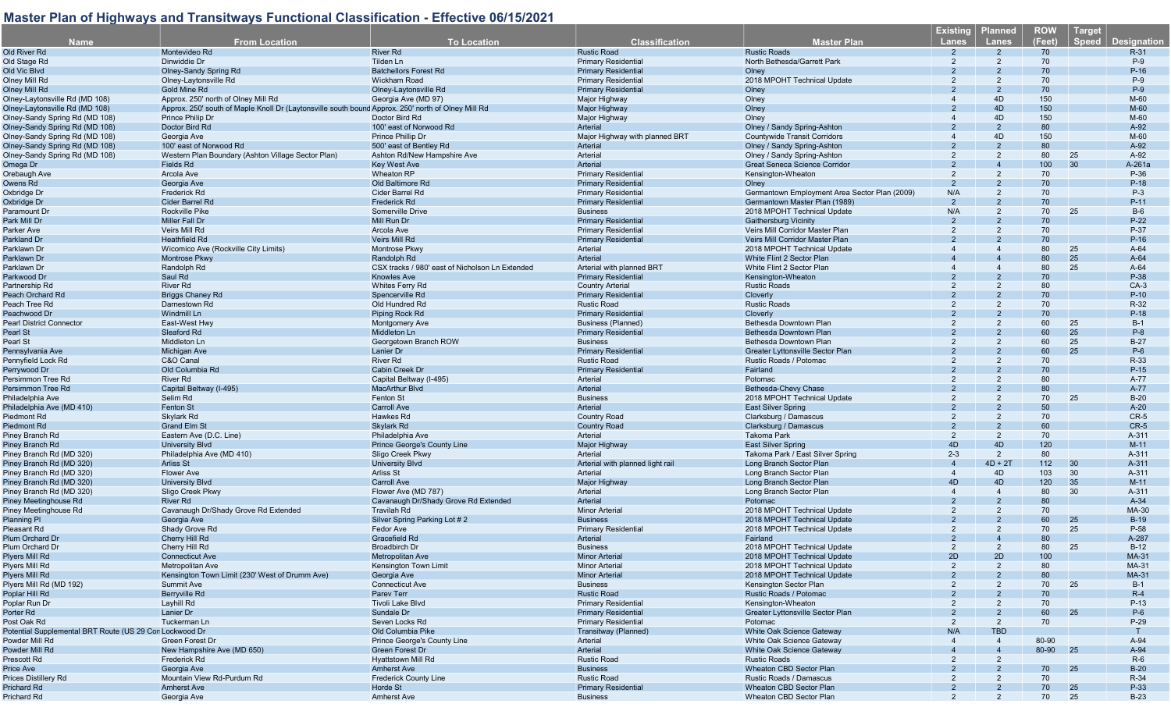|                                                         |                                                                                                    |                                                 |                                  |                                               | <b>Existing</b> | <u>Pl</u> anned | <b>ROW</b> | <b>Target</b>               |
|---------------------------------------------------------|----------------------------------------------------------------------------------------------------|-------------------------------------------------|----------------------------------|-----------------------------------------------|-----------------|-----------------|------------|-----------------------------|
| <b>Name</b>                                             | <b>From Location</b>                                                                               | <b>To Location</b>                              | <b>Classification</b>            | Master Plan                                   | <b>Lanes</b>    | <b>Lanes</b>    | (Feet)     | Speed<br><b>Designation</b> |
| Old River Rd                                            | Montevideo Rd                                                                                      | <b>River Rd</b>                                 | <b>Rustic Road</b>               | <b>Rustic Roads</b>                           |                 |                 | 70         | $R-31$                      |
| Old Stage Rd                                            | Dinwiddie Dr                                                                                       | Tilden Ln                                       | <b>Primary Residential</b>       | North Bethesda/Garrett Park                   |                 |                 | 70         | $P-9$                       |
| Old Vic Blvd                                            | <b>Olney-Sandy Spring Rd</b>                                                                       | <b>Batchellors Forest Rd</b>                    | <b>Primary Residential</b>       | Olney                                         |                 |                 | 70         | $P-16$                      |
| Olney Mill Rd                                           | Olney-Laytonsville Rd                                                                              | <b>Wickham Road</b>                             | <b>Primary Residential</b>       | 2018 MPOHT Technical Update                   |                 |                 | 70         | $P-9$                       |
| <b>Olney Mill Rd</b>                                    | <b>Gold Mine Rd</b>                                                                                | Olney-Laytonsville Rd                           | <b>Primary Residential</b>       | Olney                                         |                 |                 | 70         | $P-9$                       |
| Olney-Laytonsville Rd (MD 108)                          | Approx. 250' north of Olney Mill Rd                                                                | Georgia Ave (MD 97)                             | Major Highway                    | Olney                                         |                 | 4D              | 150        | M-60                        |
| Olney-Laytonsville Rd (MD 108)                          |                                                                                                    |                                                 |                                  |                                               |                 | 4D              | 150        | M-60                        |
|                                                         | Approx. 250' south of Maple Knoll Dr (Laytonsville south bound Approx. 250' north of Olney Mill Rd |                                                 | Major Highway                    | Olney                                         |                 | 4D              |            |                             |
| Olney-Sandy Spring Rd (MD 108)                          | Prince Philip Dr                                                                                   | Doctor Bird Rd                                  | Major Highway                    | Olney                                         |                 |                 | 150        | M-60                        |
| Olney-Sandy Spring Rd (MD 108)                          | Doctor Bird Rd                                                                                     | 100' east of Norwood Rd                         | Arterial                         | Olney / Sandy Spring-Ashton                   |                 |                 | 80         | A-92                        |
| Olney-Sandy Spring Rd (MD 108)                          | Georgia Ave                                                                                        | Prince Phillip Dr                               | Major Highway with planned BRT   | <b>Countywide Transit Corridors</b>           |                 | 4D              | 150        | M-60                        |
| Olney-Sandy Spring Rd (MD 108)                          | 100' east of Norwood Rd                                                                            | 500' east of Bentley Rd                         | Arterial                         | Olney / Sandy Spring-Ashton                   |                 |                 | 80         | A-92                        |
| Olney-Sandy Spring Rd (MD 108)                          | Western Plan Boundary (Ashton Village Sector Plan)                                                 | Ashton Rd/New Hampshire Ave                     | Arterial                         | Olney / Sandy Spring-Ashton                   |                 |                 | 80         | 25<br>A-92                  |
| Omega Dr                                                | Fields Rd                                                                                          | Key West Ave                                    | Arterial                         | <b>Great Seneca Science Corridor</b>          |                 |                 | 100        | 30<br>A-261a                |
| Orebaugh Ave                                            | Arcola Ave                                                                                         | <b>Wheaton RP</b>                               | Primary Residentia               | Kensington-Wheaton                            | $\mathcal{P}$   |                 | 70         | P-36                        |
| Owens Rd                                                | Georgia Ave                                                                                        | Old Baltimore Rd                                | <b>Primary Residential</b>       | Olney                                         |                 |                 | 70         | $P-18$                      |
| Oxbridge Dr                                             | <b>Frederick Rd</b>                                                                                | Cider Barrel Rd                                 | <b>Primary Residential</b>       | Germantown Employment Area Sector Plan (2009) | N/A             |                 | 70         | $P-3$                       |
| Oxbridge Dr                                             | <b>Cider Barrel Rd</b>                                                                             | <b>Frederick Rd</b>                             | <b>Primary Residential</b>       | Germantown Master Plan (1989)                 | 2               |                 | 70         | $P-11$                      |
| Paramount Dr                                            | <b>Rockville Pike</b>                                                                              | Somerville Drive                                | <b>Business</b>                  | 2018 MPOHT Technical Update                   | N/A             |                 | 70         | 25<br>$B-6$                 |
| Park Mill Dr                                            | <b>Miller Fall Dr</b>                                                                              | Mill Run Dr                                     | <b>Primary Residential</b>       | <b>Gaithersburg Vicinity</b>                  | $\mathcal{P}$   |                 | 70         | $P-22$                      |
| Parker Ave                                              | Veirs Mill Rd                                                                                      | Arcola Ave                                      | <b>Primary Residential</b>       | Veirs Mill Corridor Master Plan               | $\mathcal{P}$   |                 | 70         | P-37                        |
| Parkland Dr                                             | <b>Heathfield Rd</b>                                                                               | <b>Veirs Mill Rd</b>                            | <b>Primary Residential</b>       | Veirs Mill Corridor Master Plan               |                 |                 | 70         | $P-16$                      |
| Parklawn Dr                                             | Wicomico Ave (Rockville City Limits)                                                               | Montrose Pkwy                                   | Arterial                         | 2018 MPOHT Technical Update                   |                 |                 | 80         | 25<br>$A-64$                |
| Parklawn Dr                                             | <b>Montrose Pkwy</b>                                                                               | Randolph Rd                                     | Arterial                         | White Flint 2 Sector Plan                     |                 |                 | 80         | 25<br>$A-64$                |
| Parklawn Dr                                             | Randolph Rd                                                                                        | CSX tracks / 980' east of Nicholson Ln Extended | Arterial with planned BRT        | White Flint 2 Sector Plan                     |                 |                 | 80         | 25<br>$A-64$                |
| Parkwood Dr                                             | Saul Rd                                                                                            | <b>Knowles Ave</b>                              | <b>Primary Residentia</b>        | Kensington-Wheaton                            |                 |                 | 70         | P-38                        |
| Partnership Rd                                          | <b>River Rd</b>                                                                                    | <b>Whites Ferry Rd</b>                          | <b>Country Arteria</b>           | <b>Rustic Roads</b>                           |                 |                 | 80         | $CA-3$                      |
| Peach Orchard Rd                                        | <b>Briggs Chaney Rd</b>                                                                            | Spencerville Rd                                 | <b>Primary Residential</b>       | Cloverly                                      |                 |                 | 70         | $P-10$                      |
| Peach Tree Rd                                           | Darnestown Rd                                                                                      | Old Hundred Rd                                  | <b>Rustic Road</b>               | <b>Rustic Roads</b>                           |                 |                 | 70         | R-32                        |
| Peachwood Dr                                            | Windmill Ln                                                                                        |                                                 | <b>Primary Residential</b>       |                                               |                 |                 | 70         | $P-18$                      |
|                                                         |                                                                                                    | Piping Rock Rd                                  |                                  | Cloverly<br>Bethesda Downtown Plan            |                 |                 |            |                             |
| <b>Pearl District Connector</b>                         | East-West Hwy                                                                                      | <b>Montgomery Ave</b>                           | <b>Business (Planned)</b>        |                                               |                 |                 | 60         | 25<br>$B-1$                 |
| Pearl St                                                | Sleaford Rd                                                                                        | Middleton Ln                                    | <b>Primary Residential</b>       | Bethesda Downtown Plan                        |                 |                 | 60         | 25<br>$P-8$                 |
| Pearl St                                                | Middleton Ln                                                                                       | Georgetown Branch ROW                           | <b>Business</b>                  | Bethesda Downtown Plan                        |                 |                 | 60         | 25<br>$B-27$                |
| Pennsylvania Ave                                        | <b>Michigan Ave</b>                                                                                | <b>Lanier Dr</b>                                | <b>Primary Residential</b>       | <b>Greater Lyttonsville Sector Plan</b>       |                 |                 | 60         | 25<br>$P-6$                 |
| Pennyfield Lock Rd                                      | C&O Canal                                                                                          | <b>River Rd</b>                                 | <b>Rustic Road</b>               | Rustic Roads / Potomac                        |                 |                 | 70         | R-33                        |
| Perrywood Dr                                            | Old Columbia Rd                                                                                    | <b>Cabin Creek Dr</b>                           | <b>Primary Residential</b>       | Fairland                                      |                 |                 | 70         | $P-15$                      |
| Persimmon Tree Rd                                       | <b>River Rd</b>                                                                                    | Capital Beltway (I-495)                         | Arterial                         | Potomac                                       |                 |                 | 80         | A-77                        |
| Persimmon Tree Rd                                       | Capital Beltway (I-495)                                                                            | <b>MacArthur Blvd</b>                           | Arterial                         | Bethesda-Chevy Chase                          |                 |                 | 80         | A-77                        |
| Philadelphia Ave                                        | Selim Rd                                                                                           | <b>Fenton St</b>                                | <b>Business</b>                  | 2018 MPOHT Technical Update                   |                 |                 | 70         | 25<br>$B-20$                |
| Philadelphia Ave (MD 410)                               | <b>Fenton St</b>                                                                                   | <b>Carroll Ave</b>                              | Arterial                         | <b>East Silver Spring</b>                     |                 |                 | 50         | $A-20$                      |
| Piedmont Rd                                             | Skylark Rd                                                                                         | Hawkes Rd                                       | Country Road                     | Clarksburg / Damascus                         | 2               |                 | 70         | $CR-5$                      |
| Piedmont Rd                                             | <b>Grand Elm St</b>                                                                                | Skylark Rd                                      | <b>Country Road</b>              | Clarksburg / Damascus                         |                 |                 | 60         | $CR-5$                      |
| Piney Branch Rd                                         | Eastern Ave (D.C. Line)                                                                            | Philadelphia Ave                                | Arterial                         | <b>Takoma Park</b>                            | 2               | 2               | 70         | A-311                       |
| Piney Branch Rd                                         | <b>University Blvd</b>                                                                             | Prince George's County Line                     | Major Highway                    | <b>East Silver Spring</b>                     | 4D              | 4D              | 120        | $M-11$                      |
| Piney Branch Rd (MD 320)                                | Philadelphia Ave (MD 410)                                                                          | Sligo Creek Pkwy                                | Arterial                         | Takoma Park / East Silver Spring              | $2 - 3$         | $\overline{2}$  | 80         | A-311                       |
| Piney Branch Rd (MD 320)                                | <b>Arliss St</b>                                                                                   | <b>University Blvd</b>                          | Arterial with planned light rail | Long Branch Sector Plan                       | $\overline{4}$  | $4D + 2T$       | 112        | 30<br>A-311                 |
| Piney Branch Rd (MD 320)                                | <b>Flower Ave</b>                                                                                  | <b>Arliss St</b>                                | Arterial                         | Long Branch Sector Plan                       | $\overline{4}$  | 4D              | 103        | 30<br>A-311                 |
| Piney Branch Rd (MD 320)                                | <b>University Blvd</b>                                                                             | <b>Carroll Ave</b>                              | Major Highway                    | Long Branch Sector Plan                       | 4D              | 4D              | 120        | 35<br>$M-11$                |
| Piney Branch Rd (MD 320)                                | Sligo Creek Pkwy                                                                                   | Flower Ave (MD 787)                             | Arterial                         | Long Branch Sector Plan                       |                 | 4               | 80         | 30<br>A-311                 |
| Piney Meetinghouse Rd                                   | <b>River Rd</b>                                                                                    | Cavanaugh Dr/Shady Grove Rd Extended            | Arterial                         | Potomac                                       |                 |                 | 80         | $A-34$                      |
| Piney Meetinghouse Rd                                   | Cavanaugh Dr/Shady Grove Rd Extended                                                               | <b>Travilah Rd</b>                              | <b>Minor Arterial</b>            | 2018 MPOHT Technical Update                   |                 | $\overline{2}$  | 70         | MA-30                       |
|                                                         | Georgia Ave                                                                                        |                                                 | <b>Business</b>                  | 2018 MPOHT Technical Update                   |                 |                 | 60         | 25<br>$B-19$                |
| <b>Planning Pl</b>                                      |                                                                                                    | Silver Spring Parking Lot #2                    |                                  |                                               | 2               |                 |            | 25                          |
| Pleasant Rd                                             | Shady Grove Rd                                                                                     | Fedor Ave                                       | Primary Residentia               | 2018 MPOHT Technical Update                   |                 |                 | 70         | P-58                        |
| Plum Orchard Dr                                         | Cherry Hill Rd                                                                                     | <b>Gracefield Rd</b>                            | Arterial                         | Fairland                                      |                 |                 | 80         | A-287                       |
| Plum Orchard Dr                                         | Cherry Hill Rd                                                                                     | <b>Broadbirch Dr</b>                            | <b>Business</b>                  | 2018 MPOHT Technical Update                   | $\mathcal{P}$   | $\mathcal{P}$   | 80         | 25<br>$B-12$                |
| Plyers Mill Rd                                          | <b>Connecticut Ave</b>                                                                             | Metropolitan Ave                                | <b>Minor Arterial</b>            | 2018 MPOHT Technical Update                   | 2D              | 2D              | 100        | MA-31                       |
| Plyers Mill Rd                                          | Metropolitan Ave                                                                                   | Kensington Town Limit                           | <b>Minor Arterial</b>            | 2018 MPOHT Technical Update                   | 2               |                 | 80         | MA-31                       |
| Plyers Mill Rd                                          | Kensington Town Limit (230' West of Drumm Ave)                                                     | Georgia Ave                                     | <b>Minor Arterial</b>            | 2018 MPOHT Technical Update                   |                 |                 | 80         | <b>MA-31</b>                |
| Plyers Mill Rd (MD 192)                                 | <b>Summit Ave</b>                                                                                  | <b>Connecticut Ave</b>                          | <b>Business</b>                  | Kensington Sector Plan                        |                 |                 | 70         | 25<br>$B-1$                 |
| Poplar Hill Rd                                          | <b>Berryville Rd</b>                                                                               | Parev Terr                                      | <b>Rustic Road</b>               | Rustic Roads / Potomac                        |                 |                 | 70         | $R-4$                       |
| Poplar Run Dr                                           | Layhill Rd                                                                                         | Tivoli Lake Blvd                                | <b>Primary Residential</b>       | Kensington-Wheaton                            |                 |                 | 70         | $P-13$                      |
| Porter Rd                                               | Lanier Dr                                                                                          | Sundale Dr                                      | <b>Primary Residential</b>       | Greater Lyttonsville Sector Plan              |                 |                 | 60         | 25<br>$P-6$                 |
| Post Oak Rd                                             | Tuckerman Ln                                                                                       | Seven Locks Rd                                  | <b>Primary Residential</b>       | Potomac                                       | 2               | 2               | 70         | $P-29$                      |
| Potential Supplemental BRT Route (US 29 Cor Lockwood Dr |                                                                                                    | Old Columbia Pike                               | Transitway (Planned)             | <b>White Oak Science Gateway</b>              | N/A             | <b>TBD</b>      |            |                             |
| Powder Mill Rd                                          | Green Forest Dr                                                                                    | Prince George's County Line                     | Arterial                         | White Oak Science Gateway                     | $\overline{4}$  | $\overline{4}$  | 80-90      | A-94                        |
| Powder Mill Rd                                          | New Hampshire Ave (MD 650)                                                                         | <b>Green Forest Dr</b>                          | Arterial                         | White Oak Science Gateway                     |                 |                 | 80-90 25   | A-94                        |
| Prescott Rd                                             | <b>Frederick Rd</b>                                                                                | Hyattstown Mill Rd                              | <b>Rustic Road</b>               | <b>Rustic Roads</b>                           |                 |                 |            | $R-6$                       |
| Price Ave                                               | Georgia Ave                                                                                        | <b>Amherst Ave</b>                              | <b>Business</b>                  | <b>Wheaton CBD Sector Plan</b>                |                 |                 | 70         | 25<br>$B-20$                |
| Prices Distillery Rd                                    | Mountain View Rd-Purdum Rd                                                                         | <b>Frederick County Line</b>                    | <b>Rustic Road</b>               | Rustic Roads / Damascus                       |                 |                 | 70         | R-34                        |
| Prichard Rd                                             | <b>Amherst Ave</b>                                                                                 | Horde St                                        | <b>Primary Residential</b>       | Wheaton CBD Sector Plan                       |                 |                 | 70         | P-33<br>25                  |
| Prichard Rd                                             | Georgia Ave                                                                                        | <b>Amherst Ave</b>                              | <b>Business</b>                  | Wheaton CBD Sector Plan                       |                 |                 | 70         | 25<br>$B-23$                |
|                                                         |                                                                                                    |                                                 |                                  |                                               |                 |                 |            |                             |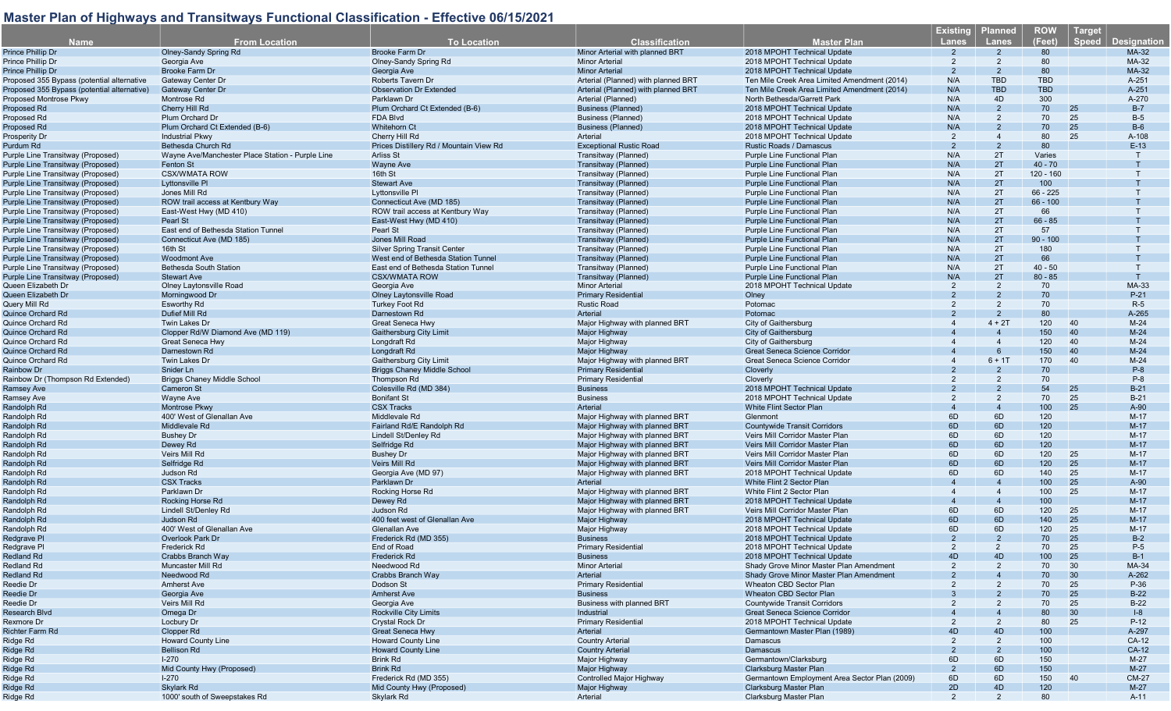|                                             |                                                  |                                         |                                     |                                               | <b>Existing</b>        | <u>Pl</u> anned | <b>ROW</b>  | Target                             |
|---------------------------------------------|--------------------------------------------------|-----------------------------------------|-------------------------------------|-----------------------------------------------|------------------------|-----------------|-------------|------------------------------------|
| <b>Name</b>                                 | <b>From Location</b>                             | <b>To Location</b>                      | <b>Classification</b>               | <b>Master Plan</b>                            | <b>Lanes</b>           | <b>Lanes</b>    | (Feet)      | <b>Speed</b><br><b>Designation</b> |
| Prince Phillip Dr                           | <b>Olney-Sandy Spring Rd</b>                     | <b>Brooke Farm Dr</b>                   | Minor Arterial with planned BRT     | 2018 MPOHT Technical Update                   | 2                      | $\overline{2}$  | 80          | MA-32                              |
|                                             |                                                  |                                         | <b>Minor Arterial</b>               |                                               | 2                      | $\overline{2}$  | 80          | MA-32                              |
| Prince Phillip Dr                           | Georgia Ave                                      | Olney-Sandy Spring Rd                   |                                     | 2018 MPOHT Technical Update                   |                        |                 |             |                                    |
| Prince Phillip Dr                           | <b>Brooke Farm Dr</b>                            | Georgia Ave                             | <b>Minor Arterial</b>               | 2018 MPOHT Technical Update                   | 2                      | $\overline{2}$  | 80          | MA-32                              |
| Proposed 355 Bypass (potential alternative  | Gateway Center Dr                                | <b>Roberts Tavern Dr</b>                | Arterial (Planned) with planned BRT | Ten Mile Creek Area Limited Amendment (2014)  | N/A                    | <b>TBD</b>      | <b>TBD</b>  | A-251                              |
| Proposed 355 Bypass (potential alternative) | <b>Gateway Center Dr</b>                         | <b>Observation Dr Extended</b>          | Arterial (Planned) with planned BRT | Ten Mile Creek Area Limited Amendment (2014)  | N/A                    | <b>TBD</b>      | <b>TBD</b>  | A-251                              |
| Proposed Montrose Pkwy                      | Montrose Rd                                      | Parklawn Dr                             | Arterial (Planned)                  | North Bethesda/Garrett Park                   | N/A                    | 4D              | 300         | A-270                              |
| Proposed Rd                                 | Cherry Hill Rd                                   | Plum Orchard Ct Extended (B-6)          | <b>Business (Planned)</b>           | 2018 MPOHT Technical Update                   | N/A                    | $\overline{2}$  | 70          | $B-7$<br>25                        |
| Proposed Rd                                 | Plum Orchard Dr                                  | FDA Blvd                                | <b>Business (Planned)</b>           | 2018 MPOHT Technical Update                   | N/A                    | $\overline{2}$  | 70          | 25<br>$B-5$                        |
| Proposed Rd                                 | Plum Orchard Ct Extended (B-6)                   | <b>Whitehorn Ct</b>                     | <b>Business (Planned)</b>           | 2018 MPOHT Technical Update                   | N/A                    | $\overline{2}$  | 70          | 25<br>$B-6$                        |
| Prosperity Dr                               | <b>Industrial Pkwy</b>                           | Cherry Hill Rd                          | Arterial                            | 2018 MPOHT Technical Update                   | 2                      | $\overline{4}$  | 80          | 25<br>A-108                        |
|                                             |                                                  | Prices Distillery Rd / Mountain View Rd |                                     | <b>Rustic Roads / Damascus</b>                | 2                      | $\overline{2}$  | 80          | $E-13$                             |
| Purdum Rd                                   | Bethesda Church Rd                               |                                         | <b>Exceptional Rustic Road</b>      |                                               |                        |                 |             |                                    |
| Purple Line Transitway (Proposed)           | Wayne Ave/Manchester Place Station - Purple Line | <b>Arliss St</b>                        | Transitway (Planned)                | <b>Purple Line Functional Plan</b>            | N/A                    | 2T              | Varies      |                                    |
| Purple Line Transitway (Proposed)           | Fenton St                                        | <b>Wayne Ave</b>                        | Transitway (Planned)                | Purple Line Functional Plan                   | N/A                    | 2T              | $40 - 70$   |                                    |
| Purple Line Transitway (Proposed)           | <b>CSX/WMATA ROW</b>                             | 16th St                                 | Transitway (Planned)                | Purple Line Functional Plan                   | N/A                    | 2T              | $120 - 160$ |                                    |
| Purple Line Transitway (Proposed)           | Lyttonsville PI                                  | <b>Stewart Ave</b>                      | Transitway (Planned)                | Purple Line Functional Plan                   | N/A                    | 2T              | 100         |                                    |
| Purple Line Transitway (Proposed)           | Jones Mill Rd                                    | Lyttonsville PI                         | Transitway (Planned)                | Purple Line Functional Plan                   | N/A                    | 2T              | $66 - 225$  |                                    |
| Purple Line Transitway (Proposed)           | ROW trail access at Kentbury Way                 | Connecticut Ave (MD 185)                | Transitway (Planned)                | <b>Purple Line Functional Plan</b>            | N/A                    | 2T              | $66 - 100$  |                                    |
| Purple Line Transitway (Proposed)           | East-West Hwy (MD 410)                           | ROW trail access at Kentbury Way        | Transitway (Planned)                | Purple Line Functional Plan                   | N/A                    | 2T              | 66          |                                    |
|                                             |                                                  |                                         |                                     |                                               | N/A                    | 2T              | $66 - 85$   |                                    |
| Purple Line Transitway (Proposed)           | Pearl St                                         | East-West Hwy (MD 410)                  | Transitway (Planned)                | Purple Line Functional Plan                   |                        |                 |             |                                    |
| Purple Line Transitway (Proposed)           | East end of Bethesda Station Tunnel              | Pearl St                                | Transitway (Planned)                | Purple Line Functional Plan                   | N/A                    | 2T              | 57          |                                    |
| Purple Line Transitway (Proposed)           | Connecticut Ave (MD 185)                         | Jones Mill Road                         | Transitway (Planned)                | <b>Purple Line Functional Plan</b>            | N/A                    | 2T              | $90 - 100$  |                                    |
| Purple Line Transitway (Proposed)           | 16th St                                          | <b>Silver Spring Transit Center</b>     | Transitway (Planned)                | Purple Line Functional Plan                   | N/A                    | 2T              | 180         |                                    |
| Purple Line Transitway (Proposed)           | <b>Woodmont Ave</b>                              | West end of Bethesda Station Tunnel     | Transitway (Planned)                | <b>Purple Line Functional Plan</b>            | N/A                    | 2T              | 66          |                                    |
| Purple Line Transitway (Proposed)           | Bethesda South Station                           | East end of Bethesda Station Tunnel     | Transitway (Planned)                | Purple Line Functional Plan                   | N/A                    | 2T              | $40 - 50$   |                                    |
| Purple Line Transitway (Proposed)           | <b>Stewart Ave</b>                               | <b>CSX/WMATA ROW</b>                    | Transitway (Planned)                | <b>Purple Line Functional Plan</b>            | N/A                    | 2T              | $80 - 85$   |                                    |
| Queen Elizabeth Dr                          | <b>Olney Laytonsville Road</b>                   | Georgia Ave                             | <b>Minor Arterial</b>               | 2018 MPOHT Technical Update                   | 2                      | $\overline{2}$  | 70          | MA-33                              |
|                                             |                                                  |                                         |                                     |                                               |                        |                 |             |                                    |
| Queen Elizabeth Dr                          | Morningwood Dr                                   | <b>Olney Laytonsville Road</b>          | <b>Primary Residential</b>          | Olney                                         |                        | $\mathcal{P}$   | 70          | $P-21$                             |
| Query Mill Rd                               | <b>Esworthy Rd</b>                               | <b>Turkey Foot Rd</b>                   | <b>Rustic Road</b>                  | Potomac                                       | 2                      | $\overline{2}$  | 70          | $R-5$                              |
| <b>Quince Orchard Rd</b>                    | Dufief Mill Rd                                   | Darnestown Rd                           | Arterial                            | Potomac                                       |                        |                 | 80          | A-265                              |
| Quince Orchard Rd                           | Twin Lakes Dr                                    | <b>Great Seneca Hwy</b>                 | Major Highway with planned BRT      | City of Gaithersburg                          |                        | $4 + 2T$        | 120         | 40<br>$M-24$                       |
| Quince Orchard Rd                           | Clopper Rd/W Diamond Ave (MD 119)                | <b>Gaithersburg City Limit</b>          | Major Highway                       | <b>City of Gaithersburg</b>                   |                        |                 | 150         | 40<br>$M-24$                       |
| Quince Orchard Rd                           | Great Seneca Hwy                                 | Longdraft Rd                            | Major Highway                       | City of Gaithersburg                          |                        | $\overline{4}$  | 120         | 40<br>$M-24$                       |
| Quince Orchard Rd                           | Darnestown Rd                                    | Longdraft Rd                            | <b>Major Highway</b>                | <b>Great Seneca Science Corridor</b>          |                        | 6               | 150         | 40<br>$M-24$                       |
|                                             |                                                  |                                         |                                     |                                               |                        |                 |             |                                    |
| Quince Orchard Rd                           | Twin Lakes Dr                                    | <b>Gaithersburg City Limit</b>          | Major Highway with planned BRT      | Great Seneca Science Corridor                 | $\overline{4}$         | $6 + 1T$        | 170         | 40<br>$M-24$                       |
| <b>Rainbow Dr</b>                           | Snider Ln                                        | <b>Briggs Chaney Middle School</b>      | <b>Primary Residential</b>          | <b>Cloverly</b>                               |                        | $\mathcal{P}$   | 70          | $P-8$                              |
| Rainbow Dr (Thompson Rd Extended)           | <b>Briggs Chaney Middle School</b>               | Thompson Rd                             | <b>Primary Residential</b>          | Cloverly                                      |                        | 2               | 70          | $P-8$                              |
| <b>Ramsey Ave</b>                           | <b>Cameron St</b>                                | Colesville Rd (MD 384)                  | <b>Business</b>                     | 2018 MPOHT Technical Update                   |                        |                 | 54          | 25<br>$B-21$                       |
| <b>Ramsey Ave</b>                           | Wayne Ave                                        | <b>Bonifant St</b>                      | <b>Business</b>                     | 2018 MPOHT Technical Update                   | 2                      | 2               | 70          | 25<br>$B-21$                       |
| Randolph Rd                                 | Montrose Pkwy                                    | <b>CSX Tracks</b>                       | Arterial                            | <b>White Flint Sector Plan</b>                | $\overline{4}$         | $\overline{4}$  | 100         | 25<br>A-90                         |
| Randolph Rd                                 | 400' West of Glenallan Ave                       | Middlevale Rd                           | Major Highway with planned BRT      | Glenmont                                      | 6D                     | 6D              | 120         | $M-17$                             |
| Randolph Rd                                 | Middlevale Rd                                    | Fairland Rd/E Randolph Rd               | Major Highway with planned BRT      | <b>Countywide Transit Corridors</b>           | 6D                     | 6D              | 120         | $M-17$                             |
|                                             |                                                  |                                         |                                     |                                               | 6D                     | 6D              | 120         | $M-17$                             |
| Randolph Rd                                 | <b>Bushey Dr</b>                                 | Lindell St/Denley Rd                    | Major Highway with planned BRT      | Veirs Mill Corridor Master Plan               |                        |                 |             |                                    |
| Randolph Rd                                 | Dewey Rd                                         | Selfridge Rd                            | Major Highway with planned BRT      | Veirs Mill Corridor Master Plan               | 6D                     | 6D              | 120         | $M-17$                             |
| Randolph Rd                                 | Veirs Mill Rd                                    | <b>Bushey Dr</b>                        | Major Highway with planned BRT      | Veirs Mill Corridor Master Plan               | 6D                     | 6D              | 120         | 25<br>$M-17$                       |
| Randolph Rd                                 | Selfridge Rd                                     | <b>Veirs Mill Rd</b>                    | Major Highway with planned BRT      | Veirs Mill Corridor Master Plan               | 6D                     | 6D              | 120         | 25<br>$M-17$                       |
| Randolph Rd                                 | Judson Rd                                        | Georgia Ave (MD 97)                     | Major Highway with planned BRT      | 2018 MPOHT Technical Update                   | 6D                     | 6D              | 140         | 25<br>$M-17$                       |
| Randolph Rd                                 | <b>CSX Tracks</b>                                | Parklawn Dr                             | Arterial                            | White Flint 2 Sector Plan                     | $\Delta$               |                 | 100         | 25<br>A-90                         |
| Randolph Rd                                 | Parklawn Dr                                      | Rocking Horse Rd                        | Major Highway with planned BRT      | White Flint 2 Sector Plan                     | $\overline{a}$         | $\overline{4}$  | 100         | 25<br>$M-17$                       |
| Randolph Rd                                 | Rocking Horse Rd                                 | Dewey Rd                                | Major Highway with planned BRT      | 2018 MPOHT Technical Update                   | $\boldsymbol{\Lambda}$ |                 | 100         | $M-17$                             |
|                                             |                                                  |                                         |                                     |                                               | 6D                     |                 |             |                                    |
| Randolph Rd                                 | Lindell St/Denley Rd                             | Judson Rd                               | Major Highway with planned BRT      | Veirs Mill Corridor Master Plan               |                        | 6D              | 120         | 25<br>$M-17$                       |
| Randolph Rd                                 | Judson Rd                                        | 400 feet west of Glenallan Ave          | <b>Major Highway</b>                | 2018 MPOHT Technical Update                   | 6D                     | 6D              | 140         | 25<br>$M-17$                       |
| Randolph Rd                                 | 400' West of Glenallan Ave                       | Glenallan Ave                           | Major Highway                       | 2018 MPOHT Technical Update                   | 6D                     | 6D              | 120         | 25<br>$M-17$                       |
| Redgrave Pl                                 | Overlook Park Dr                                 | Frederick Rd (MD 355)                   | <b>Business</b>                     | 2018 MPOHT Technical Update                   | $\mathcal{P}$          | 2               | 70          | 25<br>$B-2$                        |
| Redgrave PI                                 | Frederick Rd                                     | End of Road                             | <b>Primary Residential</b>          | 2018 MPOHT Technical Update                   | $\mathcal{P}$          | 2               | 70          | 25<br>$P-5$                        |
| Redland Rd                                  | Crabbs Branch Way                                | Frederick Rd                            | <b>Business</b>                     | 2018 MPOHT Technical Update                   | 4D                     | 4D              | 100         | 25<br>$B-1$                        |
| <b>Redland Rd</b>                           | Muncaster Mill Rd                                | Needwood Rd                             | <b>Minor Arterial</b>               | Shady Grove Minor Master Plan Amendment       | 2                      |                 | 70          | 30<br>MA-34                        |
| Redland Rd                                  | Needwood Rd                                      | Crabbs Branch Way                       | Arterial                            | Shady Grove Minor Master Plan Amendment       |                        |                 | 70          | 30<br>$A-262$                      |
|                                             |                                                  |                                         |                                     |                                               |                        |                 |             |                                    |
| Reedie Dr                                   | <b>Amherst Ave</b>                               | Dodson St                               | <b>Primary Residential</b>          | Wheaton CBD Sector Plan                       |                        |                 | 70          | 25<br>P-36                         |
| Reedie Dr                                   | Georgia Ave                                      | <b>Amherst Ave</b>                      | <b>Business</b>                     | <b>Wheaton CBD Sector Plan</b>                |                        |                 | 70          | 25<br>$B-22$                       |
| Reedie Dr                                   | Veirs Mill Rd                                    | Georgia Ave                             | Business with planned BRT           | <b>Countywide Transit Corridors</b>           |                        |                 | 70          | 25<br>$B-22$                       |
| Research Blvd                               | Omega Dr                                         | <b>Rockville City Limits</b>            | Industrial                          | Great Seneca Science Corridor                 |                        |                 | 80          | 30<br>$ -8$                        |
| Rexmore Dr                                  | Locbury Dr                                       | <b>Crystal Rock Dr</b>                  | <b>Primary Residential</b>          | 2018 MPOHT Technical Update                   | 2                      | $\overline{2}$  | 80          | 25<br>$P-12$                       |
| Richter Farm Rd                             | Clopper Rd                                       | <b>Great Seneca Hwy</b>                 | Arterial                            | Germantown Master Plan (1989)                 | 4D                     | 4D              | 100         | A-297                              |
| Ridge Rd                                    | <b>Howard County Line</b>                        | <b>Howard County Line</b>               | <b>Country Arterial</b>             | Damascus                                      | 2                      | $\overline{2}$  | 100         | CA-12                              |
| Ridge Rd                                    | <b>Bellison Rd</b>                               | <b>Howard County Line</b>               | <b>Country Arterial</b>             | Damascus                                      |                        |                 | 100         | CA-12                              |
|                                             |                                                  |                                         |                                     |                                               |                        |                 |             |                                    |
| Ridge Rd                                    | $1-270$                                          | <b>Brink Rd</b>                         | <b>Major Highway</b>                | Germantown/Clarksburg                         | 6D                     | 6D              | 150         | $M-27$                             |
| Ridge Rd                                    | Mid County Hwy (Proposed)                        | <b>Brink Rd</b>                         | Major Highway                       | Clarksburg Master Plan                        | 2                      | 6D              | 150         | $M-27$                             |
| Ridge Rd                                    | $1-270$                                          | Frederick Rd (MD 355)                   | Controlled Major Highway            | Germantown Employment Area Sector Plan (2009) | 6D                     | 6D              | 150         | 40<br><b>CM-27</b>                 |
| Ridge Rd                                    | Skylark Rd                                       | Mid County Hwy (Proposed)               | Major Highway                       | Clarksburg Master Plan                        | 2D                     | 4D              | 120         | $M-27$                             |
| Ridge Rd                                    | 1000' south of Sweepstakes Rd                    | Skylark Rd                              | Arterial                            | Clarksburg Master Plan                        | 2                      | $\overline{2}$  | 80          | A-11                               |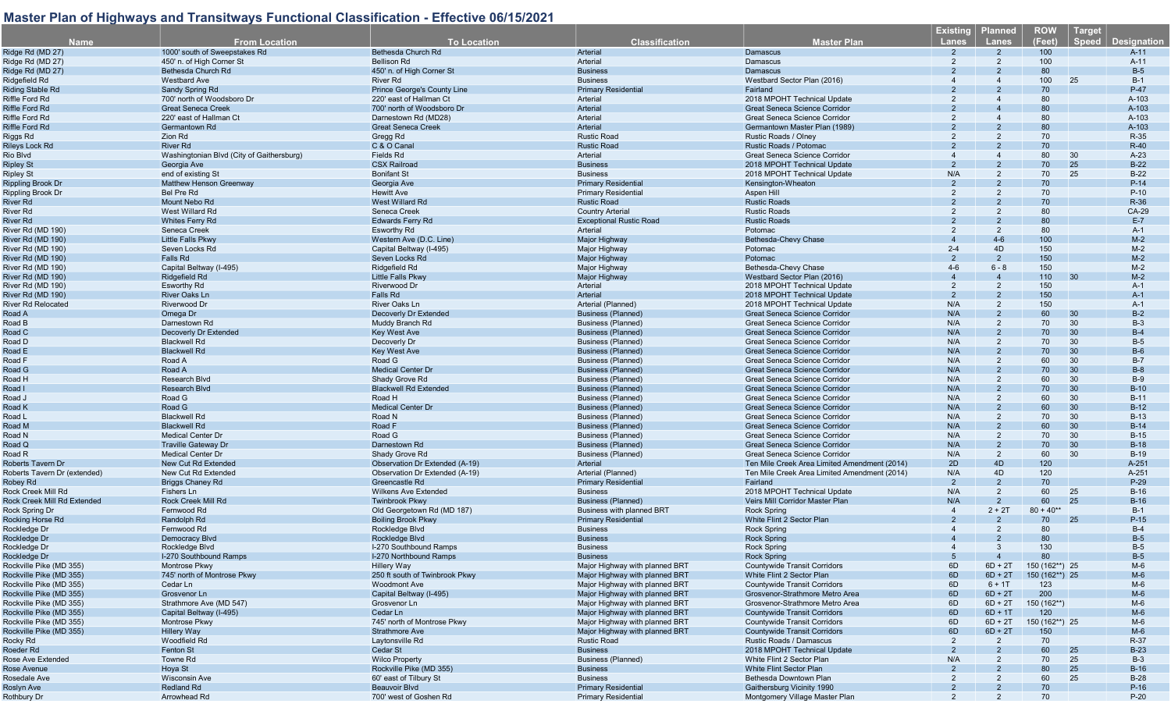| Name                         | <b>From Location</b>                      | <b>To Location</b>                                      | <b>Classification</b>                                  | <b>Master Plan</b>                           | <u>Existing</u><br>Lanes | <b>Planned</b><br>Lanes | <b>ROW</b><br>(Feet) | Target<br><b>Speed</b> | <b>Designation</b> |
|------------------------------|-------------------------------------------|---------------------------------------------------------|--------------------------------------------------------|----------------------------------------------|--------------------------|-------------------------|----------------------|------------------------|--------------------|
| Ridge Rd (MD 27)             | 1000' south of Sweepstakes Rd             | <b>Bethesda Church Rd</b>                               | Arterial                                               | Damascus                                     |                          |                         | 100                  |                        | $A-11$             |
| Ridge Rd (MD 27)             | 450' n. of High Corner St                 | <b>Bellison Rd</b>                                      | Arterial                                               | Damascus                                     | 2                        | 2                       | 100                  |                        | A-11               |
| Ridge Rd (MD 27)             | Bethesda Church Rd                        | 450' n. of High Corner St                               | <b>Business</b>                                        | Damascus                                     |                          |                         | 80                   |                        | $B-5$              |
| Ridgefield Rd                | <b>Westbard Ave</b>                       | <b>River Rd</b>                                         | <b>Business</b>                                        | Westbard Sector Plan (2016)                  |                          |                         | 100                  | 25                     | $B-1$              |
| <b>Riding Stable Rd</b>      | Sandy Spring Rd                           | <b>Prince George's County Line</b>                      | <b>Primary Residential</b>                             | Fairland                                     |                          |                         | 70                   |                        | $P-47$             |
| Riffle Ford Rd               | 700' north of Woodsboro Dr                | 220' east of Hallman Ct                                 | Arterial                                               | 2018 MPOHT Technical Update                  |                          |                         | 80                   |                        | A-103              |
| <b>Riffle Ford Rd</b>        | <b>Great Seneca Creek</b>                 | 700' north of Woodsboro Dr                              | Arterial                                               | <b>Great Seneca Science Corridor</b>         |                          |                         | 80                   |                        | A-103              |
| Riffle Ford Rd               | 220' east of Hallman Ct                   | Darnestown Rd (MD28)                                    | Arterial                                               | Great Seneca Science Corridor                |                          |                         | 80                   |                        | A-103              |
| <b>Riffle Ford Rd</b>        | Germantown Rd                             | <b>Great Seneca Creek</b>                               | <b>Arterial</b>                                        | Germantown Master Plan (1989)                |                          |                         | 80                   |                        | A-103              |
| Riggs Rd                     | Zion Rd                                   | Gregg Rd                                                | <b>Rustic Road</b>                                     | Rustic Roads / Olney                         |                          |                         | 70                   |                        | R-35               |
| <b>Rileys Lock Rd</b>        | <b>River Rd</b>                           | C & O Canal                                             | <b>Rustic Road</b>                                     | Rustic Roads / Potomac                       |                          |                         | 70                   |                        | $R-40$             |
| Rio Blvd                     | Washingtonian Blvd (City of Gaithersburg) | <b>Fields Rd</b>                                        | Arterial                                               | <b>Great Seneca Science Corridor</b>         |                          |                         | 80                   | 30                     | $A-23$             |
| <b>Ripley St</b>             | Georgia Ave                               | <b>CSX Railroad</b>                                     | <b>Business</b>                                        | 2018 MPOHT Technical Update                  |                          |                         | 70                   | 25                     | $B-22$             |
| <b>Ripley St</b>             | end of existing St                        | <b>Bonifant St</b>                                      | <b>Business</b>                                        | 2018 MPOHT Technical Update                  | N/A                      | $\overline{2}$          | 70                   | 25                     | $B-22$             |
| <b>Rippling Brook Dr</b>     | Matthew Henson Greenway                   | Georgia Ave                                             | <b>Primary Residential</b>                             | Kensington-Wheaton                           |                          |                         | 70                   |                        | $P-14$             |
| <b>Rippling Brook Dr</b>     | <b>Bel Pre Rd</b>                         | <b>Hewitt Ave</b>                                       | <b>Primary Residential</b>                             | Aspen Hill                                   | 2                        | 2                       | 70                   |                        | $P-10$             |
| River Rd                     | Mount Nebo Rd                             | <b>West Willard Rd</b>                                  | <b>Rustic Road</b>                                     | <b>Rustic Roads</b>                          |                          |                         | 70                   |                        | R-36               |
| River Rd                     | West Willard Rd                           | Seneca Creek                                            | <b>Country Arterial</b>                                | <b>Rustic Roads</b>                          |                          | 2                       | 80                   |                        | CA-29              |
| River Rd                     | <b>Whites Ferry Rd</b>                    | <b>Edwards Ferry Rd</b>                                 | <b>Exceptional Rustic Road</b>                         | <b>Rustic Roads</b>                          | $\overline{2}$           | $\overline{2}$          | 80                   |                        | $E-7$              |
| River Rd (MD 190)            | Seneca Creek                              | Esworthy Rd                                             | Arterial                                               | Potomac                                      | 2                        | 2                       | 80                   |                        | $A-1$              |
|                              |                                           |                                                         |                                                        |                                              |                          | $4 - 6$                 | 100                  |                        |                    |
| River Rd (MD 190)            | Little Falls Pkwy                         | Western Ave (D.C. Line)                                 | Major Highway                                          | Bethesda-Chevy Chase                         |                          |                         |                      |                        | $M-2$              |
| River Rd (MD 190)            | Seven Locks Rd                            | Capital Beltway (I-495)                                 | Major Highway                                          | Potomac                                      | $2 - 4$                  | 4D                      | 150                  |                        | $M-2$              |
| River Rd (MD 190)            | Falls Rd                                  | Seven Locks Rd                                          | Major Highway                                          | Potomac                                      | $\mathcal{P}$            | $\overline{2}$          | 150                  |                        | $M-2$              |
| River Rd (MD 190)            | Capital Beltway (I-495)                   | Ridgefield Rd                                           | Major Highway                                          | Bethesda-Chevy Chase                         | $4-6$                    | $6 - 8$                 | 150                  |                        | $M-2$              |
| River Rd (MD 190)            | Ridgefield Rd                             | <b>Little Falls Pkwy</b>                                | <b>Maior Highway</b>                                   | Westbard Sector Plan (2016)                  | $\overline{4}$           | $\overline{4}$          | 110                  | 30                     | $M-2$              |
| River Rd (MD 190)            | Esworthy Rd                               | Riverwood Dr                                            | Arterial                                               | 2018 MPOHT Technical Update                  | 2                        | $\overline{2}$          | 150                  |                        | $A-1$              |
| River Rd (MD 190)            | <b>River Oaks Ln</b>                      | <b>Falls Rd</b>                                         | Arterial                                               | 2018 MPOHT Technical Update                  | 2                        |                         | 150                  |                        | $A-1$              |
| <b>River Rd Relocated</b>    | Riverwood Dr                              | <b>River Oaks Ln</b>                                    | Arterial (Planned)                                     | 2018 MPOHT Technical Update                  | N/A                      | $\overline{2}$          | 150                  |                        | $A-1$              |
| Road A                       | Omega Dr                                  | Decoverly Dr Extended                                   | Business (Planned)                                     | <b>Great Seneca Science Corridor</b>         | N/A                      |                         | 60                   | 30                     | $B-2$              |
| Road B                       | Darnestown Rd                             | Muddy Branch Rd                                         | <b>Business (Planned)</b>                              | Great Seneca Science Corridor                | N/A                      | $\overline{2}$          | 70                   | 30                     | $B-3$              |
| Road C                       | Decoverly Dr Extended                     | <b>Key West Ave</b>                                     | <b>Business (Planned)</b>                              | <b>Great Seneca Science Corridor</b>         | N/A                      | $\overline{2}$          | 70                   | 30                     | $B-4$              |
| Road D                       | <b>Blackwell Rd</b>                       | Decoverly Dr                                            | <b>Business (Planned)</b>                              | Great Seneca Science Corridor                | N/A                      | 2                       | 70                   | 30                     | $B-5$              |
| Road E                       | <b>Blackwell Rd</b>                       | <b>Key West Ave</b>                                     | Business (Planned)                                     | <b>Great Seneca Science Corridor</b>         | N/A                      | 2                       | 70                   | 30                     | $B-6$              |
| Road F                       | Road A                                    | Road G                                                  | Business (Planned)                                     | Great Seneca Science Corridor                | N/A                      | $\overline{2}$          | 60                   | 30                     | $B-7$              |
| Road G                       | Road A                                    | <b>Medical Center Dr</b>                                | <b>Business (Planned)</b>                              | <b>Great Seneca Science Corridor</b>         | N/A                      | $\mathcal{P}$           | 70                   | 30                     | $B-8$              |
| Road H                       | Research Blvd                             | Shady Grove Rd                                          | <b>Business (Planned)</b>                              | Great Seneca Science Corridor                | N/A                      | 2                       | 60                   | 30                     | $B-9$              |
| Road I                       | Research Blvd                             | <b>Blackwell Rd Extended</b>                            | Business (Planned)                                     | <b>Great Seneca Science Corridor</b>         | N/A                      | $\overline{2}$          | 70                   | 30                     | $B-10$             |
| Road J                       | Road G                                    | Road H                                                  | Business (Planned)                                     | Great Seneca Science Corridor                | N/A                      | 2                       | 60                   | 30                     | $B-11$             |
| Road K                       | Road G                                    | <b>Medical Center Dr</b>                                | Business (Planned)                                     | <b>Great Seneca Science Corridor</b>         | N/A                      | $\overline{2}$          | 60                   | 30                     | $B-12$             |
| Road L                       | <b>Blackwell Rd</b>                       | Road N                                                  | Business (Planned)                                     | Great Seneca Science Corridor                | N/A                      | $\overline{2}$          | 70                   | 30                     | $B-13$             |
| Road M                       | <b>Blackwell Rd</b>                       | Road F                                                  | Business (Planned)                                     | <b>Great Seneca Science Corridor</b>         | N/A                      | $\mathcal{P}$           | 60                   | 30                     | $B-14$             |
| Road N                       | <b>Medical Center Dr</b>                  | Road G                                                  | Business (Planned)                                     | Great Seneca Science Corridor                | N/A                      | $\overline{2}$          | 70                   | 30                     | $B-15$             |
| Road Q                       | <b>Traville Gateway Dr</b>                | Darnestown Rd                                           | Business (Planned)                                     | <b>Great Seneca Science Corridor</b>         | N/A                      | 2                       | 70                   | 30                     | $B-18$             |
| Road R                       | <b>Medical Center Dr</b>                  | Shady Grove Rd                                          | <b>Business (Planned)</b>                              | Great Seneca Science Corridor                | N/A                      | $\overline{2}$          | 60                   | 30                     | $B-19$             |
| <b>Roberts Tavern Dr</b>     | New Cut Rd Extended                       | Observation Dr Extended (A-19)                          | Arterial                                               | Ten Mile Creek Area Limited Amendment (2014) | 2D                       | 4D                      | 120                  |                        | A-251              |
| Roberts Tavern Dr (extended) | New Cut Rd Extended                       | Observation Dr Extended (A-19)                          | Arterial (Planned)                                     | Ten Mile Creek Area Limited Amendment (2014) | N/A                      | 4D                      | 120                  |                        | A-251              |
| Robey Rd                     | <b>Briggs Chaney Rd</b>                   | Greencastle Rd                                          | <b>Primary Residentia</b>                              | Fairland                                     | 2                        | $\overline{2}$          | 70                   |                        | $P-29$             |
| Rock Creek Mill Rd           | Fishers Ln                                |                                                         |                                                        | 2018 MPOHT Technical Update                  | N/A                      | $\overline{2}$          | 60                   | 25                     | $B-16$             |
|                              |                                           | <b>Wilkens Ave Extended</b>                             | <b>Business</b>                                        |                                              | N/A                      | $\overline{2}$          | 60                   | 25                     | $B-16$             |
| Rock Creek Mill Rd Extended  | Rock Creek Mill Rd                        | <b>Twinbrook Pkwy</b>                                   | Business (Planned)<br><b>Business with planned BRT</b> | Veirs Mill Corridor Master Plar              |                          |                         |                      |                        |                    |
| Rock Spring Dr               | Fernwood Rd                               | Old Georgetown Rd (MD 187)<br><b>Boiling Brook Pkwy</b> |                                                        | <b>Rock Spring</b>                           |                          | $2 + 2T$                | $80 + 40**$<br>70    |                        | $B-1$              |
| Rocking Horse Rd             | Randolph Rd                               |                                                         | <b>Primary Residentia</b>                              | White Flint 2 Sector Plan                    |                          |                         |                      | 25                     | $P-15$             |
| Rockledge Dr                 | Fernwood Rd                               | Rockledge Blvd                                          | <b>Business</b>                                        | <b>Rock Spring</b>                           |                          | $\overline{2}$          | 80                   |                        | $B-4$              |
| Rockledge Dr                 | Democracy Blvd                            | Rockledge Blvd                                          | <b>Business</b>                                        | <b>Rock Spring</b>                           |                          |                         | 80                   |                        | $B-5$              |
| Rockledge Dr                 | Rockledge Blvd                            | I-270 Southbound Ramps                                  | <b>Business</b>                                        | <b>Rock Spring</b>                           |                          | $\cdot$ 3               | 130                  |                        | $B-5$              |
| Rockledge Dr                 | I-270 Southbound Ramps                    | I-270 Northbound Ramps                                  | <b>Business</b>                                        | <b>Rock Spring</b>                           | 5                        | $\overline{4}$          | 80                   |                        | $B-5$              |
| Rockville Pike (MD 355)      | Montrose Pkwy                             | Hillery Way                                             | Major Highway with planned BRT                         | <b>Countywide Transit Corridors</b>          | 6D                       | $6D + 2T$               | 150 (162**) 25       |                        | M-6                |
| Rockville Pike (MD 355)      | 745' north of Montrose Pkwy               | 250 ft south of Twinbrook Pkwy                          | Major Highway with planned BRT                         | White Flint 2 Sector Plan                    | 6D                       | $6D + 2T$               | 150 (162**) 25       |                        | $M-6$              |
| Rockville Pike (MD 355)      | Cedar Ln                                  | <b>Woodmont Ave</b>                                     | Major Highway with planned BRT                         | <b>Countywide Transit Corridors</b>          | 6D                       | $6 + 1T$                | 123                  |                        | M-6                |
| Rockville Pike (MD 355)      | Grosvenor Ln                              | Capital Beltway (I-495)                                 | Major Highway with planned BRT                         | Grosvenor-Strathmore Metro Area              | 6D                       | $6D + 2T$               | 200                  |                        | $M-6$              |
| Rockville Pike (MD 355)      | Strathmore Ave (MD 547)                   | Grosvenor Ln                                            | Major Highway with planned BRT                         | Grosvenor-Strathmore Metro Area              | 6D                       | $6D + 2T$               | 150 (162**)          |                        | M-6                |
| Rockville Pike (MD 355)      | Capital Beltway (I-495)                   | Cedar Ln                                                | Major Highway with planned BRT                         | <b>Countywide Transit Corridors</b>          | 6D                       | $6D + 1T$               | 120                  |                        | $M-6$              |
| Rockville Pike (MD 355)      | Montrose Pkwy                             | 745' north of Montrose Pkwy                             | Major Highway with planned BRT                         | <b>Countywide Transit Corridors</b>          | 6D                       | $6D + 2T$               | 150 (162**) 25       |                        | $M-6$              |
| Rockville Pike (MD 355)      | Hillery Way                               | <b>Strathmore Ave</b>                                   | Major Highway with planned BRT                         | <b>Countywide Transit Corridors</b>          | 6D                       | $6D + 2T$               | 150                  |                        | $M-6$              |
| Rocky Rd                     | <b>Woodfield Rd</b>                       | Laytonsville Rd                                         | <b>Rustic Road</b>                                     | Rustic Roads / Damascus                      | 2                        | $\overline{2}$          | 70                   |                        | R-37               |
| Roeder Rd                    | <b>Fenton St</b>                          | Cedar St                                                | <b>Business</b>                                        | 2018 MPOHT Technical Update                  |                          |                         | 60                   | 25                     | $B-23$             |
| Rose Ave Extended            | Towne Rd                                  | <b>Wilco Property</b>                                   | <b>Business (Planned)</b>                              | White Flint 2 Sector Plan                    | N/A                      | 2                       | 70                   | 25                     | $B-3$              |
| Rose Avenue                  | Hoya St                                   | Rockville Pike (MD 355)                                 | <b>Business</b>                                        | White Flint Sector Plan                      | $\mathcal{P}$            |                         | 80                   | 25                     | $B-16$             |
| Rosedale Ave                 | Wisconsin Ave                             | 60' east of Tilbury St                                  | <b>Business</b>                                        | Bethesda Downtown Plan                       | $\mathfrak{p}$           | 2                       | 60                   | 25                     | $B-28$             |
| Roslyn Ave                   | <b>Redland Rd</b>                         | Beauvoir Blvd                                           | <b>Primary Residential</b>                             | Gaithersburg Vicinity 1990                   |                          |                         | 70                   |                        | $P-16$             |
| Rothbury Dr                  | Arrowhead Rd                              | 700' west of Goshen Rd                                  | <b>Primary Residential</b>                             | Montgomery Village Master Plan               |                          |                         | 70                   |                        | $P-20$             |
|                              |                                           |                                                         |                                                        |                                              |                          |                         |                      |                        |                    |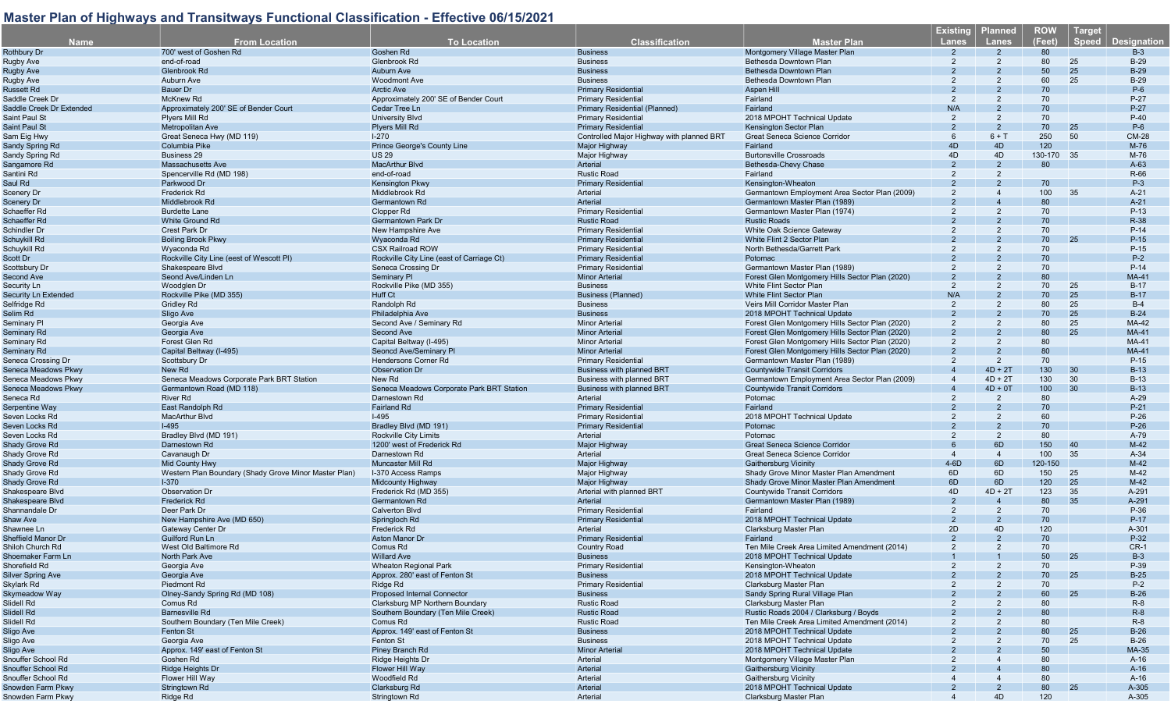| <b>Name</b>                   | <b>From Location</b>                                  | <b>To Location</b>                        | <b>Classification</b>                     | <b>Master Plan</b>                               | <b>Existing</b><br><b>Lanes</b> | <b>Planned</b><br>Lanes | <b>ROW</b><br>(Feet) | <b>Target</b><br><b>Speed</b> | <b>Designation</b> |
|-------------------------------|-------------------------------------------------------|-------------------------------------------|-------------------------------------------|--------------------------------------------------|---------------------------------|-------------------------|----------------------|-------------------------------|--------------------|
| <b>Rothbury Dr</b>            | 700' west of Goshen Rd                                | Goshen Rd                                 | <b>Business</b>                           | Montgomery Village Master Plan                   |                                 | $\mathcal{P}$           | 80                   |                               | $B-3$              |
|                               | end-of-road                                           | Glenbrook Rd                              | <b>Business</b>                           | Bethesda Downtown Plan                           | 2                               | 2                       | 80                   | 25                            | $B-29$             |
| Rugby Ave                     | Glenbrook Rd                                          |                                           | <b>Business</b>                           |                                                  |                                 |                         | 50                   | 25                            | $B-29$             |
| <b>Rugby Ave</b>              | Auburn Ave                                            | <b>Auburn Ave</b>                         | <b>Business</b>                           | Bethesda Downtown Plan<br>Bethesda Downtown Plan | 2                               | 2                       | 60                   | 25                            | $B-29$             |
| Rugby Ave                     |                                                       | <b>Woodmont Ave</b>                       | <b>Primary Residential</b>                |                                                  |                                 |                         |                      |                               |                    |
| Russett Rd<br>Saddle Creek Dr | Bauer Dr                                              | <b>Arctic Ave</b>                         |                                           | Aspen Hill                                       | 2                               | 2                       | 70                   |                               | $P-6$              |
|                               | <b>McKnew Rd</b>                                      | Approximately 200' SE of Bender Court     | <b>Primary Residential</b>                | Fairland                                         |                                 | $\mathcal{P}$           | 70                   |                               | $P-27$             |
| Saddle Creek Dr Extended      | Approximately 200' SE of Bender Court                 | Cedar Tree Ln                             | Primary Residential (Planned)             | Fairland                                         | N/A                             |                         | 70                   |                               | $P-27$             |
| Saint Paul St                 | Plyers Mill Rd                                        | <b>University Blvd</b>                    | <b>Primary Residential</b>                | 2018 MPOHT Technical Update                      | $\overline{2}$                  | 2                       | 70                   |                               | $P-40$             |
| Saint Paul St                 | Metropolitan Ave                                      | <b>Plyers Mill Rd</b>                     | <b>Primary Residentia</b>                 | Kensington Sector Plan                           |                                 | 2                       | 70                   | 25                            | $P-6$              |
| Sam Eig Hwy                   | Great Seneca Hwy (MD 119)                             | $1 - 270$                                 | Controlled Major Highway with planned BRT | Great Seneca Science Corridor                    | 6                               | $6 + T$                 | 250                  | 50                            | <b>CM-28</b>       |
| Sandy Spring Rd               | Columbia Pike                                         | Prince George's County Line               | Major Highway                             | Fairland                                         | 4D                              | 4D                      | 120                  |                               | M-76               |
| Sandy Spring Rd               | <b>Business 29</b>                                    | <b>US 29</b>                              | Major Highway                             | <b>Burtonsville Crossroads</b>                   | 4D                              | 4D                      | 130-170 35           |                               | M-76               |
| Sangamore Rd                  | Massachusetts Ave                                     | <b>MacArthur Blvd</b>                     | Arterial                                  | Bethesda-Chevy Chase                             | 2                               | $\overline{2}$          | 80                   |                               | $A-63$             |
| Santini Rd                    | Spencerville Rd (MD 198)                              | end-of-road                               | <b>Rustic Road</b>                        | Fairland                                         | 2                               | 2                       |                      |                               | R-66               |
| Saul Rd                       | Parkwood Dr                                           | Kensington Pkwy                           | <b>Primary Residential</b>                | Kensington-Wheaton                               |                                 |                         | 70                   |                               | $P-3$              |
| Scenery Dr                    | Frederick Rd                                          | Middlebrook Rd                            | Arterial                                  | Germantown Employment Area Sector Plan (2009)    | $\overline{2}$                  |                         | 100                  | 35                            | $A-21$             |
| Scenery Dr                    | Middlebrook Rd                                        | Germantown Rd                             | Arterial                                  | Germantown Master Plan (1989)                    |                                 |                         | 80                   |                               | $A-21$             |
| Schaeffer Rd                  | <b>Burdette Lane</b>                                  | Clopper Rd                                | <b>Primary Residential</b>                | Germantown Master Plan (1974)                    |                                 |                         | 70                   |                               | $P-13$             |
| Schaeffer Rd                  | <b>White Ground Rd</b>                                | <b>Germantown Park Dr</b>                 | <b>Rustic Road</b>                        | <b>Rustic Roads</b>                              |                                 |                         | 70                   |                               | R-38               |
| Schindler Dr                  | Crest Park Dr                                         | New Hampshire Ave                         | <b>Primary Residential</b>                | White Oak Science Gateway                        |                                 |                         | 70                   |                               | $P-14$             |
| Schuykill Rd                  | <b>Boiling Brook Pkwy</b>                             | Wyaconda Rd                               | <b>Primary Residential</b>                | White Flint 2 Sector Plan                        |                                 |                         | 70                   | 25                            | $P-15$             |
| Schuykill Rd                  | Wyaconda Rd                                           | <b>CSX Railroad ROW</b>                   | <b>Primary Residential</b>                | North Bethesda/Garrett Park                      |                                 |                         | 70                   |                               | $P-15$             |
| Scott Dr                      | Rockville City Line (eest of Wescott PI)              | Rockville City Line (east of Carriage Ct) | <b>Primary Residential</b>                | Potomac                                          |                                 |                         | 70                   |                               | $P-2$              |
| Scottsbury Dr                 | Shakespeare Blvd                                      | Seneca Crossing Dr                        | <b>Primary Residential</b>                | Germantown Master Plan (1989)                    |                                 |                         | 70                   |                               | $P-14$             |
| Second Ave                    | Seond Ave/Linden Ln                                   | <b>Seminary PI</b>                        | <b>Minor Arterial</b>                     | Forest Glen Montgomery Hills Sector Plan (2020)  |                                 |                         | 80                   |                               | <b>MA-41</b>       |
| Security Ln                   | Woodglen Dr                                           | Rockville Pike (MD 355)                   | <b>Business</b>                           | <b>White Flint Sector Plan</b>                   | $\mathcal{P}$                   | 2                       | 70                   | 25                            | $B-17$             |
| Security Ln Extended          | Rockville Pike (MD 355)                               | <b>Huff Ct</b>                            | Business (Planned)                        | White Flint Sector Plan                          | N/A                             |                         | 70                   | 25                            | $B-17$             |
| Selfridge Rd                  | <b>Gridley Rd</b>                                     | Randolph Rd                               | <b>Business</b>                           | Veirs Mill Corridor Master Plan                  | $\overline{2}$                  | 2                       | 80                   | 25                            | $B-4$              |
| Selim Rd                      | Sligo Ave                                             | Philadelphia Ave                          | <b>Business</b>                           | 2018 MPOHT Technical Update                      |                                 |                         | 70                   | 25                            | $B-24$             |
| Seminary Pl                   | Georgia Ave                                           | Second Ave / Seminary Rd                  | <b>Minor Arterial</b>                     | Forest Glen Montgomery Hills Sector Plan (2020)  |                                 |                         | 80                   | 25                            | MA-42              |
| Seminary Rd                   | Georgia Ave                                           | Second Ave                                | <b>Minor Arterial</b>                     | Forest Glen Montgomery Hills Sector Plan (2020)  |                                 |                         | 80                   | 25                            | <b>MA-41</b>       |
| Seminary Rd                   | Forest Glen Rd                                        | Capital Beltway (I-495)                   | <b>Minor Arterial</b>                     | Forest Glen Montgomery Hills Sector Plan (2020)  | 2                               | 2                       | 80                   |                               | MA-41              |
| Seminary Rd                   | Capital Beltway (I-495)                               | Seoncd Ave/Seminary PI                    | <b>Minor Arterial</b>                     | Forest Glen Montgomery Hills Sector Plan (2020)  |                                 |                         | 80                   |                               | <b>MA-41</b>       |
| Seneca Crossing Dr            | Scottsbury Dr                                         | Hendersons Corner Rd                      | <b>Primary Residential</b>                | Germantown Master Plan (1989)                    |                                 | 2                       | 70                   |                               | $P-15$             |
| Seneca Meadows Pkwy           | New Rd                                                | <b>Observation Dr</b>                     | <b>Business with planned BRT</b>          | <b>Countywide Transit Corridors</b>              |                                 | $4D + 2T$               | 130                  | 30                            | $B-13$             |
| Seneca Meadows Pkwy           | Seneca Meadows Corporate Park BRT Station             | New Rd                                    | Business with planned BRT                 | Germantown Employment Area Sector Plan (2009)    |                                 | $4D + 2T$               | 130                  | 30                            | $B-13$             |
| Seneca Meadows Pkwy           |                                                       |                                           |                                           |                                                  |                                 | $4D + 0T$               | 100                  | 30                            | $B-13$             |
|                               | Germantown Road (MD 118)                              | Seneca Meadows Corporate Park BRT Station | <b>Business with planned BRT</b>          | <b>Countywide Transit Corridors</b>              |                                 |                         |                      |                               |                    |
| Seneca Rd                     | River Rd                                              | Darnestown Rd                             | Arterial                                  | Potomac                                          |                                 | 2                       | 80                   |                               | $A-29$             |
| Serpentine Way                | East Randolph Rd                                      | <b>Fairland Rd</b>                        | <b>Primary Residential</b>                | Fairland                                         |                                 |                         | 70                   |                               | $P-21$             |
| Seven Locks Rd                | <b>MacArthur Blvd</b>                                 | $I-495$                                   | <b>Primary Residential</b>                | 2018 MPOHT Technical Update                      |                                 |                         | 60                   |                               | $P-26$             |
| Seven Locks Rd                | $I-495$                                               | Bradley Blvd (MD 191)                     | <b>Primary Residential</b>                | Potomac                                          |                                 |                         | 70                   |                               | $P-26$             |
| Seven Locks Rd                | Bradley Blvd (MD 191)                                 | <b>Rockville City Limits</b>              | Arterial                                  | Potomac                                          |                                 | 2                       | 80                   |                               | A-79               |
| <b>Shady Grove Rd</b>         | Darnestown Rd                                         | 1200' west of Frederick Rd                | Major Highway                             | <b>Great Seneca Science Corridor</b>             |                                 | 6D                      | 150                  | 40                            | $M-42$             |
| Shady Grove Rd                | Cavanaugh Dr                                          | Darnestown Rd                             | Arterial                                  | Great Seneca Science Corridor                    | $\Delta$                        | $\overline{4}$          | 100                  | 35                            | $A-34$             |
| <b>Shady Grove Rd</b>         | <b>Mid County Hwy</b>                                 | <b>Muncaster Mill Rd</b>                  | <b>Major Highway</b>                      | <b>Gaithersburg Vicinity</b>                     | $4-6D$                          | 6D                      | 120-150              |                               | $M-42$             |
| Shady Grove Rd                | Western Plan Boundary (Shady Grove Minor Master Plan) | I-370 Access Ramps                        | Major Highway                             | Shady Grove Minor Master Plan Amendment          | 6D                              | 6D                      | 150                  | 25                            | $M-42$             |
| <b>Shady Grove Rd</b>         | $1-370$                                               | <b>Midcounty Highway</b>                  | Major Highway                             | Shady Grove Minor Master Plan Amendment          | 6D                              | 6D                      | 120                  | 25                            | $M-42$             |
| Shakespeare Blvd              | <b>Observation Dr</b>                                 | Frederick Rd (MD 355)                     | Arterial with planned BRT                 | <b>Countywide Transit Corridors</b>              | 4D                              | $4D + 2T$               | 123                  | 35                            | A-291              |
| Shakespeare Blvd              | Frederick Rd                                          | Germantown Rd                             | Arterial                                  | Germantown Master Plan (1989)                    | $\mathcal{P}$                   |                         | 80                   | 35                            | A-291              |
| Shannandale Dr                | Deer Park Dr                                          | <b>Calverton Blvd</b>                     | <b>Primary Residential</b>                | Fairland                                         | 2                               | 2                       | 70                   |                               | P-36               |
| Shaw Ave                      | New Hampshire Ave (MD 650)                            | Springloch Rd                             | Primary Residentia                        | 2018 MPOHT Technical Update                      | $\overline{2}$                  |                         | 70                   |                               | $P-17$             |
| Shawnee Ln                    | Gateway Center Dr                                     | Frederick Rd                              | Arterial                                  | Clarksburg Master Plan                           | 2D                              | 4D                      | 120                  |                               | A-301              |
| Sheffield Manor Dr            | Guilford Run Ln                                       | <b>Aston Manor Dr</b>                     | <b>Primary Residential</b>                | Fairland                                         |                                 |                         | 70                   |                               | P-32               |
| Shiloh Church Rd              | West Old Baltimore Rd                                 | Comus Rd                                  | <b>Country Road</b>                       | Ten Mile Creek Area Limited Amendment (2014)     | $\mathcal{P}$                   | $\mathcal{P}$           | 70                   |                               | $CR-1$             |
| Shoemaker Farm Ln             | North Park Ave                                        | <b>Willard Ave</b>                        | <b>Business</b>                           | 2018 MPOHT Technical Update                      |                                 |                         | 50                   | 25                            | $B-3$              |
| Shorefield Rd                 | Georgia Ave                                           | <b>Wheaton Regional Park</b>              | <b>Primary Residential</b>                | Kensington-Wheaton                               |                                 |                         | 70                   |                               | P-39               |
| <b>Silver Spring Ave</b>      | Georgia Ave                                           | Approx. 280' east of Fenton St            | <b>Business</b>                           | 2018 MPOHT Technical Update                      |                                 |                         | 70                   | 25                            | $B-25$             |
| Skylark Rd                    | Piedmont Rd                                           | Ridge Rd                                  | <b>Primary Residential</b>                | Clarksburg Master Plan                           |                                 |                         | 70                   |                               | $P-2$              |
| Skymeadow Way                 | Olney-Sandy Spring Rd (MD 108)                        | Proposed Internal Connector               | <b>Business</b>                           | Sandy Spring Rural Village Plan                  |                                 |                         | 60                   | 25                            | $B-26$             |
| Slidell Rd                    | Comus Rd                                              | Clarksburg MP Northern Boundary           | <b>Rustic Road</b>                        | Clarksburg Master Plan                           |                                 |                         | 80                   |                               | $R-8$              |
| Slidell Rd                    | <b>Barnesville Rd</b>                                 | Southern Boundary (Ten Mile Creek)        | <b>Rustic Road</b>                        | Rustic Roads 2004 / Clarksburg / Boyds           |                                 |                         | 80                   |                               | $R-8$              |
| Slidell Rd                    | Southern Boundary (Ten Mile Creek)                    | Comus Rd                                  | <b>Rustic Road</b>                        | Ten Mile Creek Area Limited Amendment (2014)     |                                 |                         | 80                   |                               | $R-8$              |
|                               |                                                       |                                           |                                           |                                                  |                                 |                         | 80                   |                               |                    |
| Sligo Ave                     | <b>Fenton St</b>                                      | Approx. 149' east of Fenton St            | <b>Business</b>                           | 2018 MPOHT Technical Update                      |                                 |                         |                      | 25                            | $B-26$             |
| Sligo Ave                     | Georgia Ave                                           | Fenton St                                 | <b>Business</b>                           | 2018 MPOHT Technical Update                      |                                 |                         | 70                   | 25                            | $B-26$             |
| Sligo Ave                     | Approx. 149' east of Fenton St                        | <b>Piney Branch Rd</b>                    | <b>Minor Arterial</b>                     | 2018 MPOHT Technical Update                      |                                 |                         | 50                   |                               | MA-35              |
| Snouffer School Rd            | Goshen Rd                                             | Ridge Heights Dr                          | Arterial                                  | Montgomery Village Master Plan                   |                                 |                         | 80                   |                               | $A-16$             |
| Snouffer School Rd            | Ridge Heights Dr                                      | Flower Hill Way                           | Arterial                                  | Gaithersburg Vicinity                            |                                 |                         | 80                   |                               | $A-16$             |
| Snouffer School Rd            | Flower Hill Way                                       | Woodfield Rd                              | Arterial                                  | <b>Gaithersburg Vicinity</b>                     |                                 |                         | 80                   |                               | $A-16$             |
| Snowden Farm Pkwy             | Stringtown Rd                                         | Clarksburg Rd                             | Arterial                                  | 2018 MPOHT Technical Update                      |                                 |                         | 80                   | 25                            | A-305              |
| Snowden Farm Pkwy             | Ridge Rd                                              | Stringtown Rd                             | Arterial                                  | Clarksburg Master Plan                           |                                 | 4D                      | 120                  |                               | A-305              |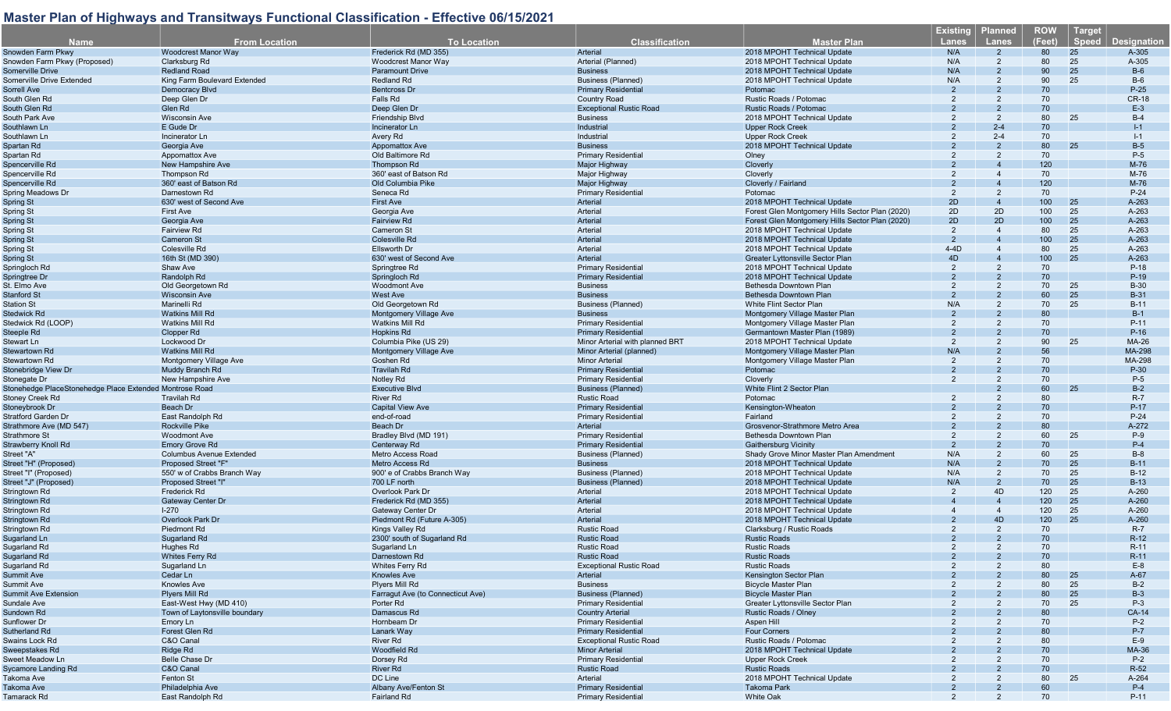| <b>Name</b>                                             | <b>From Location</b>            | <b>To Location</b>                  | <b>Classification</b>           | <b>Master Plan</b>                              | <b>Existing</b><br><b>Lanes</b> | <b>Planned</b><br>Lanes | <b>ROW</b><br>(Feet) | <b>Target</b><br>Speed | <b>Designation</b> |
|---------------------------------------------------------|---------------------------------|-------------------------------------|---------------------------------|-------------------------------------------------|---------------------------------|-------------------------|----------------------|------------------------|--------------------|
| Snowden Farm Pkwy                                       | <b>Woodcrest Manor Way</b>      | Frederick Rd (MD 355)               | Arterial                        | 2018 MPOHT Technical Update                     | N/A                             | $\overline{2}$          | 80                   | 25                     | A-305              |
| Snowden Farm Pkwy (Proposed)                            | Clarksburg Rd                   | Woodcrest Manor Way                 | Arterial (Planned)              | 2018 MPOHT Technical Update                     | N/A                             | $\overline{2}$          | 80                   | 25                     | A-305              |
| Somerville Drive                                        | <b>Redland Road</b>             | <b>Paramount Drive</b>              | <b>Business</b>                 | 2018 MPOHT Technical Update                     | N/A                             |                         | 90                   | 25                     | $B-6$              |
| Somerville Drive Extended                               | King Farm Boulevard Extended    | <b>Redland Rd</b>                   | <b>Business (Planned)</b>       | 2018 MPOHT Technical Update                     | N/A                             | 2                       | 90                   | 25                     | $B-6$              |
| Sorrell Ave                                             | Democracy Blvd                  | <b>Bentcross Dr</b>                 | <b>Primary Residential</b>      | Potomac                                         | $\overline{2}$                  |                         | 70                   |                        | $P-25$             |
| South Glen Rd                                           | Deep Glen Dr                    | Falls Rd                            | <b>Country Road</b>             | Rustic Roads / Potomac                          | 2                               | 2                       | 70                   |                        | <b>CR-18</b>       |
| South Glen Rd                                           | Glen Rd                         | Deep Glen Dr                        | <b>Exceptional Rustic Road</b>  | Rustic Roads / Potomac                          |                                 |                         | 70                   |                        | $E-3$              |
| South Park Ave                                          | <b>Wisconsin Ave</b>            | Friendship Blvd                     | <b>Business</b>                 | 2018 MPOHT Technical Update                     |                                 |                         | 80                   | 25                     | $B-4$              |
| Southlawn Ln                                            | E Gude Dr                       | Incinerator Ln                      | Industrial                      | <b>Upper Rock Creek</b>                         |                                 | $2 - 4$                 | 70                   |                        | $I-1$              |
| Southlawn Ln                                            | Incinerator Ln                  | Avery Rd                            | Industrial                      | <b>Upper Rock Creek</b>                         | 2                               | $2 - 4$                 | 70                   |                        | $I-1$              |
| Spartan Rd                                              | Georgia Ave                     | <b>Appomattox Ave</b>               | <b>Business</b>                 | 2018 MPOHT Technical Update                     |                                 | $\mathcal{P}$           | 80                   | 25                     | $B-5$              |
| Spartan Rd                                              | Appomattox Ave                  | Old Baltimore Rd                    | <b>Primary Residential</b>      | Olney                                           |                                 |                         | 70                   |                        | $P-5$              |
| Spencerville Rd                                         | New Hampshire Ave               | Thompson Rd                         | Major Highway                   | Cloverly                                        |                                 |                         | 120                  |                        | M-76               |
| Spencerville Rd                                         | Thompson Rd                     | 360' east of Batson Rd              | Major Highway                   | Cloverly                                        |                                 |                         | 70                   |                        | M-76               |
| Spencerville Rd                                         | 360' east of Batson Rd          | Old Columbia Pike                   | Major Highway                   | Cloverly / Fairland                             |                                 |                         | 120                  |                        | M-76               |
| Spring Meadows Dr                                       | Darnestown Rd                   | Seneca Rd                           | <b>Primary Residential</b>      | Potomac                                         | 2                               | 2                       | 70                   |                        | $P-24$             |
| Spring St                                               | 630' west of Second Ave         | First Ave                           | Arterial                        | 2018 MPOHT Technical Update                     | 2D                              |                         | 100                  | 25                     | A-263              |
|                                                         | <b>First Ave</b>                |                                     | Arterial                        |                                                 | 2D                              | 2D                      | 100                  | 25                     | A-263              |
| Spring St                                               |                                 | Georgia Ave<br><b>Fairview Rd</b>   |                                 | Forest Glen Montgomery Hills Sector Plan (2020) | 2D                              | 2D                      | 100                  |                        |                    |
| Spring St                                               | Georgia Ave                     |                                     | Arterial                        | Forest Glen Montgomery Hills Sector Plan (2020) |                                 |                         |                      | 25                     | A-263              |
| Spring St                                               | <b>Fairview Rd</b>              | <b>Cameron St</b>                   | Arterial                        | 2018 MPOHT Technical Update                     | 2                               | $\overline{4}$          | 80                   | 25                     | A-263              |
| Spring St                                               | <b>Cameron St</b>               | <b>Colesville Rd</b>                | Arterial                        | 2018 MPOHT Technical Update                     | $\overline{2}$                  |                         | 100                  | 25                     | A-263              |
| Spring St                                               | Colesville Rd                   | Ellsworth Dr                        | Arterial                        | 2018 MPOHT Technical Update                     | $4-4D$                          | 4                       | 80                   | 25                     | A-263              |
| Spring St                                               | 16th St (MD 390)                | 630' west of Second Ave             | <b>Arterial</b>                 | <b>Greater Lyttonsville Sector Plan</b>         | 4D                              |                         | 100                  | 25                     | A-263              |
| Springloch Rd                                           | Shaw Ave                        | Springtree Rd                       | <b>Primary Residential</b>      | 2018 MPOHT Technical Update                     | 2                               | $\mathcal{P}$           | 70                   |                        | P-18               |
| Springtree Dr                                           | Randolph Rd                     | Springloch Rd                       | <b>Primary Residential</b>      | 2018 MPOHT Technical Update                     | $\mathcal{P}$                   |                         | 70                   |                        | $P-19$             |
| St. Elmo Ave                                            | Old Georgetown Rd               | <b>Woodmont Ave</b>                 | <b>Business</b>                 | Bethesda Downtown Plan                          | 2                               |                         | 70                   | 25                     | <b>B-30</b>        |
| Stanford St                                             | <b>Wisconsin Ave</b>            | West Ave                            | <b>Business</b>                 | Bethesda Downtown Plan                          |                                 |                         | 60                   | 25                     | <b>B-31</b>        |
| <b>Station St</b>                                       | Marinelli Rd                    | Old Georgetown Rd                   | <b>Business (Planned)</b>       | White Flint Sector Plan                         | N/A                             | 2                       | 70                   | 25                     | $B-11$             |
| Stedwick Rd                                             | <b>Watkins Mill Rd</b>          | Montgomery Village Ave              | <b>Business</b>                 | Montgomery Village Master Plan                  |                                 |                         | 80                   |                        | $B-1$              |
| Stedwick Rd (LOOP)                                      | <b>Watkins Mill Rd</b>          | <b>Watkins Mill Rd</b>              | <b>Primary Residential</b>      | Montgomery Village Master Plan                  | 2                               |                         | 70                   |                        | $P-11$             |
| Steeple Rd                                              | Clopper Rd                      | <b>Hopkins Rd</b>                   | <b>Primary Residential</b>      | Germantown Master Plan (1989)                   |                                 |                         | 70                   |                        | $P-16$             |
| Stewart Ln                                              | Lockwood Dr                     | Columbia Pike (US 29)               | Minor Arterial with planned BRT | 2018 MPOHT Technical Update                     | 2                               |                         | 90                   | 25                     | MA-26              |
| Stewartown Rd                                           | <b>Watkins Mill Rd</b>          | <b>Montgomery Village Ave</b>       | Minor Arterial (planned)        | Montgomery Village Master Plan                  | N/A                             |                         | 56                   |                        | MA-298             |
| Stewartown Rd                                           | Montgomery Village Ave          | Goshen Rd                           | <b>Minor Arterial</b>           | Montgomery Village Master Plan                  | 2                               | $\overline{2}$          | 70                   |                        | MA-298             |
| Stonebridge View Dr                                     | Muddy Branch Rd                 | <b>Travilah Rd</b>                  | <b>Primary Residential</b>      | Potomac                                         |                                 |                         | 70                   |                        | P-30               |
| Stonegate Dr                                            | New Hampshire Ave               | Notley Rd                           | <b>Primary Residential</b>      | Cloverly                                        | 2                               |                         | 70                   |                        | $P-5$              |
| Stonehedge PlaceStonehedge Place Extended Montrose Road |                                 | <b>Executive Blvd</b>               | <b>Business (Planned)</b>       | White Flint 2 Sector Plan                       |                                 |                         | 60                   | 25                     | $B-2$              |
| Stoney Creek Rd                                         | <b>Travilah Rd</b>              | <b>River Rd</b>                     | <b>Rustic Road</b>              | Potomac                                         | 2                               |                         | 80                   |                        | $R-7$              |
| Stoneybrook Dr                                          | Beach Dr                        | <b>Capital View Ave</b>             | <b>Primary Residential</b>      | Kensington-Wheaton                              |                                 |                         | 70                   |                        | P-17               |
| Stratford Garden Dr                                     | East Randolph Rd                | end-of-road                         | <b>Primary Residential</b>      | Fairland                                        |                                 |                         | 70                   |                        | $P-24$             |
|                                                         | <b>Rockville Pike</b>           |                                     |                                 |                                                 |                                 |                         | 80                   |                        |                    |
| Strathmore Ave (MD 547)                                 |                                 | Beach Dr                            | Arterial                        | Grosvenor-Strathmore Metro Area                 | 2                               |                         | 60                   | 25                     | A-272<br>$P-9$     |
| Strathmore St                                           | <b>Woodmont Ave</b>             | Bradley Blvd (MD 191)               | <b>Primary Residential</b>      | Bethesda Downtown Plan                          |                                 | $\mathcal{P}$           |                      |                        |                    |
| Strawberry Knoll Rd                                     | <b>Emory Grove Rd</b>           | Centerway Rd                        | <b>Primary Residential</b>      | <b>Gaithersburg Vicinity</b>                    | 2                               |                         | 70                   |                        | $P-4$              |
| Street "A"                                              | <b>Columbus Avenue Extended</b> | Metro Access Road                   | <b>Business (Planned)</b>       | Shady Grove Minor Master Plan Amendment         | N/A                             | $\overline{2}$          | 60                   | 25                     | $B-8$              |
| Street "H" (Proposed)                                   | Proposed Street "F"             | Metro Access Rd                     | <b>Business</b>                 | 2018 MPOHT Technical Update                     | N/A                             | $\overline{2}$          | 70                   | 25                     | $B-11$             |
| Street "I" (Proposed)                                   | 550' w of Crabbs Branch Way     | 900' e of Crabbs Branch Way         | <b>Business (Planned)</b>       | 2018 MPOHT Technical Update                     | N/A                             | $\overline{2}$          | 70                   | 25                     | $B-12$             |
| Street "J" (Proposed)                                   | Proposed Street "I"             | 700 LF north                        | <b>Business (Planned)</b>       | 2018 MPOHT Technical Update                     | N/A                             | $\overline{2}$          | 70                   | 25                     | $B-13$             |
| Stringtown Rd                                           | Frederick Rd                    | Overlook Park Dr                    | Arterial                        | 2018 MPOHT Technical Update                     | $\overline{2}$                  | 4D                      | 120                  | 25                     | A-260              |
| Stringtown Rd                                           | <b>Gateway Center Dr</b>        | Frederick Rd (MD 355)               | Arterial                        | 2018 MPOHT Technical Update                     |                                 |                         | 120                  | 25                     | A-260              |
| Stringtown Rd                                           | $I-270$                         | Gateway Center Dr                   | Arterial                        | 2018 MPOHT Technical Update                     |                                 | $\overline{4}$          | 120                  | 25                     | A-260              |
| Stringtown Rd                                           | Overlook Park Dr                | Piedmont Rd (Future A-305)          | Arterial                        | 2018 MPOHT Technical Update                     |                                 | 4D                      | 120                  | 25                     | A-260              |
| Stringtown Rd                                           | Piedmont Rd                     | Kings Valley Rd                     | <b>Rustic Road</b>              | Clarksburg / Rustic Roads                       | 2                               | $\overline{2}$          | 70                   |                        | $R-7$              |
| Sugarland Ln                                            | Sugarland Rd                    | 2300' south of Sugarland Rd         | <b>Rustic Road</b>              | <b>Rustic Roads</b>                             |                                 |                         | 70                   |                        | $R-12$             |
| Sugarland Rd                                            | Hughes Rd                       | Sugarland Ln                        | <b>Rustic Road</b>              | <b>Rustic Roads</b>                             | $\mathcal{P}$                   | $\mathcal{P}$           | 70                   |                        | $R-11$             |
| Sugarland Rd                                            | Whites Ferry Rd                 | Darnestown Rd                       | <b>Rustic Road</b>              | <b>Rustic Roads</b>                             |                                 |                         | 70                   |                        | $R-11$             |
| Sugarland Rd                                            | Sugarland Ln                    | Whites Ferry Rd                     | <b>Exceptional Rustic Road</b>  | <b>Rustic Roads</b>                             |                                 |                         | 80                   |                        | $E-8$              |
| Summit Ave                                              | Cedar Ln                        | <b>Knowles Ave</b>                  | Arterial                        | Kensington Sector Plan                          |                                 |                         | 80                   | 25                     | $A-67$             |
| Summit Ave                                              | Knowles Ave                     | Plyers Mill Rd                      | <b>Business</b>                 | <b>Bicycle Master Plan</b>                      |                                 |                         | 80                   | 25                     | $B-2$              |
| <b>Summit Ave Extension</b>                             | Plyers Mill Rd                  | Farragut Ave (to Connecticut Ave)   | <b>Business (Planned)</b>       | <b>Bicycle Master Plan</b>                      |                                 |                         | 80                   | 25                     | $B-3$              |
| Sundale Ave                                             | East-West Hwy (MD 410)          | Porter Rd                           | <b>Primary Residential</b>      | Greater Lyttonsville Sector Plan                |                                 |                         | 70                   | 25                     | $P-3$              |
| Sundown Rd                                              | Town of Laytonsville boundary   | Damascus Rd                         | <b>Country Arterial</b>         | Rustic Roads / Olney                            |                                 |                         | 80                   |                        | <b>CA-14</b>       |
| Sunflower Dr                                            | Emory Ln                        | Hornbeam Dr                         | <b>Primary Residential</b>      | Aspen Hill                                      |                                 |                         | 70                   |                        | $P-2$              |
| Sutherland Rd                                           | Forest Glen Rd                  | Lanark Way                          | <b>Primary Residential</b>      | <b>Four Corners</b>                             |                                 |                         | 80                   |                        | $P-7$              |
| Swains Lock Rd                                          | C&O Canal                       | River Rd                            | <b>Exceptional Rustic Road</b>  | Rustic Roads / Potomac                          |                                 |                         | 80                   |                        | $E-9$              |
| Sweepstakes Rd                                          | Ridge Rd                        | Woodfield Rd                        | <b>Minor Arterial</b>           | 2018 MPOHT Technical Update                     |                                 |                         | 70                   |                        | MA-36              |
| Sweet Meadow Ln                                         | Belle Chase Dr                  | Dorsey Rd                           | <b>Primary Residential</b>      | <b>Upper Rock Creek</b>                         |                                 |                         | 70                   |                        | $P-2$              |
| <b>Sycamore Landing Rd</b>                              | C&O Canal                       | River Rd                            | <b>Rustic Road</b>              | <b>Rustic Roads</b>                             |                                 |                         | 70                   |                        | $R-52$             |
| Takoma Ave                                              | Fenton St                       | DC Line                             | Arterial                        | 2018 MPOHT Technical Update                     |                                 |                         | 80                   | 25                     | A-264              |
|                                                         | Philadelphia Ave                |                                     | <b>Primary Residential</b>      |                                                 |                                 |                         | 60                   |                        | $P-4$              |
| Takoma Ave<br>Tamarack Rd                               | East Randolph Rd                | Albany Ave/Fenton St<br>Fairland Rd | <b>Primary Residential</b>      | Takoma Park<br><b>White Oak</b>                 |                                 |                         |                      |                        |                    |
|                                                         |                                 |                                     |                                 |                                                 |                                 |                         | 70                   |                        | $P-11$             |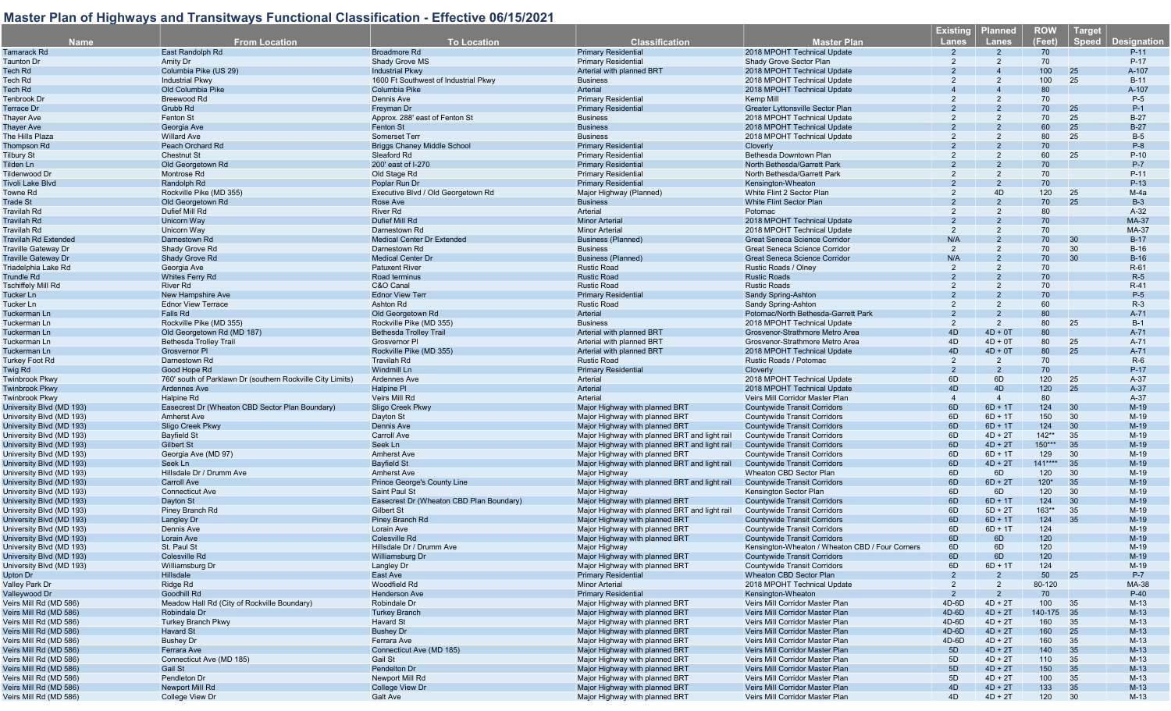| <b>Name</b>                              | <b>From Location</b>                                       | <b>To Location</b>                        | <b>Classification</b>                         | <b>Master Plan</b>                                         | <b>Existing</b><br><b>Lanes</b> | <b>Planned</b><br><b>Lanes</b> | <b>ROW</b><br>(Feet) | Target<br>Speed | <b>Designation</b>     |
|------------------------------------------|------------------------------------------------------------|-------------------------------------------|-----------------------------------------------|------------------------------------------------------------|---------------------------------|--------------------------------|----------------------|-----------------|------------------------|
| Tamarack Rd                              | East Randolph Rd                                           | <b>Broadmore Rd</b>                       | <b>Primary Residential</b>                    | 2018 MPOHT Technical Update                                |                                 | $\overline{2}$                 | 70                   |                 | $P-11$                 |
| Taunton Dr                               | Amity Dr                                                   | Shady Grove MS                            | <b>Primary Residential</b>                    | Shady Grove Sector Plan                                    | 2                               | $\overline{2}$                 | 70                   |                 | $P-17$                 |
| Tech Rd                                  | Columbia Pike (US 29)                                      | <b>Industrial Pkwy</b>                    | Arterial with planned BRT                     | 2018 MPOHT Technical Update                                |                                 |                                | 100                  | 25              | A-107                  |
| Tech Rd                                  | <b>Industrial Pkwy</b>                                     | 1600 Ft Southwest of Industrial Pkwy      | <b>Business</b>                               | 2018 MPOHT Technical Update                                |                                 |                                | 100                  | 25              | $B-11$                 |
| Tech Rd                                  | Old Columbia Pike                                          | Columbia Pike                             | Arterial                                      | 2018 MPOHT Technical Update                                |                                 |                                | 80                   |                 | A-107                  |
| Tenbrook Dr                              | Breewood Rd                                                | Dennis Ave                                | <b>Primary Residential</b>                    | Kemp Mill                                                  | 2                               |                                | 70                   |                 | P-5                    |
| Terrace Dr                               | Grubb Rd                                                   | Freyman Dr                                | <b>Primary Residential</b>                    | Greater Lyttonsville Sector Plan                           |                                 |                                | 70                   | 25              | $P-1$                  |
| Thayer Ave                               | Fenton St                                                  | Approx. 288' east of Fenton St            | <b>Business</b>                               | 2018 MPOHT Technical Update                                |                                 |                                | 70                   | 25              | $B-27$                 |
| <b>Thayer Ave</b>                        | Georgia Ave                                                | Fenton St                                 | <b>Business</b>                               | 2018 MPOHT Technical Update                                |                                 |                                | 60                   | 25              | $B-27$                 |
| The Hills Plaza                          | <b>Willard Ave</b>                                         | Somerset Terr                             | <b>Business</b>                               | 2018 MPOHT Technical Update                                |                                 | 2                              | 80                   | 25              | $B-5$                  |
| <b>Thompson Rd</b>                       | Peach Orchard Rd                                           | <b>Briggs Chaney Middle School</b>        | <b>Primary Residentia</b>                     | Cloverly                                                   |                                 |                                | 70                   |                 | $P-8$                  |
|                                          | <b>Chestnut St</b>                                         | Sleaford Rd                               | <b>Primary Residential</b>                    | Bethesda Downtown Plan                                     |                                 |                                | 60                   | 25              | $P-10$                 |
| Tilbury St                               | Old Georgetown Rd                                          | 200' east of I-270                        | <b>Primary Residential</b>                    | North Bethesda/Garrett Park                                |                                 |                                | 70                   |                 | P-7                    |
| Tilden Ln                                | Montrose Rd                                                | Old Stage Rd                              | <b>Primary Residential</b>                    | North Bethesda/Garrett Park                                |                                 |                                | 70                   |                 | $P-11$                 |
| Tildenwood Dr<br><b>Tivoli Lake Blvd</b> | Randolph Rd                                                | Poplar Run Dr                             | <b>Primary Residential</b>                    | Kensington-Wheaton                                         |                                 |                                | 70                   |                 | $P-13$                 |
| Towne Rd                                 | Rockville Pike (MD 355)                                    | Executive Blvd / Old Georgetown Rd        | Major Highway (Planned)                       | White Flint 2 Sector Plan                                  | 2                               | 4D                             | 120                  | 25              | $M-4a$                 |
| Trade St                                 | Old Georgetown Rd                                          | Rose Ave                                  | <b>Business</b>                               | White Flint Sector Plan                                    |                                 |                                | 70                   | 25              | $B-3$                  |
|                                          | Dufief Mill Rd                                             | <b>River Rd</b>                           | Arterial                                      | Potomac                                                    |                                 |                                | 80                   |                 |                        |
| Travilah Rd                              |                                                            | Dufief Mill Rd                            | <b>Minor Arterial</b>                         |                                                            |                                 |                                | 70                   |                 | $A-32$<br><b>MA-37</b> |
| <b>Travilah Rd</b><br><b>Travilah Rd</b> | Unicorn Way                                                | Darnestown Rd                             | Minor Arteria                                 | 2018 MPOHT Technical Update<br>2018 MPOHT Technical Update | $\mathcal{P}$                   |                                | 70                   |                 | MA-37                  |
|                                          | Unicorn Way                                                |                                           |                                               |                                                            |                                 |                                | 70                   |                 |                        |
| <b>Travilah Rd Extended</b>              | Darnestown Rd                                              | <b>Medical Center Dr Extended</b>         | <b>Business (Planned)</b>                     | <b>Great Seneca Science Corridor</b>                       | N/A<br>2                        | $\overline{2}$                 |                      | 30              | $B-17$                 |
| <b>Traville Gateway Dr</b>               | Shady Grove Rd                                             | Darnestown Rd<br><b>Medical Center Dr</b> | <b>Business</b>                               | Great Seneca Science Corridor                              |                                 |                                | 70                   | 30<br>30        | $B-16$                 |
| <b>Traville Gateway Dr</b>               | Shady Grove Rd                                             |                                           | <b>Business (Planned)</b>                     | <b>Great Seneca Science Corridor</b>                       | N/A                             |                                | 70                   |                 | $B-16$                 |
| Triadelphia Lake Rd                      | Georgia Ave                                                | <b>Patuxent River</b>                     | <b>Rustic Road</b>                            | Rustic Roads / Olney                                       | 2<br>$\mathcal{P}$              |                                | 70                   |                 | $R-61$                 |
| Trundle Rd                               | <b>Whites Ferry Rd</b>                                     | Road terminus                             | <b>Rustic Road</b>                            | <b>Rustic Roads</b>                                        |                                 |                                | 70                   |                 | $R-5$                  |
| Tschiffely Mill Rd                       | <b>River Rd</b>                                            | C&O Canal                                 | <b>Rustic Road</b>                            | <b>Rustic Roads</b>                                        |                                 |                                | 70                   |                 | $R-41$                 |
| Tucker Ln                                | New Hampshire Ave                                          | <b>Ednor View Terr</b>                    | <b>Primary Residential</b>                    | Sandy Spring-Ashton                                        |                                 |                                | 70                   |                 | $P-5$                  |
| Tucker Ln                                | <b>Ednor View Terrace</b>                                  | Ashton Rd                                 | <b>Rustic Road</b>                            | Sandy Spring-Ashton                                        | $\overline{2}$                  |                                | 60                   |                 | $R-3$                  |
| Tuckerman Ln                             | Falls Rd                                                   | Old Georgetown Rd                         | Arterial                                      | Potomac/North Bethesda-Garrett Park                        |                                 |                                | 80                   |                 | $A-71$                 |
| Tuckerman Ln                             | Rockville Pike (MD 355)                                    | Rockville Pike (MD 355)                   | <b>Business</b>                               | 2018 MPOHT Technical Update                                | 2                               | $\overline{2}$                 | 80                   | 25              | $B-1$                  |
| Tuckerman Ln                             | Old Georgetown Rd (MD 187)                                 | <b>Bethesda Trolley Trail</b>             | Arterial with planned BRT                     | Grosvenor-Strathmore Metro Area                            | 4D                              | $4D + 0T$                      | 80                   |                 | $A-71$                 |
| Tuckerman Ln                             | <b>Bethesda Trolley Trail</b>                              | <b>Grosvernor PI</b>                      | Arterial with planned BRT                     | Grosvenor-Strathmore Metro Area                            | 4D                              | $4D + 0T$                      | 80                   | 25              | A-71                   |
| Tuckerman Ln                             | Grosvernor PI                                              | Rockville Pike (MD 355)                   | Arterial with planned BRT                     | 2018 MPOHT Technical Update                                | 4D                              | $4D + 0T$                      | 80                   | 25              | $A-71$                 |
| Turkey Foot Rd                           | Darnestown Rd                                              | <b>Travilah Rd</b>                        | <b>Rustic Road</b>                            | Rustic Roads / Potomac                                     | 2                               | $\overline{2}$                 | 70                   |                 | $R-6$                  |
| Twig Rd                                  | Good Hope Rd                                               | <b>Windmill Ln</b>                        | <b>Primary Residential</b>                    | Cloverly                                                   | $\mathcal{P}$                   | $\overline{2}$                 | 70                   |                 | $P-17$                 |
| <b>Twinbrook Pkwy</b>                    | 760' south of Parklawn Dr (southern Rockville City Limits) | <b>Ardennes Ave</b>                       | Arterial                                      | 2018 MPOHT Technical Update                                | 6D                              | 6D                             | 120                  | 25              | $A-37$                 |
| <b>Twinbrook Pkwy</b>                    | <b>Ardennes Ave</b>                                        | Halpine PI                                | Arterial                                      | 2018 MPOHT Technical Update                                | 4D                              | 4D                             | 120                  | 25              | $A-37$                 |
| <b>Twinbrook Pkwy</b>                    | Halpine Rd                                                 | Veirs Mill Rd                             | Arterial                                      | Veirs Mill Corridor Master Plan                            | $\boldsymbol{4}$                | $\overline{4}$                 | 80                   |                 | $A-37$                 |
| University Blvd (MD 193)                 | Easecrest Dr (Wheaton CBD Sector Plan Boundary)            | Sligo Creek Pkwy                          | Major Highway with planned BRT                | <b>Countywide Transit Corridors</b>                        | 6D                              | $6D + 1T$                      | 124                  | 30              | $M-19$                 |
| University Blvd (MD 193)                 | <b>Amherst Ave</b>                                         | Dayton St                                 | Major Highway with planned BRT                | <b>Countywide Transit Corridors</b>                        | 6D                              | $6D + 1T$                      | 150                  | 30              | $M-19$                 |
| University Blvd (MD 193)                 | Sligo Creek Pkwy                                           | <b>Dennis Ave</b>                         | Major Highway with planned BRT                | <b>Countywide Transit Corridors</b>                        | 6D                              | $6D + 1T$                      | 124                  | 30              | $M-19$                 |
| University Blvd (MD 193)                 | <b>Bayfield St</b>                                         | <b>Carroll Ave</b>                        | Major Highway with planned BRT and light rail | <b>Countywide Transit Corridors</b>                        | 6D                              | $4D + 2T$                      | $142**$              | 35              | $M-19$                 |
| University Blvd (MD 193)                 | <b>Gilbert St</b>                                          | Seek Ln                                   | Major Highway with planned BRT and light rail | <b>Countywide Transit Corridors</b>                        | 6D                              | $4D + 2T$                      | $150***$             | 35              | $M-19$                 |
| University Blvd (MD 193)                 | Georgia Ave (MD 97)                                        | <b>Amherst Ave</b>                        | Major Highway with planned BRT                | <b>Countywide Transit Corridors</b>                        | 6D                              | $6D + 1T$                      | 129                  | 30              | $M-19$                 |
| University Blvd (MD 193)                 | Seek Ln                                                    | <b>Bayfield St</b>                        | Major Highway with planned BRT and light rail | <b>Countywide Transit Corridors</b>                        | 6D                              | $4D + 2T$                      | $141***$             | 35              | $M-19$                 |
| University Blvd (MD 193)                 | Hillsdale Dr / Drumm Ave                                   | <b>Amherst Ave</b>                        | Major Highway                                 | Wheaton CBD Sector Plan                                    | 6D                              | 6D                             | 120                  | 30              | $M-19$                 |
| University Blvd (MD 193)                 | Carroll Ave                                                | <b>Prince George's County Line</b>        | Major Highway with planned BRT and light rail | <b>Countywide Transit Corridors</b>                        | 6D                              | $6D + 2T$                      | $120*$               | 35              | $M-19$                 |
| University Blvd (MD 193)                 | <b>Connecticut Ave</b>                                     | Saint Paul St                             | Major Highway                                 | Kensington Sector Plan                                     | 6D                              | 6D                             | 120                  | 30              | $M-19$                 |
| University Blvd (MD 193)                 | Dayton St                                                  | Easecrest Dr (Wheaton CBD Plan Boundary)  | Major Highway with planned BRT                | <b>Countywide Transit Corridors</b>                        | 6D                              | $6D + 1T$                      | 124                  | 30              | $M-19$                 |
| University Blvd (MD 193)                 | Piney Branch Rd                                            | <b>Gilbert St</b>                         | Major Highway with planned BRT and light rail | <b>Countywide Transit Corridors</b>                        | 6D                              | $5D + 2T$                      | $163**$              | 35              | $M-19$                 |
| University Blvd (MD 193)                 | Langley Dr                                                 | <b>Piney Branch Rd</b>                    | Major Highway with planned BRT                | <b>Countywide Transit Corridors</b>                        | 6D                              | $6D + 1T$                      | 124                  | 35              | $M-19$                 |
| University Blvd (MD 193)                 | Dennis Ave                                                 | Lorain Ave                                | Major Highway with planned BRT                | <b>Countywide Transit Corridors</b>                        | 6D                              | $6D + 1T$                      | 124                  |                 | $M-19$                 |
| University Blvd (MD 193)                 | <b>Lorain Ave</b>                                          | <b>Colesville Rd</b>                      | Maior Highway with planned BRT                | <b>Countywide Transit Corridors</b>                        | 6D                              | 6D                             | 120                  |                 | $M-19$                 |
| University Blvd (MD 193)                 | St. Paul St                                                | Hillsdale Dr / Drumm Ave                  | Major Highway                                 | Kensington-Wheaton / Wheaton CBD / Four Corners            | 6D                              | 6D                             | 120                  |                 | $M-19$                 |
| University Blvd (MD 193)                 | Colesville Rd                                              | Williamsburg Dr                           | Major Highway with planned BRT                | <b>Countywide Transit Corridors</b>                        | 6D                              | 6D                             | 120                  |                 | $M-19$                 |
| University Blvd (MD 193)                 | Williamsburg Dr                                            | Langley Dr                                | Major Highway with planned BRT                | <b>Countywide Transit Corridors</b>                        | 6D                              | $6D + 1T$                      | 124                  |                 | $M-19$                 |
| Upton Dr                                 | Hillsdale                                                  | East Ave                                  | <b>Primary Residential</b>                    | Wheaton CBD Sector Plan                                    | 2                               | $\mathcal{P}$                  | 50                   | 25              | $P-7$                  |
| Valley Park Dr                           | Ridge Rd                                                   | Woodfield Rd                              | <b>Minor Arterial</b>                         | 2018 MPOHT Technical Update                                | $\overline{2}$                  | 2                              | 80-120               |                 | MA-38                  |
| Valleywood Dr                            | Goodhill Rd                                                | <b>Henderson Ave</b>                      | <b>Primary Residential</b>                    | Kensington-Wheaton                                         | $\overline{2}$                  | $\overline{2}$                 | 70                   |                 | $P-40$                 |
| Veirs Mill Rd (MD 586)                   | Meadow Hall Rd (City of Rockville Boundary)                | Robindale Dr                              | Major Highway with planned BRT                | Veirs Mill Corridor Master Plan                            | 4D-6D                           | $4D + 2T$                      | 100                  | 35              | $M-13$                 |
| Veirs Mill Rd (MD 586)                   | Robindale Dr                                               | <b>Turkey Branch</b>                      | Major Highway with planned BRT                | Veirs Mill Corridor Master Plan                            | $4D-6D$                         | $4D + 2T$                      | 140-175 35           |                 | $M-13$                 |
| Veirs Mill Rd (MD 586)                   | <b>Turkey Branch Pkwy</b>                                  | Havard St                                 | Major Highway with planned BRT                | Veirs Mill Corridor Master Plan                            | 4D-6D                           | $4D + 2T$                      | 160                  | 35              | $M-13$                 |
| Veirs Mill Rd (MD 586)                   | Havard St                                                  | <b>Bushey Dr</b>                          | Major Highway with planned BRT                | Veirs Mill Corridor Master Plan                            | 4D-6D                           | $4D + 2T$                      | 160                  | 25              | $M-13$                 |
| Veirs Mill Rd (MD 586)                   | <b>Bushey Dr</b>                                           | Ferrara Ave                               | Major Highway with planned BRT                | Veirs Mill Corridor Master Plan                            | 4D-6D                           | $4D + 2T$                      | 160                  | 35              | $M-13$                 |
| Veirs Mill Rd (MD 586)                   | Ferrara Ave                                                | Connecticut Ave (MD 185)                  | Major Highway with planned BRT                | Veirs Mill Corridor Master Plan                            | 5D                              | $4D + 2T$                      | 140                  | 35              | $M-13$                 |
| Veirs Mill Rd (MD 586)                   | Connecticut Ave (MD 185)                                   | Gail St                                   | Major Highway with planned BRT                | Veirs Mill Corridor Master Plan                            | 5D                              | $4D + 2T$                      | 110                  | 35              | $M-13$                 |
| Veirs Mill Rd (MD 586)                   | Gail St                                                    | Pendelton Dr                              | Major Highway with planned BRT                | Veirs Mill Corridor Master Plan                            | 5D                              | $4D + 2T$                      | 150                  | 35              | $M-13$                 |
| Veirs Mill Rd (MD 586)                   | Pendleton Dr                                               | Newport Mill Rd                           | Major Highway with planned BRT                | Veirs Mill Corridor Master Plan                            | 5D                              | $4D + 2T$                      | 100                  | 35              | $M-13$                 |
| Veirs Mill Rd (MD 586)                   | Newport Mill Rd                                            | <b>College View Dr</b>                    | Major Highway with planned BRT                | Veirs Mill Corridor Master Plan                            | 4D                              | $4D + 2T$                      | 133                  | 35              | $M-13$                 |
| Veirs Mill Rd (MD 586)                   | College View Dr                                            | Galt Ave                                  | Major Highway with planned BRT                | Veirs Mill Corridor Master Plan                            | 4D                              | $4D + 2T$                      | 120 30               |                 | $M-13$                 |
|                                          |                                                            |                                           |                                               |                                                            |                                 |                                |                      |                 |                        |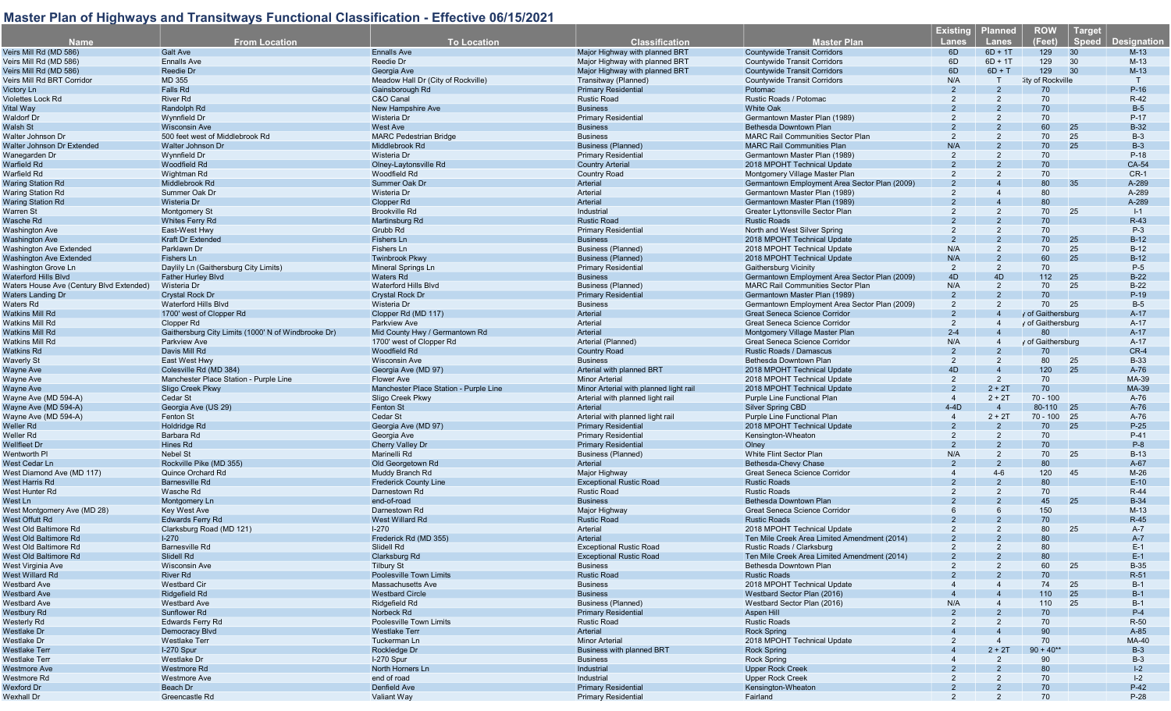| <b>Name</b>                              | <b>From Location</b>                                | <b>To Location</b>                     | <b>Classification</b>                  | <b>Master Plan</b>                            | <b>Existing</b><br>Lanes | <b>Planned</b><br><b>Lanes</b> | <b>ROW</b><br>(Feet) | Target<br><b>Speed</b> | <b>Designation</b> |
|------------------------------------------|-----------------------------------------------------|----------------------------------------|----------------------------------------|-----------------------------------------------|--------------------------|--------------------------------|----------------------|------------------------|--------------------|
|                                          |                                                     |                                        |                                        |                                               |                          |                                |                      |                        |                    |
| Veirs Mill Rd (MD 586)                   | <b>Galt Ave</b>                                     | <b>Ennalls Ave</b>                     | Major Highway with planned BRT         | <b>Countywide Transit Corridors</b>           | 6D                       | $6D + 1T$                      | 129                  | 30                     | $M-13$             |
| Veirs Mill Rd (MD 586)                   | <b>Ennalls Ave</b>                                  | Reedie Dr                              | Major Highway with planned BRT         | <b>Countywide Transit Corridors</b>           | 6D                       | $6D + 1T$                      | 129                  | 30                     | $M-13$             |
| Veirs Mill Rd (MD 586)                   | Reedie Dr                                           | Georgia Ave                            | Major Highway with planned BRT         | <b>Countywide Transit Corridors</b>           | 6D                       | $6D + T$                       | 129                  | 30                     | $M-13$             |
| Veirs Mill Rd BRT Corridor               | MD 355                                              | Meadow Hall Dr (City of Rockville)     | Transitway (Planned)                   | <b>Countywide Transit Corridors</b>           | N/A                      |                                | :ity of Rockville    |                        | T                  |
| Victory Ln                               | Falls Rd                                            | Gainsborough Rd                        | <b>Primary Residential</b>             | Potomac                                       | $\mathcal{P}$            |                                | 70                   |                        | $P-16$             |
| Violettes Lock Rd                        | <b>River Rd</b>                                     | C&O Canal                              | <b>Rustic Road</b>                     | Rustic Roads / Potomac                        | 2                        | 2                              | 70                   |                        | $R-42$             |
| Vital Way                                | Randolph Rd                                         | New Hampshire Ave                      | <b>Business</b>                        | <b>White Oak</b>                              |                          |                                | 70                   |                        | $B-5$              |
| Waldorf Dr                               | Wynnfield Dr                                        | Wisteria Dr                            | <b>Primary Residential</b>             | Germantown Master Plan (1989)                 |                          |                                | 70                   |                        | $P-17$             |
| Walsh St                                 | <b>Wisconsin Ave</b>                                | <b>West Ave</b>                        | <b>Business</b>                        | Bethesda Downtown Plan                        |                          |                                | 60                   | 25                     | $B-32$             |
| Walter Johnson Dr                        | 500 feet west of Middlebrook Rd                     | <b>MARC Pedestrian Bridge</b>          | <b>Business</b>                        | <b>MARC Rail Communities Sector Plan</b>      | 2                        | 2                              | 70                   | 25                     | $B-3$              |
| Walter Johnson Dr Extended               | Walter Johnson Dr                                   | Middlebrook Rd                         | <b>Business (Planned)</b>              | <b>MARC Rail Communities Plan</b>             | N/A                      |                                | 70                   | 25                     | $B-3$              |
| Wanegarden Dr                            | Wynnfield Dr                                        | Wisteria Dr                            | <b>Primary Residential</b>             | Germantown Master Plan (1989)                 | 2                        | $\overline{2}$                 | 70                   |                        | $P-18$             |
| Warfield Rd                              | <b>Woodfield Rd</b>                                 | Olney-Laytonsville Rd                  | <b>Country Arterial</b>                | 2018 MPOHT Technical Update                   |                          |                                | 70                   |                        | CA-54              |
| Warfield Rd                              | Wightman Rd                                         | Woodfield Rd                           | <b>Country Road</b>                    | Montgomery Village Master Plan                |                          |                                | 70                   |                        | $CR-1$             |
| <b>Waring Station Rd</b>                 | Middlebrook Rd                                      | <b>Summer Oak Dr</b>                   | Arterial                               | Germantown Employment Area Sector Plan (2009) |                          |                                | 80                   | 35                     | A-289              |
| <b>Waring Station Rd</b>                 | Summer Oak Dr                                       | Wisteria Dr                            | Arterial                               | Germantown Master Plan (1989)                 | $\overline{2}$           |                                | 80                   |                        | A-289              |
| <b>Waring Station Rd</b>                 | Wisteria Dr                                         | <b>Clopper Rd</b>                      | Arterial                               | Germantown Master Plan (1989)                 |                          |                                | 80                   |                        | A-289              |
| Warren St                                | <b>Montgomery St</b>                                | <b>Brookville Rd</b>                   | Industrial                             | Greater Lyttonsville Sector Plan              |                          |                                | 70                   | 25                     | $I-1$              |
| Wasche Rd                                | <b>Whites Ferry Rd</b>                              | Martinsburg Rd                         | <b>Rustic Road</b>                     | <b>Rustic Roads</b>                           |                          |                                | 70                   |                        | $R-43$             |
| <b>Washington Ave</b>                    | East-West Hwy                                       | Grubb Rd                               | <b>Primary Residential</b>             |                                               | $\mathfrak{p}$           | $\overline{2}$                 | 70                   |                        | $P-3$              |
|                                          |                                                     |                                        |                                        | North and West Silver Spring                  |                          |                                | 70                   | 25                     | $B-12$             |
| <b>Washington Ave</b>                    | Kraft Dr Extended                                   | <b>Fishers Ln</b>                      | <b>Business</b>                        | 2018 MPOHT Technical Update                   |                          |                                |                      |                        |                    |
| Washington Ave Extended                  | Parklawn Dr                                         | Fishers Ln                             | <b>Business (Planned)</b>              | 2018 MPOHT Technical Update                   | N/A                      | 2                              | 70                   | 25                     | $B-12$             |
| <b>Washington Ave Extended</b>           | <b>Fishers Ln</b>                                   | <b>Twinbrook Pkwy</b>                  | <b>Business (Planned)</b>              | 2018 MPOHT Technical Update                   | N/A                      |                                | 60                   | 25                     | $B-12$             |
| Washington Grove Ln                      | Daylily Ln (Gaithersburg City Limits)               | Mineral Springs Ln                     | <b>Primary Residential</b>             | Gaithersburg Vicinity                         | 2                        | 2                              | 70                   |                        | $P-5$              |
| Waterford Hills Blvd                     | <b>Father Hurley Blvd</b>                           | <b>Waters Rd</b>                       | <b>Business</b>                        | Germantown Employment Area Sector Plan (2009) | 4D                       | 4D                             | 112                  | 25                     | $B-22$             |
| Waters House Ave (Century Blvd Extended) | Wisteria Dr                                         | <b>Waterford Hills Blvd</b>            | <b>Business (Planned)</b>              | <b>MARC Rail Communities Sector Plan</b>      | N/A                      | $\overline{2}$                 | 70                   | 25                     | $B-22$             |
| <b>Waters Landing Dr</b>                 | <b>Crystal Rock Dr</b>                              | <b>Crystal Rock Dr</b>                 | <b>Primary Residentia</b>              | Germantown Master Plan (1989)                 | 2                        | $\mathcal{P}$                  | 70                   |                        | $P-19$             |
| Waters Rd                                | Waterford Hills Blvd                                | Wisteria Dr                            | <b>Business</b>                        | Germantown Employment Area Sector Plan (2009) | 2                        | $\overline{2}$                 | 70                   | 25                     | $B-5$              |
| Watkins Mill Rd                          | 1700' west of Clopper Rd                            | Clopper Rd (MD 117)                    | Arterial                               | Great Seneca Science Corridor                 | $\mathfrak{D}$           |                                | y of Gaithersburg    |                        | $A-17$             |
| <b>Watkins Mill Rd</b>                   | Clopper Rd                                          | <b>Parkview Ave</b>                    | Arterial                               | Great Seneca Science Corridor                 | $\overline{2}$           |                                | y of Gaithersburg    |                        | $A-17$             |
| <b>Watkins Mill Rd</b>                   | Gaithersburg City Limits (1000' N of Windbrooke Dr) | Mid County Hwy / Germantown Rd         | Arterial                               | Montgomery Village Master Plan                | $2 - 4$                  |                                | 80                   |                        | $A-17$             |
| Watkins Mill Rd                          | <b>Parkview Ave</b>                                 | 1700' west of Clopper Rd               | Arterial (Planned)                     | Great Seneca Science Corridor                 | N/A                      |                                | y of Gaithersburg    |                        | $A-17$             |
| Watkins Rd                               | Davis Mill Rd                                       | Woodfield Rd                           | <b>Country Road</b>                    | Rustic Roads / Damascus                       | $\overline{2}$           |                                | 70                   |                        | $CR-4$             |
| Waverly St                               | East West Hwy                                       | <b>Wisconsin Ave</b>                   | <b>Business</b>                        | Bethesda Downtown Plan                        | 2                        |                                | 80                   | 25                     | <b>B-33</b>        |
| Wayne Ave                                | Colesville Rd (MD 384)                              | Georgia Ave (MD 97)                    | Arterial with planned BRT              | 2018 MPOHT Technical Update                   | 4D                       |                                | 120                  | 25                     | $A-76$             |
| Wayne Ave                                | Manchester Place Station - Purple Line              | <b>Flower Ave</b>                      | <b>Minor Arterial</b>                  | 2018 MPOHT Technical Update                   | 2                        | 2                              | 70                   |                        | MA-39              |
| <b>Wayne Ave</b>                         | Sligo Creek Pkwy                                    | Manchester Place Station - Purple Line | Minor Arterial with planned light rail | 2018 MPOHT Technical Update                   | 2                        | $2 + 2T$                       | 70                   |                        | MA-39              |
| Wayne Ave (MD 594-A)                     | Cedar St                                            | Sligo Creek Pkwy                       | Arterial with planned light rail       | Purple Line Functional Plan                   | $\overline{4}$           | $2 + 2T$                       | $70 - 100$           |                        | A-76               |
| Wayne Ave (MD 594-A)                     | Georgia Ave (US 29)                                 | <b>Fenton St</b>                       | Arterial                               | <b>Silver Spring CBD</b>                      | $4-4D$                   | $\overline{4}$                 | 80-110               | 25                     | A-76               |
| Wayne Ave (MD 594-A)                     | Fenton St                                           | Cedar St                               | Arterial with planned light rail       | Purple Line Functional Plan                   | $\overline{4}$           | $2 + 2T$                       | $70 - 100$           | 25                     | A-76               |
| Weller Rd                                | <b>Holdridge Rd</b>                                 | Georgia Ave (MD 97)                    | <b>Primary Residential</b>             | 2018 MPOHT Technical Update                   | $\mathfrak{p}$           |                                | 70                   | 25                     | $P-25$             |
| Weller Rd                                | Barbara Rd                                          |                                        | <b>Primary Residential</b>             | Kensington-Wheaton                            | 2                        | 2                              | 70                   |                        | $P-41$             |
|                                          |                                                     | Georgia Ave                            |                                        |                                               | $\mathfrak{p}$           | 2                              | 70                   |                        | $P-8$              |
| <b>Wellfleet Dr</b>                      | Hines Rd                                            | <b>Cherry Valley Dr</b>                | <b>Primary Residential</b>             | Olney                                         |                          |                                |                      |                        |                    |
| Wentworth PI                             | Nebel St                                            | Marinelli Rd                           | Business (Planned)                     | White Flint Sector Plan                       | N/A                      | 2                              | 70                   | 25                     | $B-13$             |
| West Cedar Ln                            | Rockville Pike (MD 355)                             | Old Georgetown Rd                      | Arterial                               | Bethesda-Chevy Chase                          | $\mathfrak{p}$           | $\overline{2}$                 | 80                   |                        | $A-67$             |
| West Diamond Ave (MD 117)                | Quince Orchard Rd                                   | Muddy Branch Rd                        | Major Highway                          | Great Seneca Science Corridor                 |                          | $4 - 6$                        | 120                  | 45                     | $M-26$             |
| West Harris Rd                           | <b>Barnesville Rd</b>                               | <b>Frederick County Line</b>           | <b>Exceptional Rustic Road</b>         | <b>Rustic Roads</b>                           |                          |                                | 80                   |                        | $E-10$             |
| West Hunter Rd                           | Wasche Rd                                           | Darnestown Rd                          | <b>Rustic Road</b>                     | <b>Rustic Roads</b>                           |                          | 2                              | 70                   |                        | $R-44$             |
| West Ln                                  | Montgomery Ln                                       | end-of-road                            | <b>Business</b>                        | Bethesda Downtown Plan                        |                          |                                | 45                   | 25                     | <b>B-34</b>        |
| West Montgomery Ave (MD 28)              | <b>Kev West Ave</b>                                 | Darnestown Rd                          | Major Highway                          | Great Seneca Science Corridor                 |                          |                                | 150                  |                        | $M-13$             |
| West Offutt Rd                           | <b>Edwards Ferry Rd</b>                             | <b>West Willard Rd</b>                 | <b>Rustic Road</b>                     | <b>Rustic Roads</b>                           |                          |                                | 70                   |                        | $R-45$             |
| West Old Baltimore Rd                    | Clarksburg Road (MD 121)                            | $1-270$                                | Arteria                                | 2018 MPOHT Technical Update                   |                          | 2                              | 80                   | 25                     | A-7                |
| West Old Baltimore Rd                    | $I-270$                                             | Frederick Rd (MD 355)                  | Arterial                               | Ten Mile Creek Area Limited Amendment (2014)  |                          | $\mathcal{P}$                  | 80                   |                        | $A-7$              |
| West Old Baltimore Rd                    | <b>Barnesville Rd</b>                               | Slidell Rd                             | <b>Exceptional Rustic Road</b>         | Rustic Roads / Clarksburg                     |                          | $\mathcal{P}$                  | 80                   |                        | $E-1$              |
| West Old Baltimore Rd                    | Slidell Rd                                          | Clarksburg Rd                          | <b>Exceptional Rustic Road</b>         | Ten Mile Creek Area Limited Amendment (2014)  |                          |                                | 80                   |                        | $E-1$              |
| West Virginia Ave                        | <b>Wisconsin Ave</b>                                | <b>Tilbury St</b>                      | <b>Business</b>                        | Bethesda Downtown Plan                        |                          |                                | 60                   | 25                     | <b>B-35</b>        |
| West Willard Rd                          | River Rd                                            | <b>Poolesville Town Limits</b>         | <b>Rustic Road</b>                     | <b>Rustic Roads</b>                           |                          |                                | 70                   |                        | $R-51$             |
| <b>Westbard Ave</b>                      | Westbard Cir                                        | Massachusetts Ave                      | <b>Business</b>                        | 2018 MPOHT Technical Update                   |                          |                                | 74                   | 25                     | $B-1$              |
| <b>Westbard Ave</b>                      | Ridgefield Rd                                       | <b>Westbard Circle</b>                 | <b>Business</b>                        | Westbard Sector Plan (2016)                   |                          |                                | 110                  | 25                     | $B-1$              |
| <b>Westbard Ave</b>                      | <b>Westbard Ave</b>                                 | Ridgefield Rd                          | Business (Planned)                     | Westbard Sector Plan (2016)                   | N/A                      |                                | 110                  | 25                     | $B-1$              |
| Westbury Rd                              | Sunflower Rd                                        | Norbeck Rd                             | <b>Primary Residential</b>             | Aspen Hill                                    | $\mathfrak{p}$           |                                | 70                   |                        | $P-4$              |
| Westerly Rd                              | Edwards Ferry Rd                                    | Poolesville Town Limits                | <b>Rustic Road</b>                     | <b>Rustic Roads</b>                           | 2                        |                                | 70                   |                        | $R-50$             |
| Westlake Dr                              | Democracy Blvd                                      | <b>Westlake Terr</b>                   | Arterial                               | <b>Rock Spring</b>                            |                          |                                | 90                   |                        | $A-85$             |
| Westlake Dr                              | <b>Westlake Terr</b>                                | Tuckerman Ln                           | <b>Minor Arterial</b>                  | 2018 MPOHT Technical Update                   |                          |                                | 70                   |                        | MA-40              |
|                                          |                                                     | Rockledge Dr                           | Business with planned BRT              |                                               |                          | $2 + 2T$                       | $90 + 40$ **         |                        | $B-3$              |
| <b>Westlake Terr</b>                     | I-270 Spur                                          |                                        |                                        | Rock Spring                                   |                          |                                |                      |                        |                    |
| <b>Westlake Terr</b>                     | Westlake Dr                                         | I-270 Spur                             | <b>Business</b>                        | Rock Spring                                   |                          |                                | 90                   |                        | $B-3$              |
| <b>Westmore Ave</b>                      | <b>Westmore Rd</b>                                  | North Horners Ln                       | Industrial                             | <b>Upper Rock Creek</b>                       |                          |                                | 80                   |                        | $I-2$              |
| Westmore Rd                              | <b>Westmore Ave</b>                                 | end of road                            | Industrial                             | <b>Upper Rock Creek</b>                       | 2                        |                                | 70                   |                        | $ -2 $             |
| Wexford Dr                               | Beach Dr                                            | Denfield Ave                           | <b>Primary Residential</b>             | Kensington-Wheaton                            |                          |                                | 70                   |                        | P-42               |
| Wexhall Dr                               | Greencastle Rd                                      | Valiant Way                            | <b>Primary Residential</b>             | Fairland                                      |                          |                                | 70                   |                        | P-28               |